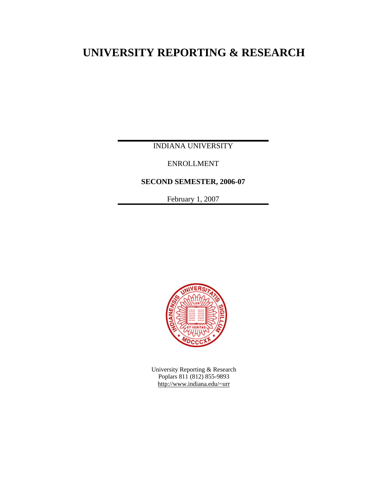# **UNIVERSITY REPORTING & RESEARCH**

INDIANA UNIVERSITY

ENROLLMENT

**SECOND SEMESTER, 2006-07** 

February 1, 2007



University Reporting & Research Poplars 811 (812) 855-9893 http://www.indiana.edu/~urr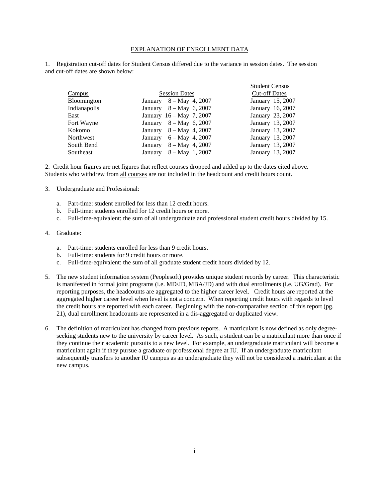#### EXPLANATION OF ENROLLMENT DATA

1. Registration cut-off dates for Student Census differed due to the variance in session dates. The session and cut-off dates are shown below:

|              |                                | <b>Student Census</b> |  |
|--------------|--------------------------------|-----------------------|--|
| Campus       | <b>Session Dates</b>           | <b>Cut-off Dates</b>  |  |
| Bloomington  | January $8 - May 4, 2007$      | January 15, 2007      |  |
| Indianapolis | January $8 - May \, 6, 2007$   | January 16, 2007      |  |
| East         | January 16 - May 7, 2007       | January 23, 2007      |  |
| Fort Wayne   | January $8 - May \, 6, 2007$   | January 13, 2007      |  |
| Kokomo       | January $8 - May 4, 2007$      | January 13, 2007      |  |
| Northwest    | $6 - May\, 4, 2007$<br>January | January 13, 2007      |  |
| South Bend   | $8 - May$ 4, 2007<br>January   | January 13, 2007      |  |
| Southeast    | January $8 - May \ 1, 2007$    | January 13, 2007      |  |

2. Credit hour figures are net figures that reflect courses dropped and added up to the dates cited above. Students who withdrew from all courses are not included in the headcount and credit hours count.

- 3. Undergraduate and Professional:
	- a. Part-time: student enrolled for less than 12 credit hours.
	- b. Full-time: students enrolled for 12 credit hours or more.
	- c. Full-time-equivalent: the sum of all undergraduate and professional student credit hours divided by 15.

#### 4. Graduate:

- a. Part-time: students enrolled for less than 9 credit hours.
- b. Full-time: students for 9 credit hours or more.
- c. Full-time-equivalent: the sum of all graduate student credit hours divided by 12.
- 5. The new student information system (Peoplesoft) provides unique student records by career. This characteristic is manifested in formal joint programs (i.e. MD/JD, MBA/JD) and with dual enrollments (i.e. UG/Grad). For reporting purposes, the headcounts are aggregated to the higher career level. Credit hours are reported at the aggregated higher career level when level is not a concern. When reporting credit hours with regards to level the credit hours are reported with each career. Beginning with the non-comparative section of this report (pg. 21), dual enrollment headcounts are represented in a dis-aggregated or duplicated view.
- 6. The definition of matriculant has changed from previous reports. A matriculant is now defined as only degreeseeking students new to the university by career level. As such, a student can be a matriculant more than once if they continue their academic pursuits to a new level. For example, an undergraduate matriculant will become a matriculant again if they pursue a graduate or professional degree at IU. If an undergraduate matriculant subsequently transfers to another IU campus as an undergraduate they will not be considered a matriculant at the new campus.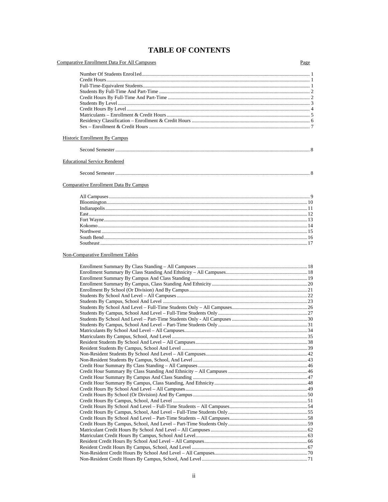## **TABLE OF CONTENTS**

| <b>Comparative Enrollment Data For All Campuses</b> | Page |
|-----------------------------------------------------|------|
|                                                     |      |
|                                                     |      |
|                                                     |      |
|                                                     |      |
|                                                     |      |
|                                                     |      |
|                                                     |      |
|                                                     |      |
|                                                     |      |
| Historic Enrollment By Campus                       |      |
|                                                     |      |
| <b>Educational Service Rendered</b>                 |      |
|                                                     |      |
| Comparative Enrollment Data By Campus               |      |
|                                                     |      |
|                                                     |      |
|                                                     |      |
|                                                     |      |
|                                                     |      |
|                                                     |      |
|                                                     |      |
|                                                     |      |
| <b>Non-Comparative Enrollment Tables</b>            |      |
|                                                     |      |
|                                                     |      |
|                                                     |      |
|                                                     |      |
|                                                     |      |
|                                                     |      |
|                                                     |      |
|                                                     |      |
|                                                     |      |
|                                                     |      |
|                                                     |      |
|                                                     |      |
|                                                     |      |
|                                                     |      |
|                                                     |      |
|                                                     |      |
|                                                     |      |
|                                                     |      |
|                                                     |      |
|                                                     |      |
|                                                     |      |
|                                                     |      |
|                                                     |      |
|                                                     |      |
|                                                     |      |
|                                                     |      |
|                                                     |      |
|                                                     |      |
|                                                     |      |
|                                                     |      |
|                                                     |      |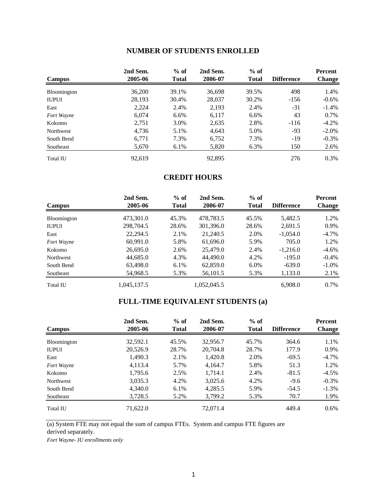### **NUMBER OF STUDENTS ENROLLED**

|                 | 2nd Sem. | $%$ of       | 2nd Sem. | $%$ of       |                   | <b>Percent</b> |
|-----------------|----------|--------------|----------|--------------|-------------------|----------------|
| Campus          | 2005-06  | <b>Total</b> | 2006-07  | <b>Total</b> | <b>Difference</b> | <b>Change</b>  |
| Bloomington     | 36,200   | 39.1%        | 36,698   | 39.5%        | 498               | 1.4%           |
| <b>IUPUI</b>    | 28,193   | 30.4%        | 28,037   | 30.2%        | $-156$            | $-0.6%$        |
| East            | 2,224    | 2.4%         | 2,193    | 2.4%         | $-31$             | $-1.4%$        |
| Fort Wayne      | 6.074    | 6.6%         | 6,117    | 6.6%         | 43                | 0.7%           |
| Kokomo          | 2,751    | 3.0%         | 2,635    | 2.8%         | $-116$            | $-4.2%$        |
| Northwest       | 4,736    | 5.1%         | 4,643    | 5.0%         | -93               | $-2.0\%$       |
| South Bend      | 6,771    | 7.3%         | 6,752    | 7.3%         | -19               | $-0.3\%$       |
| Southeast       | 5,670    | 6.1%         | 5,820    | 6.3%         | 150               | 2.6%           |
| <b>Total IU</b> | 92.619   |              | 92.895   |              | 276               | 0.3%           |

### **CREDIT HOURS**

| <b>Campus</b>   | 2nd Sem.<br>2005-06 | $%$ of<br><b>Total</b> | 2nd Sem.<br>2006-07 | $%$ of<br><b>Total</b> | <b>Difference</b> | <b>Percent</b><br><b>Change</b> |
|-----------------|---------------------|------------------------|---------------------|------------------------|-------------------|---------------------------------|
|                 |                     |                        |                     |                        |                   |                                 |
| Bloomington     | 473,301.0           | 45.3%                  | 478,783.5           | 45.5%                  | 5,482.5           | 1.2%                            |
| <b>IUPUI</b>    | 298,704.5           | 28.6%                  | 301,396.0           | 28.6%                  | 2,691.5           | 0.9%                            |
| East            | 22,294.5            | 2.1%                   | 21,240.5            | 2.0%                   | $-1,054.0$        | $-4.7%$                         |
| Fort Wayne      | 60,991.0            | 5.8%                   | 61,696.0            | 5.9%                   | 705.0             | 1.2%                            |
| Kokomo          | 26,695.0            | 2.6%                   | 25,479.0            | 2.4%                   | $-1,216.0$        | $-4.6%$                         |
| Northwest       | 44,685.0            | 4.3%                   | 44,490.0            | 4.2%                   | $-195.0$          | $-0.4\%$                        |
| South Bend      | 63,498.0            | 6.1%                   | 62,859.0            | $6.0\%$                | $-639.0$          | $-1.0\%$                        |
| Southeast       | 54,968.5            | 5.3%                   | 56,101.5            | 5.3%                   | 1,133.0           | 2.1%                            |
| <b>Total IU</b> | 1,045,137.5         |                        | 1,052,045.5         |                        | 6.908.0           | $0.7\%$                         |

## **FULL-TIME EQUIVALENT STUDENTS (a)**

| Campus          | 2nd Sem.<br>2005-06 | $%$ of<br><b>Total</b> | 2nd Sem.<br>2006-07 | $%$ of<br><b>Total</b> | <b>Difference</b> | Percent<br><b>Change</b> |
|-----------------|---------------------|------------------------|---------------------|------------------------|-------------------|--------------------------|
| Bloomington     | 32,592.1            | 45.5%                  | 32,956.7            | 45.7%                  | 364.6             | 1.1%                     |
| <b>IUPUI</b>    | 20,526.9            | 28.7%                  | 20.704.8            | 28.7%                  | 177.9             | 0.9%                     |
| East            | 1.490.3             | 2.1%                   | 1,420.8             | 2.0%                   | $-69.5$           | $-4.7\%$                 |
| Fort Wayne      | 4,113.4             | 5.7%                   | 4,164.7             | 5.8%                   | 51.3              | 1.2%                     |
| Kokomo          | 1,795.6             | 2.5%                   | 1.714.1             | 2.4%                   | $-81.5$           | $-4.5\%$                 |
| Northwest       | 3,035.3             | 4.2%                   | 3,025.6             | 4.2%                   | $-9.6$            | $-0.3\%$                 |
| South Bend      | 4,340.0             | 6.1%                   | 4,285.5             | 5.9%                   | $-54.5$           | $-1.3\%$                 |
| Southeast       | 3,728.5             | 5.2%                   | 3,799.2             | 5.3%                   | 70.7              | 1.9%                     |
| <b>Total IU</b> | 71,622.0            |                        | 72,071.4            |                        | 449.4             | $0.6\%$                  |

(a) System FTE may not equal the sum of campus FTEs. System and campus FTE figures are derived separately.

*Fort Wayne- IU enrollments only*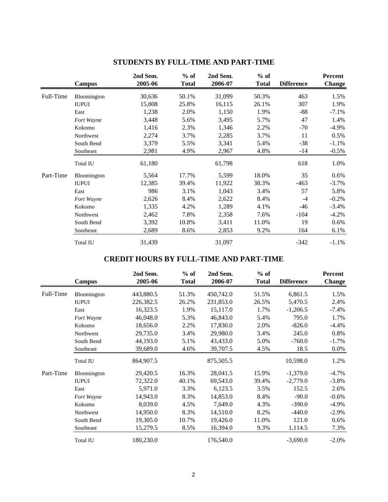|           | <b>Campus</b> | 2nd Sem.<br>2005-06 | $%$ of<br><b>Total</b> | 2nd Sem.<br>2006-07 | $%$ of<br><b>Total</b> | <b>Difference</b> | Percent<br><b>Change</b> |
|-----------|---------------|---------------------|------------------------|---------------------|------------------------|-------------------|--------------------------|
| Full-Time | Bloomington   | 30,636              | 50.1%                  | 31,099              | 50.3%                  | 463               | 1.5%                     |
|           | <b>IUPUI</b>  | 15,808              | 25.8%                  | 16,115              | 26.1%                  | 307               | 1.9%                     |
|           | East          | 1,238               | 2.0%                   | 1,150               | 1.9%                   | $-88$             | $-7.1%$                  |
|           | Fort Wayne    | 3,448               | 5.6%                   | 3,495               | 5.7%                   | 47                | 1.4%                     |
|           | Kokomo        | 1,416               | 2.3%                   | 1,346               | 2.2%                   | $-70$             | $-4.9\%$                 |
|           | Northwest     | 2,274               | 3.7%                   | 2,285               | 3.7%                   | 11                | 0.5%                     |
|           | South Bend    | 3,379               | 5.5%                   | 3,341               | 5.4%                   | $-38$             | $-1.1%$                  |
|           | Southeast     | 2,981               | 4.9%                   | 2,967               | 4.8%                   | -14               | $-0.5\%$                 |
|           | Total IU      | 61,180              |                        | 61,798              |                        | 618               | 1.0%                     |
| Part-Time | Bloomington   | 5,564               | 17.7%                  | 5,599               | 18.0%                  | 35                | 0.6%                     |
|           | <b>IUPUI</b>  | 12,385              | 39.4%                  | 11,922              | 38.3%                  | $-463$            | $-3.7\%$                 |
|           | East          | 986                 | 3.1%                   | 1,043               | 3.4%                   | 57                | 5.8%                     |
|           | Fort Wayne    | 2,626               | 8.4%                   | 2,622               | 8.4%                   | $-4$              | $-0.2%$                  |
|           | Kokomo        | 1,335               | 4.2%                   | 1,289               | 4.1%                   | -46               | $-3.4%$                  |
|           | Northwest     | 2,462               | 7.8%                   | 2,358               | 7.6%                   | $-104$            | $-4.2%$                  |
|           | South Bend    | 3,392               | 10.8%                  | 3,411               | 11.0%                  | 19                | 0.6%                     |
|           | Southeast     | 2,689               | 8.6%                   | 2,853               | 9.2%                   | 164               | 6.1%                     |
|           | Total IU      | 31,439              |                        | 31,097              |                        | $-342$            | $-1.1%$                  |

## **STUDENTS BY FULL-TIME AND PART-TIME**

## **CREDIT HOURS BY FULL-TIME AND PART-TIME**

|           | <b>Campus</b> | 2nd Sem.<br>2005-06 | $%$ of<br><b>Total</b> | 2nd Sem.<br>2006-07 | $%$ of<br><b>Total</b> | <b>Difference</b> | <b>Percent</b><br><b>Change</b> |
|-----------|---------------|---------------------|------------------------|---------------------|------------------------|-------------------|---------------------------------|
| Full-Time | Bloomington   | 443,880.5           | 51.3%                  | 450,742.0           | 51.5%                  | 6,861.5           | 1.5%                            |
|           | <b>IUPUI</b>  | 226,382.5           | 26.2%                  | 231,853.0           | 26.5%                  | 5,470.5           | 2.4%                            |
|           | East          | 16,323.5            | 1.9%                   | 15,117.0            | 1.7%                   | $-1,206.5$        | $-7.4%$                         |
|           | Fort Wayne    | 46,048.0            | 5.3%                   | 46,843.0            | 5.4%                   | 795.0             | 1.7%                            |
|           | Kokomo        | 18,656.0            | 2.2%                   | 17,830.0            | 2.0%                   | $-826.0$          | $-4.4%$                         |
|           | Northwest     | 29,735.0            | 3.4%                   | 29,980.0            | 3.4%                   | 245.0             | 0.8%                            |
|           | South Bend    | 44,193.0            | 5.1%                   | 43,433.0            | 5.0%                   | $-760.0$          | $-1.7%$                         |
|           | Southeast     | 39,689.0            | 4.6%                   | 39,707.5            | 4.5%                   | 18.5              | $0.0\%$                         |
|           | Total IU      | 864,907.5           |                        | 875,505.5           |                        | 10,598.0          | 1.2%                            |
| Part-Time | Bloomington   | 29,420.5            | 16.3%                  | 28,041.5            | 15.9%                  | $-1,379.0$        | $-4.7%$                         |
|           | <b>IUPUI</b>  | 72,322.0            | 40.1%                  | 69,543.0            | 39.4%                  | $-2,779.0$        | $-3.8\%$                        |
|           | East          | 5,971.0             | 3.3%                   | 6,123.5             | 3.5%                   | 152.5             | 2.6%                            |
|           | Fort Wayne    | 14,943.0            | 8.3%                   | 14,853.0            | 8.4%                   | $-90.0$           | $-0.6%$                         |
|           | Kokomo        | 8,039.0             | 4.5%                   | 7,649.0             | 4.3%                   | $-390.0$          | $-4.9%$                         |
|           | Northwest     | 14,950.0            | 8.3%                   | 14,510.0            | 8.2%                   | $-440.0$          | $-2.9%$                         |
|           | South Bend    | 19,305.0            | 10.7%                  | 19,426.0            | 11.0%                  | 121.0             | $0.6\%$                         |
|           | Southeast     | 15,279.5            | 8.5%                   | 16,394.0            | 9.3%                   | 1,114.5           | 7.3%                            |
|           | Total IU      | 180,230.0           |                        | 176,540.0           |                        | $-3,690.0$        | $-2.0\%$                        |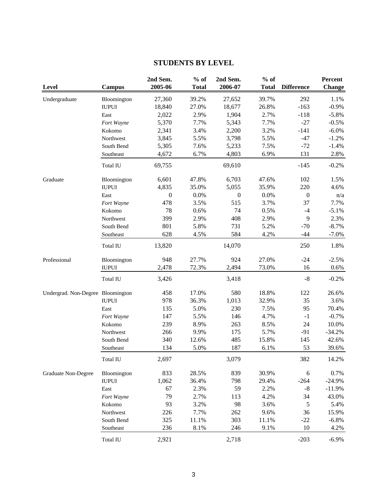## **STUDENTS BY LEVEL**

| Level                             | <b>Campus</b> | 2nd Sem.<br>2005-06 | $%$ of<br><b>Total</b> | 2nd Sem.<br>2006-07 | $%$ of<br><b>Total</b> | <b>Difference</b> | Percent<br><b>Change</b> |
|-----------------------------------|---------------|---------------------|------------------------|---------------------|------------------------|-------------------|--------------------------|
| Undergraduate                     | Bloomington   | 27,360              | 39.2%                  | 27,652              | 39.7%                  | 292               | 1.1%                     |
|                                   | <b>IUPUI</b>  | 18,840              | 27.0%                  | 18,677              | 26.8%                  | $-163$            | $-0.9%$                  |
|                                   | East          | 2,022               | 2.9%                   | 1,904               | 2.7%                   | $-118$            | $-5.8%$                  |
|                                   | Fort Wayne    | 5,370               | 7.7%                   | 5,343               | 7.7%                   | $-27$             | $-0.5%$                  |
|                                   | Kokomo        | 2,341               | 3.4%                   | 2,200               | 3.2%                   | $-141$            | $-6.0\%$                 |
|                                   | Northwest     | 3,845               | 5.5%                   | 3,798               | 5.5%                   | $-47$             | $-1.2%$                  |
|                                   | South Bend    | 5,305               | 7.6%                   | 5,233               | 7.5%                   | $-72$             | $-1.4%$                  |
|                                   | Southeast     | 4,672               | 6.7%                   | 4,803               | 6.9%                   | 131               | 2.8%                     |
|                                   | Total IU      | 69,755              |                        | 69,610              |                        | $-145$            | $-0.2%$                  |
| Graduate                          | Bloomington   | 6,601               | 47.8%                  | 6,703               | 47.6%                  | 102               | 1.5%                     |
|                                   | <b>IUPUI</b>  | 4,835               | 35.0%                  | 5,055               | 35.9%                  | 220               | 4.6%                     |
|                                   | East          | $\boldsymbol{0}$    | 0.0%                   | $\boldsymbol{0}$    | 0.0%                   | $\boldsymbol{0}$  | n/a                      |
|                                   | Fort Wayne    | 478                 | 3.5%                   | 515                 | 3.7%                   | 37                | 7.7%                     |
|                                   | Kokomo        | 78                  | 0.6%                   | 74                  | 0.5%                   | $-4$              | $-5.1%$                  |
|                                   | Northwest     | 399                 | 2.9%                   | 408                 | 2.9%                   | $\overline{9}$    | 2.3%                     |
|                                   | South Bend    | 801                 | 5.8%                   | 731                 | 5.2%                   | $-70$             | $-8.7%$                  |
|                                   | Southeast     | 628                 | 4.5%                   | 584                 | 4.2%                   | $-44$             | $-7.0%$                  |
|                                   | Total IU      | 13,820              |                        | 14,070              |                        | 250               | 1.8%                     |
| Professional                      | Bloomington   | 948                 | 27.7%                  | 924                 | 27.0%                  | $-24$             | $-2.5%$                  |
|                                   | <b>IUPUI</b>  | 2,478               | 72.3%                  | 2,494               | 73.0%                  | 16                | 0.6%                     |
|                                   | Total IU      | 3,426               |                        | 3,418               |                        | $-8$              | $-0.2%$                  |
| Undergrad. Non-Degree Bloomington |               | 458                 | 17.0%                  | 580                 | 18.8%                  | 122               | 26.6%                    |
|                                   | <b>IUPUI</b>  | 978                 | 36.3%                  | 1,013               | 32.9%                  | 35                | 3.6%                     |
|                                   | East          | 135                 | 5.0%                   | 230                 | 7.5%                   | 95                | 70.4%                    |
|                                   | Fort Wayne    | 147                 | 5.5%                   | 146                 | 4.7%                   | $-1$              | $-0.7%$                  |
|                                   | Kokomo        | 239                 | 8.9%                   | 263                 | 8.5%                   | 24                | $10.0\%$                 |
|                                   | Northwest     | 266                 | 9.9%                   | 175                 | 5.7%                   | $-91$             | $-34.2%$                 |
|                                   | South Bend    | 340                 | 12.6%                  | 485                 | 15.8%                  | 145               | 42.6%                    |
|                                   | Southeast     | 134                 | 5.0%                   | 187                 | 6.1%                   | 53                | 39.6%                    |
|                                   | Total IU      | 2,697               |                        | 3,079               |                        | 382               | 14.2%                    |
| <b>Graduate Non-Degree</b>        | Bloomington   | 833                 | 28.5%                  | 839                 | 30.9%                  | $\sqrt{6}$        | 0.7%                     |
|                                   | <b>IUPUI</b>  | 1,062               | 36.4%                  | 798                 | 29.4%                  | $-264$            | $-24.9%$                 |
|                                   | East          | 67                  | 2.3%                   | 59                  | 2.2%                   | $-8$              | $-11.9%$                 |
|                                   | Fort Wayne    | 79                  | 2.7%                   | 113                 | 4.2%                   | 34                | 43.0%                    |
|                                   | Kokomo        | 93                  | 3.2%                   | 98                  | 3.6%                   | $\mathfrak{S}$    | 5.4%                     |
|                                   | Northwest     | 226                 | 7.7%                   | 262                 | 9.6%                   | 36                | 15.9%                    |
|                                   | South Bend    | 325                 | 11.1%                  | 303                 | 11.1%                  | $-22$             | $-6.8%$                  |
|                                   | Southeast     | 236                 | 8.1%                   | 246                 | 9.1%                   | 10                | 4.2%                     |
|                                   | Total IU      | 2,921               |                        | 2,718               |                        | $-203$            | $-6.9\%$                 |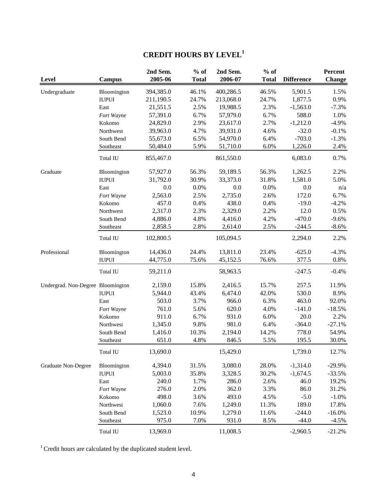# **CREDIT HOURS BY LEVEL<sup>1</sup>**

| Level                             | Campus       | 2nd Sem.<br>2005-06 | $%$ of<br><b>Total</b> | 2nd Sem.<br>2006-07 | $%$ of<br><b>Total</b> | <b>Difference</b> | Percent<br><b>Change</b> |
|-----------------------------------|--------------|---------------------|------------------------|---------------------|------------------------|-------------------|--------------------------|
| Undergraduate                     | Bloomington  | 394,385.0           | 46.1%                  | 400,286.5           | 46.5%                  | 5,901.5           | 1.5%                     |
|                                   | <b>IUPUI</b> | 211,190.5           | 24.7%                  | 213,068.0           | 24.7%                  | 1,877.5           | 0.9%                     |
|                                   | East         | 21,551.5            | 2.5%                   | 19,988.5            | 2.3%                   | $-1,563.0$        | $-7.3%$                  |
|                                   | Fort Wayne   | 57,391.0            | 6.7%                   | 57,979.0            | 6.7%                   | 588.0             | 1.0%                     |
|                                   | Kokomo       | 24,829.0            | 2.9%                   | 23,617.0            | 2.7%                   | $-1,212.0$        | $-4.9%$                  |
|                                   | Northwest    | 39,963.0            | 4.7%                   | 39,931.0            | 4.6%                   | $-32.0$           | $-0.1%$                  |
|                                   | South Bend   | 55,673.0            | 6.5%                   | 54,970.0            | 6.4%                   | $-703.0$          | $-1.3%$                  |
|                                   | Southeast    | 50,484.0            | 5.9%                   | 51,710.0            | 6.0%                   | 1,226.0           | 2.4%                     |
|                                   | Total IU     | 855,467.0           |                        | 861,550.0           |                        | 6,083.0           | 0.7%                     |
| Graduate                          | Bloomington  | 57,927.0            | 56.3%                  | 59,189.5            | 56.3%                  | 1,262.5           | 2.2%                     |
|                                   | <b>IUPUI</b> | 31,792.0            | 30.9%                  | 33,373.0            | 31.8%                  | 1,581.0           | 5.0%                     |
|                                   | East         | 0.0                 | 0.0%                   | 0.0                 | 0.0%                   | 0.0               | n/a                      |
|                                   | Fort Wayne   | 2,563.0             | 2.5%                   | 2,735.0             | 2.6%                   | 172.0             | 6.7%                     |
|                                   | Kokomo       | 457.0               | 0.4%                   | 438.0               | 0.4%                   | $-19.0$           | $-4.2%$                  |
|                                   | Northwest    | 2,317.0             | 2.3%                   | 2,329.0             | 2.2%                   | 12.0              | 0.5%                     |
|                                   | South Bend   | 4,886.0             | 4.8%                   | 4,416.0             | 4.2%                   | $-470.0$          | $-9.6%$                  |
|                                   | Southeast    | 2,858.5             | 2.8%                   | 2,614.0             | 2.5%                   | $-244.5$          | $-8.6%$                  |
|                                   | Total IU     | 102,800.5           |                        | 105,094.5           |                        | 2,294.0           | 2.2%                     |
| Professional                      | Bloomington  | 14,436.0            | 24.4%                  | 13,811.0            | 23.4%                  | $-625.0$          | $-4.3%$                  |
|                                   | <b>IUPUI</b> | 44,775.0            | 75.6%                  | 45,152.5            | 76.6%                  | 377.5             | 0.8%                     |
|                                   | Total IU     | 59,211.0            |                        | 58,963.5            |                        | $-247.5$          | $-0.4%$                  |
| Undergrad. Non-Degree Bloomington |              | 2,159.0             | 15.8%                  | 2,416.5             | 15.7%                  | 257.5             | 11.9%                    |
|                                   | <b>IUPUI</b> | 5,944.0             | 43.4%                  | 6,474.0             | 42.0%                  | 530.0             | 8.9%                     |
|                                   | East         | 503.0               | 3.7%                   | 966.0               | 6.3%                   | 463.0             | 92.0%                    |
|                                   | Fort Wayne   | 761.0               | 5.6%                   | 620.0               | 4.0%                   | $-141.0$          | $-18.5%$                 |
|                                   | Kokomo       | 911.0               | 6.7%                   | 931.0               | 6.0%                   | 20.0              | 2.2%                     |
|                                   | Northwest    | 1,345.0             | 9.8%                   | 981.0               | 6.4%                   | $-364.0$          | $-27.1%$                 |
|                                   | South Bend   | 1,416.0             | 10.3%                  | 2,194.0             | 14.2%                  | 778.0             | 54.9%                    |
|                                   | Southeast    | 651.0               | 4.8%                   | 846.5               | 5.5%                   | 195.5             | 30.0%                    |
|                                   | Total IU     | 13,690.0            |                        | 15,429.0            |                        | 1,739.0           | 12.7%                    |
| <b>Graduate Non-Degree</b>        | Bloomington  | 4,394.0             | 31.5%                  | 3,080.0             | 28.0%                  | $-1,314.0$        | $-29.9%$                 |
|                                   | <b>IUPUI</b> | 5,003.0             | 35.8%                  | 3,328.5             | 30.2%                  | $-1,674.5$        | $-33.5%$                 |
|                                   | East         | 240.0               | 1.7%                   | 286.0               | 2.6%                   | 46.0              | 19.2%                    |
|                                   | Fort Wayne   | 276.0               | 2.0%                   | 362.0               | 3.3%                   | 86.0              | 31.2%                    |
|                                   | Kokomo       | 498.0               | 3.6%                   | 493.0               | 4.5%                   | $-5.0$            | $-1.0%$                  |
|                                   | Northwest    | 1,060.0             | 7.6%                   | 1,249.0             | 11.3%                  | 189.0             | 17.8%                    |
|                                   | South Bend   | 1,523.0             | 10.9%                  | 1,279.0             | 11.6%                  | $-244.0$          | $-16.0\%$                |
|                                   | Southeast    | 975.0               | 7.0%                   | 931.0               | 8.5%                   | $-44.0$           | $-4.5%$                  |
|                                   | Total IU     | 13,969.0            |                        | 11,008.5            |                        | $-2,960.5$        | $-21.2%$                 |

 $^{\mathrm{1}}$  Credit hours are calculated by the duplicated student level.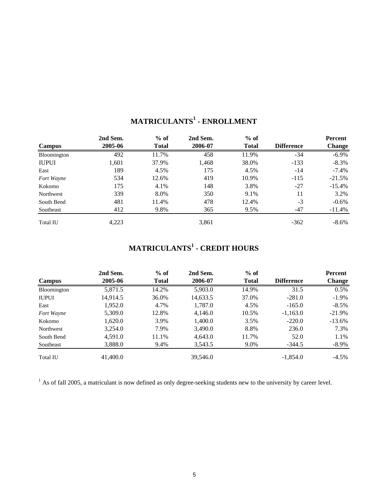|               | 2nd Sem. | $%$ of       | 2nd Sem. | $%$ of       |                   | Percent       |
|---------------|----------|--------------|----------|--------------|-------------------|---------------|
| <b>Campus</b> | 2005-06  | <b>Total</b> | 2006-07  | <b>Total</b> | <b>Difference</b> | <b>Change</b> |
| Bloomington   | 492      | 11.7%        | 458      | 11.9%        | $-34$             | $-6.9\%$      |
| <b>IUPUI</b>  | 1,601    | 37.9%        | 1,468    | 38.0%        | $-133$            | $-8.3\%$      |
| East          | 189      | 4.5%         | 175      | 4.5%         | $-14$             | $-7.4\%$      |
| Fort Wayne    | 534      | 12.6%        | 419      | 10.9%        | $-115$            | $-21.5%$      |
| Kokomo        | 175      | 4.1%         | 148      | 3.8%         | $-27$             | $-15.4\%$     |
| Northwest     | 339      | 8.0%         | 350      | 9.1%         | 11                | 3.2%          |
| South Bend    | 481      | 11.4%        | 478      | 12.4%        | $-3$              | $-0.6\%$      |
| Southeast     | 412      | 9.8%         | 365      | 9.5%         | $-47$             | $-11.4%$      |
| Total IU      | 4,223    |              | 3,861    |              | $-362$            | $-8.6\%$      |

## **MATRICULANTS1 - ENROLLMENT**

## **MATRICULANTS1 - CREDIT HOURS**

|                   | 2nd Sem. | $%$ of       | 2nd Sem. | $%$ of       |                   | Percent       |
|-------------------|----------|--------------|----------|--------------|-------------------|---------------|
| Campus            | 2005-06  | <b>Total</b> | 2006-07  | <b>Total</b> | <b>Difference</b> | <b>Change</b> |
| Bloomington       | 5,871.5  | 14.2%        | 5,903.0  | 14.9%        | 31.5              | 0.5%          |
| <b>IUPUI</b>      | 14,914.5 | 36.0%        | 14,633.5 | 37.0%        | $-281.0$          | $-1.9\%$      |
| East              | 1,952.0  | 4.7%         | 1,787.0  | 4.5%         | $-165.0$          | $-8.5\%$      |
| <b>Fort Wayne</b> | 5,309.0  | 12.8%        | 4,146.0  | 10.5%        | $-1,163.0$        | $-21.9\%$     |
| Kokomo            | 1,620.0  | 3.9%         | 1,400.0  | 3.5%         | $-220.0$          | $-13.6\%$     |
| Northwest         | 3,254.0  | 7.9%         | 3.490.0  | 8.8%         | 236.0             | 7.3%          |
| South Bend        | 4,591.0  | 11.1%        | 4,643.0  | 11.7%        | 52.0              | 1.1%          |
| Southeast         | 3,888.0  | 9.4%         | 3,543.5  | 9.0%         | $-344.5$          | $-8.9\%$      |
| <b>Total IU</b>   | 41,400.0 |              | 39,546.0 |              | $-1,854.0$        | $-4.5\%$      |

 $<sup>1</sup>$  As of fall 2005, a matriculant is now defined as only degree-seeking students new to the university by career level.</sup>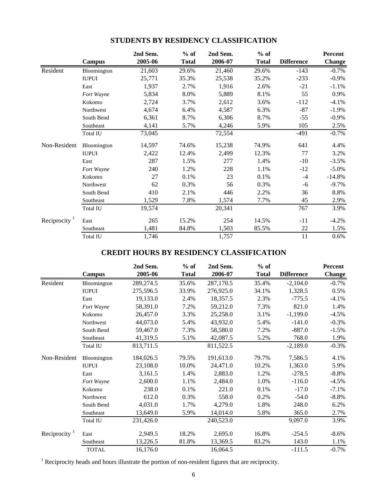|                          |                 | 2nd Sem. | $%$ of       | 2nd Sem. | $%$ of       |                   | Percent       |
|--------------------------|-----------------|----------|--------------|----------|--------------|-------------------|---------------|
|                          | Campus          | 2005-06  | <b>Total</b> | 2006-07  | <b>Total</b> | <b>Difference</b> | <b>Change</b> |
| Resident                 | Bloomington     | 21,603   | 29.6%        | 21,460   | 29.6%        | $-143$            | $-0.7%$       |
|                          | <b>IUPUI</b>    | 25,771   | 35.3%        | 25,538   | 35.2%        | $-233$            | $-0.9%$       |
|                          | East            | 1,937    | 2.7%         | 1,916    | 2.6%         | $-21$             | $-1.1%$       |
|                          | Fort Wayne      | 5,834    | 8.0%         | 5,889    | 8.1%         | 55                | 0.9%          |
|                          | Kokomo          | 2,724    | 3.7%         | 2,612    | 3.6%         | $-112$            | $-4.1%$       |
|                          | Northwest       | 4,674    | 6.4%         | 4,587    | 6.3%         | $-87$             | $-1.9%$       |
|                          | South Bend      | 6,361    | 8.7%         | 6,306    | 8.7%         | $-55$             | $-0.9%$       |
|                          | Southeast       | 4,141    | 5.7%         | 4,246    | 5.9%         | 105               | 2.5%          |
|                          | Total IU        | 73,045   |              | 72,554   |              | $-491$            | $-0.7%$       |
| Non-Resident             | Bloomington     | 14,597   | 74.6%        | 15,238   | 74.9%        | 641               | 4.4%          |
|                          | <b>IUPUI</b>    | 2,422    | 12.4%        | 2,499    | 12.3%        | 77                | 3.2%          |
|                          | East            | 287      | 1.5%         | 277      | 1.4%         | $-10$             | $-3.5%$       |
|                          | Fort Wayne      | 240      | 1.2%         | 228      | 1.1%         | $-12$             | $-5.0\%$      |
|                          | Kokomo          | 27       | 0.1%         | 23       | 0.1%         | $-4$              | $-14.8%$      |
|                          | Northwest       | 62       | 0.3%         | 56       | 0.3%         | $-6$              | $-9.7%$       |
|                          | South Bend      | 410      | 2.1%         | 446      | 2.2%         | 36                | 8.8%          |
|                          | Southeast       | 1,529    | 7.8%         | 1,574    | 7.7%         | 45                | 2.9%          |
|                          | <b>Total IU</b> | 19,574   |              | 20,341   |              | 767               | 3.9%          |
| Reciprocity <sup>1</sup> | East            | 265      | 15.2%        | 254      | 14.5%        | $-11$             | $-4.2%$       |
|                          | Southeast       | 1,481    | 84.8%        | 1,503    | 85.5%        | 22                | 1.5%          |
|                          | Total IU        | 1,746    |              | 1,757    |              | 11                | 0.6%          |

## **STUDENTS BY RESIDENCY CLASSIFICATION**

## **CREDIT HOURS BY RESIDENCY CLASSIFICATION**

|                           |               | 2nd Sem.  | $%$ of       | 2nd Sem.  | $%$ of       |                   | Percent       |
|---------------------------|---------------|-----------|--------------|-----------|--------------|-------------------|---------------|
|                           | <b>Campus</b> | 2005-06   | <b>Total</b> | 2006-07   | <b>Total</b> | <b>Difference</b> | <b>Change</b> |
| Resident                  | Bloomington   | 289,274.5 | 35.6%        | 287,170.5 | 35.4%        | $-2,104.0$        | $-0.7\%$      |
|                           | <b>IUPUI</b>  | 275,596.5 | 33.9%        | 276,925.0 | 34.1%        | 1,328.5           | 0.5%          |
|                           | East          | 19,133.0  | 2.4%         | 18,357.5  | 2.3%         | $-775.5$          | $-4.1%$       |
|                           | Fort Wayne    | 58,391.0  | 7.2%         | 59,212.0  | 7.3%         | 821.0             | 1.4%          |
|                           | Kokomo        | 26,457.0  | 3.3%         | 25,258.0  | 3.1%         | $-1,199.0$        | $-4.5%$       |
|                           | Northwest     | 44,073.0  | 5.4%         | 43,932.0  | 5.4%         | $-141.0$          | $-0.3%$       |
|                           | South Bend    | 59,467.0  | 7.3%         | 58,580.0  | 7.2%         | $-887.0$          | $-1.5%$       |
|                           | Southeast     | 41,319.5  | 5.1%         | 42,087.5  | 5.2%         | 768.0             | 1.9%          |
|                           | Total IU      | 813,711.5 |              | 811,522.5 |              | $-2,189.0$        | $-0.3\%$      |
| Non-Resident              | Bloomington   | 184,026.5 | 79.5%        | 191,613.0 | 79.7%        | 7,586.5           | 4.1%          |
|                           | <b>IUPUI</b>  | 23,108.0  | 10.0%        | 24,471.0  | 10.2%        | 1,363.0           | 5.9%          |
|                           | East          | 3,161.5   | 1.4%         | 2,883.0   | 1.2%         | $-278.5$          | $-8.8%$       |
|                           | Fort Wayne    | 2,600.0   | 1.1%         | 2,484.0   | 1.0%         | $-116.0$          | $-4.5%$       |
|                           | Kokomo        | 238.0     | 0.1%         | 221.0     | 0.1%         | $-17.0$           | $-7.1%$       |
|                           | Northwest     | 612.0     | 0.3%         | 558.0     | 0.2%         | $-54.0$           | $-8.8\%$      |
|                           | South Bend    | 4,031.0   | 1.7%         | 4,279.0   | 1.8%         | 248.0             | 6.2%          |
|                           | Southeast     | 13,649.0  | 5.9%         | 14,014.0  | 5.8%         | 365.0             | 2.7%          |
|                           | Total IU      | 231,426.0 |              | 240,523.0 |              | 9,097.0           | 3.9%          |
| Reciprocity $\frac{1}{1}$ | East          | 2,949.5   | 18.2%        | 2,695.0   | 16.8%        | $-254.5$          | $-8.6\%$      |
|                           | Southeast     | 13,226.5  | 81.8%        | 13,369.5  | 83.2%        | 143.0             | 1.1%          |
|                           | <b>TOTAL</b>  | 16,176.0  |              | 16,064.5  |              | $-111.5$          | $-0.7\%$      |

<sup>1</sup> Reciprocity heads and hours illustrate the portion of non-resident figures that are reciprocity.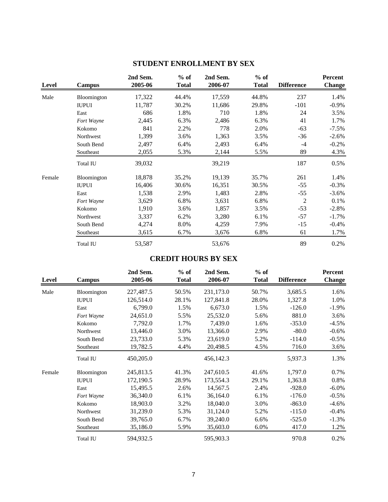| Level  | Campus          | 2nd Sem.<br>2005-06 | $%$ of<br><b>Total</b> | 2nd Sem.<br>2006-07 | $%$ of<br><b>Total</b> | <b>Difference</b> | Percent<br><b>Change</b> |
|--------|-----------------|---------------------|------------------------|---------------------|------------------------|-------------------|--------------------------|
| Male   | Bloomington     | 17,322              | 44.4%                  | 17,559              | 44.8%                  | 237               | 1.4%                     |
|        | <b>IUPUI</b>    | 11,787              | 30.2%                  | 11,686              | 29.8%                  | $-101$            | $-0.9\%$                 |
|        | East            | 686                 | 1.8%                   | 710                 | 1.8%                   | 24                | 3.5%                     |
|        | Fort Wayne      | 2,445               | 6.3%                   | 2,486               | 6.3%                   | 41                | 1.7%                     |
|        | Kokomo          | 841                 | 2.2%                   | 778                 | 2.0%                   | $-63$             | $-7.5%$                  |
|        | Northwest       | 1,399               | 3.6%                   | 1,363               | 3.5%                   | $-36$             | $-2.6%$                  |
|        | South Bend      | 2,497               | 6.4%                   | 2,493               | 6.4%                   | $-4$              | $-0.2%$                  |
|        | Southeast       | 2,055               | 5.3%                   | 2,144               | 5.5%                   | 89                | 4.3%                     |
|        | <b>Total IU</b> | 39,032              |                        | 39,219              |                        | 187               | 0.5%                     |
| Female | Bloomington     | 18,878              | 35.2%                  | 19,139              | 35.7%                  | 261               | 1.4%                     |
|        | <b>IUPUI</b>    | 16,406              | 30.6%                  | 16,351              | 30.5%                  | $-55$             | $-0.3%$                  |
|        | East            | 1,538               | 2.9%                   | 1,483               | 2.8%                   | $-55$             | $-3.6\%$                 |
|        | Fort Wayne      | 3,629               | 6.8%                   | 3,631               | 6.8%                   | $\overline{c}$    | 0.1%                     |
|        | Kokomo          | 1,910               | 3.6%                   | 1,857               | 3.5%                   | $-53$             | $-2.8%$                  |
|        | Northwest       | 3,337               | 6.2%                   | 3,280               | 6.1%                   | $-57$             | $-1.7%$                  |
|        | South Bend      | 4,274               | 8.0%                   | 4,259               | 7.9%                   | $-15$             | $-0.4%$                  |
|        | Southeast       | 3,615               | 6.7%                   | 3,676               | 6.8%                   | 61                | 1.7%                     |
|        | <b>Total IU</b> | 53,587              |                        | 53,676              |                        | 89                | 0.2%                     |

## **STUDENT ENROLLMENT BY SEX**

## **CREDIT HOURS BY SEX**

| Level  | <b>Campus</b>   | 2nd Sem.<br>2005-06 | $%$ of<br><b>Total</b> | 2nd Sem.<br>2006-07 | $%$ of<br><b>Total</b> | <b>Difference</b> | Percent<br><b>Change</b> |
|--------|-----------------|---------------------|------------------------|---------------------|------------------------|-------------------|--------------------------|
| Male   | Bloomington     | 227,487.5           | 50.5%                  | 231,173.0           | 50.7%                  | 3,685.5           | 1.6%                     |
|        | <b>IUPUI</b>    | 126,514.0           | 28.1%                  | 127,841.8           | 28.0%                  | 1,327.8           | 1.0%                     |
|        | East            | 6,799.0             | 1.5%                   | 6,673.0             | 1.5%                   | $-126.0$          | $-1.9\%$                 |
|        | Fort Wayne      | 24,651.0            | 5.5%                   | 25,532.0            | 5.6%                   | 881.0             | 3.6%                     |
|        | Kokomo          | 7,792.0             | 1.7%                   | 7,439.0             | 1.6%                   | $-353.0$          | $-4.5%$                  |
|        | Northwest       | 13,446.0            | 3.0%                   | 13,366.0            | 2.9%                   | $-80.0$           | $-0.6\%$                 |
|        | South Bend      | 23,733.0            | 5.3%                   | 23,619.0            | 5.2%                   | $-114.0$          | $-0.5\%$                 |
|        | Southeast       | 19,782.5            | 4.4%                   | 20,498.5            | 4.5%                   | 716.0             | 3.6%                     |
|        | Total IU        | 450,205.0           |                        | 456,142.3           |                        | 5,937.3           | 1.3%                     |
| Female | Bloomington     | 245,813.5           | 41.3%                  | 247,610.5           | 41.6%                  | 1,797.0           | 0.7%                     |
|        | <b>IUPUI</b>    | 172,190.5           | 28.9%                  | 173,554.3           | 29.1%                  | 1,363.8           | 0.8%                     |
|        | East            | 15,495.5            | 2.6%                   | 14,567.5            | 2.4%                   | $-928.0$          | $-6.0\%$                 |
|        | Fort Wayne      | 36,340.0            | 6.1%                   | 36,164.0            | 6.1%                   | $-176.0$          | $-0.5\%$                 |
|        | Kokomo          | 18,903.0            | 3.2%                   | 18,040.0            | 3.0%                   | $-863.0$          | $-4.6%$                  |
|        | Northwest       | 31,239.0            | 5.3%                   | 31,124.0            | 5.2%                   | $-115.0$          | $-0.4\%$                 |
|        | South Bend      | 39,765.0            | 6.7%                   | 39,240.0            | 6.6%                   | $-525.0$          | $-1.3%$                  |
|        | Southeast       | 35,186.0            | 5.9%                   | 35,603.0            | 6.0%                   | 417.0             | 1.2%                     |
|        | <b>Total IU</b> | 594,932.5           |                        | 595,903.3           |                        | 970.8             | 0.2%                     |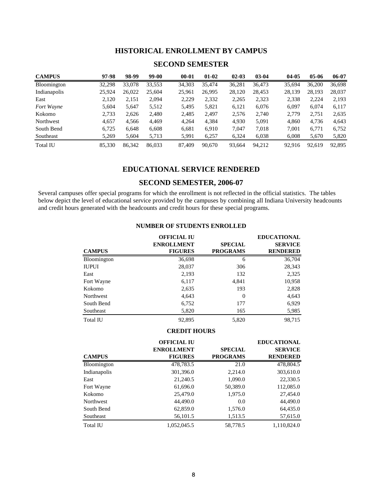#### **HISTORICAL ENROLLMENT BY CAMPUS**

#### **SECOND SEMESTER**

| <b>CAMPUS</b>      | 97-98  | 98-99  | 99-00  | $00 - 01$ | $01-02$ | $02-03$ | $03-04$ | $04-05$ | $05-06$ | 06-07  |
|--------------------|--------|--------|--------|-----------|---------|---------|---------|---------|---------|--------|
| <b>Bloomington</b> | 32,298 | 33,078 | 33,553 | 34,303    | 35,474  | 36,281  | 36,473  | 35.694  | 36,200  | 36,698 |
| Indianapolis       | 25,924 | 26,022 | 25,604 | 25,961    | 26,995  | 28,120  | 28.453  | 28,139  | 28,193  | 28,037 |
| East               | 2,120  | 2,151  | 2,094  | 2,229     | 2,332   | 2,265   | 2,323   | 2,338   | 2,224   | 2,193  |
| <b>Fort Wayne</b>  | 5.604  | 5,647  | 5,512  | 5.495     | 5,821   | 6,121   | 6,076   | 6.097   | 6,074   | 6,117  |
| Kokomo             | 2.733  | 2,626  | 2,480  | 2.485     | 2.497   | 2,576   | 2.740   | 2,779   | 2.751   | 2,635  |
| Northwest          | 4.657  | 4,566  | 4,469  | 4,264     | 4,384   | 4,930   | 5,091   | 4,860   | 4,736   | 4,643  |
| South Bend         | 6,725  | 6.648  | 6,608  | 6.681     | 6.910   | 7.047   | 7,018   | 7.001   | 6.771   | 6,752  |
| Southeast          | 5.269  | 5.604  | 5,713  | 5,991     | 6.257   | 6,324   | 6,038   | 6.008   | 5,670   | 5,820  |
| <b>Total IU</b>    | 85,330 | 86,342 | 86.033 | 87,409    | 90.670  | 93,664  | 94,212  | 92.916  | 92.619  | 92.895 |

#### **EDUCATIONAL SERVICE RENDERED**

#### **SECOND SEMESTER, 2006-07**

Several campuses offer special programs for which the enrollment is not reflected in the official statistics. The tables below depict the level of educational service provided by the campuses by combining all Indiana University headcounts and credit hours generated with the headcounts and credit hours for these special programs.

### **NUMBER OF STUDENTS ENROLLED**

|                    | <b>OFFICIAL IU</b> |                 | <b>EDUCATIONAL</b> |
|--------------------|--------------------|-----------------|--------------------|
|                    | <b>ENROLLMENT</b>  | <b>SPECIAL</b>  | <b>SERVICE</b>     |
| <b>CAMPUS</b>      | <b>FIGURES</b>     | <b>PROGRAMS</b> | <b>RENDERED</b>    |
| <b>Bloomington</b> | 36,698             | 6               | 36,704             |
| <b>IUPUI</b>       | 28,037             | 306             | 28,343             |
| East               | 2,193              | 132             | 2,325              |
| Fort Wayne         | 6,117              | 4,841           | 10,958             |
| Kokomo             | 2,635              | 193             | 2,828              |
| Northwest          | 4,643              | $\Omega$        | 4,643              |
| South Bend         | 6,752              | 177             | 6,929              |
| Southeast          | 5,820              | 165             | 5,985              |
| <b>Total IU</b>    | 92.895             | 5,820           | 98.715             |

### **CREDIT HOURS**

|                  | <b>OFFICIAL IU</b> |                 | <b>EDUCATIONAL</b> |
|------------------|--------------------|-----------------|--------------------|
|                  | <b>ENROLLMENT</b>  | <b>SPECIAL</b>  | <b>SERVICE</b>     |
| <b>CAMPUS</b>    | <b>FIGURES</b>     | <b>PROGRAMS</b> | <b>RENDERED</b>    |
| Bloomington      | 478,783.5          | 21.0            | 478,804.5          |
| Indianapolis     | 301,396.0          | 2,214.0         | 303,610.0          |
| East             | 21,240.5           | 1,090.0         | 22,330.5           |
| Fort Wayne       | 61,696.0           | 50,389.0        | 112,085.0          |
| Kokomo           | 25,479.0           | 1,975.0         | 27,454.0           |
| <b>Northwest</b> | 44,490.0           | 0.0             | 44,490.0           |
| South Bend       | 62,859.0           | 1,576.0         | 64,435.0           |
| Southeast        | 56,101.5           | 1,513.5         | 57,615.0           |
| <b>Total IU</b>  | 1.052.045.5        | 58,778.5        | 1,110,824.0        |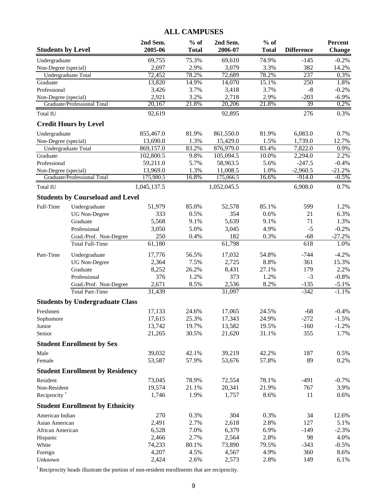## **ALL CAMPUSES**

| <b>Students by Level</b> |                                         | 2nd Sem.<br>2005-06   | $%$ of<br><b>Total</b> | 2nd Sem.<br>2006-07   | $%$ of<br><b>Total</b> | <b>Difference</b>      | <b>Percent</b><br><b>Change</b> |
|--------------------------|-----------------------------------------|-----------------------|------------------------|-----------------------|------------------------|------------------------|---------------------------------|
| Undergraduate            |                                         | 69,755                | 75.3%                  | 69,610                | 74.9%                  | $-145$                 | $-0.2%$                         |
| Non-Degree (special)     |                                         | 2,697                 | 2.9%                   | 3,079                 | 3.3%                   | 382                    | 14.2%                           |
| Undergraduate Total      |                                         | 72,452                | 78.2%                  | 72,689                | 78.2%                  | 237                    | 0.3%                            |
| Graduate                 |                                         | 13,820                | 14.9%                  | 14,070                | 15.1%                  | 250                    | 1.8%                            |
| Professional             |                                         | 3,426                 | 3.7%                   | 3,418                 | 3.7%                   | $\mbox{-}8$            | $-0.2%$                         |
| Non-Degree (special)     |                                         | 2,921                 | 3.2%                   | 2,718                 | 2.9%                   | $-203$                 | $-6.9\%$                        |
|                          | Graduate/Professional Total             | 20,167                | 21.8%                  | 20,206                | 21.8%                  | 39                     | 0.2%                            |
| Total IU                 |                                         | 92,619                |                        | 92,895                |                        | 276                    | 0.3%                            |
|                          | <b>Credit Hours by Level</b>            |                       |                        |                       |                        |                        |                                 |
| Undergraduate            |                                         | 855,467.0             | 81.9%                  | 861,550.0             | 81.9%                  | 6,083.0                | 0.7%                            |
| Non-Degree (special)     |                                         | 13,690.0              | 1.3%                   | 15,429.0              | 1.5%                   | 1,739.0                | 12.7%                           |
| Undergraduate Total      |                                         | 869,157.0             | 83.2%                  | 876,979.0             | 83.4%                  | 7,822.0                | 0.9%                            |
| Graduate                 |                                         | 102,800.5             | 9.8%                   | 105,094.5             | 10.0%                  | 2,294.0                | 2.2%                            |
| Professional             |                                         | 59,211.0              | 5.7%<br>1.3%           | 58,963.5              | 5.6%<br>1.0%           | $-247.5$               | $-0.4%$                         |
| Non-Degree (special)     | Graduate/Professional Total             | 13,969.0<br>175,980.5 | 16.8%                  | 11,008.5<br>175,066.5 | 16.6%                  | $-2,960.5$<br>$-914.0$ | $-21.2%$<br>$-0.5%$             |
| <b>Total IU</b>          |                                         | 1,045,137.5           |                        | 1,052,045.5           |                        | 6,908.0                | 0.7%                            |
|                          | <b>Students by Courseload and Level</b> |                       |                        |                       |                        |                        |                                 |
| Full-Time                | Undergraduate                           | 51,979                | 85.0%                  | 52,578                | 85.1%                  | 599                    | 1.2%                            |
|                          | <b>UG</b> Non-Degree                    | 333                   | 0.5%                   | 354                   | 0.6%                   | 21                     | 6.3%                            |
|                          | Graduate                                | 5,568                 | 9.1%                   | 5,639                 | 9.1%                   | 71                     | 1.3%                            |
|                          | Professional                            | 3,050                 | 5.0%                   | 3,045                 | 4.9%                   | $-5$                   | $-0.2%$                         |
|                          | Grad./Prof. Non-Degree                  | 250                   | 0.4%                   | 182                   | 0.3%                   | $-68$                  | $-27.2%$                        |
|                          | <b>Total Full-Time</b>                  | 61,180                |                        | 61,798                |                        | 618                    | 1.0%                            |
| Part-Time                | Undergraduate                           | 17,776                | 56.5%                  | 17,032                | 54.8%                  | $-744$                 | $-4.2%$                         |
|                          | <b>UG</b> Non-Degree                    | 2,364                 | 7.5%                   | 2,725                 | 8.8%                   | 361                    | 15.3%                           |
|                          | Graduate                                | 8,252                 | 26.2%                  | 8,431                 | 27.1%                  | 179                    | 2.2%                            |
|                          | Professional                            | 376                   | 1.2%                   | 373                   | 1.2%                   | $-3$                   | $-0.8%$                         |
|                          | Grad./Prof. Non-Degree                  | 2,671                 | 8.5%                   | 2,536                 | 8.2%                   | $-135$                 | $-5.1%$                         |
|                          | <b>Total Part-Time</b>                  | 31,439                |                        | 31,097                |                        | $-342$                 | $-1.1%$                         |
|                          | <b>Students by Undergraduate Class</b>  |                       |                        |                       |                        |                        |                                 |
| Freshmen                 |                                         | 17,133                | 24.6%                  | 17,065                | 24.5%                  | $-68$                  | $-0.4%$                         |
| Sophomore                |                                         | 17,615                | 25.3%                  | 17,343                | 24.9%                  | $-272$                 | $-1.5%$                         |
| Junior                   |                                         | 13,742                | 19.7%                  | 13,582                | 19.5%                  | $-160$                 | $-1.2%$                         |
| Senior                   |                                         | 21,265                | 30.5%                  | 21,620                | 31.1%                  | 355                    | 1.7%                            |
|                          | <b>Student Enrollment by Sex</b>        |                       |                        |                       |                        |                        |                                 |
| Male                     |                                         | 39,032                | 42.1%                  | 39,219                | 42.2%                  | 187                    | 0.5%                            |
| Female                   |                                         | 53,587                | 57.9%                  | 53,676                | 57.8%                  | 89                     | 0.2%                            |
|                          | <b>Student Enrollment by Residency</b>  |                       |                        |                       |                        |                        |                                 |
| Resident                 |                                         | 73,045                | 78.9%                  | 72,554                | 78.1%                  | $-491$                 | $-0.7%$                         |
| Non-Resident             |                                         | 19,574                | 21.1%                  | 20,341                | 21.9%                  | 767                    | 3.9%                            |
| Reciprocity $1$          |                                         | 1,746                 | 1.9%                   | 1,757                 | 8.6%                   | 11                     | 0.6%                            |
|                          | <b>Student Enrollment by Ethnicity</b>  |                       |                        |                       |                        |                        |                                 |
| American Indian          |                                         | 270                   | 0.3%                   | 304                   | 0.3%                   | 34                     | 12.6%                           |
| Asian American           |                                         | 2,491                 | 2.7%                   | 2,618                 | 2.8%                   | 127                    | 5.1%                            |
| African American         |                                         | 6,528                 | 7.0%                   | 6,379                 | 6.9%                   | $-149$                 | $-2.3%$                         |
| Hispanic                 |                                         | 2,466                 | 2.7%                   | 2,564                 | 2.8%                   | 98                     | 4.0%                            |
| White                    |                                         | 74,233                | 80.1%                  | 73,890                | 79.5%                  | $-343$                 | $-0.5%$                         |
| Foreign                  |                                         | 4,207<br>2,424        | 4.5%                   | 4,567<br>2,573        | 4.9%                   | 360<br>149             | 8.6%<br>6.1%                    |
| Unknown                  |                                         |                       | 2.6%                   |                       | 2.8%                   |                        |                                 |

<sup>1</sup> Reciprocity heads illustrate the portion of non-resident enrollments that are reciprocity.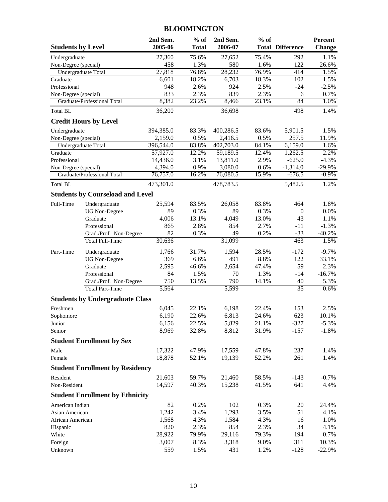## **BLOOMINGTON**

| <b>Students by Level</b> |                                         | 2nd Sem.<br>2005-06 | $%$ of<br><b>Total</b> | 2nd Sem.<br>2006-07 | $%$ of | <b>Total Difference</b> | <b>Percent</b><br><b>Change</b> |
|--------------------------|-----------------------------------------|---------------------|------------------------|---------------------|--------|-------------------------|---------------------------------|
| Undergraduate            |                                         | 27,360              | 75.6%                  | 27,652              | 75.4%  | 292                     | 1.1%                            |
| Non-Degree (special)     |                                         | 458                 | 1.3%                   | 580                 | 1.6%   | 122                     | 26.6%                           |
|                          | Undergraduate Total                     | 27,818              | 76.8%                  | 28,232              | 76.9%  | 414                     | 1.5%                            |
| Graduate                 |                                         | 6,601               | 18.2%                  | 6,703               | 18.3%  | 102                     | 1.5%                            |
| Professional             |                                         | 948                 | 2.6%                   | 924                 | 2.5%   | $-24$                   | $-2.5%$                         |
| Non-Degree (special)     |                                         | 833                 | 2.3%                   | 839                 | 2.3%   | 6                       | 0.7%                            |
|                          | Graduate/Professional Total             | 8,382               | 23.2%                  | 8,466               | 23.1%  | 84                      | 1.0%                            |
| <b>Total BL</b>          |                                         | 36,200              |                        | 36,698              |        | 498                     | 1.4%                            |
|                          | <b>Credit Hours by Level</b>            |                     |                        |                     |        |                         |                                 |
| Undergraduate            |                                         | 394,385.0           | 83.3%                  | 400,286.5           | 83.6%  | 5,901.5                 | 1.5%                            |
| Non-Degree (special)     |                                         | 2,159.0             | 0.5%                   | 2,416.5             | 0.5%   | 257.5                   | 11.9%                           |
|                          | Undergraduate Total                     | 396,544.0           | 83.8%                  | 402,703.0           | 84.1%  | 6,159.0                 | 1.6%                            |
| Graduate                 |                                         | 57,927.0            | 12.2%                  | 59,189.5            | 12.4%  | 1,262.5                 | 2.2%                            |
| Professional             |                                         | 14,436.0            | 3.1%                   | 13,811.0            | 2.9%   | $-625.0$                | $-4.3%$                         |
| Non-Degree (special)     |                                         | 4,394.0             | 0.9%                   | 3,080.0             | 0.6%   | $-1,314.0$              | $-29.9%$                        |
|                          | Graduate/Professional Total             | 76,757.0            | 16.2%                  | 76,080.5            | 15.9%  | $-676.5$                | $-0.9%$                         |
| <b>Total BL</b>          |                                         | 473,301.0           |                        | 478,783.5           |        | 5,482.5                 | 1.2%                            |
|                          | <b>Students by Courseload and Level</b> |                     |                        |                     |        |                         |                                 |
| Full-Time                | Undergraduate                           | 25,594              | 83.5%                  | 26,058              | 83.8%  | 464                     | 1.8%                            |
|                          | <b>UG</b> Non-Degree                    | 89                  | 0.3%                   | 89                  | 0.3%   | $\boldsymbol{0}$        | 0.0%                            |
|                          | Graduate                                | 4,006               | 13.1%                  | 4,049               | 13.0%  | 43                      | 1.1%                            |
|                          | Professional                            | 865                 | 2.8%                   | 854                 | 2.7%   | $-11$                   | $-1.3%$                         |
|                          | Grad./Prof. Non-Degree                  | 82                  | 0.3%                   | 49                  | 0.2%   | $-33$                   | $-40.2%$                        |
|                          | <b>Total Full-Time</b>                  | 30,636              |                        | 31,099              |        | 463                     | 1.5%                            |
| Part-Time                | Undergraduate                           | 1,766               | 31.7%                  | 1,594               | 28.5%  | $-172$                  | $-9.7%$                         |
|                          | <b>UG</b> Non-Degree                    | 369                 | 6.6%                   | 491                 | 8.8%   | 122                     | 33.1%                           |
|                          | Graduate                                | 2,595               | 46.6%                  | 2,654               | 47.4%  | 59                      | 2.3%                            |
|                          | Professional                            | 84                  | 1.5%                   | 70                  | 1.3%   | $-14$                   | $-16.7%$                        |
|                          | Grad./Prof. Non-Degree                  | 750                 | 13.5%                  | 790                 | 14.1%  | 40                      | 5.3%                            |
|                          | <b>Total Part-Time</b>                  | 5,564               |                        | 5,599               |        | 35                      | 0.6%                            |
|                          | <b>Students by Undergraduate Class</b>  |                     |                        |                     |        |                         |                                 |
| Freshmen                 |                                         | 6,045               | 22.1%                  | 6,198               | 22.4%  | 153                     | 2.5%                            |
| Sophomore                |                                         | 6,190               | 22.6%                  | 6,813               | 24.6%  | 623                     | 10.1%                           |
| Junior                   |                                         | 6,156               | 22.5%                  | 5,829               | 21.1%  | $-327$                  | $-5.3\%$                        |
| Senior                   |                                         | 8,969               | 32.8%                  | 8,812               | 31.9%  | $-157$                  | $-1.8%$                         |
|                          | <b>Student Enrollment by Sex</b>        |                     |                        |                     |        |                         |                                 |
| Male                     |                                         | 17,322              | 47.9%                  | 17,559              | 47.8%  | 237                     | 1.4%                            |
| Female                   |                                         | 18,878              | 52.1%                  | 19,139              | 52.2%  | 261                     | 1.4%                            |
|                          | <b>Student Enrollment by Residency</b>  |                     |                        |                     |        |                         |                                 |
| Resident                 |                                         | 21,603              | 59.7%                  | 21,460              | 58.5%  | $-143$                  | $-0.7%$                         |
| Non-Resident             |                                         | 14,597              | 40.3%                  | 15,238              | 41.5%  | 641                     | 4.4%                            |
|                          | <b>Student Enrollment by Ethnicity</b>  |                     |                        |                     |        |                         |                                 |
| American Indian          |                                         | 82                  | 0.2%                   | 102                 | 0.3%   | 20                      | 24.4%                           |
| Asian American           |                                         | 1,242               | 3.4%                   | 1,293               | 3.5%   | 51                      | 4.1%                            |
| African American         |                                         | 1,568               | 4.3%                   | 1,584               | 4.3%   | 16                      | 1.0%                            |
| Hispanic                 |                                         | 820                 | 2.3%                   | 854                 | 2.3%   | 34                      | 4.1%                            |
| White                    |                                         | 28,922              | 79.9%                  | 29,116              | 79.3%  | 194                     | 0.7%                            |
| Foreign                  |                                         | 3,007               | 8.3%                   | 3,318               | 9.0%   | 311                     | 10.3%                           |
| Unknown                  |                                         | 559                 | 1.5%                   | 431                 | 1.2%   | $-128$                  | $-22.9%$                        |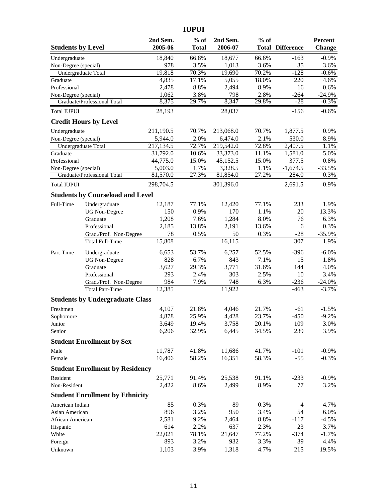**IUPUI**

| <b>Students by Level</b> |                                                  | 2nd Sem.<br>2005-06 | $%$ of<br><b>Total</b> | 2nd Sem.<br>2006-07 | $%$ of        | <b>Total Difference</b> | Percent<br><b>Change</b> |
|--------------------------|--------------------------------------------------|---------------------|------------------------|---------------------|---------------|-------------------------|--------------------------|
| Undergraduate            |                                                  | 18,840              | 66.8%                  | 18,677              | 66.6%         | $-163$                  | $-0.9%$                  |
| Non-Degree (special)     |                                                  | 978                 | 3.5%                   | 1,013               | 3.6%          | 35                      | 3.6%                     |
|                          | Undergraduate Total                              | 19,818              | 70.3%                  | 19,690              | 70.2%         | $-128$                  | $-0.6%$                  |
| Graduate                 |                                                  | 4,835               | 17.1%                  | 5,055               | 18.0%         | 220                     | 4.6%                     |
| Professional             |                                                  | 2,478               | 8.8%                   | 2,494               | 8.9%          | 16                      | 0.6%                     |
| Non-Degree (special)     |                                                  | 1,062               | 3.8%                   | 798                 | 2.8%          | $-264$                  | $-24.9%$                 |
|                          | Graduate/Professional Total                      | 8,375               | 29.7%                  | 8,347               | 29.8%         | $-28$                   | $-0.3%$                  |
| <b>Total IUPUI</b>       |                                                  | 28,193              |                        | 28,037              |               | $-156$                  | $-0.6%$                  |
|                          | <b>Credit Hours by Level</b>                     |                     |                        |                     |               |                         |                          |
| Undergraduate            |                                                  | 211,190.5           | 70.7%                  | 213,068.0           | 70.7%         | 1,877.5                 | 0.9%                     |
| Non-Degree (special)     |                                                  | 5,944.0             | 2.0%                   | 6,474.0             | 2.1%          | 530.0                   | 8.9%                     |
|                          | <b>Undergraduate Total</b>                       | 217,134.5           | 72.7%                  | 219,542.0           | 72.8%         | 2,407.5                 | 1.1%                     |
| Graduate                 |                                                  | 31,792.0            | 10.6%                  | 33,373.0            | 11.1%         | 1,581.0                 | 5.0%                     |
| Professional             |                                                  | 44,775.0            | 15.0%                  | 45,152.5            | 15.0%         | 377.5                   | 0.8%                     |
| Non-Degree (special)     | Graduate/Professional Total                      | 5,003.0<br>81,570.0 | 1.7%<br>27.3%          | 3,328.5<br>81,854.0 | 1.1%<br>27.2% | $-1,674.5$<br>284.0     | $-33.5%$<br>0.3%         |
| <b>Total IUPUI</b>       |                                                  | 298,704.5           |                        | 301,396.0           |               | 2,691.5                 | 0.9%                     |
|                          | <b>Students by Courseload and Level</b>          |                     |                        |                     |               |                         |                          |
| Full-Time                |                                                  | 12,187              | 77.1%                  | 12,420              | 77.1%         | 233                     | 1.9%                     |
|                          | Undergraduate                                    | 150                 | 0.9%                   | 170                 | 1.1%          | 20                      | 13.3%                    |
|                          | <b>UG</b> Non-Degree<br>Graduate                 | 1,208               | 7.6%                   | 1,284               | 8.0%          | 76                      | 6.3%                     |
|                          | Professional                                     | 2,185               | 13.8%                  | 2,191               | 13.6%         | 6                       | 0.3%                     |
|                          | Grad./Prof. Non-Degree                           | 78                  | 0.5%                   | 50                  | 0.3%          | $-28$                   | $-35.9%$                 |
|                          | <b>Total Full-Time</b>                           | 15,808              |                        | 16,115              |               | 307                     | 1.9%                     |
|                          |                                                  |                     |                        |                     |               |                         |                          |
| Part-Time                | Undergraduate                                    | 6,653               | 53.7%                  | 6,257               | 52.5%         | $-396$                  | $-6.0\%$                 |
|                          | <b>UG</b> Non-Degree                             | 828                 | 6.7%                   | 843                 | 7.1%          | 15                      | 1.8%                     |
|                          | Graduate                                         | 3,627               | 29.3%                  | 3,771               | 31.6%         | 144                     | 4.0%                     |
|                          | Professional                                     | 293<br>984          | 2.4%<br>7.9%           | 303<br>748          | 2.5%<br>6.3%  | 10<br>$-236$            | 3.4%<br>$-24.0%$         |
|                          | Grad./Prof. Non-Degree<br><b>Total Part-Time</b> | 12,385              |                        | 11,922              |               | $-463$                  | $-3.7%$                  |
|                          | <b>Students by Undergraduate Class</b>           |                     |                        |                     |               |                         |                          |
| Freshmen                 |                                                  | 4,107               | 21.8%                  | 4,046               | 21.7%         | $-61$                   | $-1.5%$                  |
| Sophomore                |                                                  | 4,878               | 25.9%                  | 4,428               | 23.7%         | $-450$                  | $-9.2%$                  |
| Junior                   |                                                  | 3,649               | 19.4%                  | 3,758               | 20.1%         | 109                     | 3.0%                     |
| Senior                   |                                                  | 6,206               | 32.9%                  | 6,445               | 34.5%         | 239                     | 3.9%                     |
|                          | <b>Student Enrollment by Sex</b>                 |                     |                        |                     |               |                         |                          |
| Male                     |                                                  | 11,787              | 41.8%                  | 11,686              | 41.7%         | $-101$                  | $-0.9\%$                 |
| Female                   |                                                  | 16,406              | 58.2%                  | 16,351              | 58.3%         | $-55$                   | $-0.3%$                  |
|                          | <b>Student Enrollment by Residency</b>           |                     |                        |                     |               |                         |                          |
| Resident                 |                                                  | 25,771              | 91.4%                  | 25,538              | 91.1%         | $-233$                  | $-0.9%$                  |
| Non-Resident             |                                                  | 2,422               | 8.6%                   | 2,499               | 8.9%          | 77                      | 3.2%                     |
|                          | <b>Student Enrollment by Ethnicity</b>           |                     |                        |                     |               |                         |                          |
| American Indian          |                                                  | 85                  | 0.3%                   | 89                  | 0.3%          | $\overline{4}$          | 4.7%                     |
| Asian American           |                                                  | 896                 | 3.2%                   | 950                 | 3.4%          | 54                      | 6.0%                     |
| African American         |                                                  | 2,581               | 9.2%                   | 2,464               | 8.8%          | $-117$                  | $-4.5%$                  |
| Hispanic                 |                                                  | 614                 | 2.2%                   | 637                 | 2.3%          | 23                      | 3.7%                     |
| White                    |                                                  | 22,021              | 78.1%                  | 21,647              | 77.2%         | $-374$                  | $-1.7%$                  |
| Foreign                  |                                                  | 893                 | 3.2%                   | 932                 | 3.3%          | 39                      | 4.4%                     |
| Unknown                  |                                                  | 1,103               | 3.9%                   | 1,318               | 4.7%          | 215                     | 19.5%                    |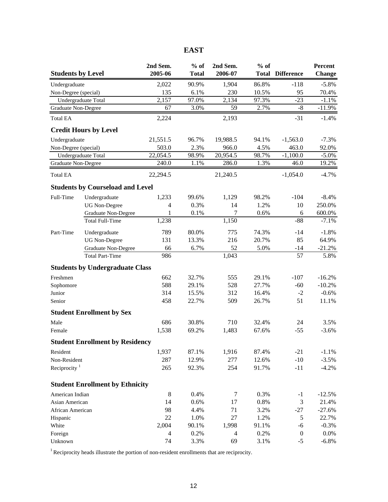| × |  |
|---|--|
|---|--|

|                            |                                         | 2nd Sem.                 | $%$ of       | 2nd Sem.       | $%$ of       |                   | Percent       |
|----------------------------|-----------------------------------------|--------------------------|--------------|----------------|--------------|-------------------|---------------|
| <b>Students by Level</b>   |                                         | 2005-06                  | <b>Total</b> | 2006-07        | <b>Total</b> | <b>Difference</b> | <b>Change</b> |
| Undergraduate              |                                         | 2,022                    | 90.9%        | 1,904          | 86.8%        | $-118$            | $-5.8%$       |
| Non-Degree (special)       |                                         | 135                      | 6.1%         | 230            | 10.5%        | 95                | 70.4%         |
|                            | Undergraduate Total                     | 2,157                    | 97.0%        | 2,134          | 97.3%        | $-23$             | $-1.1%$       |
| <b>Graduate Non-Degree</b> |                                         | 67                       | 3.0%         | 59             | 2.7%         | $\mbox{-}8$       | $-11.9%$      |
| <b>Total EA</b>            |                                         | 2,224                    |              | 2,193          |              | $-31$             | $-1.4%$       |
|                            | <b>Credit Hours by Level</b>            |                          |              |                |              |                   |               |
| Undergraduate              |                                         | 21,551.5                 | 96.7%        | 19,988.5       | 94.1%        | $-1,563.0$        | $-7.3%$       |
| Non-Degree (special)       |                                         | 503.0                    | 2.3%         | 966.0          | 4.5%         | 463.0             | 92.0%         |
|                            | Undergraduate Total                     | 22,054.5                 | 98.9%        | 20,954.5       | 98.7%        | $-1,100.0$        | $-5.0\%$      |
| Graduate Non-Degree        |                                         | 240.0                    | 1.1%         | 286.0          | 1.3%         | 46.0              | 19.2%         |
| <b>Total EA</b>            |                                         | 22,294.5                 |              | 21,240.5       |              | $-1,054.0$        | $-4.7%$       |
|                            | <b>Students by Courseload and Level</b> |                          |              |                |              |                   |               |
| Full-Time                  | Undergraduate                           | 1,233                    | 99.6%        | 1,129          | 98.2%        | $-104$            | $-8.4%$       |
|                            | <b>UG Non-Degree</b>                    | 4                        | 0.3%         | 14             | 1.2%         | 10                | 250.0%        |
|                            | Graduate Non-Degree                     | $\mathbf{1}$             | 0.1%         | 7              | 0.6%         | 6                 | 600.0%        |
|                            | <b>Total Full-Time</b>                  | 1,238                    |              | 1,150          |              | $-88$             | $-7.1%$       |
| Part-Time                  | Undergraduate                           | 789                      | 80.0%        | 775            | 74.3%        | $-14$             | $-1.8%$       |
|                            | <b>UG Non-Degree</b>                    | 131                      | 13.3%        | 216            | 20.7%        | 85                | 64.9%         |
|                            | Graduate Non-Degree                     | 66                       | 6.7%         | 52             | 5.0%         | $-14$             | $-21.2%$      |
|                            | <b>Total Part-Time</b>                  | 986                      |              | 1,043          |              | 57                | 5.8%          |
|                            | <b>Students by Undergraduate Class</b>  |                          |              |                |              |                   |               |
| Freshmen                   |                                         | 662                      | 32.7%        | 555            | 29.1%        | $-107$            | $-16.2%$      |
| Sophomore                  |                                         | 588                      | 29.1%        | 528            | 27.7%        | $-60$             | $-10.2%$      |
| Junior                     |                                         | 314                      | 15.5%        | 312            | 16.4%        | $-2$              | $-0.6%$       |
| Senior                     |                                         | 458                      | 22.7%        | 509            | 26.7%        | 51                | 11.1%         |
|                            | <b>Student Enrollment by Sex</b>        |                          |              |                |              |                   |               |
| Male                       |                                         | 686                      | 30.8%        | 710            | 32.4%        | 24                | 3.5%          |
| Female                     |                                         | 1,538                    | 69.2%        | 1,483          | 67.6%        | $-55$             | $-3.6%$       |
|                            | <b>Student Enrollment by Residency</b>  |                          |              |                |              |                   |               |
| Resident                   |                                         | 1,937                    | 87.1%        | 1,916          | 87.4%        | $-21$             | $-1.1\%$      |
| Non-Resident               |                                         | 287                      | 12.9%        | 277            | 12.6%        | $-10$             | $-3.5%$       |
| Reciprocity $1$            |                                         | 265                      | 92.3%        | 254            | 91.7%        | $-11$             | $-4.2%$       |
|                            | <b>Student Enrollment by Ethnicity</b>  |                          |              |                |              |                   |               |
| American Indian            |                                         | 8                        | 0.4%         | 7              | 0.3%         | $-1$              | $-12.5%$      |
| Asian American             |                                         | 14                       | 0.6%         | 17             | 0.8%         | $\mathfrak{Z}$    | 21.4%         |
| African American           |                                         | 98                       | 4.4%         | 71             | 3.2%         | $-27$             | $-27.6%$      |
| Hispanic                   |                                         | 22                       | 1.0%         | 27             | 1.2%         | 5                 | 22.7%         |
| White                      |                                         | 2,004                    | 90.1%        | 1,998          | 91.1%        | $-6$              | $-0.3%$       |
| Foreign                    |                                         | $\overline{\mathcal{A}}$ | 0.2%         | $\overline{4}$ | 0.2%         | $\boldsymbol{0}$  | 0.0%          |
| Unknown                    |                                         | 74                       | 3.3%         | 69             | 3.1%         | $-5$              | $-6.8\%$      |

 $1$  Reciprocity heads illustrate the portion of non-resident enrollments that are reciprocity.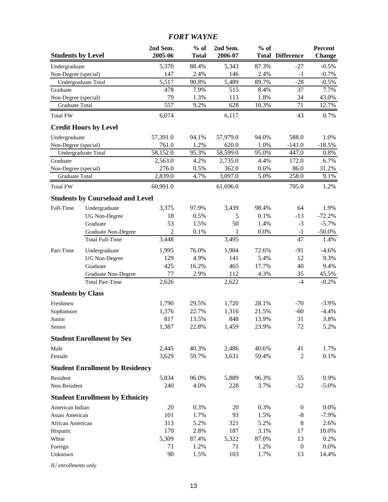## *FORT WAYNE*

| <b>Students by Level</b> |                                         | 2nd Sem.<br>2005-06 | $%$ of<br><b>Total</b> | 2nd Sem.<br>2006-07 | $%$ of | <b>Total Difference</b> | Percent<br><b>Change</b> |
|--------------------------|-----------------------------------------|---------------------|------------------------|---------------------|--------|-------------------------|--------------------------|
| Undergraduate            |                                         | 5,370               | 88.4%                  | 5,343               | 87.3%  | $-27$                   | $-0.5%$                  |
| Non-Degree (special)     |                                         | 147                 | 2.4%                   | 146                 | 2.4%   | $-1$                    | $-0.7%$                  |
| Undergraduate Total      |                                         | 5,517               | 90.8%                  | 5,489               | 89.7%  | $-28$                   | $-0.5%$                  |
| Graduate                 |                                         | 478                 | 7.9%                   | 515                 | 8.4%   | 37                      | 7.7%                     |
| Non-Degree (special)     |                                         | 79                  | 1.3%                   | 113                 | 1.8%   | 34                      | 43.0%                    |
| <b>Graduate Total</b>    |                                         | 557                 | 9.2%                   | 628                 | 10.3%  | 71                      | 12.7%                    |
| <b>Total FW</b>          |                                         | 6,074               |                        | 6,117               |        | 43                      | 0.7%                     |
|                          | <b>Credit Hours by Level</b>            |                     |                        |                     |        |                         |                          |
| Undergraduate            |                                         | 57,391.0            | 94.1%                  | 57,979.0            | 94.0%  | 588.0                   | 1.0%                     |
| Non-Degree (special)     |                                         | 761.0               | 1.2%                   | 620.0               | 1.0%   | $-141.0$                | $-18.5%$                 |
| Undergraduate Total      |                                         | 58,152.0            | 95.3%                  | 58,599.0            | 95.0%  | 447.0                   | 0.8%                     |
| Graduate                 |                                         | 2,563.0             | 4.2%                   | 2,735.0             | 4.4%   | 172.0                   | 6.7%                     |
| Non-Degree (special)     |                                         | 276.0               | 0.5%                   | 362.0               | 0.6%   | 86.0                    | 31.2%                    |
| Graduate Total           |                                         | 2,839.0             | 4.7%                   | 3,097.0             | 5.0%   | 258.0                   | 9.1%                     |
| <b>Total FW</b>          |                                         | 60,991.0            |                        | 61,696.0            |        | 705.0                   | 1.2%                     |
|                          | <b>Students by Courseload and Level</b> |                     |                        |                     |        |                         |                          |
| Full-Time                | Undergraduate                           | 3,375               | 97.9%                  | 3,439               | 98.4%  | 64                      | 1.9%                     |
|                          | <b>UG</b> Non-Degree                    | 18                  | 0.5%                   | 5                   | 0.1%   | $-13$                   | $-72.2%$                 |
|                          | Graduate                                | 53                  | 1.5%                   | 50                  | 1.4%   | $-3$                    | $-5.7%$                  |
|                          | <b>Graduate Non-Degree</b>              | $\overline{2}$      | 0.1%                   | 1                   | 0.0%   | $-1$                    | $-50.0\%$                |
|                          | <b>Total Full-Time</b>                  | 3,448               |                        | 3,495               |        | 47                      | 1.4%                     |
| Part-Time                | Undergraduate                           | 1,995               | 76.0%                  | 1,904               | 72.6%  | $-91$                   | $-4.6%$                  |
|                          | <b>UG</b> Non-Degree                    | 129                 | 4.9%                   | 141                 | 5.4%   | 12                      | 9.3%                     |
|                          | Graduate                                | 425                 | 16.2%                  | 465                 | 17.7%  | 40                      | 9.4%                     |
|                          | <b>Graduate Non-Degree</b>              | 77                  | 2.9%                   | 112                 | 4.3%   | 35                      | 45.5%                    |
|                          | <b>Total Part-Time</b>                  | 2,626               |                        | 2,622               |        | $-4$                    | $-0.2%$                  |
| <b>Students by Class</b> |                                         |                     |                        |                     |        |                         |                          |
| Freshmen                 |                                         | 1,790               | 29.5%                  | 1,720               | 28.1%  | $-70$                   | $-3.9%$                  |
| Sophomore                |                                         | 1,376               | 22.7%                  | 1,316               | 21.5%  | $-60$                   | $-4.4%$                  |
| Junior                   |                                         | 817                 | 13.5%                  | 848                 | 13.9%  | 31                      | 3.8%                     |
| Senior                   |                                         | 1,387               | 22.8%                  | 1,459               | 23.9%  | 72                      | 5.2%                     |
|                          | <b>Student Enrollment by Sex</b>        |                     |                        |                     |        |                         |                          |
| Male                     |                                         | 2,445               | 40.3%                  | 2,486               | 40.6%  | 41                      | 1.7%                     |
| Female                   |                                         | 3,629               | 59.7%                  | 3,631               | 59.4%  | $\overline{2}$          | 0.1%                     |
|                          | <b>Student Enrollment by Residency</b>  |                     |                        |                     |        |                         |                          |
| Resident                 |                                         | 5,834               | 96.0%                  | 5,889               | 96.3%  | 55                      | 0.9%                     |
| Non-Resident             |                                         | 240                 | 4.0%                   | 228                 | 3.7%   | $-12$                   | $-5.0\%$                 |
|                          | <b>Student Enrollment by Ethnicity</b>  |                     |                        |                     |        |                         |                          |
| American Indian          |                                         | 20                  | 0.3%                   | 20                  | 0.3%   | $\boldsymbol{0}$        | 0.0%                     |
| Asian American           |                                         | 101                 | 1.7%                   | 93                  | 1.5%   | $-8$                    | $-7.9%$                  |
| African American         |                                         | 313                 | 5.2%                   | 321                 | 5.2%   | 8                       | 2.6%                     |
| Hispanic                 |                                         | 170                 | 2.8%                   | 187                 | 3.1%   | 17                      | 10.0%                    |
| White                    |                                         | 5,309               | 87.4%                  | 5,322               | 87.0%  | 13                      | 0.2%                     |
| Foreign                  |                                         | 71                  | 1.2%                   | 71                  | 1.2%   | $\boldsymbol{0}$        | 0.0%                     |
| Unknown                  |                                         | 90                  | 1.5%                   | 103                 | 1.7%   | 13                      | 14.4%                    |

*IU enrollments only*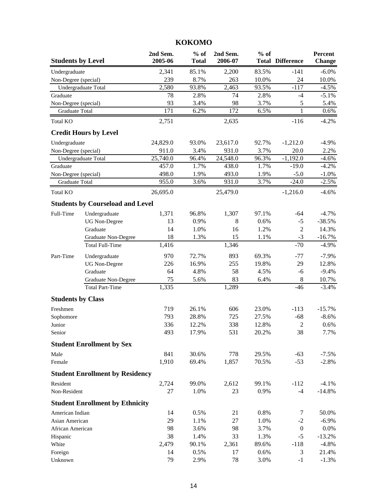## **KOKOMO**

| <b>Students by Level</b> |                                         | 2nd Sem.<br>2005-06 | $%$ of<br><b>Total</b> | 2nd Sem.<br>2006-07 | $%$ of | <b>Total Difference</b> | <b>Percent</b><br><b>Change</b> |
|--------------------------|-----------------------------------------|---------------------|------------------------|---------------------|--------|-------------------------|---------------------------------|
| Undergraduate            |                                         | 2,341               | 85.1%                  | 2,200               | 83.5%  | $-141$                  | $-6.0\%$                        |
| Non-Degree (special)     |                                         | 239                 | 8.7%                   | 263                 | 10.0%  | 24                      | 10.0%                           |
|                          | Undergraduate Total                     | 2,580               | 93.8%                  | 2,463               | 93.5%  | $-117$                  | $-4.5%$                         |
| Graduate                 |                                         | 78                  | 2.8%                   | 74                  | 2.8%   | $-4$                    | $-5.1%$                         |
| Non-Degree (special)     |                                         | 93                  | 3.4%                   | 98                  | 3.7%   | 5                       | 5.4%                            |
| Graduate Total           |                                         | 171                 | 6.2%                   | 172                 | 6.5%   | $\mathbf{1}$            | 0.6%                            |
| <b>Total KO</b>          |                                         | 2,751               |                        | 2,635               |        | $-116$                  | $-4.2%$                         |
|                          | <b>Credit Hours by Level</b>            |                     |                        |                     |        |                         |                                 |
| Undergraduate            |                                         | 24,829.0            | 93.0%                  | 23,617.0            | 92.7%  | $-1,212.0$              | $-4.9%$                         |
| Non-Degree (special)     |                                         | 911.0               | 3.4%                   | 931.0               | 3.7%   | 20.0                    | 2.2%                            |
|                          | Undergraduate Total                     | 25,740.0            | 96.4%                  | 24,548.0            | 96.3%  | $-1,192.0$              | $-4.6%$                         |
| Graduate                 |                                         | $\overline{4}57.0$  | 1.7%                   | 438.0               | 1.7%   | $-19.0$                 | $-4.2%$                         |
| Non-Degree (special)     |                                         | 498.0               | 1.9%                   | 493.0               | 1.9%   | $-5.0$                  | $-1.0%$                         |
| Graduate Total           |                                         | 955.0               | 3.6%                   | 931.0               | 3.7%   | $-24.0$                 | $-2.5%$                         |
| <b>Total KO</b>          |                                         | 26,695.0            |                        | 25,479.0            |        | $-1,216.0$              | $-4.6%$                         |
|                          | <b>Students by Courseload and Level</b> |                     |                        |                     |        |                         |                                 |
| Full-Time                | Undergraduate                           | 1,371               | 96.8%                  | 1,307               | 97.1%  | $-64$                   | $-4.7%$                         |
|                          | <b>UG</b> Non-Degree                    | 13                  | 0.9%                   | 8                   | 0.6%   | $-5$                    | $-38.5%$                        |
|                          | Graduate                                | 14                  | 1.0%                   | 16                  | 1.2%   | $\sqrt{2}$              | 14.3%                           |
|                          | <b>Graduate Non-Degree</b>              | 18                  | 1.3%                   | 15                  | 1.1%   | $-3$                    | $-16.7%$                        |
|                          | <b>Total Full-Time</b>                  | 1,416               |                        | 1,346               |        | $-70$                   | $-4.9%$                         |
| Part-Time                | Undergraduate                           | 970                 | 72.7%                  | 893                 | 69.3%  | $-77$                   | $-7.9%$                         |
|                          | <b>UG</b> Non-Degree                    | 226                 | 16.9%                  | 255                 | 19.8%  | 29                      | 12.8%                           |
|                          | Graduate                                | 64                  | 4.8%                   | 58                  | 4.5%   | $-6$                    | $-9.4%$                         |
|                          | <b>Graduate Non-Degree</b>              | 75                  | 5.6%                   | 83                  | 6.4%   | $\,8\,$                 | 10.7%                           |
|                          | <b>Total Part-Time</b>                  | 1,335               |                        | 1,289               |        | $-46$                   | $-3.4%$                         |
| <b>Students by Class</b> |                                         |                     |                        |                     |        |                         |                                 |
| Freshmen                 |                                         | 719                 | 26.1%                  | 606                 | 23.0%  | $-113$                  | $-15.7%$                        |
| Sophomore                |                                         | 793                 | 28.8%                  | 725                 | 27.5%  | $-68$                   | $-8.6%$                         |
| Junior                   |                                         | 336                 | 12.2%                  | 338                 | 12.8%  | $\overline{2}$          | 0.6%                            |
| Senior                   |                                         | 493                 | 17.9%                  | 531                 | 20.2%  | 38                      | 7.7%                            |
|                          | <b>Student Enrollment by Sex</b>        |                     |                        |                     |        |                         |                                 |
| Male                     |                                         | 841                 | 30.6%                  | 778                 | 29.5%  | $-63$                   | $-7.5%$                         |
| Female                   |                                         | 1,910               | 69.4%                  | 1,857               | 70.5%  | $-53$                   | $-2.8%$                         |
|                          | <b>Student Enrollment by Residency</b>  |                     |                        |                     |        |                         |                                 |
| Resident                 |                                         | 2,724               | 99.0%                  | 2,612               | 99.1%  | $-112$                  | $-4.1%$                         |
| Non-Resident             |                                         | 27                  | 1.0%                   | 23                  | 0.9%   | $-4$                    | $-14.8%$                        |
|                          | <b>Student Enrollment by Ethnicity</b>  |                     |                        |                     |        |                         |                                 |
| American Indian          |                                         | 14                  | 0.5%                   | 21                  | 0.8%   | 7                       | 50.0%                           |
| Asian American           |                                         | 29                  | 1.1%                   | 27                  | 1.0%   | $-2$                    | $-6.9\%$                        |
| African American         |                                         | 98                  | 3.6%                   | 98                  | 3.7%   | $\boldsymbol{0}$        | 0.0%                            |
| Hispanic                 |                                         | 38                  | 1.4%                   | 33                  | 1.3%   | $-5$                    | $-13.2%$                        |
| White                    |                                         | 2,479               | 90.1%                  | 2,361               | 89.6%  | $-118$                  | $-4.8%$                         |
| Foreign                  |                                         | 14                  | 0.5%                   | 17                  | 0.6%   | 3                       | 21.4%                           |
| Unknown                  |                                         | 79                  | 2.9%                   | 78                  | 3.0%   | $-1$                    | $-1.3%$                         |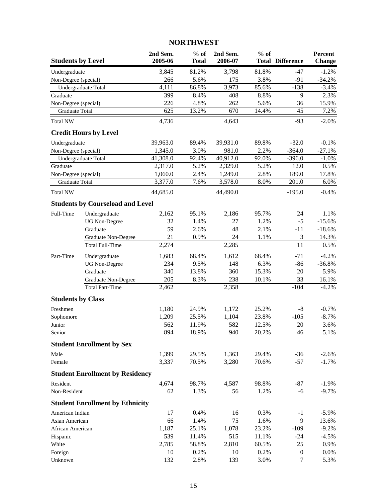### **NORTHWEST**

| <b>Students by Level</b> |                                         | 2nd Sem.<br>2005-06 | $%$ of<br><b>Total</b> | 2nd Sem.<br>2006-07 | $%$ of | <b>Total Difference</b> | <b>Percent</b><br><b>Change</b> |
|--------------------------|-----------------------------------------|---------------------|------------------------|---------------------|--------|-------------------------|---------------------------------|
| Undergraduate            |                                         | 3,845               | 81.2%                  | 3,798               | 81.8%  | $-47$                   | $-1.2%$                         |
| Non-Degree (special)     |                                         | 266                 | 5.6%                   | 175                 | 3.8%   | $-91$                   | $-34.2%$                        |
|                          | Undergraduate Total                     | 4,111               | 86.8%                  | 3,973               | 85.6%  | $-138$                  | $-3.4%$                         |
| Graduate                 |                                         | 399                 | 8.4%                   | 408                 | 8.8%   | 9                       | 2.3%                            |
| Non-Degree (special)     |                                         | 226                 | 4.8%                   | 262                 | 5.6%   | 36                      | 15.9%                           |
| Graduate Total           |                                         | 625                 | 13.2%                  | 670                 | 14.4%  | 45                      | 7.2%                            |
| <b>Total NW</b>          |                                         | 4,736               |                        | 4,643               |        | $-93$                   | $-2.0\%$                        |
|                          | <b>Credit Hours by Level</b>            |                     |                        |                     |        |                         |                                 |
| Undergraduate            |                                         | 39,963.0            | 89.4%                  | 39,931.0            | 89.8%  | $-32.0$                 | $-0.1%$                         |
| Non-Degree (special)     |                                         | 1,345.0             | 3.0%                   | 981.0               | 2.2%   | $-364.0$                | $-27.1%$                        |
|                          | Undergraduate Total                     | 41,308.0            | 92.4%                  | 40,912.0            | 92.0%  | $-396.0$                | $-1.0%$                         |
| Graduate                 |                                         | 2,317.0             | 5.2%                   | 2,329.0             | 5.2%   | 12.0                    | 0.5%                            |
| Non-Degree (special)     |                                         | 1,060.0             | 2.4%                   | 1,249.0             | 2.8%   | 189.0                   | 17.8%                           |
| Graduate Total           |                                         | 3,377.0             | 7.6%                   | 3,578.0             | 8.0%   | 201.0                   | 6.0%                            |
| <b>Total NW</b>          |                                         | 44,685.0            |                        | 44,490.0            |        | $-195.0$                | $-0.4%$                         |
|                          | <b>Students by Courseload and Level</b> |                     |                        |                     |        |                         |                                 |
| Full-Time                | Undergraduate                           | 2,162               | 95.1%                  | 2,186               | 95.7%  | 24                      | 1.1%                            |
|                          | <b>UG</b> Non-Degree                    | 32                  | 1.4%                   | 27                  | 1.2%   | $-5$                    | $-15.6%$                        |
|                          | Graduate                                | 59                  | 2.6%                   | 48                  | 2.1%   | $-11$                   | $-18.6%$                        |
|                          | <b>Graduate Non-Degree</b>              | 21                  | 0.9%                   | 24                  | 1.1%   | 3                       | 14.3%                           |
|                          | <b>Total Full-Time</b>                  | 2,274               |                        | 2,285               |        | 11                      | 0.5%                            |
| Part-Time                | Undergraduate                           | 1,683               | 68.4%                  | 1,612               | 68.4%  | $-71$                   | $-4.2%$                         |
|                          | <b>UG</b> Non-Degree                    | 234                 | 9.5%                   | 148                 | 6.3%   | $-86$                   | $-36.8%$                        |
|                          | Graduate                                | 340                 | 13.8%                  | 360                 | 15.3%  | 20                      | 5.9%                            |
|                          | <b>Graduate Non-Degree</b>              | 205                 | 8.3%                   | 238                 | 10.1%  | 33                      | 16.1%                           |
|                          | <b>Total Part-Time</b>                  | 2,462               |                        | 2,358               |        | $-104$                  | $-4.2%$                         |
| <b>Students by Class</b> |                                         |                     |                        |                     |        |                         |                                 |
| Freshmen                 |                                         | 1,180               | 24.9%                  | 1,172               | 25.2%  | $-8$                    | $-0.7%$                         |
| Sophomore                |                                         | 1,209               | 25.5%                  | 1,104               | 23.8%  | $-105$                  | $-8.7\%$                        |
| Junior                   |                                         | 562                 | 11.9%                  | 582                 | 12.5%  | 20                      | 3.6%                            |
| Senior                   |                                         | 894                 | 18.9%                  | 940                 | 20.2%  | 46                      | 5.1%                            |
|                          | <b>Student Enrollment by Sex</b>        |                     |                        |                     |        |                         |                                 |
| Male                     |                                         | 1,399               | 29.5%                  | 1,363               | 29.4%  | $-36$                   | $-2.6%$                         |
| Female                   |                                         | 3,337               | 70.5%                  | 3,280               | 70.6%  | $-57$                   | $-1.7%$                         |
|                          | <b>Student Enrollment by Residency</b>  |                     |                        |                     |        |                         |                                 |
| Resident                 |                                         | 4,674               | 98.7%                  | 4,587               | 98.8%  | $-87$                   | $-1.9%$                         |
| Non-Resident             |                                         | 62                  | 1.3%                   | 56                  | 1.2%   | $-6$                    | $-9.7%$                         |
|                          | <b>Student Enrollment by Ethnicity</b>  |                     |                        |                     |        |                         |                                 |
| American Indian          |                                         | 17                  | 0.4%                   | 16                  | 0.3%   | $-1$                    | $-5.9%$                         |
| Asian American           |                                         | 66                  | 1.4%                   | 75                  | 1.6%   | 9                       | 13.6%                           |
| African American         |                                         | 1,187               | 25.1%                  | 1,078               | 23.2%  | $-109$                  | $-9.2%$                         |
| Hispanic                 |                                         | 539                 | 11.4%                  | 515                 | 11.1%  | $-24$                   | $-4.5%$                         |
| White                    |                                         | 2,785               | 58.8%                  | 2,810               | 60.5%  | 25                      | 0.9%                            |
| Foreign                  |                                         | 10                  | 0.2%                   | 10                  | 0.2%   | $\boldsymbol{0}$        | $0.0\%$                         |
| Unknown                  |                                         | 132                 | 2.8%                   | 139                 | 3.0%   | $\tau$                  | 5.3%                            |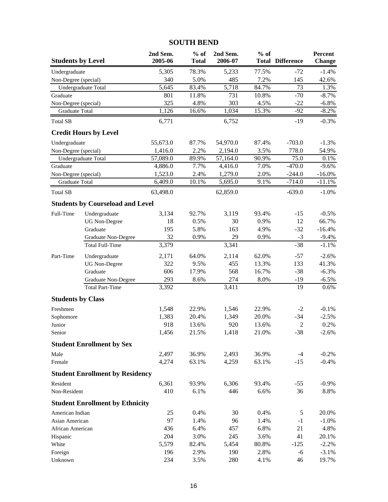### **SOUTH BEND**

| <b>Students by Level</b> |                                         | 2nd Sem.<br>2005-06 | $%$ of<br><b>Total</b> | 2nd Sem.<br>2006-07 | $%$ of | <b>Total Difference</b> | Percent<br><b>Change</b> |
|--------------------------|-----------------------------------------|---------------------|------------------------|---------------------|--------|-------------------------|--------------------------|
| Undergraduate            |                                         | 5,305               | 78.3%                  | 5,233               | 77.5%  | $-72$                   | $-1.4%$                  |
| Non-Degree (special)     |                                         | 340                 | 5.0%                   | 485                 | 7.2%   | 145                     | 42.6%                    |
|                          | Undergraduate Total                     | 5,645               | 83.4%                  | 5,718               | 84.7%  | 73                      | 1.3%                     |
| Graduate                 |                                         | 801                 | 11.8%                  | 731                 | 10.8%  | $-70$                   | $-8.7%$                  |
| Non-Degree (special)     |                                         | 325                 | 4.8%                   | 303                 | 4.5%   | $-22$                   | $-6.8%$                  |
| Graduate Total           |                                         | 1,126               | 16.6%                  | 1,034               | 15.3%  | $-92$                   | $-8.2%$                  |
| <b>Total SB</b>          |                                         | 6,771               |                        | 6,752               |        | $-19$                   | $-0.3%$                  |
|                          | <b>Credit Hours by Level</b>            |                     |                        |                     |        |                         |                          |
| Undergraduate            |                                         | 55,673.0            | 87.7%                  | 54,970.0            | 87.4%  | $-703.0$                | $-1.3%$                  |
| Non-Degree (special)     |                                         | 1,416.0             | 2.2%                   | 2,194.0             | 3.5%   | 778.0                   | 54.9%                    |
|                          | Undergraduate Total                     | 57,089.0            | 89.9%                  | 57,164.0            | 90.9%  | 75.0                    | 0.1%                     |
| Graduate                 |                                         | 4,886.0             | 7.7%                   | 4,416.0             | 7.0%   | $-470.0$                | $-9.6%$                  |
| Non-Degree (special)     |                                         | 1,523.0             | 2.4%                   | 1,279.0             | 2.0%   | $-244.0$                | $-16.0\%$                |
| Graduate Total           |                                         | 6,409.0             | 10.1%                  | 5,695.0             | 9.1%   | $-714.0$                | $-11.1%$                 |
| <b>Total SB</b>          |                                         | 63,498.0            |                        | 62,859.0            |        | $-639.0$                | $-1.0%$                  |
|                          | <b>Students by Courseload and Level</b> |                     |                        |                     |        |                         |                          |
| Full-Time                | Undergraduate                           | 3,134               | 92.7%                  | 3,119               | 93.4%  | $-15$                   | $-0.5%$                  |
|                          | <b>UG</b> Non-Degree                    | 18                  | 0.5%                   | 30                  | 0.9%   | 12                      | 66.7%                    |
|                          | Graduate                                | 195                 | 5.8%                   | 163                 | 4.9%   | $-32$                   | $-16.4%$                 |
|                          | <b>Graduate Non-Degree</b>              | 32                  | 0.9%                   | 29                  | 0.9%   | $-3$                    | $-9.4%$                  |
|                          | <b>Total Full-Time</b>                  | 3,379               |                        | 3,341               |        | $-38$                   | $-1.1%$                  |
| Part-Time                | Undergraduate                           | 2,171               | 64.0%                  | 2,114               | 62.0%  | $-57$                   | $-2.6%$                  |
|                          | <b>UG</b> Non-Degree                    | 322                 | 9.5%                   | 455                 | 13.3%  | 133                     | 41.3%                    |
|                          | Graduate                                | 606                 | 17.9%                  | 568                 | 16.7%  | $-38$                   | $-6.3%$                  |
|                          | Graduate Non-Degree                     | 293                 | 8.6%                   | 274                 | 8.0%   | $-19$                   | $-6.5%$                  |
|                          | <b>Total Part-Time</b>                  | 3,392               |                        | 3,411               |        | 19                      | 0.6%                     |
| <b>Students by Class</b> |                                         |                     |                        |                     |        |                         |                          |
| Freshmen                 |                                         | 1,548               | 22.9%                  | 1,546               | 22.9%  | $-2$                    | $-0.1%$                  |
| Sophomore                |                                         | 1,383               | 20.4%                  | 1,349               | 20.0%  | $-34$                   | $-2.5%$                  |
| Junior                   |                                         | 918                 | 13.6%                  | 920                 | 13.6%  | $\overline{2}$          | 0.2%                     |
| Senior                   |                                         | 1,456               | 21.5%                  | 1,418               | 21.0%  | $-38$                   | $-2.6%$                  |
|                          | <b>Student Enrollment by Sex</b>        |                     |                        |                     |        |                         |                          |
| Male                     |                                         | 2,497               | 36.9%                  | 2,493               | 36.9%  | $-4$                    | $-0.2%$                  |
| Female                   |                                         | 4,274               | 63.1%                  | 4,259               | 63.1%  | $-15$                   | $-0.4%$                  |
|                          | <b>Student Enrollment by Residency</b>  |                     |                        |                     |        |                         |                          |
| Resident                 |                                         | 6,361               | 93.9%                  | 6,306               | 93.4%  | $-55$                   | $-0.9%$                  |
| Non-Resident             |                                         | 410                 | 6.1%                   | 446                 | 6.6%   | 36                      | 8.8%                     |
|                          | <b>Student Enrollment by Ethnicity</b>  |                     |                        |                     |        |                         |                          |
| American Indian          |                                         | 25                  | 0.4%                   | 30                  | 0.4%   | 5                       | 20.0%                    |
| Asian American           |                                         | 97                  | 1.4%                   | 96                  | 1.4%   | $-1$                    | $-1.0%$                  |
| African American         |                                         | 436                 | 6.4%                   | 457                 | 6.8%   | 21                      | 4.8%                     |
| Hispanic                 |                                         | 204                 | 3.0%                   | 245                 | 3.6%   | 41                      | 20.1%                    |
| White                    |                                         | 5,579               | 82.4%                  | 5,454               | 80.8%  | $-125$                  | $-2.2%$                  |
| Foreign                  |                                         | 196                 | 2.9%                   | 190                 | 2.8%   | $-6$                    | $-3.1%$                  |
| Unknown                  |                                         | 234                 | 3.5%                   | 280                 | 4.1%   | 46                      | 19.7%                    |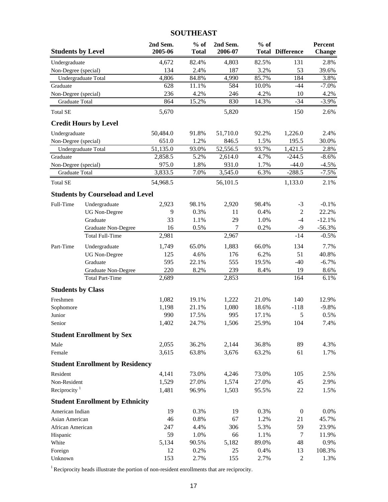### **SOUTHEAST**

| <b>Students by Level</b> |                                         | 2nd Sem.<br>2005-06 | $%$ of<br><b>Total</b> | 2nd Sem.<br>2006-07 | $%$ of | <b>Total Difference</b> | Percent<br><b>Change</b> |
|--------------------------|-----------------------------------------|---------------------|------------------------|---------------------|--------|-------------------------|--------------------------|
| Undergraduate            |                                         | 4,672               | 82.4%                  | 4,803               | 82.5%  | 131                     | 2.8%                     |
| Non-Degree (special)     |                                         | 134                 | 2.4%                   | 187                 | 3.2%   | 53                      | 39.6%                    |
|                          | Undergraduate Total                     | 4,806               | 84.8%                  | 4,990               | 85.7%  | 184                     | 3.8%                     |
| Graduate                 |                                         | 628                 | 11.1%                  | 584                 | 10.0%  | $-44$                   | $-7.0%$                  |
| Non-Degree (special)     |                                         | 236                 | 4.2%                   | 246                 | 4.2%   | 10                      | 4.2%                     |
| Graduate Total           |                                         | 864                 | 15.2%                  | 830                 | 14.3%  | $-34$                   | $-3.9%$                  |
| <b>Total SE</b>          |                                         | 5,670               |                        | 5,820               |        | 150                     | 2.6%                     |
|                          | <b>Credit Hours by Level</b>            |                     |                        |                     |        |                         |                          |
| Undergraduate            |                                         | 50,484.0            | 91.8%                  | 51,710.0            | 92.2%  | 1,226.0                 | 2.4%                     |
| Non-Degree (special)     |                                         | 651.0               | 1.2%                   | 846.5               | 1.5%   | 195.5                   | 30.0%                    |
|                          | Undergraduate Total                     | 51,135.0            | 93.0%                  | 52,556.5            | 93.7%  | 1,421.5                 | 2.8%                     |
| Graduate                 |                                         | 2,858.5             | 5.2%                   | 2,614.0             | 4.7%   | $-244.5$                | $-8.6%$                  |
| Non-Degree (special)     |                                         | 975.0               | 1.8%                   | 931.0               | 1.7%   | $-44.0$                 | $-4.5%$                  |
| Graduate Total           |                                         | 3,833.5             | 7.0%                   | 3,545.0             | 6.3%   | $-288.5$                | $-7.5%$                  |
| <b>Total SE</b>          |                                         | 54,968.5            |                        | 56,101.5            |        | 1,133.0                 | 2.1%                     |
|                          | <b>Students by Courseload and Level</b> |                     |                        |                     |        |                         |                          |
| Full-Time                | Undergraduate                           | 2,923               | 98.1%                  | 2,920               | 98.4%  | $-3$                    | $-0.1%$                  |
|                          | <b>UG</b> Non-Degree                    | 9                   | 0.3%                   | 11                  | 0.4%   | $\sqrt{2}$              | 22.2%                    |
|                          | Graduate                                | 33                  | 1.1%                   | 29                  | 1.0%   | $-4$                    | $-12.1%$                 |
|                          | <b>Graduate Non-Degree</b>              | 16                  | 0.5%                   | 7                   | 0.2%   | $-9$                    | $-56.3%$                 |
|                          | <b>Total Full-Time</b>                  | 2,981               |                        | 2,967               |        | $-14$                   | $-0.5%$                  |
| Part-Time                | Undergraduate                           | 1,749               | 65.0%                  | 1,883               | 66.0%  | 134                     | 7.7%                     |
|                          | <b>UG</b> Non-Degree                    | 125                 | 4.6%                   | 176                 | 6.2%   | 51                      | 40.8%                    |
|                          | Graduate                                | 595                 | 22.1%                  | 555                 | 19.5%  | $-40$                   | $-6.7%$                  |
|                          | Graduate Non-Degree                     | 220                 | 8.2%                   | 239                 | 8.4%   | 19                      | 8.6%                     |
|                          | <b>Total Part-Time</b>                  | 2,689               |                        | 2,853               |        | 164                     | 6.1%                     |
| <b>Students by Class</b> |                                         |                     |                        |                     |        |                         |                          |
| Freshmen                 |                                         | 1,082               | 19.1%                  | 1,222               | 21.0%  | 140                     | 12.9%                    |
| Sophomore                |                                         | 1,198               | 21.1%                  | 1,080               | 18.6%  | $-118$                  | $-9.8%$                  |
| Junior                   |                                         | 990                 | 17.5%                  | 995                 | 17.1%  | 5                       | 0.5%                     |
| Senior                   |                                         | 1,402               | 24.7%                  | 1,506               | 25.9%  | 104                     | 7.4%                     |
|                          | <b>Student Enrollment by Sex</b>        |                     |                        |                     |        |                         |                          |
| Male                     |                                         | 2,055               | 36.2%                  | 2,144               | 36.8%  | 89                      | 4.3%                     |
| Female                   |                                         | 3,615               | 63.8%                  | 3,676               | 63.2%  | 61                      | 1.7%                     |
|                          | <b>Student Enrollment by Residency</b>  |                     |                        |                     |        |                         |                          |
| Resident                 |                                         | 4,141               | 73.0%                  | 4,246               | 73.0%  | 105                     | 2.5%                     |
| Non-Resident             |                                         | 1,529               | 27.0%                  | 1,574               | 27.0%  | 45                      | 2.9%                     |
| Reciprocity $1$          |                                         | 1,481               | 96.9%                  | 1,503               | 95.5%  | 22                      | 1.5%                     |
|                          | <b>Student Enrollment by Ethnicity</b>  |                     |                        |                     |        |                         |                          |
| American Indian          |                                         | 19                  | 0.3%                   | 19                  | 0.3%   | $\boldsymbol{0}$        | 0.0%                     |
| Asian American           |                                         | 46                  | 0.8%                   | 67                  | 1.2%   | 21                      | 45.7%                    |
| African American         |                                         | 247                 | 4.4%                   | 306                 | 5.3%   | 59                      | 23.9%                    |
| Hispanic                 |                                         | 59                  | 1.0%                   | 66                  | 1.1%   | $\overline{7}$          | 11.9%                    |
| White                    |                                         | 5,134               | 90.5%                  | 5,182               | 89.0%  | 48                      | 0.9%                     |
| Foreign                  |                                         | 12                  | 0.2%                   | 25                  | 0.4%   | 13                      | 108.3%                   |
| Unknown                  |                                         | 153                 | 2.7%                   | 155                 | 2.7%   | 2                       | 1.3%                     |

 $1$  Reciprocity heads illustrate the portion of non-resident enrollments that are reciprocity.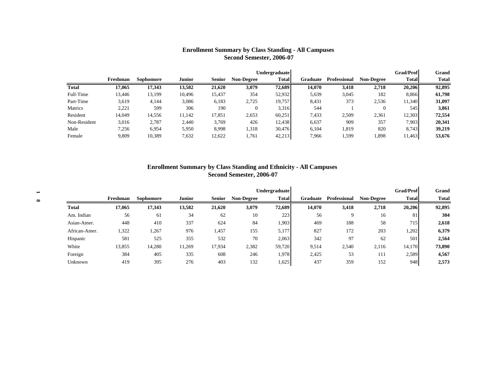### **Enrollment Summary by Class Standing - All Campuses Second Semester, 2006-07**

|              |          |           |        |               |                   | <b>Undergraduate</b> |          |                     |                   | <b>Grad/Prof</b> | Grand  |
|--------------|----------|-----------|--------|---------------|-------------------|----------------------|----------|---------------------|-------------------|------------------|--------|
|              | Freshman | Sophomore | Junior | <b>Senior</b> | <b>Non-Degree</b> | <b>Total</b>         | Graduate | <b>Professional</b> | <b>Non-Degree</b> | <b>Total</b>     | Total  |
| <b>Total</b> | 17,065   | 17.343    | 13,582 | 21,620        | 3,079             | 72.689               | 14.070   | 3,418               | 2,718             | 20,206           | 92,895 |
| Full-Time    | 13,446   | 13,199    | 10,496 | 15,437        | 354               | 52,932               | 5,639    | 3,045               | 182               | 8,866            | 61,798 |
| Part-Time    | 3,619    | 4,144     | 3,086  | 6,183         | 2,725             | 19,757               | 8,431    | 373                 | 2,536             | 11,340           | 31,097 |
| Matrics      | 2,221    | 599       | 306    | 190           |                   | 3,316                | 544      |                     | $\theta$          | 545              | 3,861  |
| Resident     | 14,049   | 14,556    | 11,142 | 17,851        | 2,653             | 60,251               | 7.433    | 2,509               | 2,361             | 12,303           | 72,554 |
| Non-Resident | 3,016    | 2,787     | 2,440  | 3,769         | 426               | 12,438               | 6,637    | 909                 | 357               | 7,903            | 20,341 |
| Male         | 7,256    | 6,954     | 5,950  | 8,998         | 1,318             | 30.476               | 6,104    | 1,819               | 820               | 8,743            | 39,219 |
| Female       | 9,809    | 10,389    | 7,632  | 12,622        | 1,761             | 42,213               | 7,966    | 1,599               | 1,898             | 11,463           | 53,676 |

#### **Enrollment Summary by Class Standing and Ethnicity - All Campuses Second Semester, 2006-07**

|                          |               |          |           |               |               |                   | Undergraduate |          |              |                   | <b>Grad/Prof</b> | Grand  |
|--------------------------|---------------|----------|-----------|---------------|---------------|-------------------|---------------|----------|--------------|-------------------|------------------|--------|
| $\overline{\phantom{a}}$ |               | Freshman | Sophomore | <b>Junior</b> | <b>Senior</b> | <b>Non-Degree</b> | <b>Total</b>  | Graduate | Professional | <b>Non-Degree</b> | <b>Total</b>     | Total  |
| $\infty$                 | Total         | 17,065   | 17,343    | 13,582        | 21,620        | 3,079             | 72.689        | 14.070   | 3,418        | 2,718             | 20,206           | 92,895 |
|                          |               |          |           |               |               |                   |               |          |              |                   |                  |        |
|                          | Am. Indian    | 56       | 61        | 34            | 62            | 10                | 223           | 56       | 9            | 16                | 81               | 304    |
|                          | Asian-Amer.   | 448      | 410       | 337           | 624           | 84                | 1,903         | 469      | 188          | 58                | 715              | 2,618  |
|                          | African-Amer. | 1,322    | 1,267     | 976           | 1,457         | 155               | 5,177         | 827      | 172          | 203               | 1,202            | 6,379  |
|                          | Hispanic      | 581      | 525       | 355           | 532           | 70                | 2,063         | 342      | 97           | 62                | 501              | 2,564  |
|                          | White         | 13,855   | 14,280    | 11,269        | 17,934        | 2,382             | 59,720        | 9,514    | 2,540        | 2,116             | 14,170           | 73,890 |
|                          | Foreign       | 384      | 405       | 335           | 608           | 246               | 1,978         | 2,425    | 53           | 111               | 2,589            | 4,567  |
|                          | Unknown       | 419      | 395       | 276           | 403           | 132               | 1,625         | 437      | 359          | 152               | 948              | 2,573  |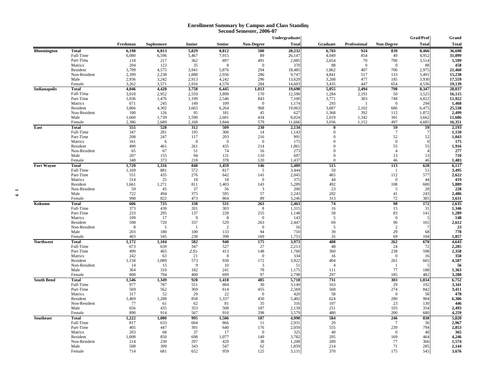#### **Enrollment Summary by Campus and Class Standing Second Semester, 2006-07**

|                     |                      |            |            |                |              |                | Undergraduate |                       |              |                      | Grad/Prof    | Grand        |
|---------------------|----------------------|------------|------------|----------------|--------------|----------------|---------------|-----------------------|--------------|----------------------|--------------|--------------|
|                     |                      | Freshman   | Sophomore  | Junior         | Senior       | Non-Degree     | <b>Total</b>  | Graduate              | Professional | Non-Degree           | <b>Total</b> | <b>Total</b> |
| <b>Bloomington</b>  | <b>Total</b>         | 6,198      | 6,813      | 5,829          | 8,812        | 580            | 28,232        | 6,703                 | 924          | 839                  | 8,466        | 36,698       |
|                     | Full-Time            | 6,080      | 6,596      | 5,467          | 7,915        | 89             | 26,147        | 4,049                 | 854          | 49                   | 4,952        | 31,099       |
|                     | Part-Time            | 118        | 217        | 362            | 897          | 491            | 2,085         | 2,654                 | 70           | 790                  | 3,514        | 5,599        |
|                     | Matrics              | 204        | 123        | 35             | 8            | $\mathbf{0}$   | 370           | 88                    | $\mathbf{0}$ | $\mathbf{0}$         | 88           | 458          |
|                     | Resident             | 3,799      | 4,575      | 3,941          | 5,876        | 294            | 18,485        | 1,862                 | 407          | 706                  | 2,975        | 21,460       |
|                     | Non-Resident         | 2,399      | 2,238      | 1,888          | 2,936        | 286            | 9,747         | 4,841                 | 517          | 133                  | 5,491        | 15,238       |
|                     | Male                 | 2,936      | 3,242      | 2,913          | 4,242        | 296            | 13,629        | 3,268                 | 477          | 185                  | 3,930        | 17,559       |
|                     | Female               | 3,262      | 3,571      | 2,916          | 4,570        | 284            | 14,603        | 3,435                 | 447          | 654                  | 4,536        | 19,139       |
| <b>Indianapolis</b> | Total                | 4,046      | 4,428      | 3,758          | 6,445        | 1,013          | 19,690        | 5,055                 | 2,494        | 798                  | 8,347        | 28,037       |
|                     | Full-Time            | 3,010      | 2,952      | 2,559          | 3,899        | 170            | 12,590        | 1,284                 | 2,191        | 50                   | 3,525        | 16,115       |
|                     | Part-Time            | 1,036      | 1,476      | 1,199          | 2,546        | 843            | 7,100         | 3,771                 | 303          | 748                  | 4,822        | 11,922       |
|                     | Matrics              | 671        | 245        | 149            | 109          | $\mathbf{0}$   | 1,174         | 293                   |              | $\mathbf{0}$         | 294          | 1,468        |
|                     | Resident             | 3,866      | 4,302      | 3,663          | 6,264        | 968            | 19,063        | 3,687                 | 2,102        | 686                  | 6,475        | 25,538       |
|                     | Non-Resident         | 180        | 126        | 95             | 181          | 45             | 627           | 1,368                 | 392          | 112                  | 1,872        | 2,499        |
|                     | Male                 | 1,660      | 1,739      | 1,590          | 2,601        | 434            | 8,024         | 2,019                 | 1,342        | 301                  | 3,662        | 11,686       |
|                     | Female               | 2,386      | 2,689      | 2,168          | 3,844        | 579            | 11,666        | 3,036                 | 1,152        | 497                  | 4,685        | 16,351       |
| East                | <b>Total</b>         | 555        | 528        | 312            | 509          | 230            | 2,134         | $\theta$              |              | 59                   | 59           | 2,193        |
|                     | Full-Time            | 347        | 281        | 195            | 306          | 14             | 1,143         | $\theta$              |              | $7\phantom{.0}$      |              | 1,150        |
|                     | Part-Time            | 208        | 247        | 117            | 203          | 216            | 991           | $\Omega$              |              | 52                   | 52           | 1,043        |
|                     | Matrics              | 161        | 6          | -8             | $\mathbf{0}$ | $\mathbf{0}$   | 175           | $\Omega$              |              | $\mathbf{0}$         |              | 175          |
|                     | Resident             | 490        | 461<br>67  | 261            | 435<br>74    | 214            | 1,861         | $\Omega$<br>$\Omega$  |              | 55                   | 55           | 1,916        |
|                     | Non-Resident<br>Male | 65<br>207  | 155        | 51<br>94       | 131          | 16<br>110      | 273<br>697    | $\Omega$              |              | $\overline{4}$<br>13 | 13           | 277<br>710   |
|                     | Female               | 348        | 373        | 218            | 378          | 120            | 1,437         | $\Omega$              |              | 46                   | 46           | 1,483        |
| <b>Fort Wayne</b>   | <b>Total</b>         | 1,720      | 1,316      | 848            | 1,459        | 146            | 5,489         | 515                   |              | 113                  | 628          | 6,117        |
|                     | Full-Time            | 1,169      | 881        | 572            | 817          | 5              | 3,444         | 50                    |              | - 1                  | 51           | 3,495        |
|                     | Part-Time            | 551        | 435        | 276            | 642          | 141            | 2,045         | 465                   |              | 112                  | 577          | 2,622        |
|                     | Matrics              | 314        | 25         | 18             | 18           | $\mathbf{0}$   | 375           | 44                    |              | $\mathbf{0}$         | 44           | 419          |
|                     | Resident             | 1,661      | 1,271      | 811            | 1,403        | 143            | 5,289         | 492                   |              | 108                  | 600          | 5,889        |
|                     | Non-Resident         | 59         | 45         | 37             | 56           | 3              | 200           | 23                    |              | 5                    | 28           | 228          |
|                     | Male                 | 722        | 494        | 375            | 595          | 57             | 2,243         | 202                   |              | 41                   | 243          | 2,486        |
|                     | Female               | 998        | 822        | 473            | 864          | 89             | 3,246         | 313                   |              | 72                   | 385          | 3,631        |
| Kokomo              | Total                | 606        | 725        | 338            | 531          | 263            | 2,463         | 74                    |              | 98                   | 172          | 2,635        |
|                     | Full-Time            | 373        | 430        | 201            | 303          | 8              | 1,315         | 16                    |              | 15                   | 31           | 1,346        |
|                     | Part-Time            | 233        | 295        | 137            | 228          | 255            | 1,148         | 58                    |              | 83                   | 141          | 1,289        |
|                     | Matrics              | 109        | 17         | 9              | 8            | $\overline{0}$ | 143           | 5                     |              | $\mathbf{0}$         |              | 148          |
|                     | Resident             | 598        | 720        | 337            | 529          | 263            | 2,447         | 69                    |              | 96                   | 165          | 2,612        |
|                     | Non-Resident         | 8          | 5          | $\overline{1}$ | 2            | $\overline{0}$ | 16            | 5                     |              | 2                    |              | 23           |
|                     | Male                 | 203        | 180        | 100            | 133          | 94             | 710           | 39                    |              | 29                   | 68           | 778          |
|                     | Female               | 403        | 545        | 238            | 398          | 169            | 1,753         | 35                    |              | 69                   | 104          | 1,857        |
| <b>Northwest</b>    | Total                | 1.172      | 1,104      | 582            | 940          | 175            | 3.973         | 408                   |              | 262                  | 670          | 4,643        |
|                     | Full-Time            | 673        | 639        | 347            | 527          | 27             | 2,213         | 48                    |              | 24                   | 72           | 2,285        |
|                     | Part-Time            | 499        | 465        | 235            | 413          | 148            | 1,760         | 360                   |              | 238                  | 598          | 2,358        |
|                     | Matrics              | 242        | 63         | 21             | $\mathbf{R}$ | $\theta$       | 334           | 16                    |              | $\Omega$             | 16           | 350          |
|                     | Resident             | 1,158      | 1,089      | 573<br>9       | 930          | 172            | 3,922         | 404<br>$\overline{4}$ |              | 261                  | 665          | 4,587        |
|                     | Non-Resident         | 14         | 15         | 182            | 10           | 3<br>78        | 51<br>1,175   |                       |              | -1                   | 188          | 56<br>1,363  |
|                     | Male<br>Female       | 364<br>808 | 310<br>794 | 400            | 241<br>699   | 97             | 2,798         | 111<br>297            |              | 77<br>185            | 482          | 3,280        |
| <b>South Bend</b>   | <b>Total</b>         | 1,546      | 1,349      | 920            | 1,418        | 485            | 5,718         | 731                   |              | 303                  | 1,034        | 6,752        |
|                     | Full-Time            | 977        | 787        | 551            | 804          | 30             | 3,149         | 163                   |              | 29                   | 192          | 3,341        |
|                     | Part-Time            | 569        | 562        | 369            | 614          | 455            | 2,569         | 568                   |              | 274                  | 842          | 3,411        |
|                     | Matrics              | 317        | 52         | 29             | 22           | $\mathbf{0}$   | 420           | 58                    |              | $\mathbf{0}$         | 58           | 478          |
|                     | Resident             | 1,469      | 1,288      | 858            | 1,337        | 450            | 5,402         | 624                   |              | 280                  | 904          | 6,306        |
|                     | Non-Resident         | 77         | 61         | 62             | 81           | 35             | 316           | 107                   |              | 23                   | 130          | 446          |
|                     | Male                 | 656        | 435        | 353            | 508          | 187            | 2,139         | 251                   |              | 103                  | 354          | 2,493        |
|                     | Female               | 890        | 914        | 567            | 910          | 298            | 3,579         | 480                   |              | 200                  | 680          | 4,259        |
| Southeast           | <b>Total</b>         | 1,222      | 1,080      | 995            | 1,506        | 187            | 4,990         | 584                   |              | 246                  | 830          | 5,820        |
|                     | Full-Time            | 817        | 633        | 604            | 866          | -11            | 2,931         | 29                    |              | 7                    | 36           | 2,967        |
|                     | Part-Time            | 405        | 447        | 391            | 640          | 176            | 2,059         | 555                   |              | 239                  | 794          | 2,853        |
|                     | Matrics              | 203        | 68         | 37             | 17           | $\Omega$       | 325           | 40                    |              | $\mathbf{0}$         | 40           | 365          |
|                     | Resident             | 1,008      | 850        | 698            | 1,077        | 149            | 3,782         | 295                   |              | 169                  | 464          | 4,246        |
|                     | Non-Resident         | 214        | 230        | 297            | 429          | 38             | 1,208         | 289                   |              | 77                   | 366          | 1,574        |
|                     | Male                 | 508        | 399        | 343            | 547          | 62             | 1,859         | 214                   |              | 71                   | 285          | 2,144        |
|                     | Female               | 714        | 681        | 652            | 959          | 125            | 3,131         | 370                   |              | 175                  | 545          | 3.676        |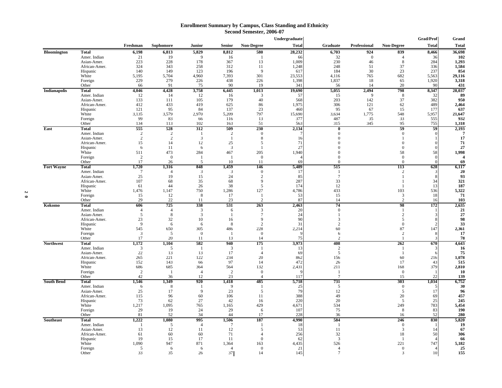#### **Enrollment Summary by Campus, Class Standing and Ethnicity Second Semester, 2006-07**

|                     |                           |                      |                |                         |                |                                    | Undergraduate |                                 |                |                          | Grad/Prof    | Grand                         |
|---------------------|---------------------------|----------------------|----------------|-------------------------|----------------|------------------------------------|---------------|---------------------------------|----------------|--------------------------|--------------|-------------------------------|
|                     |                           | Freshman             | Sophomore      | Junior                  | <b>Senior</b>  | Non-Degree                         | <b>Total</b>  | Graduate                        | Professional   | Non-Degree               | <b>Total</b> | <b>Total</b>                  |
| <b>Bloomington</b>  | <b>Total</b>              | 6,198                | 6,813          | 5,829                   | 8,812          | 580                                | 28,232        | 6,703                           | 924            | 839                      | 8,466        | 36,698                        |
|                     | Amer. Indian              | 21                   | 19             | 9                       | 16             |                                    | 66            | 32                              | $\overline{0}$ | 4                        | 36           | 102                           |
|                     | Asian-Amer.               | 223                  | 228            | 178                     | 367            | 13                                 | 1,009         | 230                             | 46             | 8                        | 284          | 1,293                         |
|                     | African-Amer.             | 324                  | 343            | 258                     | 312            | 11<br>$\mathbf{Q}$                 | 1,248         | 248                             | 51             | 37                       | 336          | 1,584                         |
|                     | Hispanic<br>White         | 140<br>5,195         | 149<br>5,704   | 123<br>4,960            | 196<br>7,393   | 301                                | 617<br>23,553 | 184<br>4,116                    | 30<br>765      | 23<br>682                | 237<br>5,563 | 854<br>29,116                 |
|                     | Foreign                   | 229                  | 279            | 226                     | 438            | 226                                | 1,398         | 1,837                           | 18             | 65                       | 1,920        | 3,318                         |
|                     | Other                     | 66                   | 91             | 75                      | 90             | 19                                 | 341           | 56                              | 14             | 20                       | 90           | 431                           |
| <b>Indianapolis</b> | <b>Total</b>              | 4,046                | 4,428          | 3,758                   | 6,445          | 1,013                              | 19,690        | 5,055                           | 2,494          | 798                      | 8,347        | 28,037                        |
|                     | Amer. Indian              | 12                   | 14             | 12                      | 16             | 3                                  | 57            | 15                              | 9              | 8                        | 32           | 89                            |
|                     | Asian-Amer.               | 133                  | 111            | 105                     | 179            | 40                                 | 568           | 203                             | 142            | 37                       | 382          | 950                           |
|                     | African-Amer.<br>Hispanic | 412<br>121           | 433<br>95      | 419<br>84               | 625<br>137     | 86<br>23                           | 1,975<br>460  | 306<br>95                       | 121<br>67      | 62<br>15                 | 489<br>177   | 2,464<br>637                  |
|                     | White                     | 3,135                | 3,579          | 2,970                   | 5,209          | 797                                | 15,690        | 3,634                           | 1,775          | 548                      | 5,957        | 21,647                        |
|                     | Foreign                   | 99                   | 83             | 66                      | 116            | 13                                 | 377           | 487                             | 35             | 33                       | 555          | 932                           |
|                     | Other                     | 134                  | 113            | 102                     | 163            | 51                                 | 563           | 315                             | 345            | 95                       | 755          | 1,318                         |
| East                | <b>Total</b>              | 555                  | 528            | 312                     | 509            | 230                                | 2,134         | $\overline{0}$                  |                | 59                       | 59           | 2,193                         |
|                     | Amer. Indian              | 2                    | 2              | -1                      | 2              | $\boldsymbol{0}$                   |               | $\theta$                        |                | $\boldsymbol{0}$         |              | -7                            |
|                     | Asian-Amer.               | 2                    | 2              | 3                       | -1             | 8                                  | 16            | $\Omega$                        |                | $\mathbf{1}$             |              | 17                            |
|                     | African-Amer.             | 15                   | 14             | 12                      | 25             | 5                                  | 71            | $\sqrt{ }$                      |                | $\Omega$                 |              | 71                            |
|                     | Hispanic                  | 6                    | 11             | 6                       | 3              |                                    | 27            | $\sqrt{ }$                      |                | $\mathbf{0}$             |              | 27                            |
|                     | White                     | 511                  | 473            | 284                     | 467            | 205                                | 1,940         | $\Omega$                        |                | 58                       | 58           | 1,998                         |
|                     | Foreign                   | $\overline{2}$<br>17 | $\overline{0}$ |                         | -1             | $\overline{0}$                     | 69            | $\Omega$                        |                | $\mathbf{0}$<br>$\Omega$ |              | $\overline{\mathbf{4}}$<br>69 |
| <b>Fort Wayne</b>   | Other<br><b>Total</b>     | 1,720                | 26<br>1,316    | -5<br>848               | 10<br>1,459    | 11<br>146                          | 5,489         | $\Omega$<br>515                 |                | 113                      | 628          | 6,117                         |
|                     | Amer. Indian              | $\overline{7}$       | $\overline{A}$ | $\overline{\mathbf{3}}$ | 3              | $\boldsymbol{0}$                   | -17           | 1                               |                | 2                        |              | 20                            |
|                     | Asian-Amer.               | 25                   | 19             | 15                      | 24             | $\mathbf{2}$                       | 85            | $7\phantom{.0}$                 |                | $\overline{1}$           |              | 93                            |
|                     | African-Amer.             | 107                  | 68             | 35                      | 68             | $\mathbf{Q}$                       | 287           | 33                              |                |                          | 34           | 321                           |
|                     | Hispanic                  | 61                   | 44             | 26                      | 38             | 5                                  | 174           | 12                              |                | $\overline{1}$           | 13           | 187                           |
|                     | White                     | 1,476                | 1,147          | 750                     | 1,286          | 127                                | 4,786         | 433                             |                | 103                      | 536          | 5,322                         |
|                     | Foreign                   | 15                   | 12             | 8                       | 17             |                                    | 53            | 15                              |                | 3                        | 18           | 71                            |
|                     | Other                     | 29                   | 22             | 11                      | 23             | $\mathcal{D}$                      | 87            | 14                              |                | 2                        | 16           | 103                           |
| Kokomo              | <b>Total</b>              | 606                  | 725            | 338                     | 531            | 263                                | 2,463         | 74                              |                | 98                       | 172          | 2,635                         |
|                     | Amer. Indian              | $\overline{4}$       | $\overline{4}$ | 3                       | 6              | 3                                  | 20            | $\Omega$                        |                | $\overline{1}$           |              | 21                            |
|                     | Asian-Amer.               | 5                    | 8              | 3                       | $\overline{1}$ | $\overline{7}$                     | 24            |                                 |                | 2                        |              | 27                            |
|                     | African-Amer.             | 23<br>9              | 32             | 10<br>6                 | 16<br>8        | 9<br>2                             | 90<br>31      | $\mathcal{R}$<br>$\overline{2}$ |                | 5<br>$\mathbf{0}$        |              | 98<br>33                      |
|                     | Hispanic<br>White         | 545                  | 6<br>650       | 305                     | 486            | 228                                | 2,214         | 60                              |                | 87                       | 147          | 2,361                         |
|                     | Foreign                   | 3                    | 5              | $\theta$                | -1             | $\theta$                           |               | 6                               |                | 2                        |              | 17                            |
|                     | Other                     | 17                   | 20             | 11                      | 13             | 14                                 | 75            | 2                               |                | $\overline{1}$           |              | 78                            |
| <b>Northwest</b>    | <b>Total</b>              | 1,172                | 1,104          | 582                     | 940            | 175                                | 3,973         | 408                             |                | 262                      | 670          | 4,643                         |
|                     | Amer. Indian              | 3                    | 5              | -1                      | $\overline{3}$ | $\mathbf{1}$                       | 13            | 2                               |                | $\overline{1}$           |              | 16                            |
|                     | Asian-Amer.               | 22                   | 13             | 13                      | 17             | $\overline{4}$                     | 69            | 5                               |                | $\overline{1}$           |              | 75                            |
|                     | African-Amer.             | 265                  | 221            | 122                     | 234            | 20                                 | 862           | 156                             |                | 60                       | 216          | 1,078                         |
|                     | Hispanic                  | 152                  | 143            | 66                      | 97             | 14                                 | 472           | 26                              |                | 17                       | 43           | 515                           |
|                     | White                     | 686<br>2             | 685<br>-1      | 364                     | 564<br>2       | 132                                | 2,431         | 211                             |                | 168                      | 379          | 2,810                         |
|                     | Foreign<br>Other          | 42                   | 36             | $\overline{4}$<br>12    | 23             | $\boldsymbol{0}$<br>$\overline{4}$ | 117           | -1<br>$7\phantom{.0}$           |                | $\theta$<br>15           | 22           | <b>10</b><br>139              |
| <b>South Bend</b>   | <b>Total</b>              | 1,546                | 1,349          | 920                     | 1,418          | 485                                | 5,718         | 731                             |                | 303                      | 1,034        | 6,752                         |
|                     | Amer. Indian              | -6                   | 8              |                         | 9              | -1                                 | 25            | -5                              |                | $\theta$                 |              | 30                            |
|                     | Asian-Amer.               | 25                   | 17             | 9                       | 23             | 5                                  | 79            | 12                              |                | 5                        | 17           | 96                            |
|                     | African-Amer.             | 115                  | 96             | 60                      | 106            | 11                                 | 388           | 49                              |                | 20                       | 69           | 457                           |
|                     | Hispanic                  | 73                   | 62             | 27                      | 42             | 16                                 | 220           | 20                              |                | 5                        | 25           | 245                           |
|                     | White                     | 1,217                | 1,095          | 765                     | 1,165          | 429                                | 4,671         | 534                             |                | 249                      | 783          | 5,454                         |
|                     | Foreign                   | 29                   | 19             | 24                      | 29             | 6                                  | 107           | 75                              |                | 8                        | 83           | 190                           |
|                     | Other                     | 81                   | 52             | 34                      | 44             | 17                                 | 228           | 36                              |                | 16                       | 52           | 280                           |
| <b>Southeast</b>    | <b>Total</b>              | 1,222                | 1,080          | 995                     | 1,506          | 187                                | 4,990         | 584                             |                | 246                      | 830          | 5,820                         |
|                     | Amer. Indian              | - 1                  | 5              | $\overline{4}$          | 7              |                                    | 18            |                                 |                | $\theta$                 |              | 19                            |
|                     | Asian-Amer.               | 13                   | 12             | 11                      | 12             | 5                                  | 53            | 11                              |                | 3                        | 14           | 67                            |
|                     | African-Amer.             | 61                   | 60             | 60                      | 71             | $\overline{4}$<br>$\Omega$         | 256           | 32                              |                | 18                       | 50           | 306                           |
|                     | Hispanic<br>White         | 19<br>1,090          | 15<br>947      | 17<br>871               | 11<br>1,364    | 163                                | 62<br>4,435   | $\mathcal{E}$<br>526            |                | 221                      | 747          | 66<br>5,182                   |
|                     | Foreign                   | 5                    | 6              | -6                      | $\overline{4}$ | $\Omega$                           | 21            | $\overline{4}$                  |                | $\theta$                 |              | 25                            |
|                     | Other                     | 33                   | 35             | 26                      | 37             | 14                                 | 145           | $\overline{7}$                  |                | 3                        | 10           | 155                           |
|                     |                           |                      |                |                         |                |                                    |               |                                 |                |                          |              |                               |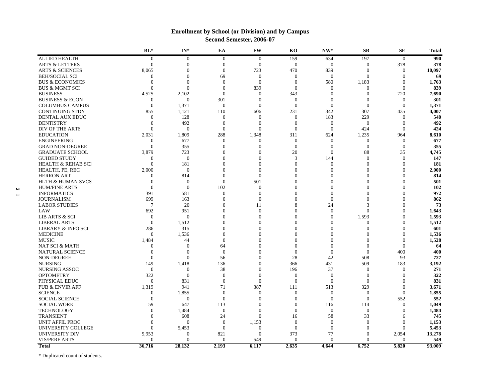|                               | BL*              | $\mathbf{IN}^*$ | EA           | <b>FW</b>        | KO             | $\mathbf{N}\mathbf{W}^*$ | SB                   | SE             | <b>Total</b> |
|-------------------------------|------------------|-----------------|--------------|------------------|----------------|--------------------------|----------------------|----------------|--------------|
| <b>ALLIED HEALTH</b>          | $\theta$         | $\overline{0}$  | $\Omega$     | $\overline{0}$   | 159            | 634                      | 197                  | $\theta$       | 990          |
| <b>ARTS &amp; LETTERS</b>     | $\overline{0}$   | $\overline{0}$  | $\mathbf{0}$ | $\overline{0}$   | $\overline{0}$ | $\mathbf{0}$             | $\mathbf{0}$         | 378            | 378          |
| <b>ARTS &amp; SCIENCES</b>    | 8,065            | $\Omega$        | $\Omega$     | 723              | 470            | 839                      | $\Omega$             | $\Omega$       | 10,097       |
| <b>BEH/SOCIAL SCI</b>         | $\Omega$         | $\theta$        | 69           | $\boldsymbol{0}$ | $\theta$       | $\Omega$                 | $\Omega$             | $\Omega$       | 69           |
| <b>BUS &amp; ECONOMICS</b>    | $\Omega$         | $\theta$        | $\Omega$     | $\overline{0}$   | $\theta$       | 580                      | 1,183                | $\Omega$       | 1,763        |
| <b>BUS &amp; MGMT SCI</b>     | $\Omega$         | $\Omega$        | $\Omega$     | 839              | $\Omega$       | $\Omega$                 | $\Omega$             | $\Omega$       | 839          |
| <b>BUSINESS</b>               | 4,525            | 2,102           | $\Omega$     | $\mathbf{0}$     | 343            | $\overline{0}$           | $\Omega$             | 720            | 7,690        |
| <b>BUSINESS &amp; ECON</b>    | $\Omega$         | $\overline{0}$  | 301          | $\mathbf{0}$     | $\Omega$       | $\Omega$                 | $\Omega$             | $\theta$       | 301          |
| <b>COLUMBUS CAMPUS</b>        | $\theta$         | 1,371           | $\theta$     | $\mathbf{0}$     | $\theta$       | $\mathbf{0}$             | $\Omega$             | $\theta$       | 1,371        |
| <b>CONTINUING STDY</b>        | 855              | 1,121           | 110          | 606              | 231            | 342                      | 307                  | 435            | 4,007        |
| <b>DENTAL AUX EDUC</b>        | $\Omega$         | 128             | $\Omega$     | $\mathbf{0}$     | $\Omega$       | 183                      | 229                  | $\Omega$       | 540          |
| <b>DENTISTRY</b>              | $\theta$         | 492             | $\theta$     | $\mathbf{0}$     | $\theta$       | $\theta$                 | $\theta$             | $\theta$       | 492          |
| DIV OF THE ARTS               | $\Omega$         | $\Omega$        | $\mathbf{0}$ | $\Omega$         | $\Omega$       | $\mathbf{0}$             | 424                  | $\Omega$       | 424          |
| <b>EDUCATION</b>              | 2,031            | 1,809           | 288          | 1,348            | 311            | 624                      | 1,235                | 964            | 8,610        |
| <b>ENGINEERING</b>            | $\Omega$         | 677             | $\Omega$     | $\Omega$         | $\Omega$       | $\Omega$                 | $\theta$             | $\Omega$       | 677          |
| <b>GRAD NON-DEGREE</b>        | $\overline{0}$   | 355             | $\Omega$     | $\mathbf{0}$     | $\mathbf{0}$   | $\Omega$                 | $\mathbf{0}$         | $\theta$       | 355          |
|                               | 3,879            | 723             | $\Omega$     | $\Omega$         | 20             | $\Omega$                 | 88                   | 35             | 4,745        |
| <b>GRADUATE SCHOOL</b>        |                  |                 | $\Omega$     | $\Omega$         | 3              |                          |                      |                |              |
| <b>GUIDED STUDY</b>           | $\boldsymbol{0}$ | $\mathbf{0}$    |              |                  |                | 144                      | $\theta$<br>$\Omega$ | $\overline{0}$ | 147          |
| <b>HEALTH &amp; REHAB SCI</b> | $\Omega$         | 181             | $\Omega$     | $\theta$         | $\Omega$       | $\Omega$                 |                      | $\overline{0}$ | 181          |
| HEALTH, PE, REC               | 2,000            | $\mathbf{0}$    | $\Omega$     | $\mathbf{0}$     | $\Omega$       | $\Omega$                 |                      | $\overline{0}$ | 2,000        |
| <b>HERRON ART</b>             | $\Omega$         | 814             | $\Omega$     | $\mathbf{0}$     | $\Omega$       | $\Omega$                 | $\Omega$             | $\overline{0}$ | 814          |
| <b>HLTH &amp; HUMAN SVCS</b>  | $\Omega$         | $\Omega$        | $\Omega$     | 501              | $\Omega$       | $\Omega$                 | $\Omega$             | $\Omega$       | 501          |
| <b>HUM/FINE ARTS</b>          | $\Omega$         | $\mathbf{0}$    | 102          | $\mathbf{0}$     | $\Omega$       | $\Omega$                 |                      | $\Omega$       | 102          |
| <b>INFORMATICS</b>            | 391              | 581             | $\Omega$     | $\theta$         | $\Omega$       | $\Omega$                 |                      | $\Omega$       | 972          |
| <b>JOURNALISM</b>             | 699              | 163             | $\Omega$     | $\theta$         | $\Omega$       | $\Omega$                 | $\Omega$             | $\Omega$       | 862          |
| <b>LABOR STUDIES</b>          | $\overline{7}$   | 20              | $\Omega$     | 11               | 8              | 24                       | 3                    | $\Omega$       | 73           |
| LAW                           | 692              | 951             | $\Omega$     | $\mathbf{0}$     | $\Omega$       | $\mathbf{0}$             | $\Omega$             | $\overline{0}$ | 1,643        |
| <b>LIB ARTS &amp; SCI</b>     | $\Omega$         | $\mathbf{0}$    | $\Omega$     | $\mathbf{0}$     | 0              | $\Omega$                 | 1,593                | $\Omega$       | 1,593        |
| <b>LIBERAL ARTS</b>           | $\overline{0}$   | 1,512           | $\Omega$     | $\Omega$         | $\Omega$       | $\Omega$                 | $\Omega$             | $\Omega$       | 1,512        |
| <b>LIBRARY &amp; INFO SCI</b> | 286              | 315             | $\Omega$     | $\Omega$         | $\Omega$       | $\Omega$                 | $\Omega$             | $\Omega$       | 601          |
| <b>MEDICINE</b>               | $\overline{0}$   | 1,536           | $\Omega$     | $\Omega$         | $\Omega$       | $\Omega$                 |                      | $\Omega$       | 1,536        |
| <b>MUSIC</b>                  | 1,484            | 44              | $\mathbf{0}$ | $\Omega$         | $\Omega$       | $\Omega$                 | $\Omega$             | $\Omega$       | 1,528        |
| NAT SCI & MATH                | $\Omega$         | $\mathbf{0}$    | 64           | $\Omega$         | $\Omega$       | $\Omega$                 | $\Omega$             | $\Omega$       | 64           |
| <b>NATURAL SCIENCE</b>        | $\theta$         | $\theta$        | $\Omega$     | $\Omega$         | $\theta$       | $\Omega$                 | $\theta$             | 400            | 400          |
| NON-DEGREE                    | $\Omega$         | $\mathbf{0}$    | 56           | $\Omega$         | 28             | 42                       | 508                  | 93             | 727          |
| <b>NURSING</b>                | 149              | 1,418           | 136          | $\Omega$         | 366            | 431                      | 509                  | 183            | 3,192        |
| NURSING ASSOC                 | $\overline{0}$   | $\overline{0}$  | 38           | $\mathbf{0}$     | 196            | 37                       | $\theta$             | $\overline{0}$ | 271          |
| <b>OPTOMETRY</b>              | 322              | $\overline{0}$  | $\theta$     | $\overline{0}$   | $\Omega$       | $\overline{0}$           | $\Omega$             | $\Omega$       | 322          |
| PHYSICAL EDUC                 | $\overline{0}$   | 831             | $\theta$     | $\overline{0}$   | $\Omega$       | $\overline{0}$           | $\Omega$             | $\Omega$       | 831          |
| <b>PUB &amp; ENVIR AFF</b>    | 1,319            | 941             | 71           | 387              | 111            | 513                      | 329                  | $\Omega$       | 3,671        |
| <b>SCIENCE</b>                | $\overline{0}$   | 1,855           | $\theta$     | $\mathbf{0}$     | $\theta$       | $\theta$                 | $\overline{0}$       | $\overline{0}$ | 1,855        |
| <b>SOCIAL SCIENCE</b>         | $\overline{0}$   | $\overline{0}$  | $\mathbf{0}$ | $\Omega$         | $\Omega$       | $\overline{0}$           | $\Omega$             | 552            | 552          |
| <b>SOCIAL WORK</b>            | 59               | 647             | 113          | $\mathbf{0}$     | $\overline{0}$ | 116                      | 114                  | $\overline{0}$ | 1,049        |
| <b>TECHNOLOGY</b>             | $\Omega$         | 1,484           | $\mathbf{0}$ | $\theta$         | $\Omega$       | $\Omega$                 | $\theta$             | $\Omega$       | 1,484        |
| <b>TRANSIENT</b>              | $\Omega$         | 608             | 24           | $\mathbf{0}$     | 16             | 58                       | 33                   | 6              | 745          |
| <b>UNIT AFFIL PROG</b>        | $\Omega$         | $\mathbf{0}$    | $\theta$     | 1,153            | $\Omega$       | $\overline{0}$           | $\Omega$             | $\overline{0}$ | 1,153        |
| UNIVERSITY COLLEGE            | $\theta$         | 5,453           | $\mathbf{0}$ | $\boldsymbol{0}$ | $\theta$       | $\boldsymbol{0}$         | 0                    | $\theta$       | 5,453        |
| UNIVERSITY DIV                | 9.953            | $\Omega$        | 821          | $\theta$         | 373            | 77                       |                      | 2,054          | 13,278       |
|                               | $\Omega$         | $\Omega$        | $\Omega$     | 549              | $\Omega$       | $\Omega$                 | $\Omega$             | $\Omega$       |              |
| <b>VIS/PERF ARTS</b>          |                  |                 |              |                  |                |                          |                      |                | 549          |

### **Enrollment by School (or Division) and by Campus Second Semester, 2006-07**

\* Duplicated count of students.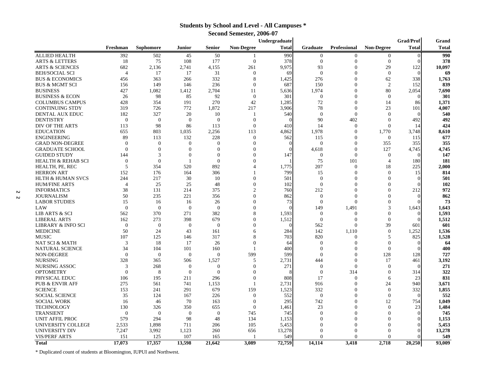#### **Students by School and Level - All Campuses \***

**Second Semester, 2006-07**

|                |                               |                |                  |                |                |                   | Undergraduate |                 |                |                          | <b>Grad/Prof</b> | Grand        |
|----------------|-------------------------------|----------------|------------------|----------------|----------------|-------------------|---------------|-----------------|----------------|--------------------------|------------------|--------------|
|                |                               | Freshman       | Sophomore        | <b>Junior</b>  | <b>Senior</b>  | <b>Non-Degree</b> | <b>Total</b>  | <b>Graduate</b> | Professional   | <b>Non-Degree</b>        | <b>Total</b>     | <b>Total</b> |
|                | <b>ALLIED HEALTH</b>          | 392            | 502              | 45             | 50             | 1                 | 990           | $\mathbf{0}$    | $\theta$       | $\Omega$                 | $\Omega$         | 990          |
|                | <b>ARTS &amp; LETTERS</b>     | 18             | 75               | 108            | 177            | $\overline{0}$    | 378           | $\Omega$        | $\Omega$       | $\Omega$                 | $\Omega$         | 378          |
|                | <b>ARTS &amp; SCIENCES</b>    | 682            | 2,136            | 2,741          | 4,155          | 261               | 9,975         | 93              | $\Omega$       | 29                       | 122              | 10,097       |
|                | <b>BEH/SOCIAL SCI</b>         | $\overline{4}$ | 17               | 17             | 31             | $\Omega$          | 69            | $\Omega$        | $\Omega$       | $\Omega$                 |                  | 69           |
|                | <b>BUS &amp; ECONOMICS</b>    | 456            | 363              | 266            | 332            | 8                 | 1,425         | 276             | $\Omega$       | 62                       | 338              | 1,763        |
|                | <b>BUS &amp; MGMT SCI</b>     | 156            | 149              | 146            | 236            | $\Omega$          | 687           | 150             | $\Omega$       | $\overline{2}$           | 152              | 839          |
|                | <b>BUSINESS</b>               | 427            | 1,082            | 1,412          | 2.704          | 11                | 5,636         | 1,974           | $\Omega$       | 80                       | 2,054            | 7,690        |
|                | <b>BUSINESS &amp; ECON</b>    | 26             | 98               | 85             | 92             | $\overline{0}$    | 301           | $\theta$        | $\Omega$       | $\Omega$                 | $\Omega$         | 301          |
|                | <b>COLUMBUS CAMPUS</b>        | 428            | 354              | 191            | 270            | 42                | 1,285         | 72              | $\Omega$       | 14                       | 86               | 1,371        |
|                | <b>CONTINUING STDY</b>        | 319            | 726              | 772            | 1,872          | 217               | 3,906         | 78              | $\theta$       | 23                       | 101              | 4,007        |
|                | DENTAL AUX EDUC               | 182            | 327              | 20             | 10             | $\mathbf{1}$      | 540           | $\theta$        | $\overline{0}$ | $\Omega$                 |                  | 540          |
|                | <b>DENTISTRY</b>              | $\Omega$       | $\theta$         | $\Omega$       | $\overline{0}$ | $\Omega$          |               | 90              | 402            | $\Omega$                 | 492              | 492          |
|                | DIV OF THE ARTS               | 113            | 98               | 86             | 113            | $\Omega$          | 410           | 14              | $\Omega$       | $\Omega$                 | 14               | 424          |
|                | <b>EDUCATION</b>              | 655            | 803              | 1.035          | 2,256          | 113               | 4,862         | 1,978           | $\Omega$       | 1,770                    | 3,748            | 8,610        |
|                | <b>ENGINEERING</b>            | 89             | 113              | 132            | 228            | $\Omega$          | 562           | 115             | $\Omega$       | $\Omega$                 | 115              | 677          |
|                | <b>GRAD NON-DEGREE</b>        | $\Omega$       | $\Omega$         | $\theta$       | $\Omega$       | $\Omega$          |               | $\Omega$        | $\theta$       | 355                      | 355              | 355          |
|                | <b>GRADUATE SCHOOL</b>        | $\Omega$       | $\boldsymbol{0}$ | $\theta$       | $\Omega$       | $\Omega$          | ∩             | 4,618           | $\Omega$       | 127                      | 4,745            | 4,745        |
|                | <b>GUIDED STUDY</b>           | 144            | 3                | $\Omega$       | $\overline{0}$ | $\Omega$          | 147           | $\theta$        | $\Omega$       | $\theta$                 |                  | 147          |
|                | <b>HEALTH &amp; REHAB SCI</b> | $\overline{0}$ | $\overline{0}$   | $\overline{1}$ | $\overline{0}$ | $\Omega$          |               | 75              | 101            | $\boldsymbol{\varDelta}$ | 180              | 181          |
|                | HEALTH, PE, REC               | 5              | 354              | 520            | 892            | Δ                 | 1,775         | 207             | $\Omega$       | 18                       | 225              | 2,000        |
|                | <b>HERRON ART</b>             | 152            | 176              | 164            | 306            |                   | 799           | 15              | $\Omega$       | $\theta$                 | 15               | 814          |
|                | <b>HLTH &amp; HUMAN SVCS</b>  | 244            | 217              | 30             | 10             | $\mathbf{0}$      | 501           | $\theta$        | $\Omega$       | $\Omega$                 | $\Omega$         | 501          |
|                | <b>HUM/FINE ARTS</b>          | $\overline{4}$ | 25               | 25             | 48             | $\theta$          | 102           | $\mathbf{0}$    | $\sqrt{ }$     | $\theta$                 |                  | 102          |
| 2              | <b>INFORMATICS</b>            | 38             | 131              | 214            | 375            | $\overline{c}$    | 760           | 212             | $\Omega$       | $\theta$                 | 212              | 972          |
| N              | <b>JOURNALISM</b>             | 50             | 235              | 221            | 356            | $\Omega$          | 862           | $\mathbf{0}$    | $\Omega$       | $\Omega$                 | $\cup$           | 862          |
|                | <b>LABOR STUDIES</b>          | 15             | 16               | 16             | 26             | $\Omega$          | 73            | $\overline{0}$  | $\Omega$       | $\theta$                 |                  | 73           |
| LAW            |                               | $\Omega$       | $\mathbf{0}$     | $\Omega$       | $\Omega$       | $\Omega$          |               | 149             | 1,491          | 3                        | 1,643            | 1,643        |
|                | LIB ARTS & SCI                | 562            | 370              | 271            | 382            | 8                 | 1,593         | $\theta$        | $\theta$       | $\theta$                 | $\Omega$         | 1,593        |
|                | <b>LIBERAL ARTS</b>           | 162            | 273              | 398            | 679            | $\Omega$          | 1,512         | $\mathbf{0}$    | $\Omega$       | $\Omega$                 |                  | 1,512        |
|                | LIBRARY & INFO SCI            | $\Omega$       | $\theta$         | $\Omega$       | $\Omega$       | $\Omega$          | $\Omega$      | 562             | $\Omega$       | 39                       | 601              | 601          |
|                | <b>MEDICINE</b>               | 50             | 24               | 43             | 161            | 6                 | 284           | 142             | 1,110          | $\theta$                 | 1,252            | 1,536        |
| <b>MUSIC</b>   |                               | 107            | 125              | 146            | 317            | 8                 | 703           | 820             | $\Omega$       | 5                        | 825              | 1,528        |
|                | NAT SCI & MATH                | 3              | 18               | 17             | 26             | $\Omega$          | 64            | $\Omega$        | $\Omega$       | $\Omega$                 | $\Omega$         | 64           |
|                | NATURAL SCIENCE               | 34             | 104              | 101            | 160            |                   | 400           | $\theta$        | $\Omega$       | $\Omega$                 | $\Omega$         | 400          |
|                | <b>NON-DEGREE</b>             | $\Omega$       | $\theta$         | $\Omega$       | $\Omega$       | 599               | 599           | $\Omega$        | $\Omega$       | 128                      | 128              | 727          |
| <b>NURSING</b> |                               | 328            | 365              | 506            | 1,527          | 5                 | 2,731         | 444             | $\Omega$       | 17                       | 461              | 3,192        |
|                | <b>NURSING ASSOC</b>          | 3              | 268              | $\theta$       | $\Omega$       | $\Omega$          | 271           | $\theta$        | $\Omega$       | $\Omega$                 | $\Omega$         | 271          |
|                | <b>OPTOMETRY</b>              | $\Omega$       | 8                | $\Omega$       | $\Omega$       | $\Omega$          |               | $\theta$        | 314            | $\Omega$                 | 314              | 322          |
|                | PHYSICAL EDUC                 | 106            | 195              | 211            | 296            | $\Omega$          | 808           | 17              | $\Omega$       | 6                        | 23               | 831          |
|                | <b>PUB &amp; ENVIR AFF</b>    | 275            | 561              | 741            | 1,153          |                   | 2,731         | 916             | $\Omega$       | 24                       | 940              | 3,671        |
| <b>SCIENCE</b> |                               | 153            | 241              | 291            | 679            | 159               | 1,523         | 332             | $\Omega$       | $\Omega$                 | 332              | 1,855        |
|                | <b>SOCIAL SCIENCE</b>         | 35             | 124              | 167            | 226            | $\Omega$          | 552           | $\Omega$        | $\Omega$       | $\Omega$                 | $\Omega$         | 552          |
|                | <b>SOCIAL WORK</b>            | 16             | 46               | 70             | 163            | $\Omega$          | 295           | 742             | $\Omega$       | 12                       | 754              | 1,049        |
|                | <b>TECHNOLOGY</b>             | 130            | 326              | 350            | 655            | $\Omega$          | 1.461         | 23              | $\Omega$       | $\Omega$                 | 23               | 1,484        |
|                | <b>TRANSIENT</b>              | $\Omega$       | $\mathbf{0}$     | $\Omega$       | $\mathbf{0}$   | 745               | 745           | $\Omega$        | $\Omega$       | $\Omega$                 |                  | 745          |
|                | <b>UNIT AFFIL PROG</b>        | 579            | 294              | 98             | 48             | 134               | 1,153         | $\Omega$        | $\Omega$       | $\Omega$                 |                  | 1,153        |
|                | UNIVERSITY COLLEGE            | 2,533          | 1,898            | 711            | 206            | 105               | 5,453         | $\Omega$        | $\Omega$       | $\Omega$                 |                  | 5,453        |
|                | UNIVERSITY DIV                | 7,247          | 3,992            | 1,123          | 260            | 656               | 13,278        | $\Omega$        | $\Omega$       | $\Omega$                 | $\Omega$         | 13,278       |
|                | <b>VIS/PERF ARTS</b>          | 151            | 125              | 107            | 165            |                   | 549           | $\Omega$        | $\Omega$       | $\Omega$                 |                  | 549          |
| <b>Total</b>   |                               | 17,073         | 17,357           | 13,598         | 21,642         | 3,089             | 72,759        | 14,114          | 3,418          | 2.718                    | 20,250           | 93,009       |

\* Duplicated count of students at Bloomington, IUPUI and Northwest.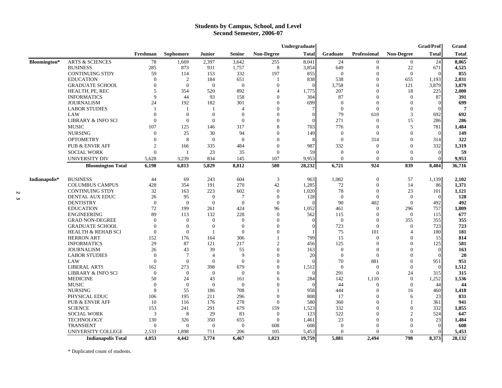#### **Students by Campus, School, and Level Second Semester, 2006-07**

|               |                                                    |                |                       |                                |                     |                                | Undergraduate     |                  |                      |                                | Grad/Prof       | Grand        |
|---------------|----------------------------------------------------|----------------|-----------------------|--------------------------------|---------------------|--------------------------------|-------------------|------------------|----------------------|--------------------------------|-----------------|--------------|
|               |                                                    | Freshman       | Sophomore             | Junior                         | <b>Senior</b>       | Non-Degree                     | <b>Total</b>      | Graduate         | <b>Professional</b>  | <b>Non-Degree</b>              | <b>Total</b>    | <b>Total</b> |
| Bloomington*  | <b>ARTS &amp; SCIENCES</b>                         | 78             | 1,669                 | 2,397                          | 3,642               | 255                            | 8,041             | 24               | $\theta$             | $\mathbf{0}$                   | 24              | 8,065        |
|               | <b>BUSINESS</b>                                    | 285            | 873                   | 931                            | 1,757               | 8                              | 3,854             | 649              | $\theta$             | $22\,$                         | 671             | 4,525        |
|               | <b>CONTINUING STDY</b>                             | 59             | 114                   | 153                            | 332                 | 197                            | 855               | $\Omega$         | $\Omega$             | $\overline{0}$                 | $\Omega$        | 855          |
|               | <b>EDUCATION</b>                                   | $\Omega$       | $\overline{c}$        | 184                            | 651                 |                                | 838               | 538              | $\theta$             | 655                            | 1,193           | 2,031        |
|               | <b>GRADUATE SCHOOL</b>                             | $\Omega$       | $\theta$              | $\boldsymbol{0}$               | $\boldsymbol{0}$    | $\theta$                       | $\sqrt{ }$        | 3,758            | $\theta$             | 121                            | 3,879           | 3,879        |
|               | HEALTH, PE, REC                                    | 5              | 354                   | 520                            | 892                 |                                | 1,775             | 207              | $\Omega$             | 18                             | 225             | 2,000        |
|               | <b>INFORMATICS</b>                                 | $\overline{Q}$ | 44                    | 93                             | 158                 | $\Omega$                       | 304               | 87               | $\Omega$             | $\Omega$                       | 87              | 391          |
|               | <b>JOURNALISM</b>                                  | 24             | 192                   | 182                            | 301                 | $\Omega$                       | 699               | $\Omega$         | $\Omega$             | $\Omega$                       | $\Omega$        | 699          |
|               | <b>LABOR STUDIES</b>                               |                | $\overline{1}$        | $\overline{1}$                 | 4                   | $\Omega$                       | 7                 | $\theta$         | $\Omega$             | $\mathbf{0}$                   | $\Omega$        |              |
|               | LAW                                                | $\Omega$       | $\Omega$              | $\mathbf{0}$                   | $\mathbf{0}$        | $\Omega$                       |                   | 79               | 610                  | 3                              | 692             | 692          |
|               | LIBRARY & INFO SCI                                 | $\Omega$       | $\theta$              | $\theta$                       | $\mathbf{0}$        |                                |                   | 271              | $\Omega$             | 15                             | 286             | 286          |
|               | <b>MUSIC</b>                                       | 107            | 125                   | 146                            | 317                 | 8                              | 703               | 776              | $\Omega$             | 5                              | 781             | 1,484        |
|               | <b>NURSING</b>                                     | $\Omega$       | 25                    | 30                             | 94                  |                                | 149               | $\boldsymbol{0}$ | $\theta$             | $\boldsymbol{0}$               | $\Omega$        | 149          |
|               | <b>OPTOMETRY</b>                                   | $\Omega$       | 8                     | $\overline{0}$                 | $\overline{0}$      | $\Omega$                       |                   | $\theta$         | 314                  | $\mathbf{0}$                   | 314             | 322          |
|               | <b>PUB &amp; ENVIR AFF</b>                         | $\overline{c}$ | 166                   | 335                            | 484                 | $\Omega$                       | 987               | 332              | $\Omega$             | $\Omega$                       | 332             | 1,319        |
|               | <b>SOCIAL WORK</b>                                 | $\Omega$       | $\overline{1}$        | 23                             | 35                  | $\theta$                       | 59                | $\mathbf{0}$     | $\Omega$             | $\mathbf{0}$                   | $\Omega$        |              |
|               | UNIVERSITY DIV                                     | 5,628          | 3,239                 | 834                            | 145                 | 107                            | 9.953             | $\Omega$         | $\Omega$             | $\Omega$                       | $\Omega$        | 9,953        |
|               | <b>Bloomington Total</b>                           | 6,198          | 6.813                 | 5,829                          | 8,812               | 580                            | 28,232            | 6.721            | 924                  | 839                            | 8,484           | 36,716       |
|               |                                                    |                |                       |                                |                     |                                |                   |                  |                      |                                |                 |              |
| Indianapolis* | <b>BUSINESS</b>                                    | 44             | 69                    | 243                            | 604                 | 3                              | 963               | 1,082            | $\theta$             | 57                             | 1,139           | 2,102        |
|               | <b>COLUMBUS CAMPUS</b>                             | 428            | 354                   | 191                            | 270                 | 42                             | 1,285             | 72               | $\mathbf{0}$         | 14                             | 86              | 1,371        |
|               | <b>CONTINUING STDY</b>                             | 32             | 163                   | 223                            | 602                 | $\mathbf{0}$                   | 1,020             | 78               | $\theta$             | 23                             | 101             | 1,121<br>128 |
|               | DENTAL AUX EDUC                                    | 26             | 95                    | $\overline{0}$                 | $7\phantom{.0}$     | $\theta$                       | 128<br>$\sqrt{ }$ | $\theta$         | $\Omega$             | $\mathbf{0}$                   | $\Omega$        |              |
|               | <b>DENTISTRY</b><br><b>EDUCATION</b>               | $\Omega$<br>72 | $\overline{0}$<br>199 | $\overline{0}$                 | $\theta$<br>424     | $\mathbf{0}$<br>96             |                   | 90               | 402                  | $\mathbf{0}$<br>296            | 492<br>757      | 492          |
|               |                                                    |                |                       | 261                            |                     |                                | 1,052             | 461              | $\Omega$             |                                |                 | 1,809        |
|               | <b>ENGINEERING</b>                                 | 89<br>$\Omega$ | 113                   | 132                            | 228<br>$\mathbf{0}$ | $\mathbf{0}$<br>$\Omega$       | 562               | 115              | $\theta$<br>$\Omega$ | $\overline{0}$                 | 115             | 677          |
|               | <b>GRAD NON-DEGREE</b>                             | $\Omega$       | $\Omega$<br>$\Omega$  | $\mathbf{0}$<br>$\overline{0}$ | $\mathbf{0}$        | $\Omega$                       |                   | $\overline{0}$   | $\Omega$             | 355                            | 355             | 355          |
|               | <b>GRADUATE SCHOOL</b>                             | $\Omega$       | $\Omega$              | $\overline{1}$                 | $\theta$            |                                |                   | 723              |                      | $\mathbf{0}$<br>$\overline{4}$ | 723             | 723          |
|               | <b>HEALTH &amp; REHAB SCI</b><br><b>HERRON ART</b> | 152            |                       | 164                            | 306                 |                                | 799               | 75<br>15         | 101<br>$\Omega$      | $\Omega$                       | 180             | 181          |
|               |                                                    | 29             | 176                   |                                |                     |                                |                   |                  | $\Omega$             | $\theta$                       | 15              | 814          |
|               | <b>INFORMATICS</b>                                 | 26             | 87<br>43              | 121                            | 217                 | $\mathfrak{2}$<br>$\mathbf{0}$ | 456               | 125<br>$\theta$  | $\Omega$             | $\Omega$                       | 125<br>$\theta$ | 581<br>163   |
|               | <b>JOURNALISM</b><br><b>LABOR STUDIES</b>          | $\Omega$       | $7\phantom{.0}$       | 39<br>$\overline{4}$           | 55<br>9             | $\Omega$                       | 163<br>20         | $\theta$         | $\Omega$             | $\theta$                       | $\Omega$        |              |
|               | LAW                                                | 0              | $\theta$              | $\theta$                       | $\theta$            |                                | ſ                 | 70               | 881                  | $\mathbf{0}$                   | 951             |              |
|               |                                                    | 162            |                       | 398                            | 679                 |                                |                   | $\overline{0}$   | $\Omega$             | $\overline{0}$                 | $\Omega$        | 951          |
|               | <b>LIBERAL ARTS</b>                                | $\theta$       | 273<br>$\overline{0}$ | $\theta$                       | $\mathbf{0}$        |                                | 1,512<br>$\Omega$ | 291              | $\Omega$             | 24                             | 315             | 1,512        |
|               | LIBRARY & INFO SCI<br><b>MEDICINE</b>              | 50             | 24                    | 43                             | 161                 | 6                              | 284               | 142              |                      | $\mathbf{0}$                   | 1,252           | 315          |
|               | <b>MUSIC</b>                                       | $\Omega$       | $\overline{0}$        | $\theta$                       | $\theta$            | $\Omega$                       | $\sqrt{ }$        | 44               | 1,110<br>$\Omega$    | $\mathbf{0}$                   | 44              | 1,536        |
|               | <b>NURSING</b>                                     | 8              | 55                    | 186                            | 708                 |                                | 958               | 444              | $\Omega$             | 16                             | 460             | 1,418        |
|               |                                                    |                |                       |                                |                     | $\Omega$                       |                   |                  | $\Omega$             |                                |                 |              |
|               | PHYSICAL EDUC<br>PUB & ENVIR AFF                   | 106<br>10      | 195<br>116            | 211<br>176                     | 296<br>278          | $\mathbf{0}$                   | 808<br>580        | 17<br>360        | $\Omega$             | 6<br>-1                        | 23<br>361       | 831<br>941   |
|               | <b>SCIENCE</b>                                     | 153            | 241                   | 291                            | 679                 | 159                            | 1,523             | 332              | $\Omega$             | $\overline{0}$                 | 332             | 1,855        |
|               | <b>SOCIAL WORK</b>                                 | 3              | 8                     | 29                             | 83                  | $\overline{0}$                 | 123               | 522              | $\Omega$             | $\mathfrak{2}$                 | 524             |              |
|               | <b>TECHNOLOGY</b>                                  | 130            | 326                   | 350                            | 655                 | $\overline{0}$                 | 1,461             | 23               | $\Omega$             | $\Omega$                       | 23              | 647          |
|               | <b>TRANSIENT</b>                                   | $\Omega$       | $\Omega$              | $\mathbf{0}$                   | $\mathbf{0}$        | 608                            | 608               | $\theta$         | $\Omega$             | $\Omega$                       | $\Omega$        | 1,484        |
|               | UNIVERSITY COLLEGE                                 | 2,533          | 1,898                 | 711                            | 206                 | 105                            | 5,453             | $\Omega$         | $\Omega$             | $\Omega$                       | $\Omega$        | 608<br>5,453 |
|               | <b>Indianapolis Total</b>                          | 4.053          | 4.442                 | 3,774                          | 6.467               | 1.023                          | 19,759            | 5.081            | 2.494                | 798                            | 8,373           | 28,132       |
|               |                                                    |                |                       |                                |                     |                                |                   |                  |                      |                                |                 |              |

\* Duplicated count of students.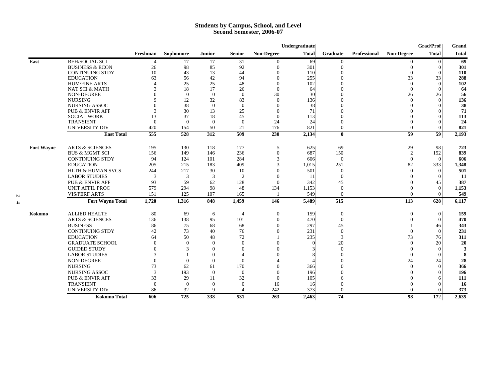#### **Students by Campus, School, and Level Second Semester, 2006-07**

|            |                              |          |               |                |                |              | Undergraduate |                  |              |                   | Grad/Prof      | Grand        |
|------------|------------------------------|----------|---------------|----------------|----------------|--------------|---------------|------------------|--------------|-------------------|----------------|--------------|
|            |                              | Freshman | Sophomore     | Junior         | <b>Senior</b>  | Non-Degree   | <b>Total</b>  | <b>Graduate</b>  | Professional | <b>Non-Degree</b> | <b>Total</b>   | <b>Total</b> |
| East       | <b>BEH/SOCIAL SCI</b>        |          | 17            | 17             | 31             | $\mathbf{0}$ | 69            | $\overline{0}$   |              | $\mathbf{0}$      | $\overline{0}$ | 69           |
|            | <b>BUSINESS &amp; ECON</b>   | 26       | 98            | 85             | 92             | $\Omega$     | 301           | $\theta$         |              | $\theta$          | $\Omega$       | 301          |
|            | <b>CONTINUING STDY</b>       | 10       | 43            | 13             | 44             |              | 110           | $\theta$         |              | $\Omega$          | $\Omega$       | 110          |
|            | <b>EDUCATION</b>             | 63       | 56            | 42             | 94             | $\Omega$     | 255           | $\theta$         |              | 33                | 33             | 288          |
|            | <b>HUM/FINE ARTS</b>         | $\Delta$ | 25            | 25             | 48             | $\theta$     | 102           | $\theta$         |              | $\theta$          | $\theta$       | 102          |
|            | <b>NAT SCI &amp; MATH</b>    | 3        | 18            | 17             | 26             | $\Omega$     | 64            | $\theta$         |              | $\theta$          | $\Omega$       | 64           |
|            | NON-DEGREE                   | $\Omega$ | $\theta$      | $\theta$       | $\theta$       | 30           | 30            | $\Omega$         |              | 26                | 26             | 56           |
|            | <b>NURSING</b>               | 9        | 12            | 32             | 83             | $\Omega$     | 136           | $\Omega$         |              | $\Omega$          | $\Omega$       | 136          |
|            | <b>NURSING ASSOC</b>         | $\Omega$ | 38            | $\overline{0}$ | $\mathbf{0}$   |              | 38            | $\Omega$         |              |                   | $\Omega$       | 38           |
|            | <b>PUB &amp; ENVIR AFF</b>   | 3        | 30            | 13             | 25             |              | 71            |                  |              |                   | $\Omega$       | 71           |
|            | <b>SOCIAL WORK</b>           | 13       | 37            | 18             | 45             | $\theta$     | 113           | $\Omega$         |              |                   | $\Omega$       | 113          |
|            | <b>TRANSIENT</b>             | $\Omega$ | $\Omega$      | $\overline{0}$ | $\Omega$       | 24           | 24            | $\Omega$         |              |                   | $\Omega$       | 24           |
|            | UNIVERSITY DIV               | 420      | 154           | 50             | 21             | 176          | 821           | $\overline{0}$   |              | $\Omega$          | $\Omega$       | 821          |
|            | <b>East Total</b>            | 555      | 528           | 312            | 509            | 230          | 2,134         | $\bf{0}$         |              | 59                | 59             | 2,193        |
| Fort Wayne | <b>ARTS &amp; SCIENCES</b>   | 195      | 130           | 118            | 177            | 5            | 625           | 69               |              | 29                | 98             | 723          |
|            | <b>BUS &amp; MGMT SCI</b>    | 156      | 149           | 146            | 236            | $\Omega$     | 687           | 150              |              | 2                 | 152            | 839          |
|            | <b>CONTINUING STDY</b>       | 94       | 124           | 101            | 284            | 3            | 606           | $\theta$         |              | $\mathbf{0}$      | $\Omega$       | 606          |
|            | <b>EDUCATION</b>             | 205      | 215           | 183            | 409            | 3            | 1,015         | 251              |              | 82                | 333            | 1,348        |
|            | <b>HLTH &amp; HUMAN SVCS</b> | 244      | 217           | 30             | 10             |              | 501           | $\mathbf{0}$     |              | $\Omega$          | $\Omega$       | 501          |
|            | <b>LABOR STUDIES</b>         | 3        | 3             | 3              | 2              |              | 11            | $\theta$         |              |                   | $\Omega$       | 11           |
|            | <b>PUB &amp; ENVIR AFF</b>   | 93       | 59            | 62             | 128            | $\Omega$     | 342           | 45               |              | 0                 | 45             | 387          |
|            | <b>UNIT AFFIL PROG</b>       | 579      | 294           | 98             | 48             | 134          | 1,153         | $\mathbf{0}$     |              |                   | $\Omega$       | 1,153        |
|            | <b>VIS/PERF ARTS</b>         | 151      | 125           | 107            | 165            |              | 549           | $\Omega$         |              | $\Omega$          | $\Omega$       | 549          |
|            | <b>Fort Wayne Total</b>      | 1,720    | 1,316         | 848            | 1,459          | 146          | 5,489         | 515              |              | 113               | 628            | 6,117        |
| Kokomo     | <b>ALLIED HEALTH</b>         | 80       | 69            |                | $\overline{4}$ | $\mathbf{0}$ | 159           |                  |              | $\mathbf{0}$      | $\overline{0}$ | 159          |
|            |                              |          |               | 6              | 101            |              | 470           | $\theta$         |              |                   | $\Omega$       | 470          |
|            | <b>ARTS &amp; SCIENCES</b>   | 136      | 138           | 95             |                | $\Omega$     |               | $\mathbf{0}$     |              | $\Omega$          |                |              |
|            | <b>BUSINESS</b>              | 86       | 75            | 68             | 68             |              | 297           | 45               |              |                   | 46             | 343          |
|            | <b>CONTINUING STDY</b>       | 42       | 73            | 40             | 76             |              | 231           | $\boldsymbol{0}$ |              | $\Omega$          | $\Omega$       | 231          |
|            | <b>EDUCATION</b>             | 64       | 50            | 48             | 72             |              | 235           | 3                |              | 73                | 76             | 311          |
|            | <b>GRADUATE SCHOOL</b>       | $\Omega$ | $\Omega$      | $\theta$       | $\Omega$       |              |               | 20               |              | $\Omega$          | 20             | 20           |
|            | <b>GUIDED STUDY</b>          | $\Omega$ | $\mathcal{R}$ | $\theta$       | $\Omega$       |              |               | $\Omega$         |              | $\Omega$          | $\Omega$       | 3            |
|            | <b>LABOR STUDIES</b>         |          |               | $\overline{0}$ |                |              |               | 0                |              | $\mathbf{0}$      | $\Omega$       | 8            |
|            | NON-DEGREE                   | 0        | $\Omega$      | $\theta$       | $\Omega$       |              |               | $\Omega$         |              | 24                | 24             | 28           |
|            | <b>NURSING</b>               | 73       | 62            | 61             | 170            |              | 366           |                  |              | $\Omega$          | $\Omega$       | 366          |
|            | <b>NURSING ASSOC</b>         | 3        | 193           | $\theta$       | $\overline{0}$ |              | 196           | 0                |              |                   | $\Omega$       | 196          |
|            | <b>PUB &amp; ENVIR AFF</b>   | 33       | 29            | 11             | 32             | $\Omega$     | 105           | 6                |              |                   | 6              | 111          |
|            | <b>TRANSIENT</b>             | $\Omega$ | $\mathbf{0}$  | $\theta$       | $\Omega$       | 16           | 16            | $\Omega$         |              |                   |                | 16           |
|            | UNIVERSITY DIV               | 86       | 32            | 9              | $\overline{4}$ | 242          | 373           | $\Omega$         |              | $\Omega$          | $\Omega$       | 373          |
|            | <b>Kokomo Total</b>          | 606      | 725           | 338            | 531            | 263          | 2,463         | 74               |              | 98                | 172            | 2,635        |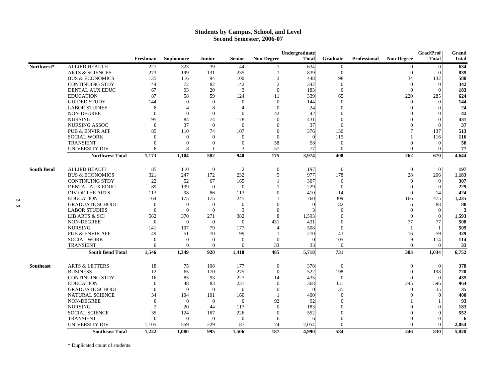#### **Students by Campus, School, and Level Second Semester, 2006-07**

|                   |                            |                |                |                |                |                  | Undergraduate |                  |              |                   | <b>Grad/Prof</b> | Grand        |
|-------------------|----------------------------|----------------|----------------|----------------|----------------|------------------|---------------|------------------|--------------|-------------------|------------------|--------------|
|                   |                            | Freshman       | Sophomore      | <b>Junior</b>  | Senior         | Non-Degree       | <b>Total</b>  | Graduate         | Professional | <b>Non-Degree</b> | <b>Total</b>     | <b>Total</b> |
| Northwest*        | <b>ALLIED HEALTH</b>       | 227            | 323            | 39             | 44             |                  | 634           | $\mathbf{0}$     |              | $\mathbf{0}$      | $\overline{0}$   | 634          |
|                   | <b>ARTS &amp; SCIENCES</b> | 273            | 199            | 131            | 235            |                  | 839           | $\boldsymbol{0}$ |              | $\mathbf{0}$      | $\Omega$         | 839          |
|                   | <b>BUS &amp; ECONOMICS</b> | 135            | 116            | 94             | 100            | 3                | 448           | 98               |              | 34                | 132              | 580          |
|                   | <b>CONTINUING STDY</b>     | 44             | 72             | 82             | 142            | $\overline{c}$   | 342           | $\overline{0}$   |              | $\overline{0}$    | $\Omega$         | 342          |
|                   | DENTAL AUX EDUC            | 67             | 93             | 20             | 3              | $\mathbf{0}$     | 183           | $\theta$         |              | $\mathbf{0}$      | $\Omega$         | 183          |
|                   | <b>EDUCATION</b>           | 87             | 58             | 59             | 124            | 11               | 339           | 65               |              | 220               | 285              | 624          |
|                   | <b>GUIDED STUDY</b>        | 144            | $\Omega$       | $\theta$       | $\theta$       | $\mathbf{0}$     | 144           | $\theta$         |              | $\mathbf{0}$      | $\Omega$         | 144          |
|                   | <b>LABOR STUDIES</b>       | 8              |                | 8              | $\overline{4}$ | $\mathbf{0}$     | 24            | $\Omega$         |              | $\Omega$          | $\Omega$         | 24           |
|                   | NON-DEGREE                 | $\overline{0}$ | $\Omega$       | $\mathbf{0}$   | $\overline{0}$ | 42               | 42            | $\Omega$         |              |                   |                  | 42           |
|                   | <b>NURSING</b>             | 95             | 84             | 74             | 178            | $\Omega$         | 431           | $\Omega$         |              |                   | $\Omega$         | 431          |
|                   | NURSING ASSOC              | $\Omega$       | 37             | $\overline{0}$ | $\Omega$       | $\Omega$         | 37            | $\Omega$         |              |                   | $\Omega$         | 37           |
|                   | <b>PUB &amp; ENVIR AFF</b> | 85             | 110            | 74             | 107            | $\Omega$         | 376           | 130              |              |                   | 137              | 513          |
|                   | <b>SOCIAL WORK</b>         | $\Omega$       | $\Omega$       | $\theta$       | $\overline{0}$ | $\Omega$         | $\Omega$      | 115              |              |                   | 116              | 116          |
|                   | <b>TRANSIENT</b>           | $\Omega$       | $\Omega$       | $\overline{0}$ | $\overline{0}$ | 58               | 58            | $\Omega$         |              | $\Omega$          | $\Omega$         | 58           |
|                   | UNIVERSITY DIV             | 8              | 8              |                | 3              | 57               | 77            | $\mathbf{0}$     |              | $\Omega$          | $\Omega$         | 77           |
|                   | <b>Northwest Total</b>     | 1,173          | 1.104          | 582            | 940            | $\overline{175}$ | 3,974         | 408              |              | 262               | 670              | 4,644        |
| <b>South Bend</b> | <b>ALLIED HEALTH</b>       | 85             | 110            | $\overline{0}$ | $\overline{2}$ | $\mathbf{0}$     | 197           | $\theta$         |              | $\overline{0}$    | $\Omega$         | 197          |
|                   | <b>BUS &amp; ECONOMICS</b> | 321            | 247            | 172            | 232            | 5                | 977           | 178              |              | 28                | 206              | 1,183        |
|                   | <b>CONTINUING STDY</b>     | 22             | 52             | 67             | 165            |                  | 307           | $\overline{0}$   |              | $\Omega$          | $\Omega$         | 307          |
|                   | <b>DENTAL AUX EDUC</b>     | 89             | 139            | $\overline{0}$ | $\Omega$       |                  | 229           | $\Omega$         |              | $\Omega$          | $\Omega$         | 229          |
|                   | DIV OF THE ARTS            | 113            | 98             | 86             | 113            |                  | 410           | 14               |              | $\Omega$          | 14               | 424          |
|                   | <b>EDUCATION</b>           | 164            | 175            | 175            | 245            |                  | 760           | 309              |              | 166               | 475              | 1,235        |
|                   | <b>GRADUATE SCHOOL</b>     | $\overline{0}$ | $\mathbf{0}$   | $\mathbf{0}$   | $\mathbf{0}$   |                  |               | 82               |              | 6                 | 88               | 88           |
|                   | <b>LABOR STUDIES</b>       | $\theta$       | $\overline{0}$ | $\mathbf{0}$   | 3              | $\Omega$         |               | $\Omega$         |              | $\Omega$          | $\Omega$         | 3            |
|                   | LIB ARTS & SCI             | 562            | 370            | 271            | 382            | 8                | 1,593         | $\Omega$         |              | $\boldsymbol{0}$  | $\Omega$         | 1,593        |
|                   | NON-DEGREE                 | $\overline{0}$ | $\overline{0}$ | $\mathbf{0}$   | $\overline{0}$ | 431              | 431           | $\Omega$         |              | 77                | 77               | 508          |
|                   | <b>NURSING</b>             | 141            | 107            | 79             | 177            | $\overline{4}$   | 508           | $\overline{0}$   |              | -1                |                  | 509          |
|                   | <b>PUB &amp; ENVIR AFF</b> | 49             | 51             | 70             | 99             |                  | 270           | 43               |              | 16                | 59               | 329          |
|                   | <b>SOCIAL WORK</b>         | $\mathbf{0}$   | $\overline{0}$ | $\mathbf{0}$   | $\overline{0}$ | $\theta$         | $\Omega$      | 105              |              | 9                 | 114              | 114          |
|                   | <b>TRANSIENT</b>           | $\Omega$       | $\Omega$       | $\theta$       | $\Omega$       | 33               | 33            | $\Omega$         |              | $\Omega$          | $\Omega$         | 33           |
|                   | <b>South Bend Total</b>    | 1,546          | 1,349          | 920            | 1,418          | 485              | 5,718         | 731              |              | 303               | 1,034            | 6,752        |
| <b>Southeast</b>  | <b>ARTS &amp; LETTERS</b>  | 18             | 75             | 108            | 177            | $\mathbf{0}$     | 378           | $\overline{0}$   |              | $\mathbf{0}$      | $\overline{0}$   | 378          |
|                   | <b>BUSINESS</b>            | 12             | 65             | 170            | 275            | $\theta$         | 522           | 198              |              | $\Omega$          | 198              | 720          |
|                   | <b>CONTINUING STDY</b>     | 16             | 85             | 93             | 227            | 14               | 435           | $\Omega$         |              | $\Omega$          | $\Omega$         | 435          |
|                   | <b>EDUCATION</b>           | $\Omega$       | 48             | 83             | 237            | $\Omega$         | 368           | 351              |              | 245               | 596              | 964          |
|                   | <b>GRADUATE SCHOOL</b>     | $\Omega$       | $\overline{0}$ | $\theta$       | $\overline{0}$ | $\Omega$         | $\Omega$      | 35               |              | $\Omega$          | 35               | 35           |
|                   | NATURAL SCIENCE            | 34             | 104            | 101            | 160            |                  | 400           | $\Omega$         |              | 0                 | $\Omega$         | 400          |
|                   | <b>NON-DEGREE</b>          | $\Omega$       | $\overline{0}$ | $\theta$       | $\overline{0}$ | 92               | 92            | $\Omega$         |              |                   |                  | 93           |
|                   | <b>NURSING</b>             | 2              | 20             | 44             | 117            | $\Omega$         | 183           | 0                |              | $\Omega$          |                  | 183          |
|                   | <b>SOCIAL SCIENCE</b>      | 35             | 124            | 167            | 226            | $\theta$         | 552           | $\Omega$         |              |                   | $\Omega$         | 552          |
|                   | <b>TRANSIENT</b>           | $\Omega$       | $\overline{0}$ | $\theta$       | $\overline{0}$ | 6                | 6             | $\Omega$         |              |                   | $\Omega$         | 6            |
|                   | UNIVERSITY DIV             | 1,105          | 559            | 229            | 87             | 74               | 2,054         | $\Omega$         |              | $\Omega$          | $\Omega$         | 2,054        |
|                   | <b>Southeast Total</b>     | 1,222          | 1.080          | 995            | 1.506          | 187              | 4.990         | 584              |              | 246               | 830              | 5.820        |

\* Duplicated count of students.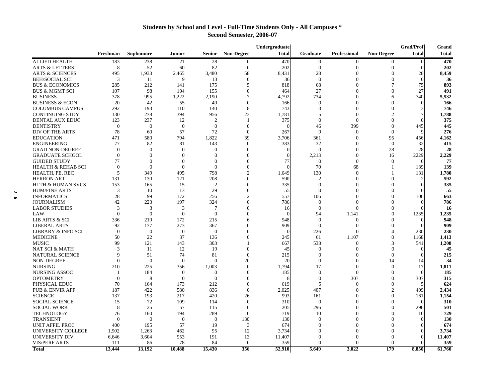### **Students by School and Level - Full-Time Students Only - All Campuses \* Second Semester, 2006-07**

|                                       |                |           |                 |                |                   | Undergraduate |                  |                     |                   | <b>Grad/Prof</b> | Grand        |
|---------------------------------------|----------------|-----------|-----------------|----------------|-------------------|---------------|------------------|---------------------|-------------------|------------------|--------------|
|                                       | Freshman       | Sophomore | Junior          | Senior         | <b>Non-Degree</b> | <b>Total</b>  | Graduate         | <b>Professional</b> | <b>Non-Degree</b> | <b>Total</b>     | <b>Total</b> |
| <b>ALLIED HEALTH</b>                  | 183            | 238       | 21              | 28             | $\Omega$          | 470           | $\mathbf{0}$     | $\overline{0}$      | $\Omega$          | $\Omega$         | 470          |
| <b>ARTS &amp; LETTERS</b>             | 8              | 52        | 60              | 82             | $\Omega$          | 202           | $\boldsymbol{0}$ | $\boldsymbol{0}$    | $\mathbf{0}$      | $\Omega$         | 202          |
| <b>ARTS &amp; SCIENCES</b>            | 495            | 1,933     | 2,465           | 3,480          | 58                | 8,431         | 28               | $\Omega$            | $\Omega$          | 28               | 8,459        |
| <b>BEH/SOCIAL SCI</b>                 | 3              | 11        | $\mathbf Q$     | 13             | $\Omega$          | 36            | $\Omega$         |                     | $\Omega$          | $\Omega$         | 36           |
| <b>BUS &amp; ECONOMICS</b>            | 285            | 212       | 141             | 175            | 5                 | 818           | 68               | $\Omega$            | $\overline{7}$    | 75               | 893          |
| <b>BUS &amp; MGMT SCI</b>             | 107            | 98        | 104             | 155            | $\Omega$          | 464           | 27               | $\Omega$            | $\Omega$          | 27               | 491          |
| <b>BUSINESS</b>                       | 378            | 995       | 1,222           | 2.190          | $\overline{7}$    | 4.792         | 734              | $\Omega$            | 6                 | 740              | 5,532        |
| <b>BUSINESS &amp; ECON</b>            | 20             | 42        | 55              | 49             | $\Omega$          | 166           | $\Omega$         | $\Omega$            | $\Omega$          |                  | 166          |
| <b>COLUMBUS CAMPUS</b>                | 292            | 193       | 110             | 140            | 8                 | 743           | 3                |                     | $\Omega$          |                  | 746          |
| <b>CONTINUING STDY</b>                | 130            | 278       | 394             | 956            | 23                | 1.781         | 5                | $\Omega$            | $\mathfrak{D}$    |                  | 1,788        |
| DENTAL AUX EDUC                       | 123            | 237       | 12              | $\mathfrak{D}$ |                   | 375           | $\mathbf{0}$     | $\Omega$            | $\Omega$          | $\Omega$         | 375          |
| <b>DENTISTRY</b>                      | $\theta$       | $\theta$  | $\Omega$        | $\Omega$       | $\Omega$          | $\Omega$      | 46               | 399                 | $\Omega$          | 445              | 445          |
| DIV OF THE ARTS                       | 78             | 60        | 57              | 72             | $\Omega$          | 267           | $\mathbf Q$      | $\Omega$            | $\theta$          | $\mathbf Q$      | 276          |
| <b>EDUCATION</b>                      | 471            | 580       | 794             | 1.822          | 39                | 3.706         | 361              | $\Omega$            | 95                | 456              | 4,162        |
| <b>ENGINEERING</b>                    | 77             | 82        | 81              | 143            | $\Omega$          | 383           | 32               | $\Omega$            | $\mathbf{0}$      | 32               | 415          |
| <b>GRAD NON-DEGREE</b>                | $\theta$       | $\Omega$  | $\Omega$        | $\Omega$       | $\Omega$          | $\Omega$      | $\Omega$         | $\Omega$            | 28                | 28               | 28           |
| <b>GRADUATE SCHOOL</b>                | $\theta$       | $\Omega$  | $\Omega$        | $\Omega$       | $\Omega$          | $\Omega$      | 2,213            | $\Omega$            | 16                | 2229             | 2,229        |
| <b>GUIDED STUDY</b>                   | 77             | $\Omega$  | $\Omega$        | $\Omega$       | $\Omega$          | 77            | $\Omega$         | $\Omega$            | $\theta$          | $\Omega$         | 77           |
| <b>HEALTH &amp; REHAB SCI</b>         | $\Omega$       | $\Omega$  | $\Omega$        | $\Omega$       | $\Omega$          | $\Omega$      | 70               | 68                  |                   | 139              | 139          |
| HEALTH, PE, REC                       | 5              | 349       | 495             | 798            | $\mathfrak{D}$    | 1.649         | 130              | $\Omega$            |                   | 131              | 1,780        |
| <b>HERRON ART</b>                     | 131            | 130       | 121             | 208            | $\Omega$          | 590           | $\mathfrak{D}$   | $\Omega$            | $\Omega$          | $\overline{2}$   | 592          |
| <b>HLTH &amp; HUMAN SVCS</b>          | 153            | 165       | 15              | $\overline{2}$ | $\Omega$          | 335           | $\Omega$         | $\Omega$            | $\Omega$          | $\Omega$         | 335          |
| <b>HUM/FINE ARTS</b>                  | 3              | 10        | 13              | 29             | $\Omega$          | 55            | $\Omega$         |                     | $\Omega$          |                  | 55           |
| <b>INFORMATICS</b>                    | 28             | 99        | 172             | 256            | $\overline{c}$    | 557           | 106              | $\Omega$            | $\Omega$          | 106              | 663          |
| <b>JOURNALISM</b>                     | 42             | 223       | 197             | 324            | $\Omega$          | 786           | $\Omega$         | $\Omega$            | $\Omega$          |                  | 786          |
| <b>LABOR STUDIES</b>                  | 3              | 3         | 3               | $\tau$         | $\Omega$          | 16            | $\mathbf{0}$     | $\Omega$            | $\Omega$          |                  | 16           |
| LAW                                   | $\Omega$       | $\Omega$  | $\Omega$        | $\Omega$       | $\Omega$          | $\Omega$      | 94               | 1,141               | $\Omega$          | 1235             | 1,235        |
| LIB ARTS & SCI                        | 336            | 219       | 172             | 215            | 6                 | 948           | $\Omega$         | $\Omega$            | $\Omega$          | $\Omega$         | 948          |
| <b>LIBERAL ARTS</b>                   | 92             | 177       | 273             | 367            | $\Omega$          | 909           | $\Omega$         | $\Omega$            | $\Omega$          | $\Omega$         | 909          |
| <b>LIBRARY &amp; INFO SCI</b>         | $\theta$       | $\Omega$  | $\Omega$        | $\Omega$       | $\Omega$          | $\Omega$      | 226              | $\Omega$            | 4                 | 230              | 230          |
| <b>MEDICINE</b>                       | 50             | 22        | 37              | 136            | $\Omega$          | 245           | 61               | 1,107               | $\Omega$          | 1168             | 1,413        |
| <b>MUSIC</b>                          | 99             | 121       | 143             | 303            |                   | 667           | 538              | $\theta$            | 3                 | 541              | 1,208        |
| <b>NAT SCI &amp; MATH</b>             | 3              | 11        | 12              | 19             | $\Omega$          | 45            | $\Omega$         | $\Omega$            | $\Omega$          | $\Omega$         | 45           |
| NATURAL SCIENCE                       | 9              | 51        | 74              | 81             | $\Omega$          | 215           | $\Omega$         | $\Omega$            | $\Omega$          |                  | 215          |
| NON-DEGREE                            | $\Omega$       | $\theta$  | $\Omega$        | $\Omega$       | 20                | 20            | $\Omega$         | $\Omega$            | 14                | 14               | 34           |
| <b>NURSING</b>                        | 210            | 225       | 356             | 1.003          | $\Omega$          | 1.794         | 17               | $\Omega$            | $\Omega$          | 17               | 1,811        |
| NURSING ASSOC                         | $\overline{1}$ | 184       | $\Omega$        | $\Omega$       | $\Omega$          | 185           | $\Omega$         | $\Omega$            | $\Omega$          | $\Omega$         | 185          |
| <b>OPTOMETRY</b>                      | $\theta$       | 8         | $\mathbf{0}$    | $\mathbf{0}$   | $\Omega$          | -8            | $\boldsymbol{0}$ | 307                 | $\Omega$          | 307              | 315          |
| PHYSICAL EDUC                         | 70             | 164       | 173             | 212            | $\Omega$          | 619           | 5                | $\Omega$            | $\overline{0}$    | -5               | 624          |
| <b>PUB &amp; ENVIR AFF</b>            | 187            | 422       | 580             | 836            | $\Omega$          | 2.025         | 407              | $\Omega$            | $\mathfrak{D}$    | 409              | 2,434        |
| <b>SCIENCE</b>                        | 137            | 193       | 217             | 420            | 26                | 993           | 161              | $\Omega$            | $\Omega$          | 161              | 1,154        |
| <b>SOCIAL SCIENCE</b>                 | 15             | 72        | 109             | 114            | $\Omega$          | 310           | $\Omega$         | $\Omega$            | $\Omega$          | $\Omega$         | 310          |
| <b>SOCIAL WORK</b>                    | 8              | 25        | 57              | 115            | $\Omega$          | 205           | 296              | $\Omega$            | $\Omega$          | 296              | 501          |
|                                       | 76             | 160       |                 | 289            | $\Omega$          | 719           | 10               | $\Omega$            | $\Omega$          | 10               | 729          |
| <b>TECHNOLOGY</b><br><b>TRANSIENT</b> | $\theta$       | $\Omega$  | 194<br>$\Omega$ | $\overline{0}$ | 130               | 130           | $\Omega$         |                     | $\Omega$          |                  | 130          |
|                                       |                |           |                 |                |                   |               |                  | $\Omega$            | $\Omega$          |                  |              |
| <b>UNIT AFFIL PROC</b>                | 400            | 195       | 57              | 19             | 3                 | 674           | $\Omega$         | $\Omega$            | $\Omega$          |                  | 674          |
| UNIVERSITY COLLEGE                    | 1,902          | 1,263     | 462             | 95             | 12                | 3,734         | $\Omega$         | $\Omega$            |                   |                  | 3,734        |
| <b>UNIVERSITY DIV</b>                 | 6,646          | 3,604     | 953             | 191            | 13                | 11,407        | $\Omega$         |                     | $\Omega$          | $\Omega$         | 11,407       |
| <b>VIS/PERF ARTS</b>                  | 111            | 86        | 78              | 84             | $\Omega$          | 359           | $\Omega$         | $\Omega$            | $\Omega$          | $\Omega$         | 359          |
| <b>Total</b>                          | 13,444         | 13,192    | 10,488          | 15,430         | 356               | 52,910        | 5,649            | 3,022               | 179               | 8,850            | 61,760       |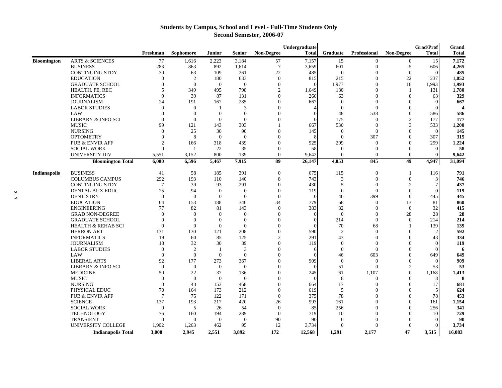#### **Students by Campus, School and Level - Full-Time Students Only Second Semester, 2006-07**

|                     | <b>Grad/Prof</b><br>Undergraduate |                 |                  |                |                  |                  | Grand        |                |                     |                   |                             |              |
|---------------------|-----------------------------------|-----------------|------------------|----------------|------------------|------------------|--------------|----------------|---------------------|-------------------|-----------------------------|--------------|
|                     |                                   | Freshman        | <b>Sophomore</b> | Junior         | <b>Senior</b>    | Non-Degree       | <b>Total</b> | Graduate       | <b>Professional</b> | <b>Non-Degree</b> | <b>Total</b>                | <b>Total</b> |
| <b>Bloomington</b>  | <b>ARTS &amp; SCIENCES</b>        | 77              | 1,616            | 2.223          | 3,184            | 57               | 7,157        | 15             | $\mathbf{0}$        | $\overline{0}$    | 15                          | 7,172        |
|                     | <b>BUSINESS</b>                   | 283             | 863              | 892            | 1,614            | $7\phantom{.0}$  | 3,659        | 601            | $\theta$            | 5                 | 606                         | 4,265        |
|                     | <b>CONTINUING STDY</b>            | 30              | 63               | 109            | 261              | 22               | 485          | $\mathbf{0}$   | $\theta$            | $\overline{0}$    | $\Omega$                    | 485          |
|                     | <b>EDUCATION</b>                  | $\Omega$        | 2                | 180            | 633              | $\boldsymbol{0}$ | 815          | 215            | $\theta$            | 22                | 237                         | 1,052        |
|                     | <b>GRADUATE SCHOOL</b>            | $\overline{0}$  | $\theta$         | $\mathbf{0}$   | $\boldsymbol{0}$ | $\mathbf{0}$     | $\Omega$     | 1,977          | $\theta$            | 16                | 1,993                       | 1,993        |
|                     | HEALTH, PE, REC                   | 5               | 349              | 495            | 798              | 2                | 1,649        | 130            | $\theta$            | $\mathbf{1}$      | 131                         | 1,780        |
|                     | <b>INFORMATICS</b>                | 9               | 39               | 87             | 131              | $\theta$         | 266          | 63             | $\Omega$            | $\Omega$          | 63                          | 329          |
|                     | <b>JOURNALISM</b>                 | 24              | 191              | 167            | 285              | $\theta$         | 667          | $\theta$       | $\Omega$            | $\Omega$          | $\Omega$                    | 667          |
|                     | <b>LABOR STUDIES</b>              | $\Omega$        | $\theta$         | $\overline{1}$ | 3                | $\theta$         |              | $\overline{0}$ | $\Omega$            | $\Omega$          | $\Omega$                    |              |
|                     | LAW                               | $\Omega$        | $\theta$         | $\overline{0}$ | $\overline{0}$   | $\theta$         | $\Omega$     | 48             | 538                 | $\overline{0}$    | 586                         | 586          |
|                     | <b>LIBRARY &amp; INFO SCI</b>     | $\Omega$        | $\theta$         | $\overline{0}$ | $\Omega$         | $\Omega$         | $\Omega$     | 175            | $\Omega$            | $\overline{2}$    | 177                         | 177          |
|                     | <b>MUSIC</b>                      | 99              | 121              | 143            | 303              |                  | 667          | 530            | $\Omega$            | 3                 | 533                         | 1,200        |
|                     | <b>NURSING</b>                    | $\Omega$        | 25               | 30             | 90               | $\Omega$         | 145          | $\theta$       | $\Omega$            | $\Omega$          | $\Omega$                    | 145          |
|                     | <b>OPTOMETRY</b>                  | $\Omega$        | 8                | $\theta$       | $\overline{0}$   | $\Omega$         |              | $\mathbf{0}$   | 307                 | $\overline{0}$    | 307                         | 315          |
|                     | <b>PUB &amp; ENVIR AFF</b>        | $\overline{2}$  | 166              | 318            | 439              | $\Omega$         | 925          | 299            | $\theta$            | $\Omega$          | 299                         | 1,224        |
|                     | <b>SOCIAL WORK</b>                | $\overline{0}$  |                  | 22             | 35               | $\theta$         | 58           | $\overline{0}$ | $\theta$            | $\overline{0}$    | $\overline{0}$              | 58           |
|                     | UNIVERSITY DIV                    | 5.551           | 3.152            | 800            | 139              | $\Omega$         | 9.642        | $\Omega$       | $\Omega$            | $\Omega$          | $\Omega$                    | 9.642        |
|                     | <b>Bloomington Total</b>          | 6.080           | 6.596            | 5,467          | 7,915            | 89               | 26,147       | 4,053          | 845                 | 49                | 4,947                       | 31,094       |
| <b>Indianapolis</b> | <b>BUSINESS</b>                   | 41              | 58               | 185            | 391              | $\mathbf{0}$     | 675          | 115            | $\theta$            | $\overline{1}$    | 116                         | 791          |
|                     | <b>COLUMBUS CAMPUS</b>            | 292             | 193              | 110            | 140              | 8                | 743          | 3              | $\theta$            | $\overline{0}$    | $\overline{3}$              | 746          |
|                     | <b>CONTINUING STDY</b>            | $7\phantom{.0}$ | 39               | 93             | 291              | $\theta$         | 430          | 5              | $\theta$            | $\overline{2}$    | 7                           | 437          |
|                     | DENTAL AUX EDUC                   | 25              | 94               | $\overline{0}$ | $\theta$         | $\theta$         | 119          | $\theta$       | $\Omega$            | $\Omega$          | $\Omega$                    | 119          |
|                     | <b>DENTISTRY</b>                  | $\overline{0}$  | $\overline{0}$   | $\overline{0}$ | $\overline{0}$   | $\mathbf{0}$     | $\Omega$     | 46             | 399                 | $\Omega$          | 445                         | 445          |
|                     | <b>EDUCATION</b>                  | 64              | 153              | 188            | 340              | 34               | 779          | 68             | $\theta$            | 13                | 81                          | 860          |
|                     | <b>ENGINEERING</b>                | 77              | 82               | 81             | 143              | $\theta$         | 383          | 32             | $\theta$            | $\overline{0}$    | 32                          | 415          |
|                     | <b>GRAD NON-DEGREE</b>            | $\Omega$        | $\theta$         | $\overline{0}$ | $\overline{0}$   | $\theta$         | $\Omega$     | $\mathbf{0}$   | $\theta$            | 28                | 28                          | 28           |
|                     | <b>GRADUATE SCHOOL</b>            | $\Omega$        | $\Omega$         | $\theta$       | $\Omega$         | $\Omega$         | $\Omega$     | 214            | $\boldsymbol{0}$    | $\Omega$          | 214                         | 214          |
|                     | <b>HEALTH &amp; REHAB SCI</b>     | $\Omega$        | $\Omega$         | $\overline{0}$ | $\Omega$         | $\theta$         | $\Omega$     | 70             | 68                  |                   | 139                         | 139          |
|                     | <b>HERRON ART</b>                 | 131             | 130              | 121            | 208              | $\theta$         | 590          | 2              | $\Omega$            | $\Omega$          | $\mathcal{D}_{\mathcal{L}}$ | 592          |
|                     | <b>INFORMATICS</b>                | 19              | 60               | 85             | 125              | $\mathbf{2}$     | 291          | 43             | $\Omega$            | $\Omega$          | 43                          | 334          |
|                     | <b>JOURNALISM</b>                 | 18              | 32               | 30             | 39               | $\theta$         | 119          | $\mathbf{0}$   | $\overline{0}$      | $\Omega$          | $\Omega$                    | 119          |
|                     | <b>LABOR STUDIES</b>              | $\overline{0}$  | $\overline{2}$   | $\overline{1}$ | 3                | $\theta$         | 6            | $\overline{0}$ | $\overline{0}$      | $\overline{0}$    | $\Omega$                    | 6            |
|                     | LAW                               | $\Omega$        | $\theta$         | $\overline{0}$ | $\mathbf{0}$     | $\Omega$         | $\Omega$     | 46             | 603                 | $\Omega$          | 649                         | 649          |
|                     | <b>LIBERAL ARTS</b>               | 92              | 177              | 273            | 367              | $\Omega$         | 909          | $\overline{0}$ | $\Omega$            | $\overline{0}$    | $\Omega$                    | 909          |
|                     | <b>LIBRARY &amp; INFO SCI</b>     | $\Omega$        | $\overline{0}$   | $\theta$       | $\mathbf{0}$     | $\theta$         | $\Omega$     | 51             | $\Omega$            | $\overline{2}$    | 53                          | 53           |
|                     | <b>MEDICINE</b>                   | 50              | 22               | 37             | 136              | $\theta$         | 245          | 61             | 1,107               | $\Omega$          | 1,168                       | 1,413        |
|                     | <b>MUSIC</b>                      | $\Omega$        | $\theta$         | $\theta$       | $\overline{0}$   | $\theta$         | $\Omega$     | 8              | $\theta$            | $\overline{0}$    | 8                           | 8            |
|                     | <b>NURSING</b>                    | $\Omega$        | 43               | 153            | 468              | $\Omega$         | 664          | 17             | $\Omega$            | $\Omega$          | 17                          | 681          |
|                     | PHYSICAL EDUC                     | 70              | 164              | 173            | 212              | $\Omega$         | 619          | 5              | $\Omega$            | $\Omega$          | .5                          | 624          |
|                     | <b>PUB &amp; ENVIR AFF</b>        | 7               | 75               | 122            | 171              | $\overline{0}$   | 375          | 78             | $\Omega$            | $\Omega$          | 78                          | 453          |
|                     | <b>SCIENCE</b>                    | 137             | 193              | 217            | 420              | 26               | 993          | 161            | $\Omega$            | $\overline{0}$    | 161                         | 1,154        |
|                     | <b>SOCIAL WORK</b>                | $\overline{0}$  | 5                | 26             | 54               | $\theta$         | 85           | 256            | $\Omega$            | $\Omega$          | 256                         | 341          |
|                     | <b>TECHNOLOGY</b>                 | 76              | 160              | 194            | 289              | $\mathbf{0}$     | 719          | 10             | $\Omega$            | $\theta$          | 10                          | 729          |
|                     | <b>TRANSIENT</b>                  | $\Omega$        | $\Omega$         | $\theta$       | $\Omega$         | 90               | 90           | $\Omega$       | $\Omega$            | $\Omega$          | $\Omega$                    | 90           |
|                     | UNIVERSITY COLLEGE                | 1,902           | 1,263            | 462            | 95               | 12               | 3,734        | $\overline{0}$ | $\Omega$            | $\Omega$          | $\Omega$                    | 3,734        |
|                     | <b>Indianapolis Total</b>         | 3,008           | 2,945            | 2.551          | 3,892            | 172              | 12,568       | 1,291          | 2,177               | 47                | 3,515                       | 16,083       |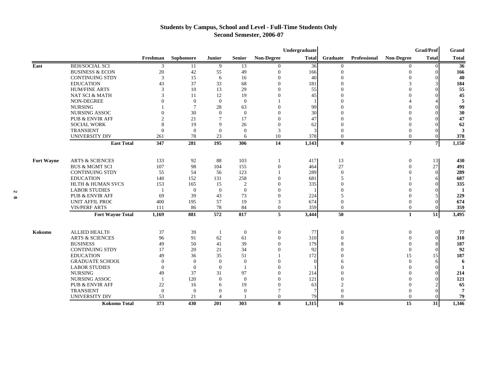#### **Students by Campus, School and Level - Full-Time Students Only Second Semester, 2006-07**

|                   |                              |                |                |                |                  |                   | Undergraduate |                             |              |                 | <b>Grad/Prof</b> | Grand                   |
|-------------------|------------------------------|----------------|----------------|----------------|------------------|-------------------|---------------|-----------------------------|--------------|-----------------|------------------|-------------------------|
|                   |                              | Freshman       | Sophomore      | Junior         | <b>Senior</b>    | <b>Non-Degree</b> | <b>Total</b>  | Graduate                    | Professional | Non-Degree      | <b>Total</b>     | <b>Total</b>            |
| East              | <b>BEH/SOCIAL SCI</b>        | 3              | 11             | 9              | 13               | $\Omega$          | 36            | $\mathbf{0}$                |              | $\overline{0}$  | $\Omega$         | 36                      |
|                   | <b>BUSINESS &amp; ECON</b>   | 20             | 42             | 55             | 49               | $\theta$          | 166           | $\mathbf{0}$                |              | $\Omega$        | $\Omega$         | 166                     |
|                   | <b>CONTINUING STDY</b>       | 3              | 15             | 6              | 16               | $\Omega$          | 40            | $\Omega$                    |              |                 | $\Omega$         | 40                      |
|                   | <b>EDUCATION</b>             | 43             | 37             | 33             | 68               | $\mathbf{0}$      | 181           | $\Omega$                    |              |                 | $\mathcal{R}$    | 184                     |
|                   | <b>HUM/FINE ARTS</b>         | $\mathcal{R}$  | 10             | 13             | 29               | $\Omega$          | 55            | $\Omega$                    |              |                 | $\Omega$         | 55                      |
|                   | NAT SCI & MATH               | 3              | 11             | 12             | 19               | $\Omega$          | 45            | $\Omega$                    |              |                 | $\Omega$         | 45                      |
|                   | NON-DEGREE                   | $\Omega$       | $\overline{0}$ | $\mathbf{0}$   | $\boldsymbol{0}$ |                   |               | $\Omega$                    |              |                 |                  | 5                       |
|                   | <b>NURSING</b>               |                |                | 28             | 63               | $\Omega$          | 99            | $\Omega$                    |              |                 | $\sqrt{ }$       | 99                      |
|                   | <b>NURSING ASSOC</b>         | $\Omega$       | 30             | $\mathbf{0}$   | $\mathbf{0}$     | $\theta$          | 30            | $\Omega$                    |              |                 | $\Omega$         | 30                      |
|                   | <b>PUB &amp; ENVIR AFF</b>   | $\mathfrak{D}$ | 21             | $\tau$         | 17               | $\mathbf{0}$      | 47            | $\Omega$                    |              |                 |                  | 47                      |
|                   | <b>SOCIAL WORK</b>           | 8              | 19             | 9              | 26               | $\Omega$          | 62            | $\Omega$                    |              |                 |                  | 62                      |
|                   | <b>TRANSIENT</b>             | $\mathbf{0}$   | $\Omega$       | $\Omega$       | $\mathbf{0}$     | 3                 | $\mathcal{R}$ | $\theta$                    |              |                 | $\Omega$         | $\overline{\mathbf{3}}$ |
|                   | <b>UNIVERSITY DIV</b>        | 261            | 78             | 23             | 6                | 10                | 378           | $\mathbf{0}$                |              | $\mathbf{0}$    | $\Omega$         | 378                     |
|                   | <b>East Total</b>            | 347            | 281            | 195            | 306              | 14                | 1,143         | $\bf{0}$                    |              | $\overline{7}$  | $\overline{7}$   | 1,150                   |
|                   |                              |                |                |                |                  |                   |               |                             |              |                 |                  |                         |
| <b>Fort Wayne</b> | <b>ARTS &amp; SCIENCES</b>   | 133            | 92             | 88             | 103              | $\mathbf{1}$      | 417           | 13                          |              | $\overline{0}$  | 13               | 430                     |
|                   | <b>BUS &amp; MGMT SCI</b>    | 107            | 98             | 104            | 155              | $\mathbf{0}$      | 464           | 27                          |              | $\Omega$        | 27               | 491                     |
|                   | <b>CONTINUING STDY</b>       | 55             | 54             | 56             | 123              |                   | 289           | $\Omega$                    |              |                 | $\Omega$         | 289                     |
|                   | <b>EDUCATION</b>             | 140            | 152            | 131            | 258              | $\Omega$          | 681           | 5                           |              |                 |                  | 687                     |
|                   | <b>HLTH &amp; HUMAN SVCS</b> | 153            | 165            | 15             | $\overline{2}$   | $\Omega$          | 335           | $\Omega$                    |              |                 |                  | 335                     |
|                   | <b>LABOR STUDIES</b>         | -1             | $\theta$       | $\theta$       | $\mathbf{0}$     | $\theta$          |               | $\theta$                    |              |                 | $\Omega$         | 1                       |
|                   | <b>PUB &amp; ENVIR AFF</b>   | 69             | 39             | 43             | 73               | $\mathbf{0}$      | 224           | 5                           |              |                 | .5               | 229                     |
|                   | <b>UNIT AFFIL PROG</b>       | 400            | 195            | 57             | 19               | 3                 | 674           | $\Omega$                    |              |                 | $\Omega$         | 674                     |
|                   | <b>VIS/PERF ARTS</b>         | 111            | 86             | 78             | 84               | $\theta$          | 359           | $\mathbf{0}$                |              | $\Omega$        | $\Omega$         | 359                     |
|                   | <b>Fort Wayne Total</b>      | 1,169          | 881            | 572            | 817              | $\sqrt{5}$        | 3,444         | 50                          |              | $\mathbf{1}$    | $\overline{51}$  | 3,495                   |
| Kokomo            | <b>ALLIED HEALTH</b>         | 37             | 39             |                |                  |                   | 77            |                             |              | $\theta$        | $\overline{0}$   | 77                      |
|                   |                              |                |                | -1             | $\mathbf{0}$     | $\overline{0}$    |               | $\mathbf{0}$                |              |                 |                  |                         |
|                   | <b>ARTS &amp; SCIENCES</b>   | 96             | 91             | 62             | 61               | $\mathbf{0}$      | 310           | $\mathbf{0}$                |              |                 | $\theta$         | 310                     |
|                   | <b>BUSINESS</b>              | 49             | 50             | 41             | 39               | $\Omega$          | 179           | 8                           |              |                 |                  | 187                     |
|                   | <b>CONTINUING STDY</b>       | 17             | 20             | 21             | 34               | $\Omega$          | 92            | $\Omega$                    |              | $\Omega$        | $\Omega$         | 92                      |
|                   | <b>EDUCATION</b>             | 49             | 36             | 35             | 51               |                   | 172           | $\Omega$                    |              | 15              | 15               | 187                     |
|                   | <b>GRADUATE SCHOOL</b>       | $\Omega$       | $\Omega$       | $\mathbf{0}$   | $\boldsymbol{0}$ | $\Omega$          | $\Omega$      | 6                           |              | $\Omega$        | 6                | 6                       |
|                   | <b>LABOR STUDIES</b>         | $\mathbf{0}$   | $\overline{0}$ | $\theta$       | $\overline{1}$   | $\mathbf{0}$      |               | $\Omega$                    |              |                 | $\Omega$         | 1                       |
|                   | <b>NURSING</b>               | 49             | 37             | 31             | 97               | $\mathbf{0}$      | 214           | $\Omega$                    |              |                 | $\Omega$         | 214                     |
|                   | <b>NURSING ASSOC</b>         | -1             | 120            | $\overline{0}$ | $\mathbf{0}$     | $\mathbf{0}$      | 121           | $\mathbf{0}$                |              |                 | $\sqrt{ }$       | 121                     |
|                   | <b>PUB &amp; ENVIR AFF</b>   | 22             | 16             | 6              | 19               | $\Omega$          | 63            | $\mathcal{D}_{\mathcal{L}}$ |              |                 |                  | 65                      |
|                   | <b>TRANSIENT</b>             | $\overline{0}$ | $\Omega$       | $\Omega$       | $\mathbf{0}$     | 7                 | 7             | $\Omega$                    |              |                 |                  | $\overline{7}$          |
|                   | UNIVERSITY DIV               | 53             | 21             | $\overline{4}$ |                  | $\Omega$          | 79            | $\Omega$                    |              | $\Omega$        | $\Omega$         | 79                      |
|                   | <b>Kokomo Total</b>          | 373            | 430            | 201            | 303              | 8                 | 1,315         | 16                          |              | $\overline{15}$ | 31               | 1,346                   |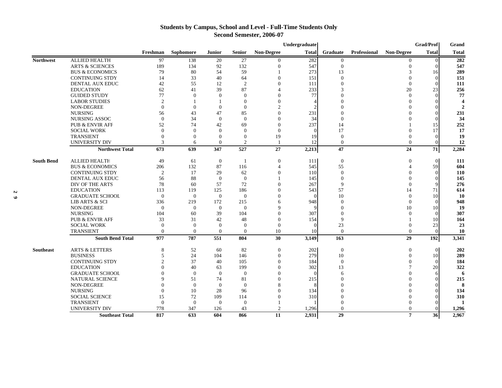### **Students by Campus, School and Level - Full-Time Students Only Second Semester, 2006-07**

|   |                   |                            |                        |                |                |                |                | Undergraduate |                |              |                   | Grad/Prof      | Grand        |
|---|-------------------|----------------------------|------------------------|----------------|----------------|----------------|----------------|---------------|----------------|--------------|-------------------|----------------|--------------|
|   |                   |                            | Freshman               | Sophomore      | <b>Junior</b>  | <b>Senior</b>  | Non-Degree     | <b>Total</b>  | Graduate       | Professional | <b>Non-Degree</b> | <b>Total</b>   | <b>Total</b> |
|   | <b>Northwest</b>  | <b>ALLIED HEALTH</b>       | 97                     | 138            | 20             | 27             | $\overline{0}$ | 282           | $\mathbf{0}$   |              | $\left($          | $\mathbf{0}$   | 282          |
|   |                   | <b>ARTS &amp; SCIENCES</b> | 189                    | 134            | 92             | 132            | $\overline{0}$ | 547           | $\overline{0}$ |              | $\Omega$          | $\Omega$       | 547          |
|   |                   | <b>BUS &amp; ECONOMICS</b> | 79                     | 80             | 54             | 59             |                | 273           | 13             |              |                   | 16             | 289          |
|   |                   | <b>CONTINUING STDY</b>     | 14                     | 33             | 40             | 64             | $\overline{0}$ | 151           | $\Omega$       |              | $\Omega$          | $\mathbf{0}$   | 151          |
|   |                   | DENTAL AUX EDUC            | 42                     | 55             | 12             | $\overline{2}$ | $\Omega$       | 111           | $\Omega$       |              | $\Omega$          | $\Omega$       | 111          |
|   |                   | <b>EDUCATION</b>           | 62                     | 41             | 39             | 87             | $\Delta$       | 233           |                |              | 20                | 23             | 256          |
|   |                   | <b>GUIDED STUDY</b>        | 77                     | $\Omega$       | $\Omega$       | $\Omega$       | $\Omega$       | 77            |                |              | $\Omega$          | $\Omega$       | 77           |
|   |                   | <b>LABOR STUDIES</b>       | $\mathcal{D}_{\alpha}$ |                | $\overline{1}$ | $\Omega$       | $\Omega$       |               |                |              | $\Omega$          | $\Omega$       |              |
|   |                   | NON-DEGREE                 | $\Omega$               | $\theta$       | $\overline{0}$ | $\Omega$       | $\overline{c}$ |               |                |              |                   | $\Omega$       | $\mathbf{2}$ |
|   |                   | <b>NURSING</b>             | 56                     | 43             | 47             | 85             | $\Omega$       | 231           |                |              |                   | $\Omega$       | 231          |
|   |                   | <b>NURSING ASSOC</b>       | $\theta$               | 34             | $\overline{0}$ | $\Omega$       | $\Omega$       | 34            | $\Omega$       |              |                   | $\Omega$       | 34           |
|   |                   | <b>PUB &amp; ENVIR AFF</b> | 52                     | 74             | 42             | 69             | $\Omega$       | 237           | 14             |              |                   | 15             | 252          |
|   |                   | <b>SOCIAL WORK</b>         | $\Omega$               | $\Omega$       | $\Omega$       | $\theta$       | $\overline{0}$ | $\Omega$      | 17             |              | $\Omega$          | 17             | 17           |
|   |                   | <b>TRANSIENT</b>           | $\Omega$               | $\theta$       | $\Omega$       | $\overline{0}$ | 19             | 19            | $\theta$       |              | $\Omega$          | $\Omega$       | 19           |
|   |                   | <b>UNIVERSITY DIV</b>      | $\mathcal{R}$          | 6              | $\theta$       | 2              |                | 12            | $\overline{0}$ |              | $\Omega$          | $\Omega$       | 12           |
|   |                   | <b>Northwest Total</b>     | 673                    | 639            | 347            | 527            | 27             | 2,213         | 47             |              | 24                | 71             | 2,284        |
|   | <b>South Bend</b> | <b>ALLIED HEALTH</b>       | 49                     | 61             | $\mathbf{0}$   | $\mathbf{1}$   | $\mathbf{0}$   | 111           | $\mathbf{0}$   |              | $\theta$          | $\overline{0}$ | 111          |
|   |                   | <b>BUS &amp; ECONOMICS</b> | 206                    | 132            | 87             | 116            | $\Delta$       | 545           | 55             |              |                   | 59             | 604          |
|   |                   | <b>CONTINUING STDY</b>     | $\overline{2}$         | 17             | 29             | 62             | $\Omega$       | 110           | $\Omega$       |              | $\Omega$          | $\Omega$       | 110          |
|   |                   | <b>DENTAL AUX EDUC</b>     | 56                     | 88             | $\overline{0}$ | $\theta$       |                | 145           | $\Omega$       |              | $\Omega$          | $\Omega$       | 145          |
|   |                   | <b>DIV OF THE ARTS</b>     | 78                     | 60             | 57             | 72             | $\overline{0}$ | 267           | 9              |              | $\Omega$          | $\mathbf Q$    | 276          |
| N |                   | <b>EDUCATION</b>           | 113                    | 119            | 125            | 186            | $\Omega$       | 543           | 57             |              | 14                | 71             | 614          |
|   |                   | <b>GRADUATE SCHOOL</b>     | $\theta$               | $\theta$       | $\overline{0}$ | $\theta$       | $\Omega$       | $\Omega$      | 10             |              | $\Omega$          | 10             | 10           |
|   |                   | LIB ARTS & SCI             | 336                    | 219            | 172            | 215            | 6              | 948           | $\Omega$       |              | $\Omega$          | $\Omega$       | 948          |
|   |                   | NON-DEGREE                 | $\theta$               | $\theta$       | $\mathbf{0}$   | $\theta$       | 9              |               | $\Omega$       |              | 10                | 10             | 19           |
|   |                   | <b>NURSING</b>             | 104                    | 60             | 39             | 104            | $\overline{0}$ | 307           | $\Omega$       |              | $\Omega$          | $\Omega$       | 307          |
|   |                   | <b>PUB &amp; ENVIR AFF</b> | 33                     | 31             | 42             | 48             | $\overline{0}$ | 154           | 9              |              |                   | 10             | 164          |
|   |                   | <b>SOCIAL WORK</b>         | $\Omega$               | $\Omega$       | $\Omega$       | $\Omega$       | $\Omega$       | $\Omega$      | 23             |              | $\Omega$          | 23             | 23           |
|   |                   | <b>TRANSIENT</b>           | $\Omega$               | $\theta$       | $\overline{0}$ | $\overline{0}$ | 10             | 10            | $\mathbf{0}$   |              | $\Omega$          | $\overline{0}$ | 10           |
|   |                   | <b>South Bend Total</b>    | 977                    | 787            | 551            | 804            | 30             | 3,149         | 163            |              | 29                | 192            | 3,341        |
|   | <b>Southeast</b>  | <b>ARTS &amp; LETTERS</b>  | 8                      | 52             | 60             | 82             | $\overline{0}$ | 202           | $\mathbf{0}$   |              | $\theta$          | $\overline{0}$ | 202          |
|   |                   | <b>BUSINESS</b>            | 5                      | 24             | 104            | 146            | $\overline{0}$ | 279           | 10             |              | $\Omega$          | 10             | 289          |
|   |                   | <b>CONTINUING STDY</b>     | $\mathcal{D}$          | 37             | 40             | 105            | $\theta$       | 184           | $\overline{0}$ |              | $\Omega$          | $\Omega$       | 184          |
|   |                   | <b>EDUCATION</b>           | $\Omega$               | 40             | 63             | 199            | $\overline{0}$ | 302           | 13             |              |                   | 20             | 322          |
|   |                   | <b>GRADUATE SCHOOL</b>     | $\Omega$               | $\theta$       | $\overline{0}$ | $\theta$       | $\Omega$       | $^{\circ}$    | 6              |              | $\Omega$          | 6              | 6            |
|   |                   | <b>NATURAL SCIENCE</b>     | $\mathbf Q$            | 51             | 74             | 81             | $\Omega$       | 215           |                |              | $\Omega$          | $\Omega$       | 215          |
|   |                   | NON-DEGREE                 | $\Omega$               | $\mathbf{0}$   | $\overline{0}$ | $\mathbf{0}$   | 8              | 8             |                |              |                   | $\Omega$       | 8            |
|   |                   | <b>NURSING</b>             | $\Omega$               | 10             | 28             | 96             | $\Omega$       | 134           |                |              | $\Omega$          | $\Omega$       | 134          |
|   |                   | <b>SOCIAL SCIENCE</b>      | 15                     | 72             | 109            | 114            | $\overline{0}$ | 310           |                |              |                   | $\Omega$       | 310          |
|   |                   | <b>TRANSIENT</b>           | $\Omega$               | $\overline{0}$ | $\Omega$       | $\Omega$       |                |               |                |              |                   | $\Omega$       | 1            |
|   |                   | UNIVERSITY DIV             | 778                    | 347            | 126            | 43             | 2              | 1,296         | $\Omega$       |              | $\Omega$          | $\mathbf{0}$   | 1,296        |
|   |                   | <b>Southeast Total</b>     | 817                    | 633            | 604            | 866            | 11             | 2.931         | 29             |              | $\overline{7}$    | 36             | 2,967        |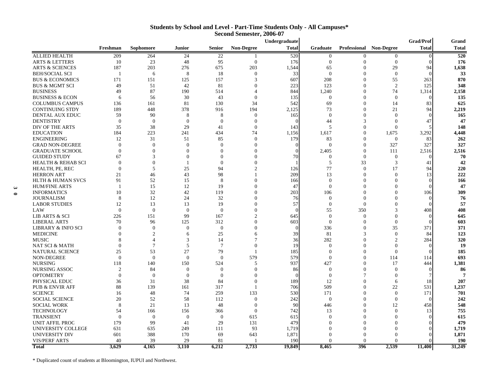| <b>Students by School and Level - Part-Time Students Only - All Campuses*</b> |
|-------------------------------------------------------------------------------|
| Second Semester, 2006-07                                                      |

|                       |                               |                |                |                |                 |                   | Undergraduate |                |                |                         | Grad/Prof    | Grand        |
|-----------------------|-------------------------------|----------------|----------------|----------------|-----------------|-------------------|---------------|----------------|----------------|-------------------------|--------------|--------------|
|                       |                               | Freshman       | Sophomore      | Junior         | <b>Senior</b>   | <b>Non-Degree</b> | <b>Total</b>  | Graduate       |                | Professional Non-Degree | <b>Total</b> | <b>Total</b> |
|                       | <b>ALLIED HEALTH</b>          | 209            | 264            | 24             | 22              |                   | 520           | $\overline{0}$ | $\theta$       | $\boldsymbol{0}$        | $\Omega$     | 520          |
|                       | <b>ARTS &amp; LETTERS</b>     | 10             | 23             | 48             | 95              | $\mathbf{0}$      | 176           | $\mathbf{0}$   | $\theta$       | $\overline{0}$          | $\Omega$     | 176          |
|                       | <b>ARTS &amp; SCIENCES</b>    | 187            | 203            | 276            | 675             | 203               | 1,544         | 65             | $\Omega$       | 29                      | 94           | 1,638        |
|                       | <b>BEH/SOCIAL SCI</b>         | $\overline{1}$ | 6              | 8              | 18              | $\Omega$          | 33            | $\Omega$       | $\Omega$       | $\overline{0}$          | $\Omega$     | 33           |
|                       | <b>BUS &amp; ECONOMICS</b>    | 171            | 151            | 125            | 157             | 3                 | 607           | 208            | $\Omega$       | 55                      | 263          | 870          |
|                       | <b>BUS &amp; MGMT SCI</b>     | 49             | 51             | 42             | 81              | $\Omega$          | 223           | 123            | $\Omega$       | $\overline{2}$          | 125          | 348          |
|                       | <b>BUSINESS</b>               | 49             | 87             | 190            | 514             | $\overline{4}$    | 844           | 1,240          | $\Omega$       | 74                      | 1,314        | 2,158        |
|                       | <b>BUSINESS &amp; ECON</b>    | 6              | 56             | 30             | 43              | $\overline{0}$    | 135           | $\overline{0}$ | $\theta$       | $\theta$                | $\sqrt{ }$   | 135          |
|                       | <b>COLUMBUS CAMPUS</b>        | 136            | 161            | 81             | 130             | 34                | 542           | 69             | $\Omega$       | 14                      | 83           | 625          |
|                       | <b>CONTINUING STDY</b>        | 189            | 448            | 378            | 916             | 194               | 2,125         | 73             | $\Omega$       | 21                      | 94           | 2,219        |
|                       | DENTAL AUX EDUC               | 59             | 90             | 8              | 8               | $\Omega$          | 165           | $\Omega$       | $\Omega$       | $\Omega$                | $\sqrt{ }$   | 165          |
|                       | <b>DENTISTRY</b>              | $\mathbf{0}$   | $\overline{0}$ | $\overline{0}$ | $\overline{0}$  | $\Omega$          | $\bigcap$     | 44             | $\mathcal{R}$  | $\Omega$                | 47           | 47           |
|                       | DIV OF THE ARTS               | 35             | 38             | 29             | 41              | $\overline{0}$    | 143           | 5              | $\Omega$       | $\Omega$                |              | 148          |
|                       | <b>EDUCATION</b>              | 184            | 223            | 241            | 434             | 74                | 1,156         | 1,617          | $\theta$       | 1,675                   | 3,292        | 4,448        |
|                       | <b>ENGINEERING</b>            | 12             | 31             | 51             | 85              | $\overline{0}$    | 179           | 83             | $\Omega$       | $\overline{0}$          | 83           | 262          |
|                       | <b>GRAD NON-DEGREE</b>        | $\Omega$       | $\Omega$       | $\overline{0}$ | $\Omega$        | $\Omega$          | $\Omega$      | $\Omega$       | $\Omega$       | 327                     | 327          | 327          |
|                       | <b>GRADUATE SCHOOL</b>        | $\Omega$       | $\Omega$       | $\Omega$       | $\Omega$        | $\Omega$          | $\Omega$      | 2.405          | $\Omega$       | 111                     | 2,516        | 2,516        |
|                       | <b>GUIDED STUDY</b>           | 67             | 3              | $\overline{0}$ | $\Omega$        | $\Omega$          | 70            | $\theta$       | $\Omega$       | $\mathbf{0}$            |              | 70           |
|                       | <b>HEALTH &amp; REHAB SCI</b> | $\Omega$       | $\theta$       | $\overline{1}$ | $\Omega$        | $\Omega$          |               | 5              | 33             | $\mathfrak{Z}$          | 41           | 42           |
|                       | HEALTH, PE, REC               | $\theta$       | 5              | 25             | 94              | $\overline{2}$    | 126           | 77             | $\Omega$       | 17                      | 94           | 220          |
|                       | <b>HERRON ART</b>             | 21             | 46             | 43             | 98              | 1                 | 209           | 13             | $\Omega$       | $\mathbf{0}$            | 13           | 222          |
|                       | <b>HLTH &amp; HUMAN SVCS</b>  | 91             | 52             | 15             | 8               | $\mathbf{0}$      | 166           | $\Omega$       | $\Omega$       | $\Omega$                | $\Omega$     | 166          |
| $\boldsymbol{\omega}$ | <b>HUM/FINE ARTS</b>          | $\overline{1}$ | 15             | 12             | 19              | $\Omega$          | 47            | $\Omega$       | $\Omega$       | $\Omega$                | $\sqrt{ }$   | 47           |
| $\bullet$             | <b>INFORMATICS</b>            | 10             | 32             | 42             | 119             | $\theta$          | 203           | 106            | $\Omega$       | $\mathbf{0}$            | 106          | 309          |
|                       | <b>JOURNALISM</b>             | 8              | 12             | 24             | 32              | $\Omega$          | 76            | $\theta$       | $\Omega$       | $\Omega$                |              | 76           |
|                       | <b>LABOR STUDIES</b>          | 12             | 13             | 13             | 19              | $\Omega$          | 57            | $\Omega$       | $\Omega$       | $\Omega$                |              | 57           |
|                       | LAW                           | $\theta$       | $\overline{0}$ | $\overline{0}$ | $\theta$        | $\Omega$          | $\Omega$      | 55             | 350            | 3                       | 408          | 408          |
|                       | LIB ARTS & SCI                | 226            | 151            | 99             | 167             | $\mathfrak{D}$    | 645           | $\overline{0}$ | $\Omega$       | $\Omega$                | $\Omega$     | 645          |
|                       | <b>LIBERAL ARTS</b>           | 70             | 96             | 125            | 312             | $\Omega$          | 603           | $\Omega$       | $\Omega$       | $\Omega$                | $\sqrt{ }$   | 603          |
|                       | <b>LIBRARY &amp; INFO SCI</b> | $\overline{0}$ | $\mathbf{0}$   | $\overline{0}$ | $\overline{0}$  | $\theta$          | $\Omega$      | 336            | $\Omega$       | 35                      | 371          | 371          |
|                       | <b>MEDICINE</b>               | $\overline{0}$ | $\overline{c}$ | 6              | 25              | 6                 | 39            | 81             | 3              | $\mathbf{0}$            | 84           | 123          |
|                       | <b>MUSIC</b>                  | 8              | $\overline{4}$ | 3              | 14              | 7                 | 36            | 282            | $\Omega$       | $\overline{c}$          | 284          | 320          |
|                       | <b>NAT SCI &amp; MATH</b>     | $\Omega$       | $\overline{7}$ | 5              | $7\phantom{.0}$ | $\Omega$          | 19            | $\Omega$       | $\Omega$       | $\Omega$                | $\sqrt{ }$   | 19           |
|                       | <b>NATURAL SCIENCE</b>        | 25             | 53             | 27             | 79              |                   | 185           | $\Omega$       | $\Omega$       | $\Omega$                | $\Omega$     | 185          |
|                       | NON-DEGREE                    | $\mathbf{0}$   | $\mathbf{0}$   | $\mathbf{0}$   | $\mathbf{0}$    | 579               | 579           | $\mathbf{0}$   | $\Omega$       | 114                     | 114          | 693          |
|                       | <b>NURSING</b>                | 118            | 140            | 150            | 524             | $\overline{5}$    | 937           | 427            | $\Omega$       | 17                      | 444          | 1,381        |
|                       | NURSING ASSOC                 | $\overline{2}$ | 84             | $\overline{0}$ | $\theta$        | $\theta$          | 86            | $\theta$       | $\Omega$       | $\theta$                | $\sqrt{ }$   | 86           |
|                       | <b>OPTOMETRY</b>              | $\overline{0}$ | $\mathbf{0}$   | $\overline{0}$ | $\overline{0}$  | $\Omega$          | $\bigcap$     | $\overline{0}$ | $\overline{7}$ | $\theta$                | -7           |              |
|                       | PHYSICAL EDUC                 | 36             | 31             | 38             | 84              | $\Omega$          | 189           | 12             | $\Omega$       | 6                       | 18           | 207          |
|                       | <b>PUB &amp; ENVIR AFF</b>    | 88             | 139            | 161            | 317             |                   | 706           | 509            | $\Omega$       | 22                      | 531          | 1,237        |
|                       | <b>SCIENCE</b>                | 16             | 48             | 74             | 259             | 133               | 530           | 171            | $\Omega$       | $\theta$                | 171          | 701          |
|                       | <b>SOCIAL SCIENCE</b>         | 20             | 52             | 58             | 112             | $\overline{0}$    | 242           | $\overline{0}$ | $\Omega$       | $\Omega$                | $\Omega$     | 242          |
|                       | <b>SOCIAL WORK</b>            | 8              | 21             | 13             | 48              | $\overline{0}$    | 90            | 446            | $\Omega$       | 12                      | 458          | 548          |
|                       | <b>TECHNOLOGY</b>             | 54             | 166            | 156            | 366             | $\Omega$          | 742           | 13             | $\Omega$       | $\Omega$                | 13           | 755          |
|                       | <b>TRANSIENT</b>              | $\overline{0}$ | $\overline{0}$ | $\overline{0}$ | $\theta$        | 615               | 615           | $\Omega$       | $\Omega$       | $\Omega$                | $\Omega$     | 615          |
|                       | <b>UNIT AFFIL PROG</b>        | 179            | 99             | 41             | 29              | 131               | 479           | $\Omega$       | $\Omega$       | $\Omega$                |              | 479          |
|                       | UNIVERSITY COLLEGE            | 631            | 635            | 249            | 111             | 93                | 1,719         | $\Omega$       | $\Omega$       | $\Omega$                |              | 1,719        |
|                       | UNIVERSITY DIV                | 601            | 388            | 170            | 69              | 643               | 1,871         | $\Omega$       | $\Omega$       | $\Omega$                |              | 1,871        |
|                       | <b>VIS/PERF ARTS</b>          | 40             | 39             | 29             | 81              |                   | 190           | $\Omega$       | $\Omega$       | $\Omega$                |              | 190          |
|                       | <b>Total</b>                  | 3.629          | 4,165          | 3,110          | 6,212           | 2.733             | 19,849        | 8.465          | 396            | 2.539                   | 11,400       | 31,249       |

\* Duplicated count of students at Bloomington, IUPUI and Northwest.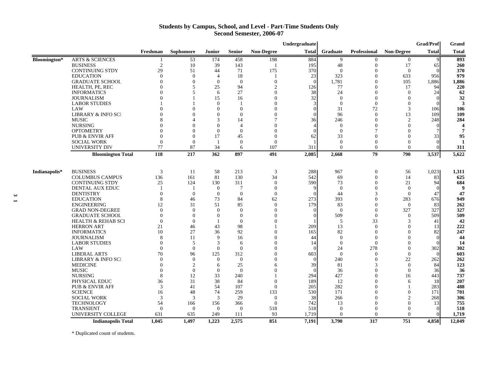#### **Students by Campus, School, and Level - Part-Time Students Only Second Semester, 2006-07**

|                     |                               |                |                |                |                |                | Undergraduate |                |                  |                   | <b>Grad/Prof</b> | Grand        |
|---------------------|-------------------------------|----------------|----------------|----------------|----------------|----------------|---------------|----------------|------------------|-------------------|------------------|--------------|
|                     |                               | Freshman       | Sophomore      | <b>Junior</b>  | <b>Senior</b>  | Non-Degree     | <b>Total</b>  | Graduate       | Professional     | <b>Non-Degree</b> | <b>Total</b>     | <b>Total</b> |
| <b>Bloomington*</b> | <b>ARTS &amp; SCIENCES</b>    |                | 53             | 174            | 458            | 198            | 884           | 9              | 0                | $\mathbf{0}$      | 9                | 893          |
|                     | <b>BUSINESS</b>               | $\overline{c}$ | 10             | 39             | 143            |                | 195           | 48             | $\mathbf{0}$     | 17                | 65               | 260          |
|                     | <b>CONTINUING STDY</b>        | 29             | 51             | 44             | 71             | 175            | 370           | $\overline{0}$ | $\mathbf{0}$     | $\overline{0}$    | $\Omega$         | 370          |
|                     | <b>EDUCATION</b>              | $\theta$       | $\overline{0}$ | $\overline{4}$ | 18             |                | 23            | 323            | $\mathbf{0}$     | 633               | 956              | 979          |
|                     | <b>GRADUATE SCHOOL</b>        | $\theta$       | $\overline{0}$ | $\theta$       | $\mathbf{0}$   | $\mathbf{0}$   | $\Omega$      | 1,781          | $\boldsymbol{0}$ | 105               | 1,886            | 1,886        |
|                     | HEALTH, PE, REC               | 0              | 5              | 25             | 94             | $\overline{c}$ | 126           | 77             | $\mathbf{0}$     | 17                | 94               | 220          |
|                     | <b>INFORMATICS</b>            |                | 5              | 6              | 27             | 0              | 38            | 24             | $\Omega$         | $\overline{0}$    | 24               | 62           |
|                     | <b>JOURNALISM</b>             |                |                | 15             | 16             | $\Omega$       | 32            | $\overline{0}$ | $\mathbf{0}$     | 0                 | $\Omega$         | 32           |
|                     | <b>LABOR STUDIES</b>          |                |                | $\Omega$       |                | $\Omega$       |               | $\overline{0}$ | $\mathbf{0}$     | $\mathbf{0}$      |                  | 3            |
|                     | LAW                           |                | $\Omega$       | $\Omega$       | $\overline{0}$ |                |               | 31             | 72               | 3                 | 106              | 106          |
|                     | <b>LIBRARY &amp; INFO SCI</b> |                | $\Omega$       | $\Omega$       | $\Omega$       |                |               | 96             | $\mathbf{0}$     | 13                | 109              | 109          |
|                     | <b>MUSIC</b>                  |                |                | 3              | 14             |                | 36            | 246            | $\mathbf{0}$     | 2                 | 248              | 284          |
|                     | <b>NURSING</b>                |                |                |                | $\overline{4}$ |                |               | $\theta$       | $\mathbf{0}$     | $\mathbf{0}$      | $\Omega$         |              |
|                     | <b>OPTOMETRY</b>              |                | $\Omega$       | $\Omega$       | $\theta$       |                |               | $\theta$       | 7                | $\Omega$          |                  | 7            |
|                     | PUB & ENVIR AFF               | $\Omega$       | $\Omega$       | 17             | 45             | $\Omega$       | 62            | 33             | $\Omega$         | $\Omega$          | 33               | 95           |
|                     | <b>SOCIAL WORK</b>            | $\theta$       | $\Omega$       | $\overline{1}$ | $\theta$       | $\theta$       |               | $\theta$       | $\theta$         | $\Omega$          | $\Omega$         |              |
|                     | UNIVERSITY DIV                | 77             | 87             | 34             | 6              | 107            | 311           | $\theta$       | $\Omega$         | $\Omega$          | $\Omega$         | 311          |
|                     |                               |                |                |                |                |                |               |                |                  |                   |                  |              |
|                     | <b>Bloomington Total</b>      | 118            | 217            | 362            | 897            | 491            | 2,085         | 2,668          | 79               | 790               | 3,537            | 5,622        |
| Indianapolis*       | <b>BUSINESS</b>               | 3              | 11             | 58             | 213            | 3              | 288           | 967            | $\boldsymbol{0}$ | 56                | 1,023            | 1,311        |
|                     | <b>COLUMBUS CAMPUS</b>        | 136            | 161            | 81             | 130            | 34             | 542           | 69             | $\mathbf{0}$     | 14                | 83               | 625          |
|                     | <b>CONTINUING STDY</b>        | 25             | 124            | 130            | 311            | $\theta$       | 590           | 73             | $\mathbf{0}$     | 21                | 94               | 684          |
|                     | DENTAL AUX EDUC               |                | -1             | $\theta$       | 7              | $\theta$       |               | $\overline{0}$ | $\mathbf{0}$     | $\overline{0}$    | $\Omega$         | 9            |
|                     | <b>DENTISTRY</b>              | $\Omega$       | $\Omega$       | $\Omega$       | $\overline{0}$ | $\theta$       |               | 44             | 3                | $\overline{0}$    | 47               | 47           |
|                     | <b>EDUCATION</b>              | 8              | 46             | 73             | 84             | 62             | 273           | 393            | $\Omega$         | 283               | 676              | 949          |
|                     | <b>ENGINEERING</b>            | 12             | 31             | 51             | 85             | $\Omega$       | 179           | 83             | $\Omega$         | $\overline{0}$    | 83               | 262          |
|                     | <b>GRAD NON-DEGREE</b>        | $\Omega$       | $\Omega$       | $\Omega$       | $\overline{0}$ | $\Omega$       |               | $\overline{0}$ | $\mathbf{0}$     | 327               | 327              | 327          |
|                     | <b>GRADUATE SCHOOL</b>        | $\Omega$       | $\Omega$       | $\Omega$       | $\Omega$       | $\Omega$       |               | 509            | $\Omega$         | $\mathbf{0}$      | 509              | 509          |
|                     |                               | $\Omega$       | $\Omega$       |                | $\Omega$       |                |               |                | 33               |                   |                  |              |
|                     | <b>HEALTH &amp; REHAB SCI</b> |                |                |                |                |                |               | 5              |                  | 3                 | 41               | 42           |
|                     | <b>HERRON ART</b>             | 21             | 46             | 43             | 98             |                | 209           | 13             | $\Omega$         | $\Omega$          | 13               | 222          |
|                     | <b>INFORMATICS</b>            | 10             | 27             | 36             | 92             | $\Omega$       | 165           | 82             | $\mathbf{0}$     | $\Omega$          | 82               | 247          |
|                     | <b>JOURNALISM</b>             | 8              | 11             | $\mathbf{Q}$   | 16             |                | 44            | $\overline{0}$ | $\overline{0}$   | $\Omega$          | $\Omega$         | 44           |
|                     | <b>LABOR STUDIES</b>          | $\Omega$       | 5              | 3              | 6              | $\Omega$       | 14            | $\theta$       | $\Omega$         | $\Omega$          | $\Omega$         | 14           |
|                     | LAW                           | $\Omega$       | $\theta$       | $\theta$       | $\theta$       | $\Omega$       |               | 24             | 278              | $\Omega$          | 302              | 302          |
|                     | <b>LIBERAL ARTS</b>           | 70             | 96             | 125            | 312            | $\Omega$       | 603           | $\theta$       | $\theta$         | $\theta$          | $\Omega$         | 603          |
|                     | LIBRARY & INFO SCI            | $\Omega$       | $\Omega$       | $\Omega$       | $\theta$       | $\Omega$       |               | 240            | $\Omega$         | 22                | 262              | 262          |
|                     | <b>MEDICINE</b>               | $\Omega$       | $\overline{2}$ | 6              | 25             | 6              | 39            | 81             | 3                | $\theta$          | 84               | 123          |
|                     | <b>MUSIC</b>                  | $\Omega$       | $\theta$       | $\Omega$       | $\Omega$       |                |               | 36             | $\Omega$         | $\theta$          | 36               | 36           |
|                     | <b>NURSING</b>                | 8              | 12             | 33             | 240            |                | 294           | 427            | $\theta$         | 16                | 443              | 737          |
|                     | PHYSICAL EDUC                 | 36             | 31             | 38             | 84             | $\Omega$       | 189           | 12             | $\theta$         | 6                 | 18               | 207          |
|                     | <b>PUB &amp; ENVIR AFF</b>    | $\mathcal{R}$  | 41             | 54             | 107            | $\theta$       | 205           | 282            | $\Omega$         |                   | 283              | 488          |
|                     | <b>SCIENCE</b>                | 16             | 48             | 74             | 259            | 133            | 530           | 171            | $\mathbf{0}$     | $\Omega$          | 171              | 701          |
|                     | <b>SOCIAL WORK</b>            | 3              | 3              | 3              | 29             | $\theta$       | 38            | 266            | $\mathbf{0}$     | $\overline{c}$    | 268              | 306          |
|                     | <b>TECHNOLOGY</b>             | 54             | 166            | 156            | 366            | $\overline{0}$ | 742           | 13             | $\Omega$         | $\Omega$          | 13               | 755          |
|                     | <b>TRANSIENT</b>              | $\Omega$       | $\Omega$       | $\Omega$       | $\Omega$       | 518            | 518           | $\Omega$       | $\Omega$         | $\Omega$          | $\Omega$         | 518          |
|                     | UNIVERSITY COLLEGE            | 631            | 635            | 249            | 111            | 93             | 1,719         | $\theta$       | $\Omega$         | $\Omega$          |                  | 1,719        |
|                     | <b>Indianapolis Total</b>     | 1,045          | 1,497          | 1,223          | 2,575          | 851            | 7,191         | 3,790          | 317              | 751               | 4,858            | 12,049       |

\* Duplicated count of students.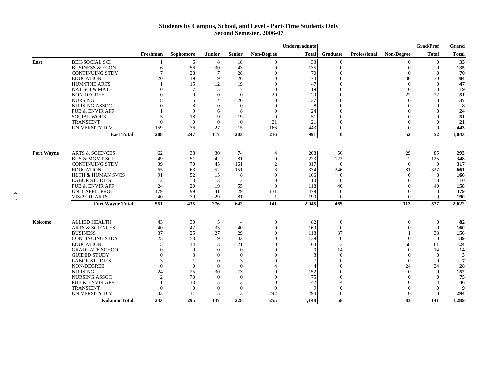#### **Students by Campus, School, and Level - Part-Time Students Only Second Semester, 2006-07**

|                   |                              |                |                |                |                     |                          | Undergraduate |                            |              |                   | <b>Grad/Prof</b> | Grand          |
|-------------------|------------------------------|----------------|----------------|----------------|---------------------|--------------------------|---------------|----------------------------|--------------|-------------------|------------------|----------------|
|                   |                              | Freshman       | Sophomore      | Junior         | <b>Senior</b>       | <b>Non-Degree</b>        | <b>Total</b>  | Graduate                   | Professional | <b>Non-Degree</b> | <b>Total</b>     | <b>Total</b>   |
| East              | <b>BEH/SOCIAL SCI</b>        |                | 6              | 8              | 18                  | $\Omega$                 | 33            | $\overline{0}$             |              | 0                 | $\Omega$         | 33             |
|                   | <b>BUSINESS &amp; ECON</b>   | 6              | 56             | 30             | 43                  | $\Omega$                 | 135           | $\overline{0}$             |              | $\Omega$          | $\Omega$         | 135            |
|                   | <b>CONTINUING STDY</b>       | $\tau$         | 28             | $\tau$         | 28                  |                          | 70            | $\Omega$                   |              | $\mathbf{0}$      |                  | 70             |
|                   | <b>EDUCATION</b>             | 20             | 19             | 9              | 26                  |                          | 74            |                            |              | 30                | 30               | 104            |
|                   | <b>HUM/FINE ARTS</b>         |                | 15             | 12             | 19                  |                          | 47            |                            |              | $\overline{0}$    | $\Omega$         | 47             |
|                   | <b>NAT SCI &amp; MATH</b>    | $\Omega$       |                | 5              | $\overline{7}$      | $\Omega$                 | 19            |                            |              | $\theta$          | $\Omega$         | 19             |
|                   | NON-DEGREE                   |                | $\Omega$       | $\Omega$       | $\theta$            | 29                       | 29            |                            |              | 22                | 22               | 51             |
|                   | <b>NURSING</b>               |                | 5              |                | 20                  | $\Omega$                 | 37            |                            |              | $\Omega$          | $\Omega$         | 37             |
|                   | <b>NURSING ASSOC</b>         |                | 8              |                | $\Omega$            |                          |               |                            |              |                   |                  | 8              |
|                   | <b>PUB &amp; ENVIR AFF</b>   |                | Q              | 6              | 8                   |                          | 24            |                            |              |                   |                  | 24             |
|                   | <b>SOCIAL WORK</b>           | 5              | 18             | Q              | 19                  | $\Omega$                 | 51            | $\Omega$                   |              |                   |                  | 51             |
|                   | <b>TRANSIENT</b>             | $\Omega$       | $\Omega$       | $\Omega$       | $\Omega$            | 21                       | 21            | $\Omega$                   |              |                   |                  | 21             |
|                   | <b>UNIVERSITY DIV</b>        | 159            | 76             | 27             | 15                  | 166                      | 443           | $\overline{0}$             |              | $\Omega$          |                  | 443            |
|                   | <b>East Total</b>            | 208            | 247            | 117            | 203                 | 216                      | 991           | $\bf{0}$                   |              | $\overline{52}$   | 52               | 1,043          |
| <b>Fort Wayne</b> | <b>ARTS &amp; SCIENCES</b>   | 62             | 38             | 30             | 74                  | $\overline{\mathcal{A}}$ | 208           | 56                         |              | 29                | 85               | 293            |
|                   | <b>BUS &amp; MGMT SCI</b>    | 49             | 51             | 42             | 81                  | $\theta$                 | 223           | 123                        |              | 2                 | 125              | 348            |
|                   | <b>CONTINUING STDY</b>       | 39             | 70             | 45             | 161                 |                          | 317           | $\theta$                   |              | $\Omega$          | $\Omega$         | 317            |
|                   | <b>EDUCATION</b>             | 65             | 63             | 52             | 151                 |                          | 334           | 246                        |              | 81                | 327              | 661            |
|                   | <b>HLTH &amp; HUMAN SVCS</b> | 91             | 52             | 15             | 8                   |                          | 166           | $\theta$                   |              | $\Omega$          | $\Omega$         | 166            |
|                   | <b>LABOR STUDIES</b>         | $\overline{c}$ | 3              | $\mathcal{R}$  | $\overline{2}$      |                          | 10            | $\Omega$                   |              | $\Omega$          |                  | 10             |
|                   | <b>PUB &amp; ENVIR AFF</b>   | 24             | 20             | 19             | 55                  | $\theta$                 | 118           | 40                         |              |                   | 40               | 158            |
|                   | <b>UNIT AFFIL PROG</b>       | 179            | 99             | 41             | 29                  | 131                      | 479           | $\theta$                   |              | 0                 | $\Omega$         | 479            |
|                   | <b>VIS/PERF ARTS</b>         | 40             | 39             | 29             | 81                  |                          | 190           | $\theta$                   |              | $\Omega$          | $\Omega$         | 190            |
|                   | <b>Fort Wayne Total</b>      | 551            | 435            | 276            | 642                 | 141                      | 2,045         | 465                        |              | 112               | 577              | 2,622          |
| Kokomo            | <b>ALLIED HEALTH</b>         | 43             | 30             | 5              | $\overline{4}$      | $\mathbf{0}$             | 82            | $\mathbf{0}$               |              | $\mathbf{0}$      | $\Omega$         | 82             |
|                   | <b>ARTS &amp; SCIENCES</b>   | 40             | 47             | 33             | 40                  | $\Omega$                 | 160           | $\theta$                   |              |                   | $\Omega$         | 160            |
|                   | <b>BUSINESS</b>              | 37             | 25             | 27             | 29                  |                          | 118           | 37                         |              |                   | 38               | 156            |
|                   | <b>CONTINUING STDY</b>       | 25             | 53             | 19             | 42                  |                          | 139           | $\Omega$                   |              | $\Omega$          | $\Omega$         | 139            |
|                   | <b>EDUCATION</b>             |                | 14             |                |                     |                          |               | 3                          |              | 58                | 61               | 124            |
|                   | <b>GRADUATE SCHOOL</b>       | 15<br>$\Omega$ | $\Omega$       | 13<br>$\Omega$ | 21<br>$\theta$      |                          | 63            | 14                         |              | $\theta$          | 14               |                |
|                   | <b>GUIDED STUDY</b>          | $\Omega$       | 3              | $\Omega$       | $\theta$            |                          |               | $\Omega$                   |              | $\Omega$          | $\Omega$         | 14<br>3        |
|                   | <b>LABOR STUDIES</b>         | 3              |                | $\theta$       |                     |                          |               | $\sqrt{ }$                 |              |                   | $\Omega$         | $\overline{7}$ |
|                   |                              |                |                |                | 3                   |                          |               |                            |              | $\theta$          |                  |                |
|                   | NON-DEGREE<br><b>NURSING</b> | $\theta$<br>24 | $\theta$       | $\theta$<br>30 | $\theta$            |                          |               | $\Omega$                   |              | 24                | 24<br>$\Omega$   | 28<br>152      |
|                   |                              | $\overline{2}$ | 25             | $\Omega$       | 73                  |                          | 152           |                            |              | $\theta$          |                  |                |
|                   | <b>NURSING ASSOC</b>         |                | 73             |                | $\theta$            |                          | 75            |                            |              |                   |                  | 75             |
|                   | <b>PUB &amp; ENVIR AFF</b>   | 11             | 13             | 5              | 13                  |                          | 42            |                            |              |                   |                  | 46             |
|                   | <b>TRANSIENT</b>             | $\overline{0}$ | $\overline{0}$ | $\theta$<br>5  | $\overline{0}$<br>3 | Q<br>242                 | 294           | $\Omega$<br>$\overline{0}$ |              |                   |                  | 294            |
|                   | UNIVERSITY DIV               | 33             | 11             |                |                     |                          |               |                            |              |                   |                  |                |
|                   | <b>Kokomo Total</b>          | 233            | 295            | 137            | 228                 | 255                      | 1.148         | 58                         |              | 83                | 141              | 1,289          |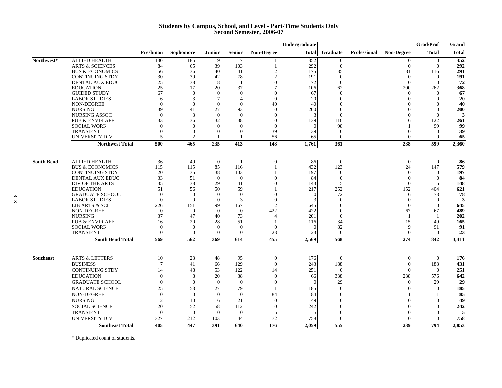# **Students by Campus, School, and Level - Part-Time Students Only Second Semester, 2006-07**

|                         |                   |                            |                |                |               |                |                | Undergraduate |                |                         | <b>Grad/Prof</b> | Grand        |
|-------------------------|-------------------|----------------------------|----------------|----------------|---------------|----------------|----------------|---------------|----------------|-------------------------|------------------|--------------|
|                         |                   |                            | Freshman       | Sophomore      | <b>Junior</b> | <b>Senior</b>  | Non-Degree     | <b>Total</b>  | Graduate       | Professional Non-Degree | <b>Total</b>     | <b>Total</b> |
|                         | Northwest*        | <b>ALLIED HEALTH</b>       | 130            | 185            | 19            | 17             |                | 352           | $\overline{0}$ | $\theta$                | $\Omega$         | 352          |
|                         |                   | <b>ARTS &amp; SCIENCES</b> | 84             | 65             | 39            | 103            |                | 292           | $\theta$       | $\theta$                | $\Omega$         | 292          |
|                         |                   | <b>BUS &amp; ECONOMICS</b> | 56             | 36             | 40            | 41             | 2              | 175           | 85             | 31                      | 116              | 291          |
|                         |                   | <b>CONTINUING STDY</b>     | 30             | 39             | 42            | 78             | 2              | 191           | $\Omega$       | $\overline{0}$          | $\Omega$         | 191          |
|                         |                   | DENTAL AUX EDUC            | 25             | 38             | 8             | $\overline{1}$ | $\Omega$       | 72            | $\Omega$       | $\overline{0}$          | $\Omega$         | 72           |
|                         |                   | <b>EDUCATION</b>           | 25             | 17             | 20            | 37             |                | 106           | 62             | 200                     | 262              | 368          |
|                         |                   | <b>GUIDED STUDY</b>        | 67             | $\Omega$       | $\Omega$      | $\Omega$       | $\Omega$       | 67            | $\Omega$       | $\Omega$                |                  | 67           |
|                         |                   | <b>LABOR STUDIES</b>       | 6              | 3              |               | $\overline{4}$ | $\theta$       | 20            | $\Omega$       | $\Omega$                |                  | 20           |
|                         |                   | NON-DEGREE                 | $\theta$       | $\Omega$       | $\Omega$      | $\overline{0}$ | 40             | 40            | $\Omega$       | 0                       |                  | 40           |
|                         |                   | <b>NURSING</b>             | 39             | 41             | 27            | 93             | $\Omega$       | 200           |                |                         |                  | 200          |
|                         |                   | <b>NURSING ASSOC</b>       | $\Omega$       | 3              | $\Omega$      | $\overline{0}$ | $\Omega$       |               | $\Omega$       | 0                       |                  | 3            |
|                         |                   | <b>PUB &amp; ENVIR AFF</b> | 33             | 36             | 32            | 38             | $\Omega$       | 139           | 116            | 6                       | 122              | 261          |
|                         |                   | <b>SOCIAL WORK</b>         | $\Omega$       | $\Omega$       | $\Omega$      | $\overline{0}$ | $\Omega$       |               | 98             |                         | 99               | 99           |
|                         |                   | <b>TRANSIENT</b>           | $\overline{0}$ | $\Omega$       | $\Omega$      | $\Omega$       | 39             | 39            | $\Omega$       | $\Omega$                | $\Omega$         | 39           |
|                         |                   | UNIVERSITY DIV             | 5              | $\overline{2}$ |               |                | 56             | 65            | $\mathbf{0}$   | $\Omega$                |                  | 65           |
|                         |                   | <b>Northwest Total</b>     | 500            | 465            | 235           | 413            | 148            | 1,761         | 361            | 238                     | 599              | 2,360        |
|                         | <b>South Bend</b> | <b>ALLIED HEALTH</b>       | 36             | 49             | $\theta$      | -1             | $\theta$       | 86            | $\theta$       | $\theta$                | $\Omega$         | 86           |
|                         |                   | <b>BUS &amp; ECONOMICS</b> | 115            | 115            | 85            | 116            |                | 432           | 123            | 24                      | 147              | 579          |
|                         |                   | <b>CONTINUING STDY</b>     | 20             | 35             | 38            | 103            |                | 197           | $\theta$       | $\theta$                | $\Omega$         | 197          |
|                         |                   | DENTAL AUX EDUC            | 33             | 51             | $\theta$      | $\theta$       | $\Omega$       | 84            | $\theta$       | $\theta$                | $\Omega$         | 84           |
|                         |                   | DIV OF THE ARTS            | 35             | 38             | 29            | 41             |                | 143           | 5              | $\overline{0}$          |                  | 148          |
|                         |                   | <b>EDUCATION</b>           | 51             | 56             | 50            | 59             |                | 217           | 252            | 152                     | 404              | 621          |
| $\boldsymbol{\omega}$   |                   | <b>GRADUATE SCHOOL</b>     | $\overline{0}$ | $\Omega$       | $\theta$      | $\overline{0}$ | 0              |               | 72             | 6                       | 78               | 78           |
| $\overline{\mathbf{c}}$ |                   | <b>LABOR STUDIES</b>       | $\overline{0}$ | $\Omega$       | $\Omega$      | 3              | $\Omega$       |               | $\Omega$       | $\mathbf{0}$            | $\Omega$         | 3            |
|                         |                   | LIB ARTS & SCI             | 226            | 151            | 99            | 167            | $\overline{2}$ | 645           | $\Omega$       | $\mathbf{0}$            |                  | 645          |
|                         |                   | NON-DEGREE                 | $\theta$       | $\Omega$       | $\Omega$      | $\overline{0}$ | 422            | 422           | $\Omega$       | 67                      | 67               | 489          |
|                         |                   | <b>NURSING</b>             | 37             | 47             | 40            | 73             | $\overline{4}$ | 201           | $\Omega$       | -1                      |                  | 202          |
|                         |                   | <b>PUB &amp; ENVIR AFF</b> | 16             | 20             | 28            | 51             |                | 116           | 34             | 15                      | 49               | 165          |
|                         |                   | <b>SOCIAL WORK</b>         | $\overline{0}$ | $\Omega$       | $\Omega$      | $\overline{0}$ | $\Omega$       |               | 82             | 9                       | 91               | 91           |
|                         |                   | <b>TRANSIENT</b>           | $\overline{0}$ | $\Omega$       | $\Omega$      | $\overline{0}$ | 23             | 23            | $\mathbf{0}$   | $\mathbf{0}$            | $\Omega$         | 23           |
|                         |                   | <b>South Bend Total</b>    | 569            | 562            | 369           | 614            | 455            | 2,569         | 568            | 274                     | 842              | 3,411        |
|                         | <b>Southeast</b>  | <b>ARTS &amp; LETTERS</b>  | 10             | 23             | 48            | 95             | $\mathbf{0}$   | 176           | $\overline{0}$ | $\overline{0}$          | $\Omega$         | 176          |
|                         |                   | <b>BUSINESS</b>            | $\overline{7}$ | 41             | 66            | 129            | $\mathbf{0}$   | 243           | 188            | $\mathbf{0}$            | 188              | 431          |
|                         |                   | <b>CONTINUING STDY</b>     | 14             | 48             | 53            | 122            | 14             | 251           | $\overline{0}$ | $\Omega$                | $\Omega$         | 251          |
|                         |                   | <b>EDUCATION</b>           | $\mathbf{0}$   | 8              | 20            | 38             | $\theta$       | 66            | 338            | 238                     | 576              | 642          |
|                         |                   | <b>GRADUATE SCHOOL</b>     | $\overline{0}$ | $\overline{0}$ | $\theta$      | $\overline{0}$ | $\theta$       |               | 29             | $\overline{0}$          | 29               | 29           |
|                         |                   | NATURAL SCIENCE            | 25             | 53             | 27            | 79             | $\overline{1}$ | 185           | $\overline{0}$ | $\Omega$                | $\Omega$         | 185          |
|                         |                   | NON-DEGREE                 | $\Omega$       | $\Omega$       | $\Omega$      | $\overline{0}$ | 84             | 84            | $\Omega$       |                         |                  | 85           |
|                         |                   |                            |                |                |               |                | $\Omega$       |               |                | 0                       |                  |              |
|                         |                   | <b>NURSING</b>             | $\overline{2}$ | 10             | 16            | 21             |                | 49            | $\Omega$       |                         |                  | 49           |
|                         |                   | <b>SOCIAL SCIENCE</b>      | 20             | 52             | 58            | 112            | $\theta$       | 242           | $\Omega$       | 0                       |                  | 242          |
|                         |                   | <b>TRANSIENT</b>           | $\overline{0}$ | $\theta$       | $\Omega$      | $\theta$       | 5              |               | $\Omega$       | 0                       |                  |              |
|                         |                   | UNIVERSITY DIV             | 327            | 212            | 103           | 44             | 72             | 758           | $\overline{0}$ | $\Omega$                |                  | 758          |
|                         |                   | <b>Southeast Total</b>     | 405            | 447            | 391           | 640            | 176            | 2,059         | 555            | 239                     | 794              | 2,853        |

\* Duplicated count of students.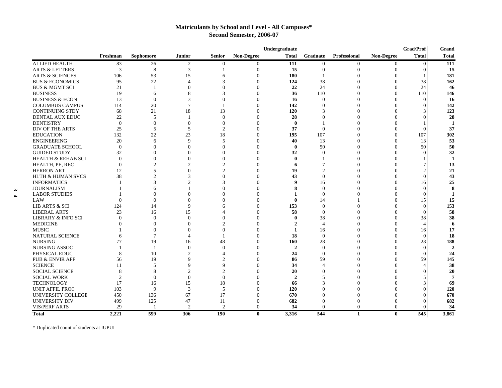# **Matriculants by School and Level - All Campuses\* Second Semester, 2006-07**

|                       |                               |                |                          |                |                |                   | Undergraduate |                          |                     |                   | <b>Grad/Prof</b> | Grand          |
|-----------------------|-------------------------------|----------------|--------------------------|----------------|----------------|-------------------|---------------|--------------------------|---------------------|-------------------|------------------|----------------|
|                       |                               | Freshman       | Sophomore                | Junior         | <b>Senior</b>  | <b>Non-Degree</b> | <b>Total</b>  | <b>Graduate</b>          | <b>Professional</b> | <b>Non-Degree</b> | <b>Total</b>     | <b>Total</b>   |
|                       | <b>ALLIED HEALTH</b>          | 83             | 26                       | 2              | $\Omega$       | 0                 | 111           | $\overline{0}$           | $\mathbf{0}$        | 0                 | $\Omega$         | 111            |
|                       | <b>ARTS &amp; LETTERS</b>     | 3              | 8                        | 3              |                | $\overline{0}$    | 15            | $\overline{0}$           | $\theta$            | $\overline{0}$    |                  | 15             |
|                       | <b>ARTS &amp; SCIENCES</b>    | 106            | 53                       | 15             | 6              | $\Omega$          | 180           | $\mathbf{1}$             | $\Omega$            | $\Omega$          |                  | 181            |
|                       | <b>BUS &amp; ECONOMICS</b>    | 95             | 22                       | $\overline{4}$ | 3              | $\Omega$          | 124           | 38                       | $\sqrt{ }$          | 0                 | 38               | 162            |
|                       | <b>BUS &amp; MGMT SCI</b>     | 21             | $\overline{\phantom{a}}$ | $\Omega$       | $\Omega$       | $\Omega$          | 22            | 24                       | $\Omega$            | $\Omega$          | 24               | 46             |
|                       | <b>BUSINESS</b>               | 19             | 6                        | 8              | 3              | $\Omega$          | 36            | 110                      | $\Omega$            | $\Omega$          | 110              | 146            |
|                       | <b>BUSINESS &amp; ECON</b>    | 13             | $\Omega$                 | 3              |                | $\Omega$          | 16            | $\Omega$                 | $\Omega$            | $\Omega$          | $\Omega$         | 16             |
|                       | <b>COLUMBUS CAMPUS</b>        | 114            | 20                       | $\overline{7}$ |                | $\Omega$          | 142           | $\Omega$                 | $\Omega$            |                   |                  | 142            |
|                       | <b>CONTINUING STDY</b>        | 68             | 21                       | 18             | 13             | $\Omega$          | 120           | 3                        | $\Omega$            |                   |                  | 123            |
|                       | DENTAL AUX EDUC               | 22             | 5                        |                | $\mathbf{0}$   | $\Omega$          | 28            |                          | $\Omega$            |                   |                  | 28             |
|                       | <b>DENTISTRY</b>              | $\Omega$       | $\Omega$                 | $\theta$       | $\Omega$       | $\Omega$          | $\mathbf{0}$  |                          | $\Omega$            |                   |                  | $\mathbf{1}$   |
|                       | DIV OF THE ARTS               | 25             | 5                        | 5              | $\overline{2}$ | $\Omega$          | 37            | $\overline{0}$           |                     |                   |                  | 37             |
|                       | <b>EDUCATION</b>              | 132            | 22                       | 23             | 18             | $\Omega$          | 195           | 107                      | $\Omega$            | 0                 | 107              | 302            |
|                       | <b>ENGINEERING</b>            | 20             | 6                        | 9              | 5              | $\Omega$          | 40            | 13                       | $\Omega$            | 0                 | 13               | 53             |
|                       | <b>GRADUATE SCHOOL</b>        | $\mathbf{0}$   | $\Omega$                 | $\theta$       | $\Omega$       | $\Omega$          | $\mathbf{0}$  | 50                       | $\Omega$            |                   | 50               | 50             |
|                       | <b>GUIDED STUDY</b>           | 32             | $\Omega$                 | $\Omega$       | $\Omega$       | $\Omega$          | 32            | $\Omega$                 | $\Omega$            |                   |                  | 32             |
|                       | <b>HEALTH &amp; REHAB SCI</b> | $\overline{0}$ | $\overline{0}$           | $\theta$       | $\Omega$       | $\Omega$          | 0             |                          | $\Omega$            |                   |                  | 1              |
|                       | HEALTH, PE, REC               | $\overline{0}$ | $\overline{2}$           | $\mathfrak{D}$ | $\overline{2}$ |                   | 6             | 7                        | $\Omega$            |                   |                  | 13             |
|                       | <b>HERRON ART</b>             | 12             | 5                        | $\Omega$       | 2              | $\Omega$          | 19            | $\mathfrak{D}$           | $\Omega$            |                   |                  | 21             |
|                       | <b>HLTH &amp; HUMAN SVCS</b>  | 38             | $\overline{2}$           | 3              | $\Omega$       |                   | 43            | $\overline{0}$           |                     |                   |                  | 43             |
|                       | <b>INFORMATICS</b>            |                | $\mathcal{R}$            | $\overline{c}$ | $\mathcal{R}$  | $\Omega$          |               | 16                       | $\Omega$            |                   | 16               | 25             |
| $\boldsymbol{\omega}$ | <b>JOURNALISM</b>             |                | 6                        |                | $\Omega$       |                   |               | $\overline{0}$           |                     |                   |                  | 8              |
| $\blacktriangle$      | <b>LABOR STUDIES</b>          |                | $\Omega$                 | $\theta$       |                |                   |               | $\Omega$                 |                     |                   |                  | $\mathbf{1}$   |
|                       | LAW                           | $\Omega$       | $\Omega$                 | $\Omega$       |                |                   | 0             | 14                       |                     |                   | 15               | 15             |
|                       | LIB ARTS & SCI                | 124            | 14                       | 9              | 6              | $\Omega$          | 153           | $\overline{0}$           |                     |                   | $\Omega$         | 153            |
|                       | <b>LIBERAL ARTS</b>           | 23             | 16                       | 15             |                | $\Omega$          | 58            | $\overline{0}$           |                     |                   |                  | 58             |
|                       | LIBRARY & INFO SCI            | $\Omega$       | $\Omega$                 | $\theta$       | 0              | $\Omega$          | 0             | 38                       | $\Omega$            |                   | 38               | 38             |
|                       | <b>MEDICINE</b>               | $\Omega$       | $\Omega$                 | $\Omega$       |                |                   |               | $\overline{4}$           |                     |                   |                  | 6              |
|                       | <b>MUSIC</b>                  |                | $\Omega$                 | $\Omega$       |                | $\Omega$          |               | 16                       | $\Omega$            |                   | 16               | 17             |
|                       | <b>NATURAL SCIENCE</b>        | 6              | $\tau$                   | $\overline{4}$ |                | $\Omega$          | 18            | $\mathbf{0}$             | $\Omega$            |                   | $\Omega$         | 18             |
|                       | <b>NURSING</b>                | 77             | 19                       | 16             | 48             | $\Omega$          | 160           | 28                       | $\sqrt{ }$          |                   | 28               | 188            |
|                       | <b>NURSING ASSOC</b>          |                | $\overline{1}$           | $\Omega$       | $\Omega$       | $\Omega$          |               | $\Omega$                 | $\Omega$            |                   |                  | $\overline{2}$ |
|                       | PHYSICAL EDUC                 | 8              | 10                       | $\overline{2}$ |                | $\Omega$          | 24            | $\Omega$                 | $\Omega$            |                   |                  | 24             |
|                       | <b>PUB &amp; ENVIR AFF</b>    | 56             | 19                       | $\mathbf Q$    | $\mathfrak{D}$ |                   | 86            | 59                       | $\Omega$            |                   | 59               | 145            |
|                       | <b>SCIENCE</b>                | 11             | 5                        | $\mathbf Q$    | $\mathbf Q$    | $\Omega$          | 34            | $\boldsymbol{\varDelta}$ | $\Omega$            |                   |                  | 38             |
|                       | <b>SOCIAL SCIENCE</b>         | 8              | 8                        | $\mathfrak{D}$ | $\overline{c}$ |                   | 20            | $\Omega$                 | $\Omega$            |                   |                  | 20             |
|                       | <b>SOCIAL WORK</b>            | $\overline{2}$ | $\Omega$                 | $\theta$       | $\Omega$       | $\Omega$          |               | 5                        | $\bigcap$           |                   |                  | $\overline{7}$ |
|                       | <b>TECHNOLOGY</b>             | 17             | 16                       | 15             | 18             | $\Omega$          | 66            | 3                        | $\Omega$            |                   |                  | 69             |
|                       | UNIT AFFIL PROC               | 103            | 9                        | 3              | 5              | $\Omega$          | 120           |                          |                     |                   |                  | 120            |
|                       | UNIVERSITY COLLEGE            | 450            | 136                      | 67             | 17             | $\Omega$          | 670           | $\Omega$                 | $\Omega$            |                   |                  | 670            |
|                       | <b>UNIVERSITY DIV</b>         | 499            | 125                      | 47             | 11             | $\Omega$          | 682           | $\Omega$                 | $\Omega$            | 0                 |                  | 682            |
|                       | <b>VIS/PERF ARTS</b>          | 29             |                          | $\mathfrak{D}$ | $\overline{2}$ | $\Omega$          | 34            | $\Omega$                 | $\Omega$            | $\Omega$          |                  | 34             |
|                       | <b>Total</b>                  | 2,221          | 599                      | 306            | 190            | $\mathbf{0}$      | 3,316         | 544                      | $\mathbf{1}$        | $\mathbf{0}$      | 545              | 3,861          |

\* Duplicated count of students at IUPUI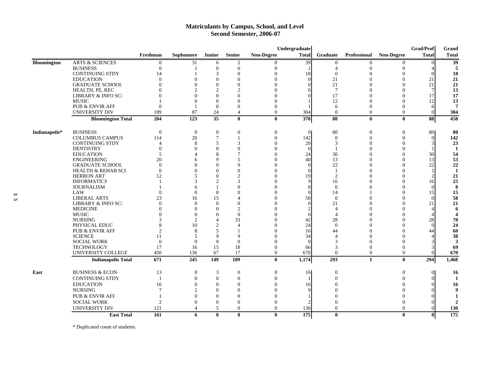### **Matriculants by Campus, School, and Level Second Semester, 2006-07**

| <b>Senior</b><br>Non-Degree<br><b>Total</b><br><b>Non-Degree</b><br><b>Total</b><br>Freshman<br><b>Junior</b><br>Graduate<br>Professional<br>Sophomore<br><b>ARTS &amp; SCIENCES</b><br><b>Bloomington</b><br>31<br>$\mathbf{2}$<br>39<br>$\mathbf{0}$<br>6<br>$\overline{0}$<br>$\mathbf{0}$<br>$\Omega$<br>$\Omega$<br>$\mathbf{0}$<br><b>BUSINESS</b><br>$\Omega$<br>$\Omega$<br>$\theta$<br>$\Omega$<br>$\Omega$<br>$\overline{4}$<br>$\Omega$<br>$\mathbf{1}$<br><b>CONTINUING STDY</b><br>$\theta$<br>14<br>3<br>$\Omega$<br>$\Omega$<br>18<br>$\Omega$<br>1<br>$\Omega$<br>$\theta$<br>21<br>21<br><b>EDUCATION</b><br>$\Omega$<br>$\mathbf{0}$<br>$\Omega$<br>$\Omega$<br>$\Omega$<br>$\Omega$<br>$\Omega$<br>21<br><b>GRADUATE SCHOOL</b><br>$\mathbf{0}$<br>$\theta$<br>21<br>$\Omega$<br>$\Omega$<br>$\Omega$<br>$\Omega$<br>$\Omega$<br>$\Omega$<br>$\overline{c}$<br>$\overline{7}$<br>HEALTH, PE, REC<br>$\overline{2}$<br>$\overline{2}$<br>$\overline{7}$<br>$\Omega$<br>$\Omega$<br>$\Omega$<br>17<br><b>LIBRARY &amp; INFO SCI</b><br>$\Omega$<br>$\Omega$<br>$\Omega$<br>17<br>$\Omega$<br>$\Omega$<br>$\Omega$<br>$\Omega$<br>12<br><b>MUSIC</b><br>$\Omega$<br>$\Omega$<br>$\Omega$<br>$\Omega$<br>12<br>$\Omega$<br>$\Omega$<br><b>PUB &amp; ENVIR AFF</b><br>$\overline{0}$<br>$\Omega$<br>$\Omega$<br>$\overline{0}$<br>6<br>$\Omega$<br>1<br>$\Omega$<br>6<br>189<br>87<br>$\mathbf{0}$<br>24<br>304<br>UNIVERSITY DIV<br>$\Omega$<br>$\overline{0}$<br>$\Omega$<br>4<br>$\overline{35}$<br>123<br>370<br>88<br>88<br>204<br>8<br>$\mathbf{0}$<br>$\bf{0}$<br><b>Bloomington Total</b><br>$\bf{0}$<br><b>BUSINESS</b><br>$\theta$<br>$\theta$<br>$\theta$<br>80<br>$\theta$<br>80<br>Indianapolis*<br>$\theta$<br>$\theta$<br>$\theta$<br>$\theta$<br>$\overline{7}$<br>114<br>20<br>$\boldsymbol{0}$<br>142<br>$\boldsymbol{0}$<br>$\boldsymbol{0}$<br>$\overline{0}$<br><b>COLUMBUS CAMPUS</b><br>$\mathbf{1}$<br>$\theta$<br>20<br>8<br>5<br>3<br>3<br>$\theta$<br><b>CONTINUING STDY</b><br>$\theta$<br>$\theta$<br>$\overline{4}$<br>$\theta$<br>$\theta$<br>$\Omega$<br>$\Omega$<br>$\overline{0}$<br>$\theta$<br><b>DENTISTRY</b><br>$\Omega$<br>$\overline{1}$<br>$\Omega$<br>30<br>30<br><b>EDUCATION</b><br>5<br>8<br>7<br>$\boldsymbol{0}$<br>24<br>$\boldsymbol{0}$<br>$\theta$<br>$\overline{\mathcal{A}}$<br>20<br>$\overline{9}$<br>40<br>13<br>$\theta$<br>13<br><b>ENGINEERING</b><br>5<br>$\boldsymbol{0}$<br>$\theta$<br>6<br>22<br>22<br>$\theta$<br>$\theta$<br>$\bigcap$<br>$\overline{0}$<br>$\theta$<br><b>GRADUATE SCHOOL</b><br>$\Omega$<br>$\Omega$<br><b>HEALTH &amp; REHAB SCI</b><br>$\theta$<br>$\theta$<br>$\Omega$<br>$\Omega$<br>$\overline{0}$<br>$\theta$<br>$\overline{1}$<br>$\Omega$<br>$\Omega$<br>19<br><b>HERRON ART</b><br>12<br>5<br>$\theta$<br>$\overline{2}$<br>$\overline{0}$<br>$\overline{2}$<br>$\theta$<br>$\Omega$<br><b>INFORMATICS</b><br>3<br>$\overline{2}$<br>3<br>$\overline{0}$<br>16<br>$\theta$<br>$\theta$<br>Q<br>16<br><b>JOURNALISM</b><br>$\Omega$<br>$\overline{0}$<br>$\overline{0}$<br>$\Omega$<br>6<br>0<br>$\theta$<br>LAW<br>$\Omega$<br>$\mathbf{0}$<br>$\Omega$<br>$\overline{0}$<br>14<br>15<br>$\Omega$<br>0<br><b>LIBERAL ARTS</b><br>23<br>15<br>16<br>$\overline{0}$<br>58<br>$\overline{0}$<br>$\theta$<br>$\overline{4}$<br>0<br><b>LIBRARY &amp; INFO SCI</b><br>$\theta$<br>$\mathbf{0}$<br>$\Omega$<br>$\overline{0}$<br>21<br>21<br>$\Omega$<br>$\Omega$<br>$\Omega$<br>$\Omega$<br><b>MEDICINE</b><br>$\Omega$<br>$\overline{2}$<br>$\Omega$<br>$\Omega$<br>$\Omega$<br>$\overline{4}$<br>$\Omega$<br>0<br><b>MUSIC</b><br>$\Omega$<br>$\Omega$<br>$\Omega$<br>$\Omega$<br>$\overline{4}$<br>$\Omega$<br>$\Omega$<br>$\Omega$<br>0<br><b>NURSING</b><br>28<br>28<br>2<br>33<br>42<br>$\Omega$<br>$\overline{A}$<br>$\Omega$<br>0<br>24<br>PHYSICAL EDUC<br>10<br>$\overline{2}$<br>$\Omega$<br>8<br>$\overline{4}$<br>$\Omega$<br>$\Omega$<br>$\Omega$<br>0<br><b>PUB &amp; ENVIR AFF</b><br>8<br>$\overline{5}$<br>16<br>44<br>44<br>$\mathfrak{D}$<br>$\Omega$<br>$\Omega$<br>0<br>9<br>9<br>$\overline{0}$<br>34<br><b>SCIENCE</b><br>$\Omega$<br>11<br>5<br>$\overline{4}$<br>0<br>$\mathbf{0}$<br><b>SOCIAL WORK</b><br>$\mathbf{0}$<br>$\Omega$<br>3<br>$\overline{0}$<br>$\overline{0}$<br>$\Omega$<br>$\Omega$<br>0<br><b>TECHNOLOGY</b><br>17<br>16<br>15<br>18<br>$\overline{0}$<br>3<br>$\mathbf{0}$<br>66<br>$\overline{0}$<br>UNIVERSITY COLLEGE<br>450<br>67<br>17<br>$\overline{0}$<br>670<br>$\overline{0}$<br>$\mathbf{0}$<br>136<br>$\Omega$<br>671<br>245<br>149<br>294<br><b>Indianapolis Total</b><br>109<br>1,174<br>293<br>$\mathbf{0}$<br>$\mathbf{1}$<br>$\mathbf{0}$<br><b>BUSINESS &amp; ECON</b><br>13<br>$\boldsymbol{0}$<br>3<br>East<br>$\theta$<br>$\boldsymbol{0}$<br>$\mathbf{0}$<br>16<br>$\overline{0}$<br>$\Omega$<br>$\boldsymbol{0}$<br><b>CONTINUING STDY</b><br>$\mathbf{0}$<br>$\theta$<br>$\overline{0}$<br>$\theta$<br>$\overline{1}$<br>$\Omega$<br><b>EDUCATION</b><br>16<br>$\mathbf{0}$<br>$\theta$<br>$\Omega$<br>$\overline{0}$<br>$\Omega$<br>16<br>0<br><b>NURSING</b><br>$\theta$<br>$\overline{7}$<br>$\overline{c}$<br>$\Omega$<br>$\overline{0}$<br>$\Omega$<br>$\mathbf{0}$<br>$\theta$<br>$\overline{0}$<br><b>PUB &amp; ENVIR AFF</b><br>$\mathbf{0}$<br>$\overline{0}$<br>0<br><b>SOCIAL WORK</b><br>$\mathbf{0}$<br>$\theta$<br>$\overline{0}$<br>$\overline{c}$<br>$\Omega$<br>$\overline{0}$<br>0<br>$\mathbf{0}$<br>UNIVERSITY DIV<br>121<br>5<br>$\overline{0}$<br>$\overline{0}$<br>$\overline{0}$<br>$\overline{4}$<br>130<br>$\boldsymbol{\theta}$ |                   |     |   |   |              |              | Undergraduate |          |          | <b>Grad/Prof</b> | Grand                 |
|----------------------------------------------------------------------------------------------------------------------------------------------------------------------------------------------------------------------------------------------------------------------------------------------------------------------------------------------------------------------------------------------------------------------------------------------------------------------------------------------------------------------------------------------------------------------------------------------------------------------------------------------------------------------------------------------------------------------------------------------------------------------------------------------------------------------------------------------------------------------------------------------------------------------------------------------------------------------------------------------------------------------------------------------------------------------------------------------------------------------------------------------------------------------------------------------------------------------------------------------------------------------------------------------------------------------------------------------------------------------------------------------------------------------------------------------------------------------------------------------------------------------------------------------------------------------------------------------------------------------------------------------------------------------------------------------------------------------------------------------------------------------------------------------------------------------------------------------------------------------------------------------------------------------------------------------------------------------------------------------------------------------------------------------------------------------------------------------------------------------------------------------------------------------------------------------------------------------------------------------------------------------------------------------------------------------------------------------------------------------------------------------------------------------------------------------------------------------------------------------------------------------------------------------------------------------------------------------------------------------------------------------------------------------------------------------------------------------------------------------------------------------------------------------------------------------------------------------------------------------------------------------------------------------------------------------------------------------------------------------------------------------------------------------------------------------------------------------------------------------------------------------------------------------------------------------------------------------------------------------------------------------------------------------------------------------------------------------------------------------------------------------------------------------------------------------------------------------------------------------------------------------------------------------------------------------------------------------------------------------------------------------------------------------------------------------------------------------------------------------------------------------------------------------------------------------------------------------------------------------------------------------------------------------------------------------------------------------------------------------------------------------------------------------------------------------------------------------------------------------------------------------------------------------------------------------------------------------------------------------------------------------------------------------------------------------------------------------------------------------------------------------------------------------------------------------------------------------------------------------------------------------------------------------------------------------------------------------------------------------------------------------------------------------------------------------------------------------------------------------------------------------------------------------------------------------------------------------------------------------------------------------------------------------------------------------------------------------------------------------------------------------------------------------------------------------------------------------------------------------------------------------------------------------------------------------------------------------------------------------------------------------------------------------------------------------------------------------------------------------------------------------------------------------------------------------------------------------------------------------------------------------------------------------------------------------------------------------------------------------------------------|-------------------|-----|---|---|--------------|--------------|---------------|----------|----------|------------------|-----------------------|
|                                                                                                                                                                                                                                                                                                                                                                                                                                                                                                                                                                                                                                                                                                                                                                                                                                                                                                                                                                                                                                                                                                                                                                                                                                                                                                                                                                                                                                                                                                                                                                                                                                                                                                                                                                                                                                                                                                                                                                                                                                                                                                                                                                                                                                                                                                                                                                                                                                                                                                                                                                                                                                                                                                                                                                                                                                                                                                                                                                                                                                                                                                                                                                                                                                                                                                                                                                                                                                                                                                                                                                                                                                                                                                                                                                                                                                                                                                                                                                                                                                                                                                                                                                                                                                                                                                                                                                                                                                                                                                                                                                                                                                                                                                                                                                                                                                                                                                                                                                                                                                                                                                                                                                                                                                                                                                                                                                                                                                                                                                                                                                                                                                        |                   |     |   |   |              |              |               |          |          |                  | <b>Total</b>          |
|                                                                                                                                                                                                                                                                                                                                                                                                                                                                                                                                                                                                                                                                                                                                                                                                                                                                                                                                                                                                                                                                                                                                                                                                                                                                                                                                                                                                                                                                                                                                                                                                                                                                                                                                                                                                                                                                                                                                                                                                                                                                                                                                                                                                                                                                                                                                                                                                                                                                                                                                                                                                                                                                                                                                                                                                                                                                                                                                                                                                                                                                                                                                                                                                                                                                                                                                                                                                                                                                                                                                                                                                                                                                                                                                                                                                                                                                                                                                                                                                                                                                                                                                                                                                                                                                                                                                                                                                                                                                                                                                                                                                                                                                                                                                                                                                                                                                                                                                                                                                                                                                                                                                                                                                                                                                                                                                                                                                                                                                                                                                                                                                                                        |                   |     |   |   |              |              |               |          |          |                  | $\overline{39}$       |
|                                                                                                                                                                                                                                                                                                                                                                                                                                                                                                                                                                                                                                                                                                                                                                                                                                                                                                                                                                                                                                                                                                                                                                                                                                                                                                                                                                                                                                                                                                                                                                                                                                                                                                                                                                                                                                                                                                                                                                                                                                                                                                                                                                                                                                                                                                                                                                                                                                                                                                                                                                                                                                                                                                                                                                                                                                                                                                                                                                                                                                                                                                                                                                                                                                                                                                                                                                                                                                                                                                                                                                                                                                                                                                                                                                                                                                                                                                                                                                                                                                                                                                                                                                                                                                                                                                                                                                                                                                                                                                                                                                                                                                                                                                                                                                                                                                                                                                                                                                                                                                                                                                                                                                                                                                                                                                                                                                                                                                                                                                                                                                                                                                        |                   |     |   |   |              |              |               |          |          |                  | 5                     |
|                                                                                                                                                                                                                                                                                                                                                                                                                                                                                                                                                                                                                                                                                                                                                                                                                                                                                                                                                                                                                                                                                                                                                                                                                                                                                                                                                                                                                                                                                                                                                                                                                                                                                                                                                                                                                                                                                                                                                                                                                                                                                                                                                                                                                                                                                                                                                                                                                                                                                                                                                                                                                                                                                                                                                                                                                                                                                                                                                                                                                                                                                                                                                                                                                                                                                                                                                                                                                                                                                                                                                                                                                                                                                                                                                                                                                                                                                                                                                                                                                                                                                                                                                                                                                                                                                                                                                                                                                                                                                                                                                                                                                                                                                                                                                                                                                                                                                                                                                                                                                                                                                                                                                                                                                                                                                                                                                                                                                                                                                                                                                                                                                                        |                   |     |   |   |              |              |               |          |          |                  | 18                    |
|                                                                                                                                                                                                                                                                                                                                                                                                                                                                                                                                                                                                                                                                                                                                                                                                                                                                                                                                                                                                                                                                                                                                                                                                                                                                                                                                                                                                                                                                                                                                                                                                                                                                                                                                                                                                                                                                                                                                                                                                                                                                                                                                                                                                                                                                                                                                                                                                                                                                                                                                                                                                                                                                                                                                                                                                                                                                                                                                                                                                                                                                                                                                                                                                                                                                                                                                                                                                                                                                                                                                                                                                                                                                                                                                                                                                                                                                                                                                                                                                                                                                                                                                                                                                                                                                                                                                                                                                                                                                                                                                                                                                                                                                                                                                                                                                                                                                                                                                                                                                                                                                                                                                                                                                                                                                                                                                                                                                                                                                                                                                                                                                                                        |                   |     |   |   |              |              |               |          |          |                  | 21                    |
|                                                                                                                                                                                                                                                                                                                                                                                                                                                                                                                                                                                                                                                                                                                                                                                                                                                                                                                                                                                                                                                                                                                                                                                                                                                                                                                                                                                                                                                                                                                                                                                                                                                                                                                                                                                                                                                                                                                                                                                                                                                                                                                                                                                                                                                                                                                                                                                                                                                                                                                                                                                                                                                                                                                                                                                                                                                                                                                                                                                                                                                                                                                                                                                                                                                                                                                                                                                                                                                                                                                                                                                                                                                                                                                                                                                                                                                                                                                                                                                                                                                                                                                                                                                                                                                                                                                                                                                                                                                                                                                                                                                                                                                                                                                                                                                                                                                                                                                                                                                                                                                                                                                                                                                                                                                                                                                                                                                                                                                                                                                                                                                                                                        |                   |     |   |   |              |              |               |          |          |                  | 21                    |
|                                                                                                                                                                                                                                                                                                                                                                                                                                                                                                                                                                                                                                                                                                                                                                                                                                                                                                                                                                                                                                                                                                                                                                                                                                                                                                                                                                                                                                                                                                                                                                                                                                                                                                                                                                                                                                                                                                                                                                                                                                                                                                                                                                                                                                                                                                                                                                                                                                                                                                                                                                                                                                                                                                                                                                                                                                                                                                                                                                                                                                                                                                                                                                                                                                                                                                                                                                                                                                                                                                                                                                                                                                                                                                                                                                                                                                                                                                                                                                                                                                                                                                                                                                                                                                                                                                                                                                                                                                                                                                                                                                                                                                                                                                                                                                                                                                                                                                                                                                                                                                                                                                                                                                                                                                                                                                                                                                                                                                                                                                                                                                                                                                        |                   |     |   |   |              |              |               |          |          |                  | 13                    |
|                                                                                                                                                                                                                                                                                                                                                                                                                                                                                                                                                                                                                                                                                                                                                                                                                                                                                                                                                                                                                                                                                                                                                                                                                                                                                                                                                                                                                                                                                                                                                                                                                                                                                                                                                                                                                                                                                                                                                                                                                                                                                                                                                                                                                                                                                                                                                                                                                                                                                                                                                                                                                                                                                                                                                                                                                                                                                                                                                                                                                                                                                                                                                                                                                                                                                                                                                                                                                                                                                                                                                                                                                                                                                                                                                                                                                                                                                                                                                                                                                                                                                                                                                                                                                                                                                                                                                                                                                                                                                                                                                                                                                                                                                                                                                                                                                                                                                                                                                                                                                                                                                                                                                                                                                                                                                                                                                                                                                                                                                                                                                                                                                                        |                   |     |   |   |              |              |               |          |          |                  | 17                    |
|                                                                                                                                                                                                                                                                                                                                                                                                                                                                                                                                                                                                                                                                                                                                                                                                                                                                                                                                                                                                                                                                                                                                                                                                                                                                                                                                                                                                                                                                                                                                                                                                                                                                                                                                                                                                                                                                                                                                                                                                                                                                                                                                                                                                                                                                                                                                                                                                                                                                                                                                                                                                                                                                                                                                                                                                                                                                                                                                                                                                                                                                                                                                                                                                                                                                                                                                                                                                                                                                                                                                                                                                                                                                                                                                                                                                                                                                                                                                                                                                                                                                                                                                                                                                                                                                                                                                                                                                                                                                                                                                                                                                                                                                                                                                                                                                                                                                                                                                                                                                                                                                                                                                                                                                                                                                                                                                                                                                                                                                                                                                                                                                                                        |                   |     |   |   |              |              |               |          |          |                  | 13                    |
|                                                                                                                                                                                                                                                                                                                                                                                                                                                                                                                                                                                                                                                                                                                                                                                                                                                                                                                                                                                                                                                                                                                                                                                                                                                                                                                                                                                                                                                                                                                                                                                                                                                                                                                                                                                                                                                                                                                                                                                                                                                                                                                                                                                                                                                                                                                                                                                                                                                                                                                                                                                                                                                                                                                                                                                                                                                                                                                                                                                                                                                                                                                                                                                                                                                                                                                                                                                                                                                                                                                                                                                                                                                                                                                                                                                                                                                                                                                                                                                                                                                                                                                                                                                                                                                                                                                                                                                                                                                                                                                                                                                                                                                                                                                                                                                                                                                                                                                                                                                                                                                                                                                                                                                                                                                                                                                                                                                                                                                                                                                                                                                                                                        |                   |     |   |   |              |              |               |          |          |                  | $\overline{7}$        |
|                                                                                                                                                                                                                                                                                                                                                                                                                                                                                                                                                                                                                                                                                                                                                                                                                                                                                                                                                                                                                                                                                                                                                                                                                                                                                                                                                                                                                                                                                                                                                                                                                                                                                                                                                                                                                                                                                                                                                                                                                                                                                                                                                                                                                                                                                                                                                                                                                                                                                                                                                                                                                                                                                                                                                                                                                                                                                                                                                                                                                                                                                                                                                                                                                                                                                                                                                                                                                                                                                                                                                                                                                                                                                                                                                                                                                                                                                                                                                                                                                                                                                                                                                                                                                                                                                                                                                                                                                                                                                                                                                                                                                                                                                                                                                                                                                                                                                                                                                                                                                                                                                                                                                                                                                                                                                                                                                                                                                                                                                                                                                                                                                                        |                   |     |   |   |              |              |               |          |          |                  | 304                   |
|                                                                                                                                                                                                                                                                                                                                                                                                                                                                                                                                                                                                                                                                                                                                                                                                                                                                                                                                                                                                                                                                                                                                                                                                                                                                                                                                                                                                                                                                                                                                                                                                                                                                                                                                                                                                                                                                                                                                                                                                                                                                                                                                                                                                                                                                                                                                                                                                                                                                                                                                                                                                                                                                                                                                                                                                                                                                                                                                                                                                                                                                                                                                                                                                                                                                                                                                                                                                                                                                                                                                                                                                                                                                                                                                                                                                                                                                                                                                                                                                                                                                                                                                                                                                                                                                                                                                                                                                                                                                                                                                                                                                                                                                                                                                                                                                                                                                                                                                                                                                                                                                                                                                                                                                                                                                                                                                                                                                                                                                                                                                                                                                                                        |                   |     |   |   |              |              |               |          |          |                  | 458                   |
|                                                                                                                                                                                                                                                                                                                                                                                                                                                                                                                                                                                                                                                                                                                                                                                                                                                                                                                                                                                                                                                                                                                                                                                                                                                                                                                                                                                                                                                                                                                                                                                                                                                                                                                                                                                                                                                                                                                                                                                                                                                                                                                                                                                                                                                                                                                                                                                                                                                                                                                                                                                                                                                                                                                                                                                                                                                                                                                                                                                                                                                                                                                                                                                                                                                                                                                                                                                                                                                                                                                                                                                                                                                                                                                                                                                                                                                                                                                                                                                                                                                                                                                                                                                                                                                                                                                                                                                                                                                                                                                                                                                                                                                                                                                                                                                                                                                                                                                                                                                                                                                                                                                                                                                                                                                                                                                                                                                                                                                                                                                                                                                                                                        |                   |     |   |   |              |              |               |          |          |                  | 80                    |
|                                                                                                                                                                                                                                                                                                                                                                                                                                                                                                                                                                                                                                                                                                                                                                                                                                                                                                                                                                                                                                                                                                                                                                                                                                                                                                                                                                                                                                                                                                                                                                                                                                                                                                                                                                                                                                                                                                                                                                                                                                                                                                                                                                                                                                                                                                                                                                                                                                                                                                                                                                                                                                                                                                                                                                                                                                                                                                                                                                                                                                                                                                                                                                                                                                                                                                                                                                                                                                                                                                                                                                                                                                                                                                                                                                                                                                                                                                                                                                                                                                                                                                                                                                                                                                                                                                                                                                                                                                                                                                                                                                                                                                                                                                                                                                                                                                                                                                                                                                                                                                                                                                                                                                                                                                                                                                                                                                                                                                                                                                                                                                                                                                        |                   |     |   |   |              |              |               |          |          |                  | 142                   |
|                                                                                                                                                                                                                                                                                                                                                                                                                                                                                                                                                                                                                                                                                                                                                                                                                                                                                                                                                                                                                                                                                                                                                                                                                                                                                                                                                                                                                                                                                                                                                                                                                                                                                                                                                                                                                                                                                                                                                                                                                                                                                                                                                                                                                                                                                                                                                                                                                                                                                                                                                                                                                                                                                                                                                                                                                                                                                                                                                                                                                                                                                                                                                                                                                                                                                                                                                                                                                                                                                                                                                                                                                                                                                                                                                                                                                                                                                                                                                                                                                                                                                                                                                                                                                                                                                                                                                                                                                                                                                                                                                                                                                                                                                                                                                                                                                                                                                                                                                                                                                                                                                                                                                                                                                                                                                                                                                                                                                                                                                                                                                                                                                                        |                   |     |   |   |              |              |               |          |          |                  | 23                    |
|                                                                                                                                                                                                                                                                                                                                                                                                                                                                                                                                                                                                                                                                                                                                                                                                                                                                                                                                                                                                                                                                                                                                                                                                                                                                                                                                                                                                                                                                                                                                                                                                                                                                                                                                                                                                                                                                                                                                                                                                                                                                                                                                                                                                                                                                                                                                                                                                                                                                                                                                                                                                                                                                                                                                                                                                                                                                                                                                                                                                                                                                                                                                                                                                                                                                                                                                                                                                                                                                                                                                                                                                                                                                                                                                                                                                                                                                                                                                                                                                                                                                                                                                                                                                                                                                                                                                                                                                                                                                                                                                                                                                                                                                                                                                                                                                                                                                                                                                                                                                                                                                                                                                                                                                                                                                                                                                                                                                                                                                                                                                                                                                                                        |                   |     |   |   |              |              |               |          |          |                  | 1                     |
|                                                                                                                                                                                                                                                                                                                                                                                                                                                                                                                                                                                                                                                                                                                                                                                                                                                                                                                                                                                                                                                                                                                                                                                                                                                                                                                                                                                                                                                                                                                                                                                                                                                                                                                                                                                                                                                                                                                                                                                                                                                                                                                                                                                                                                                                                                                                                                                                                                                                                                                                                                                                                                                                                                                                                                                                                                                                                                                                                                                                                                                                                                                                                                                                                                                                                                                                                                                                                                                                                                                                                                                                                                                                                                                                                                                                                                                                                                                                                                                                                                                                                                                                                                                                                                                                                                                                                                                                                                                                                                                                                                                                                                                                                                                                                                                                                                                                                                                                                                                                                                                                                                                                                                                                                                                                                                                                                                                                                                                                                                                                                                                                                                        |                   |     |   |   |              |              |               |          |          |                  | 54                    |
|                                                                                                                                                                                                                                                                                                                                                                                                                                                                                                                                                                                                                                                                                                                                                                                                                                                                                                                                                                                                                                                                                                                                                                                                                                                                                                                                                                                                                                                                                                                                                                                                                                                                                                                                                                                                                                                                                                                                                                                                                                                                                                                                                                                                                                                                                                                                                                                                                                                                                                                                                                                                                                                                                                                                                                                                                                                                                                                                                                                                                                                                                                                                                                                                                                                                                                                                                                                                                                                                                                                                                                                                                                                                                                                                                                                                                                                                                                                                                                                                                                                                                                                                                                                                                                                                                                                                                                                                                                                                                                                                                                                                                                                                                                                                                                                                                                                                                                                                                                                                                                                                                                                                                                                                                                                                                                                                                                                                                                                                                                                                                                                                                                        |                   |     |   |   |              |              |               |          |          |                  | 53                    |
|                                                                                                                                                                                                                                                                                                                                                                                                                                                                                                                                                                                                                                                                                                                                                                                                                                                                                                                                                                                                                                                                                                                                                                                                                                                                                                                                                                                                                                                                                                                                                                                                                                                                                                                                                                                                                                                                                                                                                                                                                                                                                                                                                                                                                                                                                                                                                                                                                                                                                                                                                                                                                                                                                                                                                                                                                                                                                                                                                                                                                                                                                                                                                                                                                                                                                                                                                                                                                                                                                                                                                                                                                                                                                                                                                                                                                                                                                                                                                                                                                                                                                                                                                                                                                                                                                                                                                                                                                                                                                                                                                                                                                                                                                                                                                                                                                                                                                                                                                                                                                                                                                                                                                                                                                                                                                                                                                                                                                                                                                                                                                                                                                                        |                   |     |   |   |              |              |               |          |          |                  | 22                    |
|                                                                                                                                                                                                                                                                                                                                                                                                                                                                                                                                                                                                                                                                                                                                                                                                                                                                                                                                                                                                                                                                                                                                                                                                                                                                                                                                                                                                                                                                                                                                                                                                                                                                                                                                                                                                                                                                                                                                                                                                                                                                                                                                                                                                                                                                                                                                                                                                                                                                                                                                                                                                                                                                                                                                                                                                                                                                                                                                                                                                                                                                                                                                                                                                                                                                                                                                                                                                                                                                                                                                                                                                                                                                                                                                                                                                                                                                                                                                                                                                                                                                                                                                                                                                                                                                                                                                                                                                                                                                                                                                                                                                                                                                                                                                                                                                                                                                                                                                                                                                                                                                                                                                                                                                                                                                                                                                                                                                                                                                                                                                                                                                                                        |                   |     |   |   |              |              |               |          |          |                  | $\mathbf{1}$          |
|                                                                                                                                                                                                                                                                                                                                                                                                                                                                                                                                                                                                                                                                                                                                                                                                                                                                                                                                                                                                                                                                                                                                                                                                                                                                                                                                                                                                                                                                                                                                                                                                                                                                                                                                                                                                                                                                                                                                                                                                                                                                                                                                                                                                                                                                                                                                                                                                                                                                                                                                                                                                                                                                                                                                                                                                                                                                                                                                                                                                                                                                                                                                                                                                                                                                                                                                                                                                                                                                                                                                                                                                                                                                                                                                                                                                                                                                                                                                                                                                                                                                                                                                                                                                                                                                                                                                                                                                                                                                                                                                                                                                                                                                                                                                                                                                                                                                                                                                                                                                                                                                                                                                                                                                                                                                                                                                                                                                                                                                                                                                                                                                                                        |                   |     |   |   |              |              |               |          |          |                  | ${\bf 21}$            |
|                                                                                                                                                                                                                                                                                                                                                                                                                                                                                                                                                                                                                                                                                                                                                                                                                                                                                                                                                                                                                                                                                                                                                                                                                                                                                                                                                                                                                                                                                                                                                                                                                                                                                                                                                                                                                                                                                                                                                                                                                                                                                                                                                                                                                                                                                                                                                                                                                                                                                                                                                                                                                                                                                                                                                                                                                                                                                                                                                                                                                                                                                                                                                                                                                                                                                                                                                                                                                                                                                                                                                                                                                                                                                                                                                                                                                                                                                                                                                                                                                                                                                                                                                                                                                                                                                                                                                                                                                                                                                                                                                                                                                                                                                                                                                                                                                                                                                                                                                                                                                                                                                                                                                                                                                                                                                                                                                                                                                                                                                                                                                                                                                                        |                   |     |   |   |              |              |               |          |          |                  | 25                    |
|                                                                                                                                                                                                                                                                                                                                                                                                                                                                                                                                                                                                                                                                                                                                                                                                                                                                                                                                                                                                                                                                                                                                                                                                                                                                                                                                                                                                                                                                                                                                                                                                                                                                                                                                                                                                                                                                                                                                                                                                                                                                                                                                                                                                                                                                                                                                                                                                                                                                                                                                                                                                                                                                                                                                                                                                                                                                                                                                                                                                                                                                                                                                                                                                                                                                                                                                                                                                                                                                                                                                                                                                                                                                                                                                                                                                                                                                                                                                                                                                                                                                                                                                                                                                                                                                                                                                                                                                                                                                                                                                                                                                                                                                                                                                                                                                                                                                                                                                                                                                                                                                                                                                                                                                                                                                                                                                                                                                                                                                                                                                                                                                                                        |                   |     |   |   |              |              |               |          |          |                  | 8                     |
|                                                                                                                                                                                                                                                                                                                                                                                                                                                                                                                                                                                                                                                                                                                                                                                                                                                                                                                                                                                                                                                                                                                                                                                                                                                                                                                                                                                                                                                                                                                                                                                                                                                                                                                                                                                                                                                                                                                                                                                                                                                                                                                                                                                                                                                                                                                                                                                                                                                                                                                                                                                                                                                                                                                                                                                                                                                                                                                                                                                                                                                                                                                                                                                                                                                                                                                                                                                                                                                                                                                                                                                                                                                                                                                                                                                                                                                                                                                                                                                                                                                                                                                                                                                                                                                                                                                                                                                                                                                                                                                                                                                                                                                                                                                                                                                                                                                                                                                                                                                                                                                                                                                                                                                                                                                                                                                                                                                                                                                                                                                                                                                                                                        |                   |     |   |   |              |              |               |          |          |                  | 15                    |
|                                                                                                                                                                                                                                                                                                                                                                                                                                                                                                                                                                                                                                                                                                                                                                                                                                                                                                                                                                                                                                                                                                                                                                                                                                                                                                                                                                                                                                                                                                                                                                                                                                                                                                                                                                                                                                                                                                                                                                                                                                                                                                                                                                                                                                                                                                                                                                                                                                                                                                                                                                                                                                                                                                                                                                                                                                                                                                                                                                                                                                                                                                                                                                                                                                                                                                                                                                                                                                                                                                                                                                                                                                                                                                                                                                                                                                                                                                                                                                                                                                                                                                                                                                                                                                                                                                                                                                                                                                                                                                                                                                                                                                                                                                                                                                                                                                                                                                                                                                                                                                                                                                                                                                                                                                                                                                                                                                                                                                                                                                                                                                                                                                        |                   |     |   |   |              |              |               |          |          |                  | 58                    |
|                                                                                                                                                                                                                                                                                                                                                                                                                                                                                                                                                                                                                                                                                                                                                                                                                                                                                                                                                                                                                                                                                                                                                                                                                                                                                                                                                                                                                                                                                                                                                                                                                                                                                                                                                                                                                                                                                                                                                                                                                                                                                                                                                                                                                                                                                                                                                                                                                                                                                                                                                                                                                                                                                                                                                                                                                                                                                                                                                                                                                                                                                                                                                                                                                                                                                                                                                                                                                                                                                                                                                                                                                                                                                                                                                                                                                                                                                                                                                                                                                                                                                                                                                                                                                                                                                                                                                                                                                                                                                                                                                                                                                                                                                                                                                                                                                                                                                                                                                                                                                                                                                                                                                                                                                                                                                                                                                                                                                                                                                                                                                                                                                                        |                   |     |   |   |              |              |               |          |          |                  | 21                    |
|                                                                                                                                                                                                                                                                                                                                                                                                                                                                                                                                                                                                                                                                                                                                                                                                                                                                                                                                                                                                                                                                                                                                                                                                                                                                                                                                                                                                                                                                                                                                                                                                                                                                                                                                                                                                                                                                                                                                                                                                                                                                                                                                                                                                                                                                                                                                                                                                                                                                                                                                                                                                                                                                                                                                                                                                                                                                                                                                                                                                                                                                                                                                                                                                                                                                                                                                                                                                                                                                                                                                                                                                                                                                                                                                                                                                                                                                                                                                                                                                                                                                                                                                                                                                                                                                                                                                                                                                                                                                                                                                                                                                                                                                                                                                                                                                                                                                                                                                                                                                                                                                                                                                                                                                                                                                                                                                                                                                                                                                                                                                                                                                                                        |                   |     |   |   |              |              |               |          |          |                  | 6                     |
|                                                                                                                                                                                                                                                                                                                                                                                                                                                                                                                                                                                                                                                                                                                                                                                                                                                                                                                                                                                                                                                                                                                                                                                                                                                                                                                                                                                                                                                                                                                                                                                                                                                                                                                                                                                                                                                                                                                                                                                                                                                                                                                                                                                                                                                                                                                                                                                                                                                                                                                                                                                                                                                                                                                                                                                                                                                                                                                                                                                                                                                                                                                                                                                                                                                                                                                                                                                                                                                                                                                                                                                                                                                                                                                                                                                                                                                                                                                                                                                                                                                                                                                                                                                                                                                                                                                                                                                                                                                                                                                                                                                                                                                                                                                                                                                                                                                                                                                                                                                                                                                                                                                                                                                                                                                                                                                                                                                                                                                                                                                                                                                                                                        |                   |     |   |   |              |              |               |          |          |                  | $\boldsymbol{\Delta}$ |
|                                                                                                                                                                                                                                                                                                                                                                                                                                                                                                                                                                                                                                                                                                                                                                                                                                                                                                                                                                                                                                                                                                                                                                                                                                                                                                                                                                                                                                                                                                                                                                                                                                                                                                                                                                                                                                                                                                                                                                                                                                                                                                                                                                                                                                                                                                                                                                                                                                                                                                                                                                                                                                                                                                                                                                                                                                                                                                                                                                                                                                                                                                                                                                                                                                                                                                                                                                                                                                                                                                                                                                                                                                                                                                                                                                                                                                                                                                                                                                                                                                                                                                                                                                                                                                                                                                                                                                                                                                                                                                                                                                                                                                                                                                                                                                                                                                                                                                                                                                                                                                                                                                                                                                                                                                                                                                                                                                                                                                                                                                                                                                                                                                        |                   |     |   |   |              |              |               |          |          |                  | 70                    |
|                                                                                                                                                                                                                                                                                                                                                                                                                                                                                                                                                                                                                                                                                                                                                                                                                                                                                                                                                                                                                                                                                                                                                                                                                                                                                                                                                                                                                                                                                                                                                                                                                                                                                                                                                                                                                                                                                                                                                                                                                                                                                                                                                                                                                                                                                                                                                                                                                                                                                                                                                                                                                                                                                                                                                                                                                                                                                                                                                                                                                                                                                                                                                                                                                                                                                                                                                                                                                                                                                                                                                                                                                                                                                                                                                                                                                                                                                                                                                                                                                                                                                                                                                                                                                                                                                                                                                                                                                                                                                                                                                                                                                                                                                                                                                                                                                                                                                                                                                                                                                                                                                                                                                                                                                                                                                                                                                                                                                                                                                                                                                                                                                                        |                   |     |   |   |              |              |               |          |          |                  | 24                    |
|                                                                                                                                                                                                                                                                                                                                                                                                                                                                                                                                                                                                                                                                                                                                                                                                                                                                                                                                                                                                                                                                                                                                                                                                                                                                                                                                                                                                                                                                                                                                                                                                                                                                                                                                                                                                                                                                                                                                                                                                                                                                                                                                                                                                                                                                                                                                                                                                                                                                                                                                                                                                                                                                                                                                                                                                                                                                                                                                                                                                                                                                                                                                                                                                                                                                                                                                                                                                                                                                                                                                                                                                                                                                                                                                                                                                                                                                                                                                                                                                                                                                                                                                                                                                                                                                                                                                                                                                                                                                                                                                                                                                                                                                                                                                                                                                                                                                                                                                                                                                                                                                                                                                                                                                                                                                                                                                                                                                                                                                                                                                                                                                                                        |                   |     |   |   |              |              |               |          |          |                  | 60                    |
|                                                                                                                                                                                                                                                                                                                                                                                                                                                                                                                                                                                                                                                                                                                                                                                                                                                                                                                                                                                                                                                                                                                                                                                                                                                                                                                                                                                                                                                                                                                                                                                                                                                                                                                                                                                                                                                                                                                                                                                                                                                                                                                                                                                                                                                                                                                                                                                                                                                                                                                                                                                                                                                                                                                                                                                                                                                                                                                                                                                                                                                                                                                                                                                                                                                                                                                                                                                                                                                                                                                                                                                                                                                                                                                                                                                                                                                                                                                                                                                                                                                                                                                                                                                                                                                                                                                                                                                                                                                                                                                                                                                                                                                                                                                                                                                                                                                                                                                                                                                                                                                                                                                                                                                                                                                                                                                                                                                                                                                                                                                                                                                                                                        |                   |     |   |   |              |              |               |          |          |                  | 38                    |
|                                                                                                                                                                                                                                                                                                                                                                                                                                                                                                                                                                                                                                                                                                                                                                                                                                                                                                                                                                                                                                                                                                                                                                                                                                                                                                                                                                                                                                                                                                                                                                                                                                                                                                                                                                                                                                                                                                                                                                                                                                                                                                                                                                                                                                                                                                                                                                                                                                                                                                                                                                                                                                                                                                                                                                                                                                                                                                                                                                                                                                                                                                                                                                                                                                                                                                                                                                                                                                                                                                                                                                                                                                                                                                                                                                                                                                                                                                                                                                                                                                                                                                                                                                                                                                                                                                                                                                                                                                                                                                                                                                                                                                                                                                                                                                                                                                                                                                                                                                                                                                                                                                                                                                                                                                                                                                                                                                                                                                                                                                                                                                                                                                        |                   |     |   |   |              |              |               |          |          |                  | 3                     |
|                                                                                                                                                                                                                                                                                                                                                                                                                                                                                                                                                                                                                                                                                                                                                                                                                                                                                                                                                                                                                                                                                                                                                                                                                                                                                                                                                                                                                                                                                                                                                                                                                                                                                                                                                                                                                                                                                                                                                                                                                                                                                                                                                                                                                                                                                                                                                                                                                                                                                                                                                                                                                                                                                                                                                                                                                                                                                                                                                                                                                                                                                                                                                                                                                                                                                                                                                                                                                                                                                                                                                                                                                                                                                                                                                                                                                                                                                                                                                                                                                                                                                                                                                                                                                                                                                                                                                                                                                                                                                                                                                                                                                                                                                                                                                                                                                                                                                                                                                                                                                                                                                                                                                                                                                                                                                                                                                                                                                                                                                                                                                                                                                                        |                   |     |   |   |              |              |               |          |          |                  | 69                    |
|                                                                                                                                                                                                                                                                                                                                                                                                                                                                                                                                                                                                                                                                                                                                                                                                                                                                                                                                                                                                                                                                                                                                                                                                                                                                                                                                                                                                                                                                                                                                                                                                                                                                                                                                                                                                                                                                                                                                                                                                                                                                                                                                                                                                                                                                                                                                                                                                                                                                                                                                                                                                                                                                                                                                                                                                                                                                                                                                                                                                                                                                                                                                                                                                                                                                                                                                                                                                                                                                                                                                                                                                                                                                                                                                                                                                                                                                                                                                                                                                                                                                                                                                                                                                                                                                                                                                                                                                                                                                                                                                                                                                                                                                                                                                                                                                                                                                                                                                                                                                                                                                                                                                                                                                                                                                                                                                                                                                                                                                                                                                                                                                                                        |                   |     |   |   |              |              |               |          |          |                  | 670                   |
|                                                                                                                                                                                                                                                                                                                                                                                                                                                                                                                                                                                                                                                                                                                                                                                                                                                                                                                                                                                                                                                                                                                                                                                                                                                                                                                                                                                                                                                                                                                                                                                                                                                                                                                                                                                                                                                                                                                                                                                                                                                                                                                                                                                                                                                                                                                                                                                                                                                                                                                                                                                                                                                                                                                                                                                                                                                                                                                                                                                                                                                                                                                                                                                                                                                                                                                                                                                                                                                                                                                                                                                                                                                                                                                                                                                                                                                                                                                                                                                                                                                                                                                                                                                                                                                                                                                                                                                                                                                                                                                                                                                                                                                                                                                                                                                                                                                                                                                                                                                                                                                                                                                                                                                                                                                                                                                                                                                                                                                                                                                                                                                                                                        |                   |     |   |   |              |              |               |          |          |                  | 1,468                 |
|                                                                                                                                                                                                                                                                                                                                                                                                                                                                                                                                                                                                                                                                                                                                                                                                                                                                                                                                                                                                                                                                                                                                                                                                                                                                                                                                                                                                                                                                                                                                                                                                                                                                                                                                                                                                                                                                                                                                                                                                                                                                                                                                                                                                                                                                                                                                                                                                                                                                                                                                                                                                                                                                                                                                                                                                                                                                                                                                                                                                                                                                                                                                                                                                                                                                                                                                                                                                                                                                                                                                                                                                                                                                                                                                                                                                                                                                                                                                                                                                                                                                                                                                                                                                                                                                                                                                                                                                                                                                                                                                                                                                                                                                                                                                                                                                                                                                                                                                                                                                                                                                                                                                                                                                                                                                                                                                                                                                                                                                                                                                                                                                                                        |                   |     |   |   |              |              |               |          |          |                  | 16                    |
|                                                                                                                                                                                                                                                                                                                                                                                                                                                                                                                                                                                                                                                                                                                                                                                                                                                                                                                                                                                                                                                                                                                                                                                                                                                                                                                                                                                                                                                                                                                                                                                                                                                                                                                                                                                                                                                                                                                                                                                                                                                                                                                                                                                                                                                                                                                                                                                                                                                                                                                                                                                                                                                                                                                                                                                                                                                                                                                                                                                                                                                                                                                                                                                                                                                                                                                                                                                                                                                                                                                                                                                                                                                                                                                                                                                                                                                                                                                                                                                                                                                                                                                                                                                                                                                                                                                                                                                                                                                                                                                                                                                                                                                                                                                                                                                                                                                                                                                                                                                                                                                                                                                                                                                                                                                                                                                                                                                                                                                                                                                                                                                                                                        |                   |     |   |   |              |              |               |          |          |                  | $\mathbf{1}$          |
|                                                                                                                                                                                                                                                                                                                                                                                                                                                                                                                                                                                                                                                                                                                                                                                                                                                                                                                                                                                                                                                                                                                                                                                                                                                                                                                                                                                                                                                                                                                                                                                                                                                                                                                                                                                                                                                                                                                                                                                                                                                                                                                                                                                                                                                                                                                                                                                                                                                                                                                                                                                                                                                                                                                                                                                                                                                                                                                                                                                                                                                                                                                                                                                                                                                                                                                                                                                                                                                                                                                                                                                                                                                                                                                                                                                                                                                                                                                                                                                                                                                                                                                                                                                                                                                                                                                                                                                                                                                                                                                                                                                                                                                                                                                                                                                                                                                                                                                                                                                                                                                                                                                                                                                                                                                                                                                                                                                                                                                                                                                                                                                                                                        |                   |     |   |   |              |              |               |          |          |                  | 16                    |
|                                                                                                                                                                                                                                                                                                                                                                                                                                                                                                                                                                                                                                                                                                                                                                                                                                                                                                                                                                                                                                                                                                                                                                                                                                                                                                                                                                                                                                                                                                                                                                                                                                                                                                                                                                                                                                                                                                                                                                                                                                                                                                                                                                                                                                                                                                                                                                                                                                                                                                                                                                                                                                                                                                                                                                                                                                                                                                                                                                                                                                                                                                                                                                                                                                                                                                                                                                                                                                                                                                                                                                                                                                                                                                                                                                                                                                                                                                                                                                                                                                                                                                                                                                                                                                                                                                                                                                                                                                                                                                                                                                                                                                                                                                                                                                                                                                                                                                                                                                                                                                                                                                                                                                                                                                                                                                                                                                                                                                                                                                                                                                                                                                        |                   |     |   |   |              |              |               |          |          |                  | 9                     |
|                                                                                                                                                                                                                                                                                                                                                                                                                                                                                                                                                                                                                                                                                                                                                                                                                                                                                                                                                                                                                                                                                                                                                                                                                                                                                                                                                                                                                                                                                                                                                                                                                                                                                                                                                                                                                                                                                                                                                                                                                                                                                                                                                                                                                                                                                                                                                                                                                                                                                                                                                                                                                                                                                                                                                                                                                                                                                                                                                                                                                                                                                                                                                                                                                                                                                                                                                                                                                                                                                                                                                                                                                                                                                                                                                                                                                                                                                                                                                                                                                                                                                                                                                                                                                                                                                                                                                                                                                                                                                                                                                                                                                                                                                                                                                                                                                                                                                                                                                                                                                                                                                                                                                                                                                                                                                                                                                                                                                                                                                                                                                                                                                                        |                   |     |   |   |              |              |               |          |          |                  | 1                     |
|                                                                                                                                                                                                                                                                                                                                                                                                                                                                                                                                                                                                                                                                                                                                                                                                                                                                                                                                                                                                                                                                                                                                                                                                                                                                                                                                                                                                                                                                                                                                                                                                                                                                                                                                                                                                                                                                                                                                                                                                                                                                                                                                                                                                                                                                                                                                                                                                                                                                                                                                                                                                                                                                                                                                                                                                                                                                                                                                                                                                                                                                                                                                                                                                                                                                                                                                                                                                                                                                                                                                                                                                                                                                                                                                                                                                                                                                                                                                                                                                                                                                                                                                                                                                                                                                                                                                                                                                                                                                                                                                                                                                                                                                                                                                                                                                                                                                                                                                                                                                                                                                                                                                                                                                                                                                                                                                                                                                                                                                                                                                                                                                                                        |                   |     |   |   |              |              |               |          |          |                  | $\overline{2}$        |
|                                                                                                                                                                                                                                                                                                                                                                                                                                                                                                                                                                                                                                                                                                                                                                                                                                                                                                                                                                                                                                                                                                                                                                                                                                                                                                                                                                                                                                                                                                                                                                                                                                                                                                                                                                                                                                                                                                                                                                                                                                                                                                                                                                                                                                                                                                                                                                                                                                                                                                                                                                                                                                                                                                                                                                                                                                                                                                                                                                                                                                                                                                                                                                                                                                                                                                                                                                                                                                                                                                                                                                                                                                                                                                                                                                                                                                                                                                                                                                                                                                                                                                                                                                                                                                                                                                                                                                                                                                                                                                                                                                                                                                                                                                                                                                                                                                                                                                                                                                                                                                                                                                                                                                                                                                                                                                                                                                                                                                                                                                                                                                                                                                        |                   |     |   |   |              |              |               |          |          |                  | 130                   |
|                                                                                                                                                                                                                                                                                                                                                                                                                                                                                                                                                                                                                                                                                                                                                                                                                                                                                                                                                                                                                                                                                                                                                                                                                                                                                                                                                                                                                                                                                                                                                                                                                                                                                                                                                                                                                                                                                                                                                                                                                                                                                                                                                                                                                                                                                                                                                                                                                                                                                                                                                                                                                                                                                                                                                                                                                                                                                                                                                                                                                                                                                                                                                                                                                                                                                                                                                                                                                                                                                                                                                                                                                                                                                                                                                                                                                                                                                                                                                                                                                                                                                                                                                                                                                                                                                                                                                                                                                                                                                                                                                                                                                                                                                                                                                                                                                                                                                                                                                                                                                                                                                                                                                                                                                                                                                                                                                                                                                                                                                                                                                                                                                                        | <b>East Total</b> | 161 | 6 | 8 | $\mathbf{0}$ | $\mathbf{0}$ | 175           | $\bf{0}$ | $\bf{0}$ |                  | 175                   |

\* Duplicated count of students.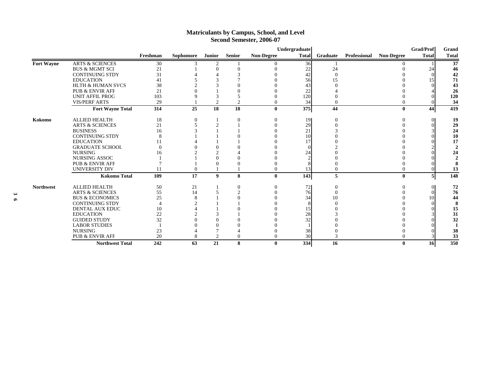### **Matriculants by Campus, School, and Level Second Semester, 2006-07**

|                   |                              |                |           |                |               |                   | Undergraduate |               |              |                   | <b>Grad/Prof</b> | Grand        |
|-------------------|------------------------------|----------------|-----------|----------------|---------------|-------------------|---------------|---------------|--------------|-------------------|------------------|--------------|
|                   |                              | Freshman       | Sophomore | <b>Junior</b>  | <b>Senior</b> | <b>Non-Degree</b> | <b>Total</b>  | Graduate      | Professional | <b>Non-Degree</b> | <b>Total</b>     | <b>Total</b> |
| <b>Fort Wayne</b> | <b>ARTS &amp; SCIENCES</b>   | 30             |           |                |               | 0                 | 36            |               |              |                   |                  | 37           |
|                   | <b>BUS &amp; MGMT SCI</b>    | 21             |           | $\bigcap$      | $\Omega$      |                   | 22            | 24            |              |                   | 24               | 46           |
|                   | <b>CONTINUING STDY</b>       | 31             |           |                |               |                   | 42            | $\Omega$      |              |                   | $\Omega$         | 42           |
|                   | <b>EDUCATION</b>             | 41             |           |                |               | $\Omega$          | 56            | 15            |              |                   | 15               | 71           |
|                   | <b>HLTH &amp; HUMAN SVCS</b> | 38             |           |                |               | $\Omega$          | 43            |               |              |                   |                  | 43           |
|                   | <b>PUB &amp; ENVIR AFF</b>   | 21             |           |                | $\Omega$      | $\Omega$          | 22            |               |              |                   |                  | 26           |
|                   | <b>UNIT AFFIL PROG</b>       | 103            |           |                |               | $\Omega$          | 120           |               |              |                   |                  | 120          |
|                   | <b>VIS/PERF ARTS</b>         | 29             |           | $\mathcal{D}$  | $\mathcal{D}$ | $\Omega$          | 34            | $\Omega$      |              |                   |                  | 34           |
|                   | <b>Fort Wayne Total</b>      | 314            | 25        | 18             | 18            | 0                 | 375           | 44            |              | $\bf{0}$          | 44               | 419          |
| Kokomo            | <b>ALLIED HEALTH</b>         | 18             | $\theta$  |                | $\theta$      | $\theta$          | <sup>19</sup> |               |              |                   |                  | 19           |
|                   | <b>ARTS &amp; SCIENCES</b>   | 21             |           |                |               | $\theta$          | 29            |               |              |                   |                  | 29           |
|                   | <b>BUSINESS</b>              | 16             |           |                |               | 0                 | 21            |               |              |                   |                  | 24           |
|                   | <b>CONTINUING STDY</b>       | 8              |           |                |               |                   | 10            |               |              |                   |                  | 10           |
|                   | <b>EDUCATION</b>             | 11             |           |                |               |                   | 17            |               |              |                   |                  | 17           |
|                   | <b>GRADUATE SCHOOL</b>       | $\Omega$       |           |                |               |                   |               |               |              |                   |                  |              |
|                   | <b>NURSING</b>               | 16             |           |                |               |                   | 24            |               |              |                   |                  | 24           |
|                   | NURSING ASSOC                |                |           |                |               |                   |               |               |              |                   |                  |              |
|                   | <b>PUB &amp; ENVIR AFF</b>   |                |           |                |               |                   |               |               |              |                   |                  |              |
|                   | UNIVERSITY DIV               | 11             | $\Omega$  |                |               | $\Omega$          | 13            | $\theta$      |              |                   |                  | 13           |
|                   | <b>Kokomo Total</b>          | 109            | 17        | 9              | 8             | 0                 | 143           | 5             |              | $\bf{0}$          | 5 <sup>1</sup>   | 148          |
| <b>Northwest</b>  | <b>ALLIED HEALTH</b>         | 50             | 21        |                | $\theta$      | $\theta$          | 72            | $\theta$      |              | $\Omega$          | 0                | 72           |
|                   | <b>ARTS &amp; SCIENCES</b>   | 55             | 14        |                | $\mathcal{L}$ | $\theta$          | 76            | $\theta$      |              |                   |                  | 76           |
|                   | <b>BUS &amp; ECONOMICS</b>   | 25             | 8         |                |               | $\theta$          | 34            | 10            |              |                   | 10               | 44           |
|                   | <b>CONTINUING STDY</b>       | $\overline{4}$ |           |                |               | $\theta$          |               |               |              |                   |                  |              |
|                   | <b>DENTAL AUX EDUC</b>       | 10             |           |                |               | $\Omega$          | 15            |               |              |                   |                  | 15           |
|                   | <b>EDUCATION</b>             | 22             |           |                |               | $\theta$          | 28            |               |              |                   |                  | 31           |
|                   | <b>GUIDED STUDY</b>          | 32             |           |                |               | 0                 | 32            |               |              |                   |                  | 32           |
|                   | <b>LABOR STUDIES</b>         |                |           |                |               | 0                 |               |               |              |                   |                  |              |
|                   | <b>NURSING</b>               | 23             |           |                |               | $\Omega$          | 38            |               |              |                   |                  | 38           |
|                   | PUB & ENVIR AFF              | 20             | 8         | $\overline{c}$ | $\Omega$      | $\Omega$          | 30            | $\mathcal{R}$ |              |                   |                  | 33           |
|                   | <b>Northwest Total</b>       | 242            | 63        | 21             | 8             | 0                 | 334           | 16            |              | $\mathbf{0}$      | <b>16</b>        | 350          |
|                   |                              |                |           |                |               |                   |               |               |              |                   |                  |              |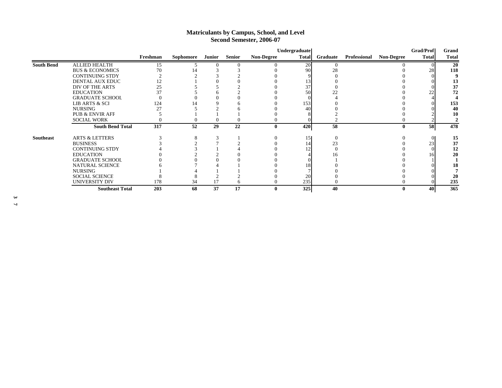### **Matriculants by Campus, School, and Level Second Semester, 2006-07**

|                   |                            |          |           |               |               |                   | Undergraduate |          |              |                   | <b>Grad/Prof</b> | Grand        |
|-------------------|----------------------------|----------|-----------|---------------|---------------|-------------------|---------------|----------|--------------|-------------------|------------------|--------------|
|                   |                            | Freshman | Sophomore | <b>Junior</b> | <b>Senior</b> | <b>Non-Degree</b> | <b>Total</b>  | Graduate | Professional | <b>Non-Degree</b> | <b>Total</b>     | <b>Total</b> |
| <b>South Bend</b> | <b>ALLIED HEALTH</b>       | 15       |           | $\Omega$      | $\Omega$      | $\Omega$          | 20            | $\Omega$ |              |                   |                  | 20           |
|                   | <b>BUS &amp; ECONOMICS</b> | 70       |           |               |               |                   | 90            | 28       |              |                   | 28               | 118          |
|                   | <b>CONTINUING STDY</b>     |          |           |               |               |                   |               |          |              |                   |                  |              |
|                   | DENTAL AUX EDUC            | 12       |           |               |               |                   | 13            |          |              |                   |                  | 13           |
|                   | DIV OF THE ARTS            | 25       |           |               |               |                   | 37            |          |              |                   |                  | 37           |
|                   | <b>EDUCATION</b>           | 37       |           |               |               |                   | 50            | 22       |              |                   | 22               | 72           |
|                   | <b>GRADUATE SCHOOL</b>     |          |           |               |               |                   |               |          |              |                   |                  |              |
|                   | LIB ARTS & SCI             | 124      |           |               |               |                   | 153           |          |              |                   |                  | 153          |
|                   | <b>NURSING</b>             | 27       |           |               |               |                   | 40            |          |              |                   |                  | 40           |
|                   | <b>PUB &amp; ENVIR AFF</b> |          |           |               |               |                   |               |          |              |                   |                  | 10           |
|                   | <b>SOCIAL WORK</b>         |          |           | $\theta$      |               |                   |               |          |              |                   |                  |              |
|                   | <b>South Bend Total</b>    | 317      | 52        | 29            | 22            | $\mathbf{0}$      | 420           | 58       |              |                   | 58               | 478          |
| <b>Southeast</b>  | <b>ARTS &amp; LETTERS</b>  |          |           |               |               |                   | 15            | $\Omega$ |              |                   | $\theta$         | 15           |
|                   | <b>BUSINESS</b>            |          |           |               |               |                   | 14            | 23       |              |                   | 23               | 37           |
|                   | <b>CONTINUING STDY</b>     |          |           |               |               |                   |               |          |              |                   |                  | 12           |
|                   | <b>EDUCATION</b>           |          |           |               |               |                   |               | ın       |              |                   | 16               | 20           |
|                   | <b>GRADUATE SCHOOL</b>     |          |           |               |               |                   |               |          |              |                   |                  |              |
|                   | <b>NATURAL SCIENCE</b>     |          |           |               |               |                   | 18            |          |              |                   |                  | 18           |
|                   | <b>NURSING</b>             |          |           |               |               |                   |               |          |              |                   |                  |              |
|                   | <b>SOCIAL SCIENCE</b>      |          |           |               |               |                   | 20            |          |              |                   |                  | 20           |
|                   | UNIVERSITY DIV             | 178      | 34        | 17            | h             |                   | 235           |          |              |                   |                  | 235          |
|                   | <b>Southeast Total</b>     | 203      | 68        | 37            | 17            |                   | 325           | 40       |              |                   | 40               | 365          |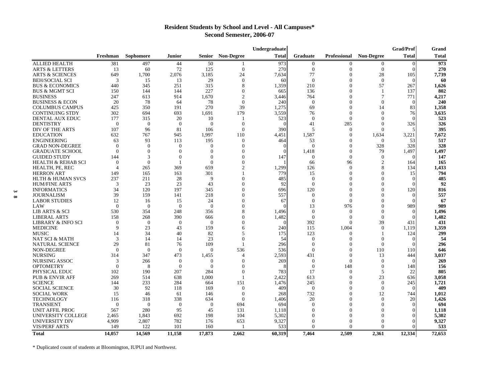# **Resident Students by School and Level - All Campuses\* Second Semester, 2006-07**

|                         |                               |                |                |               |          |                   | Undergraduate |                |              |                   | <b>Grad/Prof</b> | Grand        |
|-------------------------|-------------------------------|----------------|----------------|---------------|----------|-------------------|---------------|----------------|--------------|-------------------|------------------|--------------|
|                         |                               | Freshman       | Sophomore      | <b>Junior</b> | Senior   | <b>Non-Degree</b> | <b>Total</b>  | Graduate       | Professional | <b>Non-Degree</b> | <b>Total</b>     | <b>Total</b> |
|                         | <b>ALLIED HEALTH</b>          | 381            | 497            | 44            | 50       |                   | 973           | $\overline{0}$ |              | $\boldsymbol{0}$  | $\Omega$         | 973          |
|                         | <b>ARTS &amp; LETTERS</b>     | 13             | 60             | 72            | 125      | $\overline{0}$    | 270           | $\theta$       | $\Omega$     | $\overline{0}$    | $\Omega$         | 270          |
|                         | <b>ARTS &amp; SCIENCES</b>    | 649            | 1,700          | 2,076         | 3,185    | 24                | 7,634         | 77             | $\theta$     | 28                | 105              | 7,739        |
|                         | <b>BEH/SOCIAL SCI</b>         | 3              | 15             | 13            | 29       | $\mathbf{0}$      | 60            | $\overline{0}$ | $\Omega$     | $\overline{0}$    | $\Omega$         | -60          |
|                         | <b>BUS &amp; ECONOMICS</b>    | 440            | 345            | 251           | 315      | 8                 | 1,359         | 210            | $\Omega$     | 57                | 267              | 1,626        |
|                         | <b>BUS &amp; MGMT SCI</b>     | 150            | 144            | 144           | 227      | $\Omega$          | 665           | 136            | $\Omega$     | -1                | 137              | 802          |
|                         | <b>BUSINESS</b>               | 247            | 613            | 914           | 1.670    | $\overline{2}$    | 3,446         | 764            | $\Omega$     | 7                 | 771              | 4,217        |
|                         | <b>BUSINESS &amp; ECON</b>    | 20             | 78             | 64            | 78       | $\theta$          | 240           | $\Omega$       | $\Omega$     | $\theta$          | $\Omega$         | 240          |
|                         | <b>COLUMBUS CAMPUS</b>        | 425            | 350            | 191           | 270      | 39                | 1,275         | 69             | $\theta$     | 14                | 83               | 1,358        |
|                         | <b>CONTINUING STDY</b>        | 302            | 694            | 693           | 1,691    | 179               | 3,559         | 76             | $\Omega$     | $\theta$          | 76               | 3,635        |
|                         | DENTAL AUX EDUC               | 177            | 315            | 20            | 10       | $\overline{1}$    | 523           | $\theta$       | $\Omega$     | $\Omega$          |                  | 523          |
|                         | <b>DENTISTRY</b>              | $\theta$       | $\theta$       | $\theta$      | $\theta$ | $\theta$          | $\Omega$      | 41             | 285          | $\Omega$          | 326              | 326          |
|                         | DIV OF THE ARTS               | 107            | 96             | 81            | 106      | $\theta$          | 390           | 5              | $\bigcap$    | $\Omega$          |                  | 395          |
|                         | <b>EDUCATION</b>              | 632            | 767            | 945           | 1,997    | 110               | 4,451         | 1,587          | $\Omega$     | 1,634             | 3,221            | 7,672        |
|                         | <b>ENGINEERING</b>            | 63             | 93             | 113           | 195      | $\Omega$          | 464           | 53             | $\bigcap$    | $\theta$          | 53               | 517          |
|                         | <b>GRAD NON-DEGREE</b>        | $\theta$       | $\Omega$       | $\theta$      | $\theta$ | $\mathbf{0}$      | $\Omega$      | $\theta$       | $\Omega$     | 328               | 328              | 328          |
|                         | <b>GRADUATE SCHOOL</b>        | $\Omega$       | $\bigcap$      | $\bigcap$     | $\Omega$ | $\Omega$          | $\Omega$      | 1,418          | $\Omega$     | 79                | 1,497            | 1,497        |
|                         | <b>GUIDED STUDY</b>           | 144            | 3              | $\Omega$      | $\theta$ | $\Omega$          | 147           | $\theta$       | $\theta$     | $\overline{0}$    | $\Omega$         | 147          |
|                         | <b>HEALTH &amp; REHAB SCI</b> | $\Omega$       | $\Omega$       |               | $\Omega$ | $\Omega$          |               | 66             | 96           | 2                 | 164              | 165          |
|                         | HEALTH, PE, REC               | $\overline{4}$ | 265            | 369           | 659      | $\overline{c}$    | 1.299         | 126            | $\Omega$     | 8                 | 134              | 1,433        |
|                         | <b>HERRON ART</b>             | 149            | 165            | 163           | 301      |                   | 779           | 15             | $\Omega$     | $\Omega$          | 15               | 794          |
|                         | <b>HLTH &amp; HUMAN SVCS</b>  | 237            | 211            | 28            | 9        | 0                 | 485           | $\mathbf{0}$   | $\Omega$     | $\Omega$          | $\Omega$         | 485          |
|                         | <b>HUM/FINE ARTS</b>          | 3              | 23             | 23            | 43       | $\Omega$          | 92            | $\theta$       | $\Omega$     | $\Omega$          |                  | 92           |
| $\overline{\mathbf{c}}$ | <b>INFORMATICS</b>            | 34             | 120            | 197           | 345      | 0                 | 696           | 120            | $\Omega$     | 0                 | 120              | 816          |
| $\infty$                | <b>JOURNALISM</b>             | 39             | 159            | 141           | 218      | $\Omega$          | 557           | $\mathbf{0}$   | $\Omega$     | $\Omega$          | $\Omega$         | 557          |
|                         | <b>LABOR STUDIES</b>          | 12             | 16             | 15            | 24       | 0                 | 67            | $\theta$       | $\Omega$     | $\Omega$          |                  | 67           |
|                         | LAW                           | $\Omega$       | $\overline{0}$ | $\theta$      | $\Omega$ | $\Omega$          | $\Omega$      | 13             | 976          | $\Omega$          | 989              | 989          |
|                         | <b>LIB ARTS &amp; SCI</b>     | 530            | 354            | 248           | 356      | 8                 | 1,496         | $\theta$       | $\Omega$     | $\Omega$          | $\Omega$         | 1,496        |
|                         | <b>LIBERAL ARTS</b>           | 158            | 268            | 390           | 666      | $\theta$          | 1,482         | $\overline{0}$ | $\Omega$     | $\overline{0}$    |                  | 1,482        |
|                         | LIBRARY & INFO SCI            | $\Omega$       | $\overline{0}$ | $\theta$      | $\theta$ | $\theta$          | $\Omega$      | 392            | ∩            | 39                | 431              | 431          |
|                         | <b>MEDICINE</b>               | $\mathbf{Q}$   | 23             | 43            | 159      | 6                 | 240           | 115            | 1,004        | $\mathbf{0}$      | 1,119            | 1,359        |
|                         | <b>MUSIC</b>                  | 14             | 34             | 40            | 82       | 5                 | 175           | 123            | $\Omega$     | 1                 | 124              | 299          |
|                         | NAT SCI & MATH                | 3              | 14             | 14            | 23       | $\Omega$          | 54            | $\theta$       | $\Omega$     | $\Omega$          | $\Omega$         | 54           |
|                         | <b>NATURAL SCIENCE</b>        | 29             | 81             | 76            | 109      |                   | 296           | $\theta$       | $\theta$     | $\theta$          |                  | 296          |
|                         | NON-DEGREE                    | $\Omega$       | $\theta$       | $\theta$      | $\theta$ | 536               | 536           | $\theta$       | $\theta$     | 110               | 110              | 646          |
|                         | <b>NURSING</b>                | 314            | 347            | 473           | 1,455    | $\overline{4}$    | 2,593         | 431            | $\theta$     | 13                | 444              | 3,037        |
|                         | NURSING ASSOC                 | 3              | 266            | $\Omega$      | $\Omega$ | $\Omega$          | 269           | $\theta$       | $\Omega$     | $\Omega$          | $\Omega$         | 269          |
|                         | <b>OPTOMETRY</b>              | $\theta$       | 8              | $\theta$      | $\theta$ | $\Omega$          | 8             | $\theta$       | 148          | $\boldsymbol{0}$  | 148              | 156          |
|                         | PHYSICAL EDUC                 | 102            | 190            | 207           | 284      | $\Omega$          | 783           | 17             | $\Omega$     | 5                 | 22               | 805          |
|                         | <b>PUB &amp; ENVIR AFF</b>    | 269            | 514            | 638           | 1,000    |                   | 2,422         | 613            | $\Omega$     | 23                | 636              | 3,058        |
|                         | <b>SCIENCE</b>                | 144            | 233            | 284           | 664      | 151               | 1,476         | 245            | $\theta$     | $\theta$          | 245              | 1,721        |
|                         | <b>SOCIAL SCIENCE</b>         | 30             | 92             | 118           | 169      | $\theta$          | 409           | $\theta$       | $\bigcap$    | $\theta$          | $\Omega$         | 409          |
|                         | <b>SOCIAL WORK</b>            | 15             | 46             | 61            | 146      | $\Omega$          | 268           | 732            | $\Omega$     | 12                | 744              | 1.012        |
|                         | <b>TECHNOLOGY</b>             | 116            | 318            | 338           | 634      | $\Omega$          | 1,406         | 20             | $\Omega$     | $\Omega$          | 20               | 1,426        |
|                         | <b>TRANSIENT</b>              | $\overline{0}$ | $\overline{0}$ | $\theta$      | $\theta$ | 694               | 694           | $\overline{0}$ | $\Omega$     | $\overline{0}$    |                  | 694          |
|                         | UNIT AFFIL PROC               | 567            | 280            | 95            | 45       | 131               | 1,118         | $\mathbf{0}$   | $\Omega$     | $\Omega$          |                  | 1,118        |
|                         | UNIVERSITY COLLEGE            | 2,465          | 1,843          | 692           | 198      | 104               | 5,302         | $\Omega$       | 0            | $\Omega$          |                  | 5,302        |
|                         | UNIVERSITY DIV                | 4.909          | 2,807          | 782           | 176      | 653               | 9,327         | $\Omega$       | O            | $\Omega$          |                  | 9,327        |
|                         | <b>VIS/PERF ARTS</b>          | 149            | 122            | 101           | 160      |                   | 533           | $\Omega$       | 0            | $\Omega$          |                  | 533          |
|                         | <b>Total</b>                  | 14.057         | 14.569         | 11.158        | 17,873   | 2.662             | 60.319        | 7.464          | 2.509        | 2.361             | 12.334           | 72,653       |

\* Duplicated count of students at Bloomington, IUPUI and Northwest.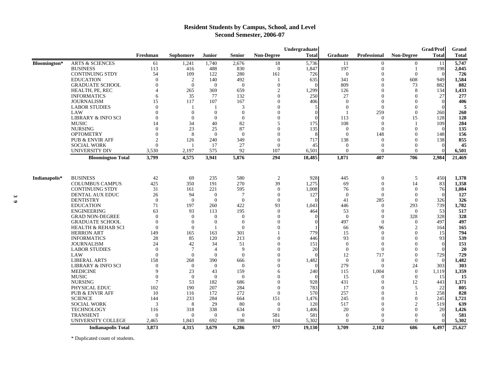### **Resident Students by Campus, School, and Level Second Semester, 2006-07**

|               |                               |                |                  |                |                |                   | Undergraduate |                  |                     |                   | <b>Grad/Prof</b> | Grand        |
|---------------|-------------------------------|----------------|------------------|----------------|----------------|-------------------|---------------|------------------|---------------------|-------------------|------------------|--------------|
|               |                               | Freshman       | Sophomore        | Junior         | <b>Senior</b>  | <b>Non-Degree</b> | Total         | Graduate         | <b>Professional</b> | <b>Non-Degree</b> | <b>Total</b>     | <b>Total</b> |
| Bloomington*  | <b>ARTS &amp; SCIENCES</b>    | 61             | 1,241            | 1,740          | 2,676          | 18                | 5,736         | 11               | $\overline{0}$      | $\overline{0}$    | -11              | 5,747        |
|               | <b>BUSINESS</b>               | 113            | 416              | 488            | 830            | $\theta$          | 1,847         | 197              | $\Omega$            |                   | 198              | 2,045        |
|               | <b>CONTINUING STDY</b>        | 54             | 109              | 122            | 280            | 161               | 726           | $\theta$         | $\Omega$            | $\theta$          |                  | 726          |
|               | <b>EDUCATION</b>              | $\theta$       | $\overline{2}$   | 140            | 492            | - 1               | 635           | 341              | $\Omega$            | 608               | 949              | 1,584        |
|               | <b>GRADUATE SCHOOL</b>        | $\theta$       | $\theta$         | $\theta$       | $\theta$       | $\theta$          |               | 809              | $\Omega$            | 73                | 882              | 882          |
|               | HEALTH, PE, REC               | $\overline{4}$ | 265              | 369            | 659            | 2                 | 1,299         | 126              | $\Omega$            | 8                 | 134              | 1,433        |
|               | <b>INFORMATICS</b>            | 6              | 35               | 77             | 132            | $\overline{0}$    | 250           | 27               | $\Omega$            | 0                 | 27               | 277          |
|               | JOURNALISM                    | 15             | 117              | 107            | 167            | $\theta$          | 406           | $\boldsymbol{0}$ | $\Omega$            |                   | $\theta$         | 406          |
|               | <b>LABOR STUDIES</b>          | $\Omega$       |                  |                | 3              | $\Omega$          |               | $\mathbf{0}$     | $\Omega$            | $\Omega$          |                  |              |
|               | LAW                           | $\Omega$       | $\mathbf{0}$     | $\Omega$       | $\overline{0}$ | $\Omega$          |               |                  | 259                 | $\Omega$          | 260              | 260          |
|               | LIBRARY & INFO SCI            | $\theta$       | $\mathbf{0}$     | $\Omega$       | $\overline{0}$ | $\Omega$          |               | 113              | $\Omega$            | 15                | 128              | 128          |
|               | <b>MUSIC</b>                  | 14             | 34               | 40             | 82             | 5                 | 175           | 108              | $\Omega$            |                   | 109              | 284          |
|               | <b>NURSING</b>                | $\Omega$       | 23               | 25             | 87             | $\Omega$          | 135           | $\mathbf{0}$     | $\Omega$            | $\Omega$          |                  | 135          |
|               | <b>OPTOMETRY</b>              | $\Omega$       | 8                | $\overline{0}$ | $\Omega$       | $\Omega$          |               | $\mathbf{0}$     | 148                 | $\Omega$          | 148              | 156          |
|               | <b>PUB &amp; ENVIR AFF</b>    | $\mathfrak{D}$ | 126              | 240            | 349            | $\Omega$          | 717           | 138              | $\Omega$            |                   | 138              | 855          |
|               | <b>SOCIAL WORK</b>            | $\theta$       |                  | 17             | 27             | $\overline{0}$    | 45            | $\overline{0}$   |                     | $\Omega$          |                  | 45           |
|               | UNIVERSITY DIV                | 3,530          | 2,197            | 575            | 92             | 107               | 6,501         | $\Omega$         | $\Omega$            | $\Omega$          |                  | 6,501        |
|               | <b>Bloomington Total</b>      | 3,799          | 4,575            | 3,941          | 5,876          | 294               | 18,485        | 1,871            | 407                 | 706               | 2,984            | 21,469       |
|               |                               |                |                  |                |                |                   |               |                  |                     |                   |                  |              |
| Indianapolis* | <b>BUSINESS</b>               | 42             | 69               | 235            | 580            | 2                 | 928           | 445              | $\boldsymbol{0}$    | 5                 | 450              | 1,378        |
|               | <b>COLUMBUS CAMPUS</b>        | 425            | 350              | 191            | 270            | 39                | 1,275         | 69               | $\theta$            | 14                | 83               | 1,358        |
|               | <b>CONTINUING STDY</b>        | 31             | 161              | 221            | 595            | $\overline{0}$    | 1,008         | 76               | $\theta$            | $\theta$          | 76               | 1,084        |
|               | DENTAL AUX EDUC               | 26             | 94               | $\mathbf 0$    | -7             | $\overline{0}$    | 127           | $\overline{0}$   | $\Omega$            | $\mathbf{0}$      | $\Omega$         | 127          |
|               | <b>DENTISTRY</b>              | $\overline{0}$ | $\theta$         | $\theta$       | $\overline{0}$ | $\overline{0}$    |               | 41               | 285                 | $\theta$          | 326              | 326          |
|               | <b>EDUCATION</b>              | 71             | 197              | 260            | 422            | 93                | 1,043         | 446              | $\Omega$            | 293               | 739              | 1,782        |
|               | <b>ENGINEERING</b>            | 63             | 93               | 113            | 195            | $\overline{0}$    | 464           | 53               |                     | $\theta$          | 53               | 517          |
|               | <b>GRAD NON-DEGREE</b>        | $\theta$       | $\bf{0}$         | $\Omega$       | $\theta$       | $\overline{0}$    |               | $\mathbf{0}$     | $\Omega$            | 328               | 328              | 328          |
|               | <b>GRADUATE SCHOOL</b>        | $\Omega$       | $\mathbf{0}$     | $\Omega$       | $\Omega$       | $\Omega$          |               | 497              | $\Omega$            | $\theta$          | 497              | 497          |
|               | <b>HEALTH &amp; REHAB SCI</b> | $\overline{0}$ | $\mathbf{0}$     |                | $\overline{0}$ | $\Omega$          |               | 66               | 96                  | $\overline{c}$    | 164              | 165          |
|               | <b>HERRON ART</b>             | 149            | 165              | 163            | 301            |                   | 779           | 15               | $\Omega$            | $\Omega$          | 15               | 794          |
|               | <b>INFORMATICS</b>            | 28             | 85               | 120            | 213            | $\theta$          | 446           | 93               | $\Omega$            |                   | 93               | 539          |
|               | <b>JOURNALISM</b>             | 24             | 42               | 34             | 51             | $\overline{0}$    | 151           | $\overline{0}$   | $\Omega$            |                   | $\theta$         | 151          |
|               | <b>LABOR STUDIES</b>          | $\Omega$       | 7                | $\overline{4}$ | 9              | $\Omega$          | 20            | $\mathbf{0}$     | $\Omega$            |                   |                  | 20           |
|               | LAW                           | $\overline{0}$ | $\mathbf{0}$     | $\theta$       | $\overline{0}$ | $\theta$          |               | 12               | 717                 | $\Omega$          | 729              | 729          |
|               | LIBERAL ARTS                  | 158            | 268              | 390            | 666            | $\overline{0}$    | 1,482         | $\mathbf{0}$     | $\Omega$            | $\Omega$          |                  | 1,482        |
|               | LIBRARY & INFO SCI            | $\theta$       | $\theta$         | $\theta$       | $\Omega$       | $\Omega$          |               | 279              | $\Omega$            | 24                | 303              | 303          |
|               | <b>MEDICINE</b>               | 9              | 23               | 43             | 159            | 6                 | 240           | 115              | 1,004               | $\theta$          | 1,119            | 1,359        |
|               | <b>MUSIC</b>                  | $\theta$       | $\theta$         | $\theta$       | $\theta$       | $\theta$          |               | 15               | $\theta$            | $\boldsymbol{0}$  | 15               | 15           |
|               | <b>NURSING</b>                | $\overline{7}$ | 53               | 182            | 686            | $\theta$          | 928           | 431              | $\Omega$            | 12                | 443              | 1,371        |
|               | PHYSICAL EDUC                 | 102            | 190              | 207            | 284            | $\theta$          | 783           | 17               |                     | 5                 | 22               | 805          |
|               | <b>PUB &amp; ENVIR AFF</b>    | 10             | 116              | 172            | 272            | $\theta$          | 570           | 257              |                     |                   | 258              | 828          |
|               | <b>SCIENCE</b>                | 144            | 233              | 284            | 664            | 151               | 1,476         | 245              |                     | $\theta$          | 245              | 1,721        |
|               | <b>SOCIAL WORK</b>            | 3              | 8                | 29             | 80             | $\theta$          | 120           | 517              | $\Omega$            | 2                 | 519              | 639          |
|               | TECHNOLOGY                    | 116            | 318              | 338            | 634            | $\theta$          | 1,406         | 20               | $\Omega$            | $\Omega$          | 20               | 1,426        |
|               | <b>TRANSIENT</b>              | $\theta$       | $\boldsymbol{0}$ | $\theta$       | $\theta$       | 581               | 581           | $\theta$         | $\Omega$            | $\Omega$          |                  | 581          |
|               | UNIVERSITY COLLEGE            | 2,465          | 1,843            | 692            | 198            | 104               | 5,302         | $\theta$         | $\mathbf{0}$        | $\Omega$          |                  | 5,302        |
|               | <b>Indianapolis Total</b>     | 3,873          | 4,315            | 3,679          | 6,286          | 977               | 19,130        | 3,709            | 2.102               | 686               | 6,497            | 25,627       |

\* Duplicated count of students.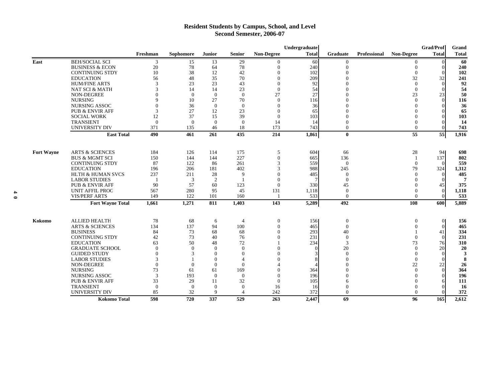# **Resident Students by Campus, School, and Level Second Semester, 2006-07**

|                   |                            |                |           |                |                          |                   | Undergraduate |                  |              |                   | <b>Grad/Prof</b> | Grand        |
|-------------------|----------------------------|----------------|-----------|----------------|--------------------------|-------------------|---------------|------------------|--------------|-------------------|------------------|--------------|
|                   |                            | Freshman       | Sophomore | <b>Junior</b>  | <b>Senior</b>            | <b>Non-Degree</b> | <b>Total</b>  | <b>Graduate</b>  | Professional | <b>Non-Degree</b> | <b>Total</b>     | <b>Total</b> |
| East              | <b>BEH/SOCIAL SCI</b>      | 3              | 15        | 13             | 29                       | 0                 | 60            | $\theta$         |              | $\overline{0}$    |                  | 60           |
|                   | <b>BUSINESS &amp; ECON</b> | 20             | 78        | 64             | 78                       | $\Omega$          | 240           | $\Omega$         |              | $\Omega$          |                  | 240          |
|                   | <b>CONTINUING STDY</b>     | 10             | 38        | 12             | 42                       | $\Omega$          | 102           | $\Omega$         |              | $\Omega$          |                  | 102          |
|                   | <b>EDUCATION</b>           | 56             | 48        | 35             | 70                       | $\Omega$          | 209           | $\Omega$         |              | 32                | 32               | 241          |
|                   | <b>HUM/FINE ARTS</b>       | 3              | 23        | 23             | 43                       | $\Omega$          | 92            | $\Omega$         |              | $\Omega$          |                  | 92           |
|                   | <b>NAT SCI &amp; MATH</b>  | 3              | 14        | 14             | 23                       | $\Omega$          | 54            |                  |              | $\Omega$          |                  | 54           |
|                   | <b>NON-DEGREE</b>          |                | $\theta$  | $\theta$       | $\theta$                 | 27                | 27            | $\Omega$         |              | 23                | 23               | 50           |
|                   | <b>NURSING</b>             | 9              | 10        | 27             | 70                       | $\Omega$          | 116           | $\Omega$         |              | $\Omega$          |                  | 116          |
|                   | <b>NURSING ASSOC</b>       | $\theta$       | 36        | $\theta$       | $\theta$                 | $\theta$          | 36            | $\Omega$         |              |                   |                  | 36           |
|                   | PUB & ENVIR AFF            | 3              | 27        | 12             | 23                       | $\Omega$          | 65            | $\Omega$         |              |                   |                  | 65           |
|                   | <b>SOCIAL WORK</b>         | 12             | 37        | 15             | 39                       | $\theta$          | 103           | $\Omega$         |              |                   |                  | 103          |
|                   | <b>TRANSIENT</b>           | $\theta$       | $\theta$  | $\Omega$       | $\Omega$                 | 14                | 14            | $\Omega$         |              | $\Omega$          |                  | -14          |
|                   | <b>UNIVERSITY DIV</b>      | 371            | 135       | 46             | 18                       | 173               | 743           | $\theta$         |              | $\theta$          |                  | 743          |
|                   | <b>East Total</b>          | 490            | 461       | 261            | 435                      | 214               | 1,861         | $\bf{0}$         |              | $\overline{55}$   | 55               | 1,916        |
| <b>Fort Wayne</b> | <b>ARTS &amp; SCIENCES</b> | 184            | 126       | 114            | 175                      | 5                 | 604           | 66               |              | 28                | 94               | 698          |
|                   | <b>BUS &amp; MGMT SCI</b>  | 150            | 144       | 144            | 227                      | $\mathbf{0}$      | 665           | 136              |              |                   | 137              | 802          |
|                   | <b>CONTINUING STDY</b>     | 87             | 122       | 86             | 261                      | $\mathcal{R}$     | 559           | $\mathbf{0}$     |              | $\overline{0}$    | $\Omega$         | 559          |
|                   | <b>EDUCATION</b>           | 196            | 206       | 181            | 402                      | 3                 | 988           | 245              |              | 79                | 324              | 1,312        |
|                   | HLTH & HUMAN SVCS          | 237            | 211       | 28             | $\mathbf Q$              |                   | 485           | $\Omega$         |              | $\Omega$          | $\Omega$         | 485          |
|                   | <b>LABOR STUDIES</b>       |                | 3         | $\overline{2}$ |                          |                   |               | $\Omega$         |              | $\Omega$          |                  |              |
|                   | PUB & ENVIR AFF            | 90             | 57        | 60             | 123                      | $\Omega$          | 330           | 45               |              | $\Omega$          | 45               | 375          |
|                   | <b>UNIT AFFIL PROC</b>     | 567            | 280       | 95             | 45                       | 131               | 1,118         | $\mathbf{0}$     |              | $\Omega$          |                  | 1,118        |
|                   | <b>VIS/PERF ARTS</b>       | 149            | 122       | 101            | 160                      |                   | 533           | $\Omega$         |              | $\Omega$          |                  | 533          |
|                   | <b>Fort Wayne Total</b>    | 1,661          | 1,271     | 811            | 1,403                    | 143               | 5,289         | 492              |              | 108               | 600              | 5,889        |
| Kokomo            | <b>ALLIED HEALTH</b>       | 78             | 68        | 6              | $\overline{4}$           | $\theta$          | 156           | $\boldsymbol{0}$ |              | $\theta$          | $\overline{0}$   | 156          |
|                   | <b>ARTS &amp; SCIENCES</b> | 134            | 137       | 94             | 100                      | $\theta$          | 465           | $\theta$         |              | $\Omega$          | $\Omega$         | 465          |
|                   | <b>BUSINESS</b>            | 84             | 73        | 68             | 68                       | $\theta$          | 293           | 40               |              |                   | 41               | 334          |
|                   | <b>CONTINUING STDY</b>     | 42             | 73        | 40             | 76                       | $\theta$          | 231           | $\theta$         |              | $\Omega$          |                  | 231          |
|                   | <b>EDUCATION</b>           | 63             | 50        | 48             | 72                       |                   | 234           | 3                |              | 73                | 76               | 310          |
|                   | <b>GRADUATE SCHOOL</b>     | $\Omega$       | $\theta$  | $\Omega$       | $\Omega$                 |                   |               | 20               |              | $\Omega$          | 20               | 20           |
|                   | <b>GUIDED STUDY</b>        | $\theta$       | 3         | $\Omega$       | $\Omega$                 |                   |               | $\mathbf{0}$     |              | $\Omega$          |                  | 3            |
|                   | <b>LABOR STUDIES</b>       | 3              |           | $\Omega$       |                          |                   |               | $\Omega$         |              | $\theta$          |                  | 8            |
|                   | NON-DEGREE                 | $\Omega$       | $\Omega$  | $\Omega$       | $\Omega$                 |                   |               | $\Omega$         |              | 22                | 22               | 26           |
|                   | <b>NURSING</b>             | 73             | 61        | 61             | 169                      |                   | 364           |                  |              | $\Omega$          | $\Omega$         | 364          |
|                   | <b>NURSING ASSOC</b>       | 3              | 193       | $\Omega$       | $\Omega$                 | $\Omega$          | 196           |                  |              | $\Omega$          |                  | 196          |
|                   | PUB & ENVIR AFF            | 33             | 29        | 11             | 32                       | $\Omega$          | 105           |                  |              |                   |                  | 111          |
|                   | <b>TRANSIENT</b>           | $\overline{0}$ | $\theta$  | $\Omega$       | $\Omega$                 | 16                | 16            | $\Omega$         |              |                   |                  | 16           |
|                   | <b>UNIVERSITY DIV</b>      | 85             | 32        | 9              | $\boldsymbol{\varDelta}$ | 242               | 372           | $\Omega$         |              | $\Omega$          |                  | 372          |
|                   | <b>Kokomo Total</b>        | 598            | 720       | 337            | 529                      | 263               | 2.447         | 69               |              | 96                | 165              | 2,612        |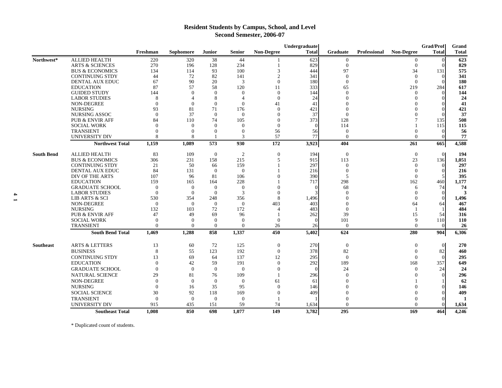# **Resident Students by Campus, School, and Level Second Semester, 2006-07**

|                   |                            |                |                |                |                |                   | Undergraduate |                |                     |                   | Grad/Prof    | Grand        |
|-------------------|----------------------------|----------------|----------------|----------------|----------------|-------------------|---------------|----------------|---------------------|-------------------|--------------|--------------|
|                   |                            | Freshman       | Sophomore      | <b>Junior</b>  | <b>Senior</b>  | <b>Non-Degree</b> | <b>Total</b>  | Graduate       | <b>Professional</b> | <b>Non-Degree</b> | <b>Total</b> | <b>Total</b> |
| Northwest*        | <b>ALLIED HEALTH</b>       | 220            | 320            | 38             | 44             |                   | 623           | $\overline{0}$ |                     | $\overline{0}$    | $\Omega$     | 623          |
|                   | <b>ARTS &amp; SCIENCES</b> | 270            | 196            | 128            | 234            |                   | 829           | $\overline{0}$ |                     | $\Omega$          | $\Omega$     | 829          |
|                   | <b>BUS &amp; ECONOMICS</b> | 134            | 114            | 93             | 100            | 3                 | 444           | 97             |                     | 34                | 131          | 575          |
|                   | <b>CONTINUING STDY</b>     | 44             | 72             | 82             | 141            | $\overline{2}$    | 341           | $\mathbf{0}$   |                     | $\overline{0}$    | $\Omega$     | 341          |
|                   | DENTAL AUX EDUC            | 67             | 90             | 20             | 3              | $\Omega$          | 180           | $\Omega$       |                     | $\Omega$          | $\Omega$     | 180          |
|                   | <b>EDUCATION</b>           | 87             | 57             | 58             | 120            | 11                | 333           | 65             |                     | 219               | 284          | 617          |
|                   | <b>GUIDED STUDY</b>        | 144            | $\Omega$       | $\Omega$       | $\Omega$       | $\theta$          | 144           | $\Omega$       |                     | $\Omega$          | $\Omega$     | 144          |
|                   | <b>LABOR STUDIES</b>       | 8              | 4              | 8              | $\Delta$       | $\theta$          | 24            | $\Omega$       |                     |                   |              | 24           |
|                   | NON-DEGREE                 | $\theta$       | $\Omega$       | $\Omega$       | $\Omega$       | 41                | 41            | 0              |                     |                   |              | 41           |
|                   | <b>NURSING</b>             | 93             | 81             | 71             | 176            | $\Omega$          | 421           | $\Omega$       |                     |                   | ∩            | 421          |
|                   | NURSING ASSOC              | $\Omega$       | 37             | $\Omega$       | $\Omega$       | $\Omega$          | 37            | $\Omega$       |                     |                   |              | 37           |
|                   | <b>PUB &amp; ENVIR AFF</b> | 84             | 110            | 74             | 105            | $\Omega$          | 373           | 128            |                     |                   | 135          | 508          |
|                   | <b>SOCIAL WORK</b>         | $\Omega$       | $\Omega$       | $\Omega$       | $\Omega$       | $\Omega$          |               | 114            |                     |                   | 115          | 115          |
|                   | <b>TRANSIENT</b>           | $\Omega$       | $\Omega$       | $\Omega$       | $\Omega$       | 56                | 56            | $\Omega$       |                     |                   | $\Omega$     | 56           |
|                   | UNIVERSITY DIV             | 8              | 8              |                | 3              | 57                | 77            | $\Omega$       |                     | $\Omega$          | $\Omega$     | 77           |
|                   | <b>Northwest Total</b>     | 1,159          | 1,089          | 573            | 930            | 172               | 3,923         | 404            |                     | 261               | 665          | 4,588        |
| <b>South Bend</b> | <b>ALLIED HEALTH</b>       | 83             | 109            | $\theta$       | $\overline{2}$ | $\theta$          | 194           | $\theta$       |                     | $\theta$          | $\Omega$     | 194          |
|                   | <b>BUS &amp; ECONOMICS</b> | 306            | 231            | 158            | 215            | 5                 | 915           | 113            |                     | 23                | 136          | 1,051        |
|                   | <b>CONTINUING STDY</b>     | 21             | 50             | 66             | 159            |                   | 297           | $\theta$       |                     | $\theta$          | $\Omega$     | 297          |
|                   | <b>DENTAL AUX EDUC</b>     | 84             | 131            | $\theta$       | $\theta$       |                   | 216           | $\theta$       |                     | $\Omega$          | $\Omega$     | 216          |
|                   | DIV OF THE ARTS            | 107            | 96             | 81             | 106            | $\Omega$          | 390           | 5              |                     | $\Omega$          | .5           | 395          |
|                   | <b>EDUCATION</b>           | 159            | 165            | 164            | 228            |                   | 717           | 298            |                     | 162               | 460          | 1,177        |
|                   | <b>GRADUATE SCHOOL</b>     | $\theta$       | $\theta$       | $\theta$       | $\Omega$       | $\Omega$          |               | 68             |                     | 6                 | 74           | 74           |
|                   | <b>LABOR STUDIES</b>       | $\theta$       | $\overline{0}$ | $\theta$       | 3              | $\Omega$          |               | $\Omega$       |                     | $\Omega$          | $\Omega$     | $\mathbf{3}$ |
|                   | LIB ARTS & SCI             | 530            | 354            | 248            | 356            | 8                 | 1,496         | $\Omega$       |                     | $\Omega$          | $\Omega$     | 1,496        |
|                   | <b>NON-DEGREE</b>          | $\theta$       | $\overline{0}$ | $\Omega$       | $\Omega$       | 403               | 403           | $\Omega$       |                     | 64                | 64           | 467          |
|                   | <b>NURSING</b>             | 132            | 103            | 72             | 172            |                   | 483           | $\Omega$       |                     |                   |              | 484          |
|                   | <b>PUB &amp; ENVIR AFF</b> | 47             | 49             | 69             | 96             |                   | 262           | 39             |                     | 15                | 54           | 316          |
|                   | <b>SOCIAL WORK</b>         | $\Omega$       | $\Omega$       | $\Omega$       | $\Omega$       | $\Omega$          |               | 101            |                     | 9                 | 110          | 110          |
|                   | <b>TRANSIENT</b>           | $\theta$       | $\mathbf{0}$   | $\overline{0}$ | $\theta$       | 26                | 26            | $\overline{0}$ |                     | $\mathbf{0}$      | $\Omega$     | 26           |
|                   | <b>South Bend Total</b>    | 1,469          | 1,288          | 858            | 1,337          | 450               | 5,402         | 624            |                     | 280               | 904          | 6,306        |
| <b>Southeast</b>  | <b>ARTS &amp; LETTERS</b>  | 13             | 60             | 72             | 125            | $\overline{0}$    | 270           | $\overline{0}$ |                     | $\Omega$          | $\Omega$     | 270          |
|                   | <b>BUSINESS</b>            | 8              | 55             | 123            | 192            | $\overline{0}$    | 378           | 82             |                     | $\Omega$          | 82           | 460          |
|                   | <b>CONTINUING STDY</b>     | 13             | 69             | 64             | 137            | 12                | 295           | $\Omega$       |                     | $\Omega$          | $\Omega$     | 295          |
|                   | <b>EDUCATION</b>           | $\Omega$       | 42             | 59             | 191            | $\theta$          | 292           | 189            |                     | 168               | 357          | 649          |
|                   | <b>GRADUATE SCHOOL</b>     | $\Omega$       | $\Omega$       | $\theta$       | $\Omega$       | $\Omega$          |               | 24             |                     | $\Omega$          | 24           | 24           |
|                   | <b>NATURAL SCIENCE</b>     | 29             | 81             | 76             | 109            |                   | 296           | $\Omega$       |                     |                   | $\Omega$     | 296          |
|                   | NON-DEGREE                 | $\Omega$       | $\Omega$       | $\theta$       | $\Omega$       | 61                | -61           | $\Omega$       |                     |                   |              | 62           |
|                   | <b>NURSING</b>             | $\Omega$       |                |                | 95             | $\Omega$          |               |                |                     |                   | $\Omega$     |              |
|                   |                            |                | 16             | 35             |                |                   | 146           |                |                     |                   |              | 146          |
|                   | <b>SOCIAL SCIENCE</b>      | 30             | 92             | 118            | 169            | $\Omega$          | 409           | 0              |                     |                   | $\Omega$     | 409          |
|                   | <b>TRANSIENT</b>           | $\overline{0}$ | $\mathbf{0}$   | $\overline{0}$ | $\theta$       |                   |               |                |                     |                   | $\Omega$     |              |
|                   | <b>UNIVERSITY DIV</b>      | 915            | 435            | 151            | 59             | 74                | 1,634         | $\Omega$       |                     | $\Omega$          | $\Omega$     | 1,634        |
|                   | <b>Southeast Total</b>     | 1,008          | 850            | 698            | 1,077          | 149               | 3,782         | 295            |                     | 169               | 464          | 4,246        |

\* Duplicated count of students.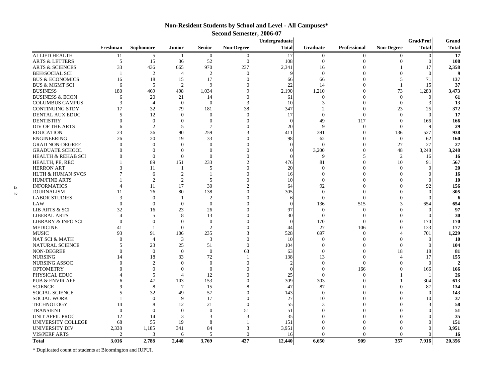### **Non-Resident Students by School and Level - All Campuses\* Second Semester, 2006-07**

|                                            | Grad/Prof<br>Undergraduate<br>Grand |                |                |                  |                   |              |                  |                  |                       |              |                |
|--------------------------------------------|-------------------------------------|----------------|----------------|------------------|-------------------|--------------|------------------|------------------|-----------------------|--------------|----------------|
|                                            | Freshman                            | Sophomore      | Junior         | <b>Senior</b>    | <b>Non-Degree</b> | <b>Total</b> | Graduate         | Professional     | <b>Non-Degree</b>     | <b>Total</b> | <b>Total</b>   |
| <b>ALLIED HEALTH</b>                       | 11                                  | 5              | 1              | $\boldsymbol{0}$ | $\Omega$          | 17           | $\boldsymbol{0}$ | $\boldsymbol{0}$ | $\Omega$              | $\Omega$     | 17             |
| <b>ARTS &amp; LETTERS</b>                  | 5                                   | 15             | 36             | 52               | $\overline{0}$    | 108          | $\Omega$         | $\theta$         | $\Omega$              |              | 108            |
| <b>ARTS &amp; SCIENCES</b>                 | 33                                  | 436            | 665            | 970              | 237               | 2,341        | 16               | $\Omega$         |                       | 17           | 2,358          |
| <b>BEH/SOCIAL SCI</b>                      | $\overline{1}$                      | $\overline{c}$ | $\overline{4}$ | 2                | $\theta$          |              | $\Omega$         | $\Omega$         | $\Omega$              | $\Omega$     | -9             |
| <b>BUS &amp; ECONOMICS</b>                 | 16                                  | 18             | 15             | 17               | $\Omega$          | 66           | 66               | $\Omega$         | 5                     | 71           | 137            |
| <b>BUS &amp; MGMT SCI</b>                  | 6                                   | 5              | $\overline{2}$ | $\mathbf{Q}$     | $\Omega$          | 22           | 14               | $\Omega$         | -1                    | 15           | 37             |
| <b>BUSINESS</b>                            | 180                                 | 469            | 498            | 1,034            | 9                 | 2,190        | 1,210            | $\Omega$         | 73                    | 1,283        | 3,473          |
| <b>BUSINESS &amp; ECON</b>                 | 6                                   | 20             | 21             | 14               | $\theta$          | 61           | $\theta$         | $\Omega$         | $\overline{0}$        |              | 61             |
| <b>COLUMBUS CAMPUS</b>                     | 3                                   | $\overline{4}$ | $\overline{0}$ | $\theta$         | 3                 | 10           | 3                | $\Omega$         | $\overline{0}$        |              | 13             |
| <b>CONTINUING STDY</b>                     | 17                                  | 32             | 79             | 181              | 38                | 347          | $\mathcal{D}$    | $\theta$         | 23                    | 25           | 372            |
| DENTAL AUX EDUC                            | $\overline{5}$                      | 12             | $\theta$       | $\Omega$         | $\Omega$          | 17           | $\Omega$         | $\theta$         | $\Omega$              | $\Omega$     | 17             |
| <b>DENTISTRY</b>                           | $\Omega$                            | $\overline{0}$ | $\overline{0}$ | $\Omega$         | $\Omega$          |              | 49               | 117              | $\Omega$              | 166          | 166            |
| DIV OF THE ARTS                            | 6                                   | 2              | 5              | $\overline{7}$   | $\Omega$          | 20           | 9                | $\mathbf{0}$     | $\overline{0}$        |              | 29             |
| <b>EDUCATION</b>                           | 23                                  | 36             | 90             | 259              | 3                 | 411          | 391              | $\Omega$         | 136                   | 527          | 938            |
| <b>ENGINEERING</b>                         | 26                                  | 20             | 19             | 33               | $\Omega$          | 98           | 62               | $\Omega$         | $\overline{0}$        | 62           | 160            |
| <b>GRAD NON-DEGREE</b>                     | $\Omega$                            | $\mathbf{0}$   | $\Omega$       | $\Omega$         | $\Omega$          |              | $\Omega$         | $\Omega$         | 27                    | 27           | 27             |
| <b>GRADUATE SCHOOL</b>                     | $\Omega$                            | $\theta$       | $\overline{0}$ | $\theta$         | $\Omega$          |              | 3,200            | $\Omega$         | 48                    | 3,248        | 3,248          |
| <b>HEALTH &amp; REHAB SCI</b>              | $\Omega$                            | $\theta$       | $\overline{0}$ | $\theta$         | $\Omega$          |              | -9               | 5                | 2                     | 16           | -16            |
| HEALTH, PE, REC                            |                                     | 89             | 151            | 233              | $\mathfrak{D}$    | 476          | 81               | $\theta$         | 10                    | 91           | 567            |
| <b>HERRON ART</b>                          | $\mathcal{R}$                       | 11             | $\overline{1}$ | 5                | $\Omega$          | 20           | $\Omega$         | $\Omega$         | $\overline{0}$        |              | 20             |
| HLTH & HUMAN SVCS                          |                                     | 6              | $\overline{2}$ |                  | $\Omega$          | 16           | $\Omega$         | $\Omega$         | $\Omega$              |              | 16             |
| <b>HUM/FINE ARTS</b>                       |                                     | 2              | $\overline{2}$ | 5                | $\Omega$          | 10           | $\Omega$         | $\Omega$         | $\Omega$              |              | 10             |
| <b>INFORMATICS</b><br>4                    |                                     | 11             | 17             | 30               | $\mathfrak{D}$    | 64           | 92               | $\Omega$         | $\Omega$              | 92           | 156            |
| <b>JOURNALISM</b><br>$\blacktriangleright$ | 11                                  | 76             | 80             | 138              | $\Omega$          | 305          | $\Omega$         | $\Omega$         | $\Omega$              |              | 305            |
| <b>LABOR STUDIES</b>                       | 3                                   | $\mathbf{0}$   | $\overline{1}$ | $\overline{2}$   | $\Omega$          |              | $\Omega$         | $\mathbf{0}$     | $\Omega$              |              | 6              |
| LAW                                        | $\overline{0}$                      | $\mathbf{0}$   | $\overline{0}$ | $\mathbf{0}$     | $\Omega$          |              | 136              | 515              | 3                     | 654          | 654            |
| LIB ARTS & SCI                             | 32                                  | 16             | 23             | 26               | $\Omega$          | 97           | $\Omega$         | $\mathbf{0}$     | $\Omega$              |              | 97             |
| <b>LIBERAL ARTS</b>                        | $\overline{4}$                      | 5              | 8              | 13               | $\Omega$          | 30           | $\overline{0}$   | $\mathbf{0}$     | $\Omega$              |              | 30             |
| <b>LIBRARY &amp; INFO SCI</b>              | $\Omega$                            | $\overline{0}$ | $\overline{0}$ | $\overline{0}$   | $\Omega$          | $\Omega$     | 170              | $\overline{0}$   | $\Omega$              | 170          | 170            |
| <b>MEDICINE</b>                            | 41                                  |                | $\overline{0}$ | $\overline{2}$   | $\Omega$          | 44           | 27               | 106              | $\theta$              | 133          | 177            |
| <b>MUSIC</b>                               | 93                                  | 91             | 106            | 235              | 3                 | 528          | 697              | $\boldsymbol{0}$ | $\Delta$              | 701          | 1,229          |
| NAT SCI & MATH                             | $\Omega$                            | $\overline{4}$ | 3              | 3                | $\Omega$          | 10           | $\Omega$         | $\Omega$         | $\Omega$              |              | 10             |
| <b>NATURAL SCIENCE</b>                     | $\overline{5}$                      | 23             | 25             | 51               | $\Omega$          | 104          | $\Omega$         | $\Omega$         | $\Omega$              |              | 104            |
| NON-DEGREE                                 | $\Omega$                            | $\theta$       | $\Omega$       | $\overline{0}$   | 63                | 63           | $\Omega$         | $\Omega$         | 18                    | 18           | 81             |
| <b>NURSING</b>                             | 14                                  | 18             | 33             | 72               | $\mathbf{1}$      | 138          | 13               | $\mathbf{0}$     | $\boldsymbol{\Delta}$ | 17           | 155            |
| <b>NURSING ASSOC</b>                       | $\Omega$                            | $\overline{2}$ | $\Omega$       | $\overline{0}$   | $\Omega$          |              | $\Omega$         | $\mathbf{0}$     | $\Omega$              |              | $\overline{2}$ |
| <b>OPTOMETRY</b>                           | $\Omega$                            | $\mathbf{0}$   | $\overline{0}$ | $\mathbf{0}$     | $\Omega$          |              | $\Omega$         | 166              | $\Omega$              | 166          | 166            |
| PHYSICAL EDUC                              | $\Delta$                            | 5              | $\overline{4}$ | 12               | $\Omega$          | 25           | $\Omega$         | $\theta$         | $\overline{1}$        |              | 26             |
| <b>PUB &amp; ENVIR AFF</b>                 | 6                                   | 47             | 103            | 153              | $\Omega$          | 309          | 303              | $\Omega$         |                       | 304          | 613            |
| <b>SCIENCE</b>                             | Q                                   | 8              | $\overline{7}$ | 15               | 8                 | 47           | 87               | $\Omega$         | $\Omega$              | 87           | 134            |
| SOCIAL SCIENCE                             | $\overline{\phantom{0}}$            | 32             | 49             | 57               | $\Omega$          | 143          | $\Omega$         | $\Omega$         | $\Omega$              |              | 143            |
| <b>SOCIAL WORK</b>                         |                                     | $\mathbf{0}$   | 9              | 17               | $\Omega$          | 27           | 10               | $\Omega$         | $\Omega$              | 10           | 37             |
| <b>TECHNOLOGY</b>                          | 14                                  | 8              | 12             | 21               | $\theta$          | 55           | 3                | $\Omega$         | ∩                     |              | 58             |
| <b>TRANSIENT</b>                           | $\Omega$                            | $\Omega$       | $\theta$       | $\overline{0}$   | 51                | 51           | $\Omega$         | $\Omega$         | $\Omega$              |              | 51             |
| <b>UNIT AFFIL PROG</b>                     | 12                                  | 14             | 3              | 3                | 3                 | 35           | $\Omega$         | $\Omega$         | $\Omega$              |              | 35             |
| UNIVERSITY COLLEGE                         | 68                                  | 55             | 19             | 8                | $\overline{1}$    | 151          | $\Omega$         | $\Omega$         | $\Omega$              |              | 151            |
| UNIVERSITY DIV                             | 2,338                               | 1,185          | 341            | 84               | 3                 | 3,951        | $\Omega$         | $\Omega$         | $\Omega$              |              | 3,951          |
| <b>VIS/PERF ARTS</b>                       | $\overline{2}$                      | 3              | 6              | 5                | $\Omega$          | 16           | $\Omega$         | $\Omega$         | $\Omega$              |              | 16             |
| <b>Total</b>                               | 3.016                               | 2.788          | 2.440          | 3,769            | 427               | 12,440       | 6.650            | 909              | 357                   | 7.916        | 20,356         |

\* Duplicated count of students at Bloomington and IUPUI.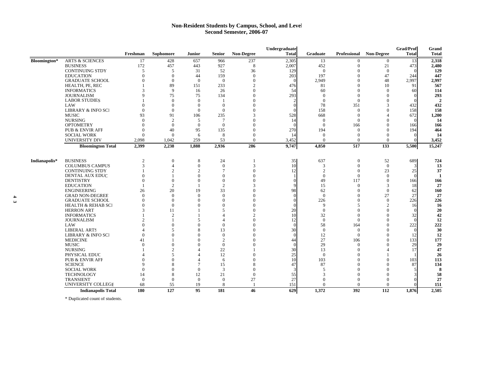#### **Non-Resident Students by Campus, School, and Level Second Semester, 2006-07**

|               |                               |                |                |                |               |                    | Undergraduate |                |              |                         | <b>Grad/Prof</b> | Grand          |
|---------------|-------------------------------|----------------|----------------|----------------|---------------|--------------------|---------------|----------------|--------------|-------------------------|------------------|----------------|
|               |                               | Freshman       | Sophomore      | Junior         | <b>Senior</b> | Non-Degree         | <b>Total</b>  | Graduate       |              | Professional Non-Degree | <b>Total</b>     | <b>Total</b>   |
| Bloomington*  | <b>ARTS &amp; SCIENCES</b>    | 17             | 428            | 657            | 966           | 237                | 2,305         | 13             |              | $\bf{0}$                | -13              | 2,318          |
|               | <b>BUSINESS</b>               | 172            | 457            | 443            | 927           | 8                  | 2,007         | 452            | $\Omega$     | 21                      | 473              | 2,480          |
|               | <b>CONTINUING STDY</b>        | 5              | 5              | 31             | 52            | 36                 | 129           | $\Omega$       | $\Omega$     | $\mathbf{0}$            |                  | 129            |
|               | <b>EDUCATION</b>              | $\Omega$       | $\Omega$       | 44             | 159           | $\Omega$           | 203           | 197            | $\Omega$     | 47                      | 244              | 447            |
|               | <b>GRADUATE SCHOOL</b>        |                | $\Omega$       | $\theta$       | $\mathbf{0}$  | $\Omega$           | $\Omega$      | 2,949          | $\Omega$     | 48                      | 2.997            | 2,997          |
|               | HEALTH, PE, REC               |                | 89             | 151            | 233           | $\mathfrak{D}$     | 476           | 81             | $\Omega$     | 10                      | 91               | 567            |
|               | <b>INFORMATICS</b>            |                | 9              | 16             | 26            | $\Omega$           | 54            | 60             | $\Omega$     | $\Omega$                | 60               | 114            |
|               | <b>JOURNALISM</b>             | $\mathbf Q$    | 75             | 75             | 134           | $\Omega$           | 293           | $\mathbf{0}$   | $\mathbf{0}$ | $\Omega$                |                  | 293            |
|               | <b>LABOR STUDIES</b>          |                | $\Omega$       | $\overline{0}$ |               | $\Omega$           |               | $\mathbf{0}$   | $\Omega$     | $\Omega$                |                  | $\overline{2}$ |
|               | LAW                           |                | $\Omega$       | $\mathbf{0}$   | $\mathbf{0}$  | $\Omega$           | $\Omega$      | 78             | 351          | 3                       | 432              | 432            |
|               | <b>LIBRARY &amp; INFO SCI</b> | $\Omega$       | $\Omega$       | $\overline{0}$ | $\mathbf{0}$  | $\Omega$           |               | 158            | $\Omega$     |                         | 158              | 158            |
|               | <b>MUSIC</b>                  | 93             | 91             | 106            | 235           | 3                  | 528           | 668            | $\Omega$     |                         | 672              | 1,200          |
|               | <b>NURSING</b>                |                | $\overline{2}$ | 5              | 7             | $\Omega$           | 14            | $\Omega$       | $\Omega$     |                         |                  | 14             |
|               | <b>OPTOMETRY</b>              | $\Omega$       | $\Omega$       | $\overline{0}$ | $\mathbf{0}$  | $\Omega$           |               | $\Omega$       | 166          |                         | 166              | 166            |
|               | <b>PUB &amp; ENVIR AFF</b>    | $\Omega$       | 40             | 95             | 135           | $\Omega$           | 270           | 194            | $\Omega$     |                         | 194              | 464            |
|               | <b>SOCIAL WORK</b>            | $\Omega$       | $\overline{0}$ | 6              | 8             | $\Omega$           | 14            | $\mathbf{0}$   | $\mathbf{0}$ | $\Omega$                |                  | 14             |
|               | <b>UNIVERSITY DIV</b>         | 2,098          | 1,042          | 259            | 53            | $\Omega$           | 3,452         | $\Omega$       | $\Omega$     | $\Omega$                |                  | 3,452          |
|               | <b>Bloomington Total</b>      | 2,399          | 2,238          | 1,888          | 2,936         | 286                | 9,747         | 4,850          | 517          | 133                     | 5,500            | 15,247         |
|               |                               |                |                |                |               |                    |               |                |              |                         |                  |                |
| Indianapolis* | <b>BUSINESS</b>               | $\overline{2}$ | $\overline{0}$ | 8              | 24            |                    | 35            | 637            | $\mathbf{0}$ | 52                      | 689              | 724            |
|               | <b>COLUMBUS CAMPUS</b>        | 3              | $\Delta$       | $\Omega$       | $\mathbf{0}$  | 3                  | 10            | 3              | $\mathbf{0}$ | $\overline{0}$          |                  | 13             |
|               | <b>CONTINUING STDY</b>        |                | $\mathcal{P}$  | $\overline{c}$ | 7             | $\Omega$           | 12            | $\mathfrak{D}$ | $\mathbf{0}$ | 23                      | 25               | 37             |
|               | <b>DENTAL AUX EDUC</b>        | $\Omega$       |                | $\Omega$       | $\mathbf{0}$  | $\Omega$           |               | $\mathbf{0}$   | $\mathbf{0}$ | $\Omega$                |                  | -1             |
|               | <b>DENTISTRY</b>              | $\Omega$       | $\Omega$       | $\Omega$       | $\mathbf{0}$  |                    | $\Omega$      | 49             | 117          | $\Omega$                | 166              | 166            |
|               | <b>EDUCATION</b>              |                | $\overline{2}$ |                | 2             | $\mathbf{\hat{3}}$ |               | 15             | $\Omega$     | 3                       | 18               | 27             |
|               | <b>ENGINEERING</b>            | 26             | 20             | 19             | 33            |                    | 98            | 62             | $\Omega$     | $\Omega$                | 62               | 160            |
|               | <b>GRAD NON-DEGREE</b>        | $\Omega$       | $\Omega$       | $\overline{0}$ | $\mathbf{0}$  | $\Omega$           |               | $\overline{0}$ | $\mathbf{0}$ | 27                      | 27               | 27             |
|               | <b>GRADUATE SCHOOL</b>        | $\Omega$       | $\Omega$       | $\Omega$       | $\mathbf{0}$  |                    |               | 226            | $\mathbf{0}$ | $\Omega$                | 226              | 226            |
|               | <b>HEALTH &amp; REHAB SCI</b> | $\Omega$       | $\overline{0}$ | $\Omega$       | $\theta$      |                    |               | $\mathbf Q$    | 5            | $\mathcal{D}$           | 16               | -16            |
|               | <b>HERRON ART</b>             |                | 11             |                | 5             |                    | 20            | $\mathbf{0}$   | $\theta$     | $\Omega$                |                  | 20             |
|               | <b>INFORMATICS</b>            |                | $\overline{2}$ |                | 4             | $\mathcal{D}$      | 10            | 32             | $\Omega$     | $\Omega$                | 32               | 42             |
|               | <b>JOURNALISM</b>             |                |                | 5              | 4             | $\Omega$           | 12            | $\mathbf{0}$   | $\mathbf{0}$ |                         |                  | 12             |
|               | LAW                           |                | $\Omega$       |                | $\mathbf{0}$  |                    | $\Omega$      | 58             | 164          |                         | 222              | 222            |
|               | <b>LIBERAL ARTS</b>           |                | 5              | 8              | 13            |                    | 30            | $\mathbf{0}$   | $\mathbf{0}$ |                         |                  | 30             |
|               | <b>LIBRARY &amp; INFO SCI</b> | $\Omega$       | $\Omega$       | $\Omega$       | $\mathbf{0}$  |                    | $\Omega$      | 12             | $\mathbf{0}$ |                         | 12               | 12             |
|               | <b>MEDICINE</b>               | 41             |                |                | 2             |                    | 44            | 27             | 106          |                         | 133              | 177            |
|               | <b>MUSIC</b>                  | $\Omega$       | $\Omega$       |                | $\mathbf{0}$  |                    | $\Omega$      | 29             | $\mathbf{0}$ |                         | 29               | 29             |
|               | <b>NURSING</b>                |                | $\mathfrak{D}$ |                | 22            |                    | 30            | 13             | $\mathbf{0}$ |                         | 17               | 47             |
|               | PHYSICAL EDUC                 |                | 5              | Δ              | 12            | $\Omega$           | 25            | $\mathbf{0}$   | $\mathbf{0}$ |                         |                  | 26             |
|               | <b>PUB &amp; ENVIR AFF</b>    | $\Omega$       | $\Omega$       | Δ              | 6             |                    | 10            | 103            | $\mathbf{0}$ |                         | 103              | 113            |
|               | <b>SCIENCE</b>                | $\mathbf Q$    | 8              | $\overline{7}$ | 15            |                    | 47            | 87             | $\mathbf{0}$ |                         | 87               | 134            |
|               | <b>SOCIAL WORK</b>            | $\Omega$       | $\Omega$       | $\Omega$       | 3             | $\Omega$           |               | 5              | $\mathbf{0}$ |                         |                  | 8              |
|               | <b>TECHNOLOGY</b>             | 14             | 8              | 12             | 21            | $\Omega$           | 55            | 3              | $\mathbf{0}$ |                         |                  | 58             |
|               | <b>TRANSIENT</b>              | $\mathbf{0}$   | $\overline{0}$ | $\overline{0}$ | $\mathbf{0}$  | 27                 | 27            | $\mathbf{0}$   | $\mathbf{0}$ | $\Omega$                |                  | 27             |
|               | UNIVERSITY COLLEGE            | 68             | 55             | 19             | 8             |                    | 151           | $\Omega$       | $\Omega$     | $\Omega$                |                  | 151            |
|               | <b>Indianapolis Total</b>     | 180            | 127            | 95             | 181           | 46                 | 629           | 1.372          | 392          | 112                     | 1.876            | 2.505          |

\* Duplicated count of students.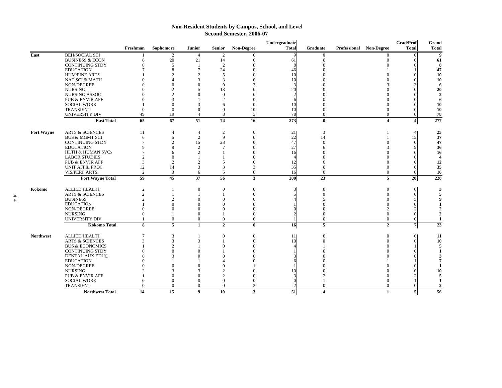### **Non-Resident Students by Campus, School, and Level Second Semester, 2006-07**

|                   |                            |                |                |                             |                  |                   | Undergraduate           |                  |                         | Grad/Prof      | Grand        |
|-------------------|----------------------------|----------------|----------------|-----------------------------|------------------|-------------------|-------------------------|------------------|-------------------------|----------------|--------------|
|                   |                            | Freshman       | Sophomore      | <b>Junior</b>               | Senior           | <b>Non-Degree</b> | <b>Total</b>            | Graduate         | Professional Non-Degree | <b>Total</b>   | <b>Total</b> |
| East              | <b>BEH/SOCIAL SCI</b>      |                | 2              | $\overline{4}$              | 2                | $\overline{0}$    |                         | $\mathbf{0}$     | $\Omega$                | $\Omega$       |              |
|                   | <b>BUSINESS &amp; ECON</b> | 6              | 20             | 21                          | 14               | $\theta$          | 61                      |                  |                         |                | 61           |
|                   | <b>CONTINUING STDY</b>     |                | 5              | $\overline{1}$              | $\overline{c}$   | $\Omega$          | 8                       |                  |                         |                |              |
|                   | <b>EDUCATION</b>           |                | 8              | $\overline{7}$              | 24               | $\Omega$          | 46                      |                  |                         |                | 47           |
|                   | <b>HUM/FINE ARTS</b>       |                | $\mathfrak{D}$ | $\overline{2}$              | 5                | $\Omega$          | 10                      |                  |                         |                | 10           |
|                   | <b>NAT SCI &amp; MATH</b>  |                |                | 3                           | 3                | $\Omega$          | 10                      |                  |                         |                | 10           |
|                   | NON-DEGREE                 |                |                |                             | $\theta$         | 3                 | 3                       |                  |                         |                |              |
|                   | <b>NURSING</b>             |                |                |                             | 13               | $\Omega$          | 20                      |                  |                         |                | 20           |
|                   | NURSING ASSOC              |                |                |                             | $\theta$         | $\theta$          | $\mathcal{D}$           |                  |                         |                |              |
|                   | <b>PUB &amp; ENVIR AFF</b> |                |                |                             | 2                | $\Omega$          | 6                       |                  |                         |                |              |
|                   | <b>SOCIAL WORK</b>         |                | $\Omega$       | 3                           | 6                | $\Omega$          | 10                      |                  |                         |                |              |
|                   | <b>TRANSIENT</b>           |                | $\theta$       | $\Omega$                    | $\mathbf{0}$     | 10                | 10                      |                  |                         |                |              |
|                   | UNIVERSITY DIV             | 49             | 19             | $\overline{4}$              | 3                | 3                 | 78                      | $\mathbf{0}$     | $\Omega$                | $\Omega$       |              |
|                   | <b>East Total</b>          | 65             | 67             | 51                          | 74               | 16                | 273                     | $\bf{0}$         | 4                       | $\frac{4}{ }$  | 277          |
| <b>Fort Wayne</b> | <b>ARTS &amp; SCIENCES</b> | 11             | $\overline{4}$ | $\overline{4}$              | $\overline{c}$   | $\mathbf{0}$      | 21                      | 3                |                         | 4              | 25           |
|                   | <b>BUS &amp; MGMT SCI</b>  | 6              | 5              | $\overline{2}$              | 9                | $\Omega$          | 22                      | 14               |                         | 15             | 37           |
|                   | <b>CONTINUING STDY</b>     | $\overline{7}$ | $\overline{c}$ | 15                          | 23               | $\theta$          | 47                      | $\Omega$         |                         | $\Omega$       |              |
|                   | <b>EDUCATION</b>           | $\mathbf Q$    | Q              | $\mathcal{D}_{\mathcal{A}}$ | $\overline{7}$   | $\Omega$          | 27                      |                  |                         |                |              |
|                   | HLTH & HUMAN SVCS          |                |                | $\mathcal{D}$               |                  | $\theta$          | 16                      |                  |                         |                |              |
|                   | <b>LABOR STUDIES</b>       | $\mathcal{D}$  | $\Omega$       |                             |                  | $\Omega$          |                         |                  |                         |                |              |
|                   | <b>PUB &amp; ENVIR AFF</b> | 3              | $\overline{2}$ | 2                           | 5                | $\Omega$          | 12                      |                  |                         |                |              |
|                   | <b>UNIT AFFIL PROG</b>     | 12             | 14             | 3                           | 3                | 3                 | 35                      | $\theta$         | 0                       |                |              |
|                   | <b>VIS/PERF ARTS</b>       | 2              | 3              | 6                           | 5                | $\overline{0}$    | 16                      | $\mathbf{0}$     | $\Omega$                | $\Omega$       |              |
|                   | <b>Fort Wayne Total</b>    | 59             | 45             | 37                          | 56               | $\mathbf{3}$      | 200                     | 23               | 5                       | 28             | 16<br>228    |
|                   |                            |                |                |                             |                  |                   |                         |                  |                         |                |              |
| Kokomo            | <b>ALLIED HEALTH</b>       | 2              | $\overline{1}$ | $\bf{0}$                    | $\mathbf{0}$     | $\boldsymbol{0}$  | $\overline{\mathbf{3}}$ | $\Omega$         | $\Omega$                | $\Omega$       |              |
|                   | <b>ARTS &amp; SCIENCES</b> | $\overline{2}$ | $\overline{1}$ | $\mathbf{1}$                |                  | $\Omega$          |                         | $\Omega$         | $\Omega$                | $\Omega$       |              |
|                   | <b>BUSINESS</b>            | $\mathcal{D}$  | $\mathcal{D}$  | $\Omega$                    | $\theta$         | $\Omega$          |                         |                  |                         |                |              |
|                   | <b>EDUCATION</b>           |                | $\Omega$       | $\Omega$                    | $\Omega$         | $\Omega$          |                         |                  |                         |                |              |
|                   | NON-DEGREE                 |                | $\Omega$       | $\Omega$                    | $\Omega$         | $\Omega$          |                         |                  |                         |                |              |
|                   | <b>NURSING</b>             |                |                | $\Omega$                    |                  | $\Omega$          |                         |                  | $\Omega$                |                |              |
|                   | <b>UNIVERSITY DIV</b>      |                | $\Omega$       | $\boldsymbol{0}$            | $\mathbf{0}$     | $\Omega$          |                         | $\mathbf{0}$     | $\overline{0}$          | $\Omega$       |              |
|                   | Kokomo Total               | 8              | 5              | $\mathbf{1}$                | $\overline{2}$   | $\bf{0}$          | 16                      | 5                | $\mathbf{2}$            | $\overline{7}$ | 23           |
| <b>Northwest</b>  | <b>ALLIED HEALTH</b>       |                | 3              |                             | $\boldsymbol{0}$ | $\mathbf{0}$      | 11                      |                  | 0                       | $\Omega$       |              |
|                   | <b>ARTS &amp; SCIENCES</b> |                | 3              | 3                           |                  | $\overline{0}$    | 10                      |                  |                         | $\Omega$       | 10           |
|                   | <b>BUS &amp; ECONOMICS</b> |                | $\overline{c}$ |                             | $\Omega$         | $\Omega$          |                         |                  |                         |                |              |
|                   | <b>CONTINUING STDY</b>     |                | $\Omega$       | $\Omega$                    |                  | $\Omega$          |                         |                  |                         |                |              |
|                   | DENTAL AUX EDUC            |                |                |                             | $\Omega$         | O                 |                         |                  |                         |                |              |
|                   | <b>EDUCATION</b>           |                |                |                             |                  | O                 |                         |                  |                         |                |              |
|                   | NON-DEGREE                 |                |                |                             | $\Omega$         |                   |                         |                  |                         |                |              |
|                   | <b>NURSING</b>             |                |                |                             | $\mathcal{D}$    | $\Omega$          | 10                      |                  |                         |                |              |
|                   | <b>PUB &amp; ENVIR AFF</b> |                | $\Omega$       |                             | $\overline{2}$   | $\Omega$          |                         |                  |                         |                |              |
|                   | <b>SOCIAL WORK</b>         |                | $\Omega$       | $\Omega$                    | $\Omega$         | $\Omega$          |                         |                  |                         |                |              |
|                   | <b>TRANSIENT</b>           | $\Omega$       | $\Omega$       | $\Omega$                    | $\mathbf{0}$     | $\mathfrak{D}$    |                         |                  | $\Omega$                |                |              |
|                   | <b>Northwest Total</b>     | 14             | 15             | $\mathbf{Q}$                | 10               | 3                 | 51                      | $\boldsymbol{4}$ |                         | 5 <sup>1</sup> | 56           |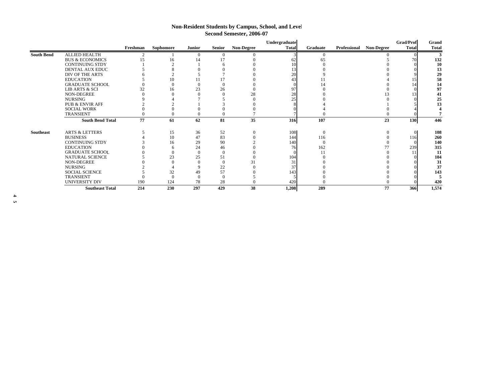### **Non-Resident Students by Campus, School, and Level Second Semester, 2006-07**

|                   |                            | Freshman | Sophomore | <b>Junior</b> | <b>Senior</b> | <b>Non-Degree</b> | Undergraduate<br><b>Total</b> | Graduate | Professional | <b>Non-Degree</b> | Grad/Prof<br><b>Total</b> | Grand<br><b>Total</b> |
|-------------------|----------------------------|----------|-----------|---------------|---------------|-------------------|-------------------------------|----------|--------------|-------------------|---------------------------|-----------------------|
| <b>South Bend</b> | ALLIED HEALTH              |          |           | $\Omega$      |               |                   |                               |          |              |                   |                           |                       |
|                   | <b>BUS &amp; ECONOMICS</b> | 15       | 16        | 14            |               |                   |                               | 65       |              |                   | 70                        | 132                   |
|                   | <b>CONTINUING STDY</b>     |          |           |               |               |                   |                               |          |              |                   |                           | 10                    |
|                   | <b>DENTAL AUX EDUC</b>     |          |           |               |               |                   |                               |          |              |                   |                           | 13                    |
|                   | DIV OF THE ARTS            |          |           |               |               |                   | 20                            |          |              |                   |                           | 29                    |
|                   | <b>EDUCATION</b>           |          | 10        |               |               |                   |                               |          |              |                   |                           | 58                    |
|                   | <b>GRADUATE SCHOOL</b>     |          |           |               |               |                   |                               |          |              |                   |                           | 14                    |
|                   | LIB ARTS & SCI             | 32       | 16        | 23            | 26            |                   | 97                            |          |              |                   |                           | 97                    |
|                   | NON-DEGREE                 |          |           |               |               | 28                | 28                            |          |              |                   |                           | 41                    |
|                   | <b>NURSING</b>             |          |           |               |               |                   | 25                            |          |              |                   |                           | 25                    |
|                   | <b>PUB &amp; ENVIR AFF</b> |          |           |               |               |                   |                               |          |              |                   |                           |                       |
|                   | <b>SOCIAL WORK</b>         |          |           |               |               |                   |                               |          |              |                   |                           |                       |
|                   | TRANSIENT                  |          |           |               |               |                   |                               |          |              |                   |                           |                       |
|                   | <b>South Bend Total</b>    | 77       | 61        | 62            | 81            | 35                | 316                           | 107      |              | 23                | 130                       | 446                   |
| <b>Southeast</b>  | <b>ARTS &amp; LETTERS</b>  |          | 15        | 36            | 52            |                   | 108                           | $\Omega$ |              |                   | $\Omega$                  | 108                   |
|                   | <b>BUSINESS</b>            |          | 10        | 47            | 83            |                   | 144                           | 116      |              |                   | 116                       | 260                   |
|                   | <b>CONTINUING STDY</b>     |          | 16        | 29            | 90            |                   | 140                           | $\Omega$ |              |                   |                           | 140                   |
|                   | <b>EDUCATION</b>           |          |           | 24            | 46            |                   | 76                            | 162      |              |                   | 239                       | 315                   |
|                   | <b>GRADUATE SCHOOL</b>     |          |           | $\Omega$      |               |                   |                               |          |              |                   |                           | 11                    |
|                   | NATURAL SCIENCE            |          | 23        | 25            | 51            |                   | 104                           |          |              |                   |                           | 104                   |
|                   | NON-DEGREE                 |          |           |               |               | 31                | 3                             |          |              |                   |                           | 31                    |
|                   | <b>NURSING</b>             |          |           |               | 22            |                   | 37                            |          |              |                   |                           | 37                    |
|                   | <b>SOCIAL SCIENCE</b>      |          | 32        | 49            | 57            |                   | 143                           |          |              |                   |                           | 143                   |
|                   | <b>TRANSIENT</b>           |          |           |               |               |                   |                               |          |              |                   |                           |                       |
|                   | UNIVERSITY DIV             | 190      | 124       | 78            | 28            |                   | 420                           |          |              |                   |                           | 420                   |
|                   | <b>Southeast Total</b>     | 214      | 230       | 297           | 429           | 38                | 1,208                         | 289      |              | 77                | 366                       | 1,574                 |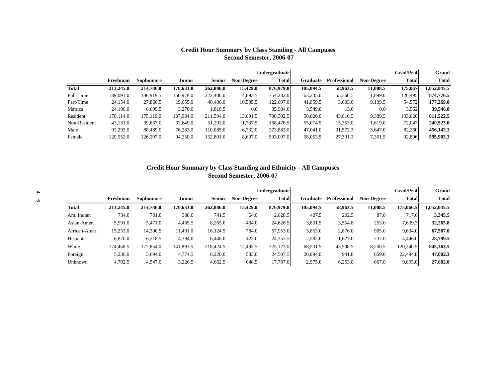# **Credit Hour Summary by Class Standing - All Campuses Second Semester, 2006-07**

|              |           |           |               |           |                   | Undergraduate |           |                     |                   | <b>Grad/Prof</b> | Grand        |
|--------------|-----------|-----------|---------------|-----------|-------------------|---------------|-----------|---------------------|-------------------|------------------|--------------|
|              | Freshman  | Sophomore | <b>Junior</b> | Senior    | <b>Non-Degree</b> | <b>Total</b>  | Graduate  | <b>Professional</b> | <b>Non-Degree</b> | <b>Total</b>     | <b>Total</b> |
| Total        | 213,245.0 | 214,786.0 | 170,633.0     | 262,886.0 | 15,429.0          | 876,979.0     | 105,094.5 | 58,963.5            | 11,008.5          | 175,067          | 1,052,045.5  |
| Full-Time    | 189,091.0 | 186,919.5 | 150,978.0     | 222,400.0 | 4,893.5           | 754,282.0     | 63,235.0  | 55,360.5            | 1,899.0           | 120,495          | 874,776.5    |
| Part-Time    | 24.154.0  | 27,866.5  | 19,655.0      | 40,486.0  | 10,535.5          | 122,697.0     | 41,859.5  | 3,603.0             | 9,109.5           | 54,572           | 177,269.0    |
| Matrics      | 24,196.0  | 6,699.5   | 3,270.0       | 1,818.5   | 0.0               | 35,984.0      | 3.549.0   | 13.0                | 0.0               | 3,562            | 39,546.0     |
| Resident     | 170,114.0 | 175,119.0 | 137,984.0     | 211.594.0 | 13,691.5          | 708,502.5     | 50,020.0  | 43,610.5            | 9,389.5           | 103,020          | 811,522.5    |
| Non-Resident | 43,131.0  | 39,667.0  | 32,649.0      | 51,292.0  | 1,737.5           | 168,476.5     | 55,074.5  | 15,353.0            | 1,619.0           | 72,047           | 240,523.0    |
| Male         | 92,293.0  | 88,489.0  | 76,283.0      | 110,085.0 | 6,732.0           | 373,882.0     | 47,041.0  | 31,572.3            | 3,647.0           | 82,260           | 456,142.3    |
| Female       | 120,952.0 | 126,297.0 | 94,350.0      | 152,801.0 | 8,697.0           | 503,097.0     | 58,053.5  | 27,391.3            | 7,361.5           | 92,806           | 595,903.3    |

### **Credit Hour Summary by Class Standing and Ethnicity - All Campuses Second Semester, 2006-07**

| 4         |               |           |           |               |               |                   | <b>Undergraduate</b> |           |              |                   | <b>Grad/Prof</b> | Grand       |
|-----------|---------------|-----------|-----------|---------------|---------------|-------------------|----------------------|-----------|--------------|-------------------|------------------|-------------|
| $\bullet$ |               | Freshman  | Sophomore | <b>Junior</b> | <b>Senior</b> | <b>Non-Degree</b> | Total                | Graduate  | Professional | <b>Non-Degree</b> | Total            | Total       |
|           | Total         | 213,245.0 | 214,786.0 | 170,633.0     | 262,886.0     | 15,429.0          | 876,979.0            | 105,094.5 | 58,963.5     | 11,008.5          | 175,066.5        | 1,052,045.5 |
|           | Am. Indian    | 734.0     | 701.0     | 388.0         | 741.5         | 64.0              | 2,628.5              | 427.5     | 202.5        | 87.0              | 717.0            | 3,345.5     |
|           | Asian-Amer.   | 5,991.0   | 5,471.0   | 4,465.5       | 8,265.0       | 434.0             | 24,626.5             | 3,831.5   | 3,554.8      | 253.0             | 7,639.3          | 32,265.8    |
|           | African-Amer. | 15,253.0  | 14,300.5  | 11,491.0      | 16,124.5      | 784.0             | 57,953.0             | 5,853.0   | 2,876.0      | 905.0             | 9,634.0          | 67,587.0    |
|           | Hispanic      | 6,870.0   | 6,218.5   | 4,394.0       | 6,448.0       | 423.0             | 24,353.5             | 2,582.0   | 1,627.0      | 237.0             | 4,446.0          | 28,799.5    |
|           | White         | 174,458.5 | 177,854.0 | 141,893.5     | 218,424.5     | 12,492.5          | 725,123.0            | 68,531.5  | 43,508.5     | 8,200.5           | 120,240.5        | 845, 363.5  |
|           | Foreign       | 5,236.0   | 5,694.0   | 4,774.5       | 8,220.0       | 583.0             | 24,507.5             | 20,894.0  | 941.8        | 659.0             | 22,494.8         | 47,002.3    |
|           | Unknown       | 4,702.5   | 4,547.0   | 3,226.5       | 4,662.5       | 648.5             | 17,787.0             | 2,975.0   | 6,253.0      | 667.0             | 9,895.0          | 27,682.0    |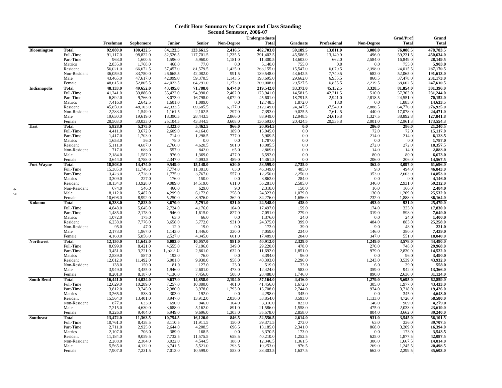#### **Credit Hour Summary by Campus and Class Standing Second Semester, 2006-07**

|                     |                           |                    |                    |                      |                    |                   | Undergraduate        |                      |              |                   | Grad/Prof     | Grand                   |
|---------------------|---------------------------|--------------------|--------------------|----------------------|--------------------|-------------------|----------------------|----------------------|--------------|-------------------|---------------|-------------------------|
|                     |                           | Freshman           | Sophomore          | Junior               | Senior             | <b>Non-Degree</b> | <b>Total</b>         | Graduate             | Professional | <b>Non-Degree</b> | <b>Total</b>  | <b>Total</b>            |
| Bloomington         | <b>Total</b>              | 92,080.0           | 100,422.5          | 84,122.5             | 123,661.5          | 2,416.5           | 402,703.0            | 59,189.5             | 13,811.0     | 3,080.0           | 76,080.5      | 478,783.5               |
|                     | Full-Time                 | 91,117.0           | 98,822.0           | 82,526.5             | 117,701.5          | 1,235.5           | 391,402.5            | 45,586.5             | 13,149.0     | 496.0             | 59,231.5      | 450,634.0               |
|                     | Part-Time                 | 963.0              | 1,600.5            | 1,596.0              | 5,960.0            | 1,181.0           | 11,300.5             | 13,603.0             | 662.0        | 2,584.0           | 16,849.0      | 28,149.5                |
|                     | Matrics                   | 2,835.0            | 1,768.0            | 468.0                | 77.0               | 0.0               | 5,148.0              | 755.0                | 0.0          | 0.0               | 755.0         | 5,903.0                 |
|                     | Resident                  | 56,021.0           | 66,672.5           | 57,457.0             | 81,579.5           | 1,425.0           | 263,155.0            | 15,547.0             | 6,070.5      | 2,398.0           | 24,015.5      | 287,170.5               |
|                     | Non-Resident              | 36,059.0           | 33,750.0           | 26,665.5             | 42,082.0           | 991.5             | 139,548.0            | 43,642.5             | 7,740.5      | 682.0             | 52,065.0      | 191,613.0               |
|                     | Male                      | 43,465.0           | 47,617.0           | 42,099.0             | 59,370.5           | 1,143.5           | 193,695.0            | 29,662.0             | 6,955.5      | 860.5             | 37,478.0      | 231,173.0               |
|                     | Female                    | 48,615.0           | 52,805.5           | 42,023.5             | 64,291.0           | 1,273.0           | 209,008.0            | 29,527.5             | 6,855.5      | 2,219.5           | 38,602.5      | 247,610.5               |
| <b>Indianapolis</b> | <b>Total</b>              | 48,133.0           | 49,652.0           | 43,495.0             | 71,788.0           | 6,474.0           | 219,542.0            | 33,373.0             | 45,152.5     | 3,328.5           | 81,854.0      | 301,396.0               |
|                     | Full-Time                 | 41,241.0           | 39,886.0           | 35,422.0             | 54,990.0           | 2,402.0           | 173,941.0            | 14,581.5             | 42,211.5     | 510.0             | 57,303.0      | 231,244.0               |
|                     | Part-Time                 | 6,892.0            | 9,766.0            | 8,073.0              | 16,798.0           | 4,072.0           | 45,601.0             | 18,791.5             | 2,941.0      | 2,818.5           | 24,551.0      | 70,152.0                |
|                     | Matrics                   | 7,416.0            | 2,642.5            | 1,601.0              | 1,089.0            | 0.0               | 12,748.5             | 1,872.0              | 13.0         | 0.0               | 1,885.0       | $14,633.5$<br>276,925.0 |
|                     | Resident                  | 45,850.0           | 48,103.0           | 42,333.5             | 69,685.5           | 6,177.0           | 212,149.0            | 24,347.5             | 37,540.0     | 2,888.5           | 64,776.0      |                         |
|                     | Non-Resident              | 2,283.0            | 1,549.0            | 1,161.5              | 2,102.5            | 297.0             | 7,393.0              | 9,025.5              | 7,612.5      | 440.0             | 17,078.0      | 24,471.0                |
|                     | Male                      | 19,630.0           | 19,619.0           | 18,390.5<br>25,104.5 | 28,443.5           | 2,866.0           | 88,949.0             | 12,948.5<br>20,424.5 | 24,616.8     | 1,327.5           | 38,892.8      | 127,841.8<br>173,554.3  |
|                     | Female                    | 28,503.0           | 30,033.0           |                      | 43,344.5           | 3,608.0           | 130,593.0            |                      | 20,535.8     | 2,001.0           | 42,961.3      |                         |
| East                | <b>Total</b><br>Full-Time | 5,828.0<br>4,411.0 | 5,375.0<br>3,672.0 | 3,323.0<br>2,609.0   | 5,462.5<br>4,164.0 | 966.0<br>189.0    | 20,954.5<br>15,045.0 | 0.0<br>0.0           |              | 286.0<br>72.0     | 286.0<br>72.0 | 21,240.5<br>15,117.0    |
|                     | Part-Time                 | 1,417.0            | 1,703.0            | 714.0                | 1,298.5            | 777.0             | 5,909.5              | 0.0                  |              | 214.0             | 214.0         | 6,123.5                 |
|                     | Matrics                   | 1,653.0            | 56.0               | 78.0                 | 0.0                | 0.0               | 1,787.0              | $0.0\,$              |              | 0.0               | 0.0           | 1,787.0                 |
|                     | Resident                  | 5,111.0            | 4,687.0            | 2,766.0              | 4,620.5            | 901.0             | 18,085.5             | $0.0\,$              |              | 272.0             | 272.0         | 18,357.5                |
|                     | Non-Resident              | 717.0              | 688.0              | 557.0                | 842.0              | 65.0              | 2,869.0              | 0.0                  |              | 14.0              | 14.0          | 2,883.0                 |
|                     | Male                      | 2,184.0            | 1,587.0            | 976.0                | 1,369.0            | 477.0             | 6,593.0              | 0.0                  |              | 80.0              | 80.0          | 6,673.0                 |
|                     | Female                    | 3,644.0            | 3,788.0            | 2,347.0              | 4,093.5            | 489.0             | 14,361.5             | 0.0                  |              | 206.0             | 206.0         | 14,567.5                |
| <b>Fort Wayne</b>   | Total                     | 18,808.0           | 14,474.0           | 9,549.0              | 15,148.0           | 620.0             | 58,599.0             | 2,735.0              |              | 362.0             | 3,097.0       | 61,696.0                |
|                     | Full-Time                 | 15,385.0           | 11,746.0           | 7,774.0              | 11,381.0           | 63.0              | 46,349.0             | 485.0                |              | 9.0               | 494.0         | 46,843.0                |
|                     | Part-Time                 | 3,423.0            | 2,728.0            | 1,775.0              | 3,767.0            | 557.0             | 12,250.0             | 2,250.0              |              | 353.0             | 2,603.0       | 14,853.0                |
|                     | Matrics                   | 3,309.0            | 227.0              | 176.0                | 150.0              | 0.0               | 3,862.0              | 284.0                |              | $0.0\,$           | 0.0           | 4,146.0                 |
|                     | Resident                  | 18,134.0           | 13,928.0           | 9,089.0              | 14,519.0           | 611.0             | 56,281.0             | 2,585.0              |              | 346.0             | 2,931.0       | $59,212.0$<br>2,484.0   |
|                     | Non-Resident              | 674.0              | 546.0              | 460.0                | 629.0              | 9.0               | 2,318.0              | 150.0                |              | 16.0              | 166.0         |                         |
|                     | Male                      | 8,112.0            | 5,482.0            | 4,299.0              | 6,172.0            | 258.0             | 24,323.0             | 1,079.0              |              | 130.0             | 1,209.0       | 25,532.0                |
|                     | Female                    | 10,696.0           | 8.992.0            | 5,250.0              | 8,976.0            | 362.0             | 34,276.0             | 1,656.0              |              | 232.0             | 1,888.0       | 36,164.0                |
| Kokomo              | <b>Total</b>              | 6,333.0            | 7,823.0            | 3,670.0              | 5,791.0            | 931.0             | 24,548.0             | 438.0                |              | 493.0             | 931.0         | 25,479.0                |
|                     | Full-Time                 | 4,848.0            | 5,645.0            | 2,724.0              | 4,176.0            | 104.0             | 17,497.0             | 159.0                |              | 174.0             | 333.0         | 17,830.0                |
|                     | Part-Time                 | 1,485.0            | 2,178.0            | 946.0                | 1,615.0            | 827.0             | 7,051.0              | 279.0                |              | 319.0             | 598.0         | 7,649.0                 |
|                     | Matrics                   | 1,072.0            | 175.0              | 63.0                 | 66.0               | 0.0               | 1,376.0              | 24.0                 |              | 0.0               | 24.0          | 1,400.0                 |
|                     | Resident                  | 6,238.0            | 7,776.0            | 3,658.0              | 5,772.0            | 931.0             | 24,375.0             | 399.0                |              | 484.0             | 883.0         | 25,258.0                |
|                     | Non-Resident              | 95.0               | 47.0               | 12.0                 | 19.0               | 0.0               | 173.0                | 39.0                 |              | 9.0               | 48.0          | 221.0                   |
|                     | Male                      | 2,173.0            | 1,967.0            | 1,143.0              | 1,446.0            | 330.0             | 7,059.0              | 234.0                |              | 146.0             | 380.0         | 7,439.0                 |
|                     | Female                    | 4,160.0            | 5,856.0            | 2,527.0              | 4,345.0            | 601.0             | 17,489.0             | 204.0                |              | 347.0             | 551.0         | 18,040.0                |
| <b>Northwest</b>    | <b>Total</b>              | 12,150.0           | 11,642.0           | 6,082.0              | 10,057.0           | 981.0             | 40,912.0             | 2,329.0              |              | 1,249.0           | 3,578.0       | 44,490.0                |
|                     | Full-Time                 | 8,699.0            | 8,421.0            | 4,555.0              | 7,196.0            | 349.0             | 29,220.0             | 478.0                |              | 270.0             | 748.0         | 29,968.0                |
|                     | Part-Time                 | 3,451.0            | 3,221.0            | 1,527.0              | 2,861.0            | 632.0             | 11,692.0             | 1,851.0              |              | 979.0             | 2,830.0       | 14,522.0                |
|                     | Matrics                   | 2,539.0            | 587.0              | 192.0                | 76.0               | 0.0               | 3,394.0              | 96.0                 |              | $0.0\,$           | 96.0          | 3,490.0                 |
|                     | Resident                  | 12,012.0           | 11,492.0           | 6,001.0              | 9,930.0            | 958.0             | 40,393.0             | 2,296.0              |              | 1,243.0           | 3,539.0       | 43,932.0                |
|                     | Non-Resident<br>Male      | 138.0<br>3,949.0   | 150.0<br>3,455.0   | 81.0<br>1,946.0      | 127.0<br>2,601.0   | 23.0<br>473.0     | 519.0<br>12,424.0    | 33.0<br>583.0        |              | 6.0<br>359.0      | 39.0<br>942.0 | 558.0<br>13,366.0       |
|                     | Female                    | 8,201.0            | 8,187.0            | 4,136.0              | 7,456.0            | 508.0             | 28,488.0             | 1,746.0              |              | 890.0             | 2,636.0       | 31,124.0                |
| <b>South Bend</b>   | <b>Total</b>              | 16,441.0           | 14,034.0           | 9,637.0              | 14,858.0           | 2,194.0           | 57,164.0             | 4,416.0              |              | 1,279.0           | 5,695.0       | 62,859.0                |
|                     | Full-Time                 | 12,629.0           | 10,289.0           | 7,257.0              | 10,880.0           | 401.0             | 41,456.0             | 1,672.0              |              | 305.0             | 1,977.0       | 43,433.0                |
|                     | Part-Time                 | 3,812.0            | 3,745.0            | 2,380.0              | 3,978.0            | 1,793.0           | 15,708.0             | 2,744.0              |              | 974.0             | 3,718.0       | 19,426.0                |
|                     | Matrics                   | 3,265.0            | 538.0              | 303.0                | 192.0              | 0.0               | 4,298.0              | 345.0                |              | $0.0\,$           | 345.0         |                         |
|                     | Resident                  | 15,564.0           | 13,401.0           | 8,947.0              | 13,912.0           | 2,030.0           | 53,854.0             | 3,593.0              |              | 1,133.0           | 4,726.0       | $4,643.0$<br>58,580.0   |
|                     | Non-Resident              | 877.0              | 633.0              | 690.0                | 946.0              | 164.0             | 3,310.0              | 823.0                |              | 146.0             | 969.0         | 4,279.0                 |
|                     | Male                      | 7,215.0            | 4,630.0            | 3,688.0              | 5,162.0            | 891.0             | 21,586.0             | 1,558.0              |              | 475.0             | 2,033.0       | 23,619.0                |
|                     | Female                    | 9,226.0            | 9,404.0            | 5,949.0              | 9,696.0            | 1,303.0           | 35,578.0             | 2,858.0              |              | 804.0             | 3,662.0       | 39,240.0                |
| <b>Southeast</b>    | <b>Total</b>              | 13,472.0           | 11,363.5           | 10,754.5             | 16,120.0           | 846.5             | 52,556.5             | 2,614.0              |              | 931.0             | 3,545.0       | 56,101.5                |
|                     | Full-Time                 | 10,761.0           | 8,438.5            | 8,110.5              | 11,911.5           | 150.0             | 39,371.5             | 273.0                |              | 63.0              | 336.0         |                         |
|                     | Part-Time                 | 2,711.0            | 2,925.0            | 2,644.0              | 4,208.5            | 696.5             | 13,185.0             | 2,341.0              |              | 868.0             | 3,209.0       | 39,707.5<br>16,394.0    |
|                     | Matrics                   | 2,107.0            | 706.0              | 389.0                | 168.5              | 0.0               | 3,370.5              | 173.0                |              | 0.0               | 173.0         | 3,543.5                 |
|                     | Resident                  | 11,184.0           | 9,059.5            | 7,732.5              | 11,575.5           | 658.5             | 40,210.0             | 1,252.5              |              | 625.0             | 1,877.5       | 42,087.5                |
|                     | Non-Resident              | 2,288.0            | 2,304.0            | 3,022.0              | 4,544.5            | 188.0             | 12,346.5             | 1,361.5              |              | 306.0             | 1,667.5       | 14,014.0                |
|                     | Male                      | 5,565.0            | 4,132.0            | 3,741.5              | 5,521.0            | 293.5             | 19,253.0             | 976.5                |              | 269.0             | 1,245.5       | 20,498.5                |
|                     | Female                    | 7,907.0            | 7,231.5            | 7,013.0              | 10,599.0           | 553.0             | 33,303.5             | 1,637.5              |              | 662.0             | 2,299.5       | 35,603.0                |
|                     |                           |                    |                    |                      |                    |                   |                      |                      |              |                   |               |                         |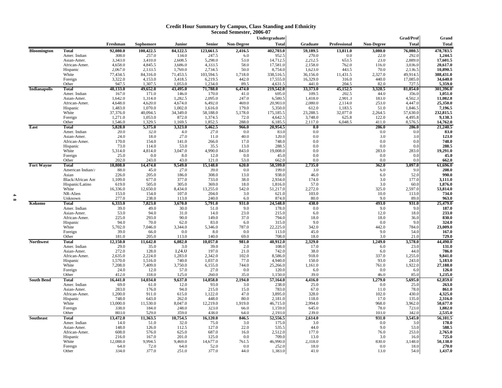#### **Credit Hour Summary by Campus, Class Standing and Ethnicity Second Semester, 2006-07**

| <b>Total</b><br><b>Total</b><br>Freshman<br><b>Sophomore</b><br>Junior<br><b>Senior</b><br><b>Non-Degree</b><br>Graduate<br>Professional<br><b>Non-Degree</b><br>402,703.0<br><b>Total</b><br>92,080.0<br>100,422.5<br>84,122.5<br>123,661.5<br>2,416.5<br>59,189.5<br>13,811.0<br>3,080.0<br>76,080.5<br>308.0<br>257.0<br>134.0<br>247.5<br>6.0<br>952.5<br>270.0<br>22.0<br>292.0<br>Amer. Indian<br>0.0<br>3,343.0<br>3,410.0<br>5,298.0<br>53.0<br>14,712.5<br>2,212.5<br>653.5<br>23.0<br>2,889.0<br>Asian-Amer.<br>2,608.5<br>4,845.5<br>58.0<br>20,617.0<br>4,658.0<br>4,333.5<br>17,581.0<br>2,158.0<br>762.0<br>116.0<br>3,036.0<br>3,686.0<br>African-Amer.<br>2,133.5<br>50.0<br>10,890.5<br>2,067.0<br>1,769.0<br>2,734.5<br>8,754.0<br>1,623.0<br>443.5<br>70.0<br>2,136.5<br>Hispanic<br>388,431.0<br>77,434.5<br>84,316.0<br>103,594.5<br>1,718.0<br>338,516.5<br>11,431.5<br>2,327.0<br>White<br>71,453.5<br>36,156.0<br>49,914.5<br>4,153.0<br>3,322.0<br>3,418.5<br>6,219.5<br>442.0<br>17,555.0<br>16,329.0<br>316.0<br>440.0<br>17,085.0<br>34,640.0<br>Foreign<br>947.5<br>1,307.5<br>1,053.0<br>1,234.0<br>89.5<br>4,631.5<br>441.0<br>204.5<br>727.5<br>Other<br>82.0<br>48,133.0<br>71,788.0<br>6,474.0<br>33,373.0<br>81,854.0<br><b>Indianapolis</b><br><b>Total</b><br>49,652.0<br>43,495.0<br>219,542.0<br>45,152.5<br>3,328.5<br>202.5<br>44.0<br>Amer. Indian<br>167.0<br>171.0<br>146.0<br>170.0<br>41.0<br>695.0<br>109.5<br>356.0<br>1,314.0<br>2,095.0<br>247.0<br>6,580.5<br>2,901.3<br>183.0<br>Asian-Amer.<br>1,642.0<br>1,282.5<br>1,418.0<br>4,502.3<br>4,620.0<br>4,648.0<br>4,674.0<br>6,492.0<br>469.0<br>20,903.0<br>2,080.0<br>2,114.0<br>253.0<br>4,447.0<br>African-Amer.<br>1,070.0<br>179.0<br>1,483.0<br>1,002.0<br>5,350.0<br>612.0<br>1,183.5<br>51.0<br>1,846.5<br>1,616.0<br>Hispanic<br>40,094.5<br>232,815.5<br>White<br>37,376.0<br>34,349.0<br>58,188.0<br>5,178.0<br>175,185.5<br>23,288.5<br>32,077.0<br>2,264.5<br>57,630.0<br>1,271.0<br>1,053.0<br>872.0<br>1,374.5<br>4,642.5<br>3,748.0<br>122.0<br>9,138.3<br>Foreign<br>72.0<br>625.8<br>4,495.8<br>1,329.5<br>1.852.5<br>288.0<br>6,185.5<br>6,048.5<br>411.0<br>14,762.0<br>Other<br>1.546.0<br>1,169.5<br>2,117.0<br>8,576.5<br>21,240.5<br><b>Total</b><br>5,828.0<br>5,375.0<br>3,323.0<br>5,462.5<br>966.0<br>20,954.5<br>286.0<br>286.0<br><b>East</b><br>0.0<br>20.0<br>32.0<br>27.0<br>0.0<br>83.0<br>Amer. Indian<br>4.0<br>0.0<br>0.0<br>0.0<br>24.0<br>18.0<br>27.0<br>11.0<br>40.0<br>120.0<br>0.0<br>3.0<br>3.0<br>Asian-Amer.<br>170.0<br>154.0<br>266.0<br>17.0<br>748.0<br>0.0<br>0.0<br>0.0<br>African-Amer.<br>141.0<br>288.5<br>73.0<br>114.0<br>53.0<br>35.5<br>13.0<br>0.0<br>0.0<br>0.0<br>Hispanic<br>843.0<br>White<br>5,314.0<br>4,814.0<br>3,047.0<br>4,990.0<br>19,008.0<br>0.0<br>283.0<br>283.0<br>25.0<br>0.0<br>0.0<br>0.0<br>Foreign<br>8.0<br>12.0<br>45.0<br>0.0<br>0.0<br>202.0<br>53.0<br>Other<br>243.0<br>43.0<br>121.0<br>662.0<br>0.0<br>0.0<br>0.0<br>620.0<br>58,599.0<br>3,097.0<br><b>Fort Wayne</b><br>Total<br>18,808.0<br>14,474.0<br>9,549.0<br>15,148.0<br>2,735.0<br>362.0<br>199.0<br>American Indian//<br>88.0<br>45.0<br>27.0<br>39.0<br>0.0<br>3.0<br>6.0<br>9.0<br>226.0<br>205.0<br>308.0<br>13.0<br>938.0<br>52.0<br>990.0<br>Asian<br>186.0<br>46.0<br>6.0<br>38.0<br>2,934.0<br>1,109.0<br>677.0<br>377.0<br>733.0<br>174.0<br>3.0<br>3,111.0<br>Black/African Am<br>177.0<br>619.0<br>505.0<br>305.0<br>369.0<br>18.0<br>1,816.0<br>57.0<br>3.0<br>60.0<br>1,876.0<br>Hispanic/Latino<br>16,336.0<br>12,650.0<br>542.0<br>White<br>8,434.0<br>13,255.0<br>51,217.0<br>2,272.0<br>325.0<br>2,597.0<br>NR-Alien<br>153.0<br>154.0<br>107.0<br>204.0<br>3.0<br>621.0<br>103.0<br>10.0<br>113.0<br>277.0<br>238.0<br>240.0<br>874.0<br>9.0<br>Unknown<br>113.0<br>6.0<br>80.0<br>89.0<br>931.0<br>438.0<br>493.0<br><b>Total</b><br>6,333.0<br>7,823.0<br>3,670.0<br>5,791.0<br>24,548.0<br>931.0<br>39.0<br>49.0<br>178.0<br>30.0<br>51.0<br>9.0<br>0.0<br>9.0<br>9.0<br>Amer. Indian<br>53.0<br>94.0<br>23.0<br>12.0<br>18.0<br>Asian-Amer.<br>31.0<br>14.0<br>215.0<br>6.0<br>293.0<br>225.0<br>90.0<br>149.0<br>37.0<br>794.0<br>18.0<br>18.0<br>36.0<br>830.0<br>African-Amer.<br>94.0<br>70.0<br>315.0<br>62.0<br>83.0<br>6.0<br>9.0<br>0.0<br>9.0<br>Hispanic<br>White<br>5,702.0<br>7,046.0<br>3,344.0<br>5,346.0<br>787.0<br>22,225.0<br>342.0<br>442.0<br>784.0<br>23,009.0<br>39.0<br>66.0<br>0.0<br>113.0<br>45.0<br>9.0<br>Foreign<br>0.0<br>8.0<br>54.0<br>181.0<br>205.0<br>140.0<br>69.0<br>708.0<br>3.0<br>21.0<br>Other<br>113.0<br>18.0<br>12,150.0<br>11,642.0<br>981.0<br>40,912.0<br>2,329.0<br><b>Total</b><br>6,082.0<br>10,057.0<br>1,249.0<br>3,578.0<br>Amer. Indian<br>29.0<br>35.0<br>3.0<br>39.0<br>2.0<br>108.0<br>17.0<br>6.0<br>23.0<br>272.0<br>128.0<br>197.0<br>21.0<br>742.0<br>44.0<br>124.0<br>38.0<br>6.0<br>Asian-Amer.<br>2,224.0<br>102.0<br>8,586.0<br>918.0<br>337.0<br>African-Amer.<br>2,635.0<br>1,283.0<br>2.342.0<br>1,255.0<br>4,940.0<br>5,183.0<br>1,570.0<br>1,516.0<br>740.0<br>1,037.0<br>77.0<br>150.0<br>93.0<br>243.0<br>Hispanic<br>7,409.0<br>744.0<br>761.0<br>27,188.0<br>White<br>7,208.0<br>3,750.0<br>6,155.0<br>25,266.0<br>1,161.0<br>1,922.0<br>24.0<br>12.0<br>0.0<br>126.0<br>Foreign<br>57.0<br>27.0<br>120.0<br>6.0<br>0.0<br>6.0<br>412.0<br>1,150.0<br>318.0<br>125.0<br>260.0<br>35.0<br>39.0<br>46.0<br>85.0<br>Other<br><b>South Bend</b><br>Total<br>16,441.0<br>14,034.0<br>9,637.0<br>14,858.0<br>2,194.0<br>4,416.0<br>1,279.0<br>57,164.0<br>5,695.0<br>238.0<br>69.0<br>93.0<br>3.0<br>25.0<br>0.0<br>Amer. Indian<br>61.0<br>12.0<br>25.0<br>283.0<br>176.0<br>783.0<br>Asian-Amer.<br>94.0<br>215.0<br>15.0<br>67.0<br>11.0<br>78.0<br>3,895.0<br>1,200.0<br>911.0<br>1,122.0<br>47.0<br>328.0<br>102.0<br>430.0<br>615.0<br>African-Amer.<br>748.0<br>643.0<br>262.0<br>448.0<br>80.0<br>2,181.0<br>118.0<br>17.0<br>135.0<br>Hispanic<br>13,000.0<br>11,530.0<br>1,919.0<br>White<br>8,047.0<br>12,219.0<br>46,715.0<br>2,994.0<br>968.0<br>3,962.0<br>338.0<br>184.0<br>1,159.0<br>645.0<br>Foreign<br>248.0<br>323.0<br>66.0<br>78.0<br>723.0<br>803.0<br>529.0<br>359.0<br>2,193.0<br>239.0<br>103.0<br>2,535.0<br>Other<br>438.0<br>64.0<br>342.0<br><b>Total</b><br>13,472.0<br>11,363.5<br>10,754.5<br>16,120.0<br>846.5<br>52,556.5<br>2,614.0<br>931.0<br>3,545.0<br>56,101.5<br><b>Southeast</b><br>Amer. Indian<br>51.0<br>32.0<br>75.0<br>3.0<br>175.0<br>3.0<br>0.0<br>14.0<br>3.0<br>148.0<br>127.0<br>22.0<br>44.0<br>Asian-Amer.<br>126.0<br>112.5<br>535.5<br>9.0<br>53.0<br>608.0<br>625.0<br>687.0<br>2,512.0<br>177.0<br>76.0<br>253.0<br>African-Amer.<br>576.0<br>16.0<br>167.0<br>125.0<br>709.0<br>13.0<br>16.0<br>Hispanic<br>216.0<br>201.0<br>0.0<br>3.0<br>White<br>12,088.0<br>9,994.5<br>9,469.0<br>14,677.0<br>761.5<br>46,990.0<br>2,318.0<br>830.0<br>3,148.0<br>252.0<br>Foreign<br>64.0<br>72.0<br>52.0<br>0.0<br>18.0<br>0.0<br>18.0<br>64.0<br>Other<br>334.0<br>377.0<br>251.0<br>377.0<br>44.0<br>1,383.0<br>41.0<br>13.0<br>54.0 |                    |  |  |  | Undergraduate |  | Grad/Prof | Grand        |
|---------------------------------------------------------------------------------------------------------------------------------------------------------------------------------------------------------------------------------------------------------------------------------------------------------------------------------------------------------------------------------------------------------------------------------------------------------------------------------------------------------------------------------------------------------------------------------------------------------------------------------------------------------------------------------------------------------------------------------------------------------------------------------------------------------------------------------------------------------------------------------------------------------------------------------------------------------------------------------------------------------------------------------------------------------------------------------------------------------------------------------------------------------------------------------------------------------------------------------------------------------------------------------------------------------------------------------------------------------------------------------------------------------------------------------------------------------------------------------------------------------------------------------------------------------------------------------------------------------------------------------------------------------------------------------------------------------------------------------------------------------------------------------------------------------------------------------------------------------------------------------------------------------------------------------------------------------------------------------------------------------------------------------------------------------------------------------------------------------------------------------------------------------------------------------------------------------------------------------------------------------------------------------------------------------------------------------------------------------------------------------------------------------------------------------------------------------------------------------------------------------------------------------------------------------------------------------------------------------------------------------------------------------------------------------------------------------------------------------------------------------------------------------------------------------------------------------------------------------------------------------------------------------------------------------------------------------------------------------------------------------------------------------------------------------------------------------------------------------------------------------------------------------------------------------------------------------------------------------------------------------------------------------------------------------------------------------------------------------------------------------------------------------------------------------------------------------------------------------------------------------------------------------------------------------------------------------------------------------------------------------------------------------------------------------------------------------------------------------------------------------------------------------------------------------------------------------------------------------------------------------------------------------------------------------------------------------------------------------------------------------------------------------------------------------------------------------------------------------------------------------------------------------------------------------------------------------------------------------------------------------------------------------------------------------------------------------------------------------------------------------------------------------------------------------------------------------------------------------------------------------------------------------------------------------------------------------------------------------------------------------------------------------------------------------------------------------------------------------------------------------------------------------------------------------------------------------------------------------------------------------------------------------------------------------------------------------------------------------------------------------------------------------------------------------------------------------------------------------------------------------------------------------------------------------------------------------------------------------------------------------------------------------------------------------------------------------------------------------------------------------------------------------------------------------------------------------------------------------------------------------------------------------------------------------------------------------------------------------------------------------------------------------------------------------------------------------------------------------------------------------------------------------------------------------------------------------------------------------------------------------------------------------------------------------------------------------------------------------------------------------------------------------------------------------------------------------------------------------------------------------------------------------------------------------------------------------------------------------------------------------------------------------------------------------------------------------------------------------------------------------------------------------------------------------------------------------------------------------------------------------------------------------------------------------------------------------------------------------------------------------------------------------------------------------------------------------------------------------------------------------------------------------------------------------------------------------------------------------------------------------------------------------------------------------------------------------------------------------------------------------------------------------------------------------------------------------------------------------------------------------------------|--------------------|--|--|--|---------------|--|-----------|--------------|
|                                                                                                                                                                                                                                                                                                                                                                                                                                                                                                                                                                                                                                                                                                                                                                                                                                                                                                                                                                                                                                                                                                                                                                                                                                                                                                                                                                                                                                                                                                                                                                                                                                                                                                                                                                                                                                                                                                                                                                                                                                                                                                                                                                                                                                                                                                                                                                                                                                                                                                                                                                                                                                                                                                                                                                                                                                                                                                                                                                                                                                                                                                                                                                                                                                                                                                                                                                                                                                                                                                                                                                                                                                                                                                                                                                                                                                                                                                                                                                                                                                                                                                                                                                                                                                                                                                                                                                                                                                                                                                                                                                                                                                                                                                                                                                                                                                                                                                                                                                                                                                                                                                                                                                                                                                                                                                                                                                                                                                                                                                                                                                                                                                                                                                                                                                                                                                                                                                                                                                                                                                                                                                                                                                                                                                                                                                                                                                                                                                                                                                                                                                                                                                                                                                                                                                                                                                                                                                                                                                                                                                                                                                                                             |                    |  |  |  |               |  |           | <b>Total</b> |
|                                                                                                                                                                                                                                                                                                                                                                                                                                                                                                                                                                                                                                                                                                                                                                                                                                                                                                                                                                                                                                                                                                                                                                                                                                                                                                                                                                                                                                                                                                                                                                                                                                                                                                                                                                                                                                                                                                                                                                                                                                                                                                                                                                                                                                                                                                                                                                                                                                                                                                                                                                                                                                                                                                                                                                                                                                                                                                                                                                                                                                                                                                                                                                                                                                                                                                                                                                                                                                                                                                                                                                                                                                                                                                                                                                                                                                                                                                                                                                                                                                                                                                                                                                                                                                                                                                                                                                                                                                                                                                                                                                                                                                                                                                                                                                                                                                                                                                                                                                                                                                                                                                                                                                                                                                                                                                                                                                                                                                                                                                                                                                                                                                                                                                                                                                                                                                                                                                                                                                                                                                                                                                                                                                                                                                                                                                                                                                                                                                                                                                                                                                                                                                                                                                                                                                                                                                                                                                                                                                                                                                                                                                                                             | <b>Bloomington</b> |  |  |  |               |  |           | 478,783.5    |
|                                                                                                                                                                                                                                                                                                                                                                                                                                                                                                                                                                                                                                                                                                                                                                                                                                                                                                                                                                                                                                                                                                                                                                                                                                                                                                                                                                                                                                                                                                                                                                                                                                                                                                                                                                                                                                                                                                                                                                                                                                                                                                                                                                                                                                                                                                                                                                                                                                                                                                                                                                                                                                                                                                                                                                                                                                                                                                                                                                                                                                                                                                                                                                                                                                                                                                                                                                                                                                                                                                                                                                                                                                                                                                                                                                                                                                                                                                                                                                                                                                                                                                                                                                                                                                                                                                                                                                                                                                                                                                                                                                                                                                                                                                                                                                                                                                                                                                                                                                                                                                                                                                                                                                                                                                                                                                                                                                                                                                                                                                                                                                                                                                                                                                                                                                                                                                                                                                                                                                                                                                                                                                                                                                                                                                                                                                                                                                                                                                                                                                                                                                                                                                                                                                                                                                                                                                                                                                                                                                                                                                                                                                                                             |                    |  |  |  |               |  |           | 1,244.5      |
|                                                                                                                                                                                                                                                                                                                                                                                                                                                                                                                                                                                                                                                                                                                                                                                                                                                                                                                                                                                                                                                                                                                                                                                                                                                                                                                                                                                                                                                                                                                                                                                                                                                                                                                                                                                                                                                                                                                                                                                                                                                                                                                                                                                                                                                                                                                                                                                                                                                                                                                                                                                                                                                                                                                                                                                                                                                                                                                                                                                                                                                                                                                                                                                                                                                                                                                                                                                                                                                                                                                                                                                                                                                                                                                                                                                                                                                                                                                                                                                                                                                                                                                                                                                                                                                                                                                                                                                                                                                                                                                                                                                                                                                                                                                                                                                                                                                                                                                                                                                                                                                                                                                                                                                                                                                                                                                                                                                                                                                                                                                                                                                                                                                                                                                                                                                                                                                                                                                                                                                                                                                                                                                                                                                                                                                                                                                                                                                                                                                                                                                                                                                                                                                                                                                                                                                                                                                                                                                                                                                                                                                                                                                                             |                    |  |  |  |               |  |           | 17,601.5     |
|                                                                                                                                                                                                                                                                                                                                                                                                                                                                                                                                                                                                                                                                                                                                                                                                                                                                                                                                                                                                                                                                                                                                                                                                                                                                                                                                                                                                                                                                                                                                                                                                                                                                                                                                                                                                                                                                                                                                                                                                                                                                                                                                                                                                                                                                                                                                                                                                                                                                                                                                                                                                                                                                                                                                                                                                                                                                                                                                                                                                                                                                                                                                                                                                                                                                                                                                                                                                                                                                                                                                                                                                                                                                                                                                                                                                                                                                                                                                                                                                                                                                                                                                                                                                                                                                                                                                                                                                                                                                                                                                                                                                                                                                                                                                                                                                                                                                                                                                                                                                                                                                                                                                                                                                                                                                                                                                                                                                                                                                                                                                                                                                                                                                                                                                                                                                                                                                                                                                                                                                                                                                                                                                                                                                                                                                                                                                                                                                                                                                                                                                                                                                                                                                                                                                                                                                                                                                                                                                                                                                                                                                                                                                             |                    |  |  |  |               |  |           |              |
|                                                                                                                                                                                                                                                                                                                                                                                                                                                                                                                                                                                                                                                                                                                                                                                                                                                                                                                                                                                                                                                                                                                                                                                                                                                                                                                                                                                                                                                                                                                                                                                                                                                                                                                                                                                                                                                                                                                                                                                                                                                                                                                                                                                                                                                                                                                                                                                                                                                                                                                                                                                                                                                                                                                                                                                                                                                                                                                                                                                                                                                                                                                                                                                                                                                                                                                                                                                                                                                                                                                                                                                                                                                                                                                                                                                                                                                                                                                                                                                                                                                                                                                                                                                                                                                                                                                                                                                                                                                                                                                                                                                                                                                                                                                                                                                                                                                                                                                                                                                                                                                                                                                                                                                                                                                                                                                                                                                                                                                                                                                                                                                                                                                                                                                                                                                                                                                                                                                                                                                                                                                                                                                                                                                                                                                                                                                                                                                                                                                                                                                                                                                                                                                                                                                                                                                                                                                                                                                                                                                                                                                                                                                                             |                    |  |  |  |               |  |           |              |
|                                                                                                                                                                                                                                                                                                                                                                                                                                                                                                                                                                                                                                                                                                                                                                                                                                                                                                                                                                                                                                                                                                                                                                                                                                                                                                                                                                                                                                                                                                                                                                                                                                                                                                                                                                                                                                                                                                                                                                                                                                                                                                                                                                                                                                                                                                                                                                                                                                                                                                                                                                                                                                                                                                                                                                                                                                                                                                                                                                                                                                                                                                                                                                                                                                                                                                                                                                                                                                                                                                                                                                                                                                                                                                                                                                                                                                                                                                                                                                                                                                                                                                                                                                                                                                                                                                                                                                                                                                                                                                                                                                                                                                                                                                                                                                                                                                                                                                                                                                                                                                                                                                                                                                                                                                                                                                                                                                                                                                                                                                                                                                                                                                                                                                                                                                                                                                                                                                                                                                                                                                                                                                                                                                                                                                                                                                                                                                                                                                                                                                                                                                                                                                                                                                                                                                                                                                                                                                                                                                                                                                                                                                                                             |                    |  |  |  |               |  |           |              |
|                                                                                                                                                                                                                                                                                                                                                                                                                                                                                                                                                                                                                                                                                                                                                                                                                                                                                                                                                                                                                                                                                                                                                                                                                                                                                                                                                                                                                                                                                                                                                                                                                                                                                                                                                                                                                                                                                                                                                                                                                                                                                                                                                                                                                                                                                                                                                                                                                                                                                                                                                                                                                                                                                                                                                                                                                                                                                                                                                                                                                                                                                                                                                                                                                                                                                                                                                                                                                                                                                                                                                                                                                                                                                                                                                                                                                                                                                                                                                                                                                                                                                                                                                                                                                                                                                                                                                                                                                                                                                                                                                                                                                                                                                                                                                                                                                                                                                                                                                                                                                                                                                                                                                                                                                                                                                                                                                                                                                                                                                                                                                                                                                                                                                                                                                                                                                                                                                                                                                                                                                                                                                                                                                                                                                                                                                                                                                                                                                                                                                                                                                                                                                                                                                                                                                                                                                                                                                                                                                                                                                                                                                                                                             |                    |  |  |  |               |  |           | 5,359.0      |
|                                                                                                                                                                                                                                                                                                                                                                                                                                                                                                                                                                                                                                                                                                                                                                                                                                                                                                                                                                                                                                                                                                                                                                                                                                                                                                                                                                                                                                                                                                                                                                                                                                                                                                                                                                                                                                                                                                                                                                                                                                                                                                                                                                                                                                                                                                                                                                                                                                                                                                                                                                                                                                                                                                                                                                                                                                                                                                                                                                                                                                                                                                                                                                                                                                                                                                                                                                                                                                                                                                                                                                                                                                                                                                                                                                                                                                                                                                                                                                                                                                                                                                                                                                                                                                                                                                                                                                                                                                                                                                                                                                                                                                                                                                                                                                                                                                                                                                                                                                                                                                                                                                                                                                                                                                                                                                                                                                                                                                                                                                                                                                                                                                                                                                                                                                                                                                                                                                                                                                                                                                                                                                                                                                                                                                                                                                                                                                                                                                                                                                                                                                                                                                                                                                                                                                                                                                                                                                                                                                                                                                                                                                                                             |                    |  |  |  |               |  |           | 301,396.0    |
|                                                                                                                                                                                                                                                                                                                                                                                                                                                                                                                                                                                                                                                                                                                                                                                                                                                                                                                                                                                                                                                                                                                                                                                                                                                                                                                                                                                                                                                                                                                                                                                                                                                                                                                                                                                                                                                                                                                                                                                                                                                                                                                                                                                                                                                                                                                                                                                                                                                                                                                                                                                                                                                                                                                                                                                                                                                                                                                                                                                                                                                                                                                                                                                                                                                                                                                                                                                                                                                                                                                                                                                                                                                                                                                                                                                                                                                                                                                                                                                                                                                                                                                                                                                                                                                                                                                                                                                                                                                                                                                                                                                                                                                                                                                                                                                                                                                                                                                                                                                                                                                                                                                                                                                                                                                                                                                                                                                                                                                                                                                                                                                                                                                                                                                                                                                                                                                                                                                                                                                                                                                                                                                                                                                                                                                                                                                                                                                                                                                                                                                                                                                                                                                                                                                                                                                                                                                                                                                                                                                                                                                                                                                                             |                    |  |  |  |               |  |           | 1,051.0      |
|                                                                                                                                                                                                                                                                                                                                                                                                                                                                                                                                                                                                                                                                                                                                                                                                                                                                                                                                                                                                                                                                                                                                                                                                                                                                                                                                                                                                                                                                                                                                                                                                                                                                                                                                                                                                                                                                                                                                                                                                                                                                                                                                                                                                                                                                                                                                                                                                                                                                                                                                                                                                                                                                                                                                                                                                                                                                                                                                                                                                                                                                                                                                                                                                                                                                                                                                                                                                                                                                                                                                                                                                                                                                                                                                                                                                                                                                                                                                                                                                                                                                                                                                                                                                                                                                                                                                                                                                                                                                                                                                                                                                                                                                                                                                                                                                                                                                                                                                                                                                                                                                                                                                                                                                                                                                                                                                                                                                                                                                                                                                                                                                                                                                                                                                                                                                                                                                                                                                                                                                                                                                                                                                                                                                                                                                                                                                                                                                                                                                                                                                                                                                                                                                                                                                                                                                                                                                                                                                                                                                                                                                                                                                             |                    |  |  |  |               |  |           | 11,082.8     |
|                                                                                                                                                                                                                                                                                                                                                                                                                                                                                                                                                                                                                                                                                                                                                                                                                                                                                                                                                                                                                                                                                                                                                                                                                                                                                                                                                                                                                                                                                                                                                                                                                                                                                                                                                                                                                                                                                                                                                                                                                                                                                                                                                                                                                                                                                                                                                                                                                                                                                                                                                                                                                                                                                                                                                                                                                                                                                                                                                                                                                                                                                                                                                                                                                                                                                                                                                                                                                                                                                                                                                                                                                                                                                                                                                                                                                                                                                                                                                                                                                                                                                                                                                                                                                                                                                                                                                                                                                                                                                                                                                                                                                                                                                                                                                                                                                                                                                                                                                                                                                                                                                                                                                                                                                                                                                                                                                                                                                                                                                                                                                                                                                                                                                                                                                                                                                                                                                                                                                                                                                                                                                                                                                                                                                                                                                                                                                                                                                                                                                                                                                                                                                                                                                                                                                                                                                                                                                                                                                                                                                                                                                                                                             |                    |  |  |  |               |  |           | 25,350.0     |
|                                                                                                                                                                                                                                                                                                                                                                                                                                                                                                                                                                                                                                                                                                                                                                                                                                                                                                                                                                                                                                                                                                                                                                                                                                                                                                                                                                                                                                                                                                                                                                                                                                                                                                                                                                                                                                                                                                                                                                                                                                                                                                                                                                                                                                                                                                                                                                                                                                                                                                                                                                                                                                                                                                                                                                                                                                                                                                                                                                                                                                                                                                                                                                                                                                                                                                                                                                                                                                                                                                                                                                                                                                                                                                                                                                                                                                                                                                                                                                                                                                                                                                                                                                                                                                                                                                                                                                                                                                                                                                                                                                                                                                                                                                                                                                                                                                                                                                                                                                                                                                                                                                                                                                                                                                                                                                                                                                                                                                                                                                                                                                                                                                                                                                                                                                                                                                                                                                                                                                                                                                                                                                                                                                                                                                                                                                                                                                                                                                                                                                                                                                                                                                                                                                                                                                                                                                                                                                                                                                                                                                                                                                                                             |                    |  |  |  |               |  |           | 7,196.5      |
|                                                                                                                                                                                                                                                                                                                                                                                                                                                                                                                                                                                                                                                                                                                                                                                                                                                                                                                                                                                                                                                                                                                                                                                                                                                                                                                                                                                                                                                                                                                                                                                                                                                                                                                                                                                                                                                                                                                                                                                                                                                                                                                                                                                                                                                                                                                                                                                                                                                                                                                                                                                                                                                                                                                                                                                                                                                                                                                                                                                                                                                                                                                                                                                                                                                                                                                                                                                                                                                                                                                                                                                                                                                                                                                                                                                                                                                                                                                                                                                                                                                                                                                                                                                                                                                                                                                                                                                                                                                                                                                                                                                                                                                                                                                                                                                                                                                                                                                                                                                                                                                                                                                                                                                                                                                                                                                                                                                                                                                                                                                                                                                                                                                                                                                                                                                                                                                                                                                                                                                                                                                                                                                                                                                                                                                                                                                                                                                                                                                                                                                                                                                                                                                                                                                                                                                                                                                                                                                                                                                                                                                                                                                                             |                    |  |  |  |               |  |           |              |
|                                                                                                                                                                                                                                                                                                                                                                                                                                                                                                                                                                                                                                                                                                                                                                                                                                                                                                                                                                                                                                                                                                                                                                                                                                                                                                                                                                                                                                                                                                                                                                                                                                                                                                                                                                                                                                                                                                                                                                                                                                                                                                                                                                                                                                                                                                                                                                                                                                                                                                                                                                                                                                                                                                                                                                                                                                                                                                                                                                                                                                                                                                                                                                                                                                                                                                                                                                                                                                                                                                                                                                                                                                                                                                                                                                                                                                                                                                                                                                                                                                                                                                                                                                                                                                                                                                                                                                                                                                                                                                                                                                                                                                                                                                                                                                                                                                                                                                                                                                                                                                                                                                                                                                                                                                                                                                                                                                                                                                                                                                                                                                                                                                                                                                                                                                                                                                                                                                                                                                                                                                                                                                                                                                                                                                                                                                                                                                                                                                                                                                                                                                                                                                                                                                                                                                                                                                                                                                                                                                                                                                                                                                                                             |                    |  |  |  |               |  |           |              |
|                                                                                                                                                                                                                                                                                                                                                                                                                                                                                                                                                                                                                                                                                                                                                                                                                                                                                                                                                                                                                                                                                                                                                                                                                                                                                                                                                                                                                                                                                                                                                                                                                                                                                                                                                                                                                                                                                                                                                                                                                                                                                                                                                                                                                                                                                                                                                                                                                                                                                                                                                                                                                                                                                                                                                                                                                                                                                                                                                                                                                                                                                                                                                                                                                                                                                                                                                                                                                                                                                                                                                                                                                                                                                                                                                                                                                                                                                                                                                                                                                                                                                                                                                                                                                                                                                                                                                                                                                                                                                                                                                                                                                                                                                                                                                                                                                                                                                                                                                                                                                                                                                                                                                                                                                                                                                                                                                                                                                                                                                                                                                                                                                                                                                                                                                                                                                                                                                                                                                                                                                                                                                                                                                                                                                                                                                                                                                                                                                                                                                                                                                                                                                                                                                                                                                                                                                                                                                                                                                                                                                                                                                                                                             |                    |  |  |  |               |  |           |              |
|                                                                                                                                                                                                                                                                                                                                                                                                                                                                                                                                                                                                                                                                                                                                                                                                                                                                                                                                                                                                                                                                                                                                                                                                                                                                                                                                                                                                                                                                                                                                                                                                                                                                                                                                                                                                                                                                                                                                                                                                                                                                                                                                                                                                                                                                                                                                                                                                                                                                                                                                                                                                                                                                                                                                                                                                                                                                                                                                                                                                                                                                                                                                                                                                                                                                                                                                                                                                                                                                                                                                                                                                                                                                                                                                                                                                                                                                                                                                                                                                                                                                                                                                                                                                                                                                                                                                                                                                                                                                                                                                                                                                                                                                                                                                                                                                                                                                                                                                                                                                                                                                                                                                                                                                                                                                                                                                                                                                                                                                                                                                                                                                                                                                                                                                                                                                                                                                                                                                                                                                                                                                                                                                                                                                                                                                                                                                                                                                                                                                                                                                                                                                                                                                                                                                                                                                                                                                                                                                                                                                                                                                                                                                             |                    |  |  |  |               |  |           | 83.0         |
|                                                                                                                                                                                                                                                                                                                                                                                                                                                                                                                                                                                                                                                                                                                                                                                                                                                                                                                                                                                                                                                                                                                                                                                                                                                                                                                                                                                                                                                                                                                                                                                                                                                                                                                                                                                                                                                                                                                                                                                                                                                                                                                                                                                                                                                                                                                                                                                                                                                                                                                                                                                                                                                                                                                                                                                                                                                                                                                                                                                                                                                                                                                                                                                                                                                                                                                                                                                                                                                                                                                                                                                                                                                                                                                                                                                                                                                                                                                                                                                                                                                                                                                                                                                                                                                                                                                                                                                                                                                                                                                                                                                                                                                                                                                                                                                                                                                                                                                                                                                                                                                                                                                                                                                                                                                                                                                                                                                                                                                                                                                                                                                                                                                                                                                                                                                                                                                                                                                                                                                                                                                                                                                                                                                                                                                                                                                                                                                                                                                                                                                                                                                                                                                                                                                                                                                                                                                                                                                                                                                                                                                                                                                                             |                    |  |  |  |               |  |           | 123.0        |
|                                                                                                                                                                                                                                                                                                                                                                                                                                                                                                                                                                                                                                                                                                                                                                                                                                                                                                                                                                                                                                                                                                                                                                                                                                                                                                                                                                                                                                                                                                                                                                                                                                                                                                                                                                                                                                                                                                                                                                                                                                                                                                                                                                                                                                                                                                                                                                                                                                                                                                                                                                                                                                                                                                                                                                                                                                                                                                                                                                                                                                                                                                                                                                                                                                                                                                                                                                                                                                                                                                                                                                                                                                                                                                                                                                                                                                                                                                                                                                                                                                                                                                                                                                                                                                                                                                                                                                                                                                                                                                                                                                                                                                                                                                                                                                                                                                                                                                                                                                                                                                                                                                                                                                                                                                                                                                                                                                                                                                                                                                                                                                                                                                                                                                                                                                                                                                                                                                                                                                                                                                                                                                                                                                                                                                                                                                                                                                                                                                                                                                                                                                                                                                                                                                                                                                                                                                                                                                                                                                                                                                                                                                                                             |                    |  |  |  |               |  |           | 748.0        |
|                                                                                                                                                                                                                                                                                                                                                                                                                                                                                                                                                                                                                                                                                                                                                                                                                                                                                                                                                                                                                                                                                                                                                                                                                                                                                                                                                                                                                                                                                                                                                                                                                                                                                                                                                                                                                                                                                                                                                                                                                                                                                                                                                                                                                                                                                                                                                                                                                                                                                                                                                                                                                                                                                                                                                                                                                                                                                                                                                                                                                                                                                                                                                                                                                                                                                                                                                                                                                                                                                                                                                                                                                                                                                                                                                                                                                                                                                                                                                                                                                                                                                                                                                                                                                                                                                                                                                                                                                                                                                                                                                                                                                                                                                                                                                                                                                                                                                                                                                                                                                                                                                                                                                                                                                                                                                                                                                                                                                                                                                                                                                                                                                                                                                                                                                                                                                                                                                                                                                                                                                                                                                                                                                                                                                                                                                                                                                                                                                                                                                                                                                                                                                                                                                                                                                                                                                                                                                                                                                                                                                                                                                                                                             |                    |  |  |  |               |  |           | 288.5        |
|                                                                                                                                                                                                                                                                                                                                                                                                                                                                                                                                                                                                                                                                                                                                                                                                                                                                                                                                                                                                                                                                                                                                                                                                                                                                                                                                                                                                                                                                                                                                                                                                                                                                                                                                                                                                                                                                                                                                                                                                                                                                                                                                                                                                                                                                                                                                                                                                                                                                                                                                                                                                                                                                                                                                                                                                                                                                                                                                                                                                                                                                                                                                                                                                                                                                                                                                                                                                                                                                                                                                                                                                                                                                                                                                                                                                                                                                                                                                                                                                                                                                                                                                                                                                                                                                                                                                                                                                                                                                                                                                                                                                                                                                                                                                                                                                                                                                                                                                                                                                                                                                                                                                                                                                                                                                                                                                                                                                                                                                                                                                                                                                                                                                                                                                                                                                                                                                                                                                                                                                                                                                                                                                                                                                                                                                                                                                                                                                                                                                                                                                                                                                                                                                                                                                                                                                                                                                                                                                                                                                                                                                                                                                             |                    |  |  |  |               |  |           | 19,291.0     |
|                                                                                                                                                                                                                                                                                                                                                                                                                                                                                                                                                                                                                                                                                                                                                                                                                                                                                                                                                                                                                                                                                                                                                                                                                                                                                                                                                                                                                                                                                                                                                                                                                                                                                                                                                                                                                                                                                                                                                                                                                                                                                                                                                                                                                                                                                                                                                                                                                                                                                                                                                                                                                                                                                                                                                                                                                                                                                                                                                                                                                                                                                                                                                                                                                                                                                                                                                                                                                                                                                                                                                                                                                                                                                                                                                                                                                                                                                                                                                                                                                                                                                                                                                                                                                                                                                                                                                                                                                                                                                                                                                                                                                                                                                                                                                                                                                                                                                                                                                                                                                                                                                                                                                                                                                                                                                                                                                                                                                                                                                                                                                                                                                                                                                                                                                                                                                                                                                                                                                                                                                                                                                                                                                                                                                                                                                                                                                                                                                                                                                                                                                                                                                                                                                                                                                                                                                                                                                                                                                                                                                                                                                                                                             |                    |  |  |  |               |  |           | 45.0         |
|                                                                                                                                                                                                                                                                                                                                                                                                                                                                                                                                                                                                                                                                                                                                                                                                                                                                                                                                                                                                                                                                                                                                                                                                                                                                                                                                                                                                                                                                                                                                                                                                                                                                                                                                                                                                                                                                                                                                                                                                                                                                                                                                                                                                                                                                                                                                                                                                                                                                                                                                                                                                                                                                                                                                                                                                                                                                                                                                                                                                                                                                                                                                                                                                                                                                                                                                                                                                                                                                                                                                                                                                                                                                                                                                                                                                                                                                                                                                                                                                                                                                                                                                                                                                                                                                                                                                                                                                                                                                                                                                                                                                                                                                                                                                                                                                                                                                                                                                                                                                                                                                                                                                                                                                                                                                                                                                                                                                                                                                                                                                                                                                                                                                                                                                                                                                                                                                                                                                                                                                                                                                                                                                                                                                                                                                                                                                                                                                                                                                                                                                                                                                                                                                                                                                                                                                                                                                                                                                                                                                                                                                                                                                             |                    |  |  |  |               |  |           | 662.0        |
|                                                                                                                                                                                                                                                                                                                                                                                                                                                                                                                                                                                                                                                                                                                                                                                                                                                                                                                                                                                                                                                                                                                                                                                                                                                                                                                                                                                                                                                                                                                                                                                                                                                                                                                                                                                                                                                                                                                                                                                                                                                                                                                                                                                                                                                                                                                                                                                                                                                                                                                                                                                                                                                                                                                                                                                                                                                                                                                                                                                                                                                                                                                                                                                                                                                                                                                                                                                                                                                                                                                                                                                                                                                                                                                                                                                                                                                                                                                                                                                                                                                                                                                                                                                                                                                                                                                                                                                                                                                                                                                                                                                                                                                                                                                                                                                                                                                                                                                                                                                                                                                                                                                                                                                                                                                                                                                                                                                                                                                                                                                                                                                                                                                                                                                                                                                                                                                                                                                                                                                                                                                                                                                                                                                                                                                                                                                                                                                                                                                                                                                                                                                                                                                                                                                                                                                                                                                                                                                                                                                                                                                                                                                                             |                    |  |  |  |               |  |           | 61,696.0     |
|                                                                                                                                                                                                                                                                                                                                                                                                                                                                                                                                                                                                                                                                                                                                                                                                                                                                                                                                                                                                                                                                                                                                                                                                                                                                                                                                                                                                                                                                                                                                                                                                                                                                                                                                                                                                                                                                                                                                                                                                                                                                                                                                                                                                                                                                                                                                                                                                                                                                                                                                                                                                                                                                                                                                                                                                                                                                                                                                                                                                                                                                                                                                                                                                                                                                                                                                                                                                                                                                                                                                                                                                                                                                                                                                                                                                                                                                                                                                                                                                                                                                                                                                                                                                                                                                                                                                                                                                                                                                                                                                                                                                                                                                                                                                                                                                                                                                                                                                                                                                                                                                                                                                                                                                                                                                                                                                                                                                                                                                                                                                                                                                                                                                                                                                                                                                                                                                                                                                                                                                                                                                                                                                                                                                                                                                                                                                                                                                                                                                                                                                                                                                                                                                                                                                                                                                                                                                                                                                                                                                                                                                                                                                             |                    |  |  |  |               |  |           | 208.0        |
|                                                                                                                                                                                                                                                                                                                                                                                                                                                                                                                                                                                                                                                                                                                                                                                                                                                                                                                                                                                                                                                                                                                                                                                                                                                                                                                                                                                                                                                                                                                                                                                                                                                                                                                                                                                                                                                                                                                                                                                                                                                                                                                                                                                                                                                                                                                                                                                                                                                                                                                                                                                                                                                                                                                                                                                                                                                                                                                                                                                                                                                                                                                                                                                                                                                                                                                                                                                                                                                                                                                                                                                                                                                                                                                                                                                                                                                                                                                                                                                                                                                                                                                                                                                                                                                                                                                                                                                                                                                                                                                                                                                                                                                                                                                                                                                                                                                                                                                                                                                                                                                                                                                                                                                                                                                                                                                                                                                                                                                                                                                                                                                                                                                                                                                                                                                                                                                                                                                                                                                                                                                                                                                                                                                                                                                                                                                                                                                                                                                                                                                                                                                                                                                                                                                                                                                                                                                                                                                                                                                                                                                                                                                                             |                    |  |  |  |               |  |           |              |
|                                                                                                                                                                                                                                                                                                                                                                                                                                                                                                                                                                                                                                                                                                                                                                                                                                                                                                                                                                                                                                                                                                                                                                                                                                                                                                                                                                                                                                                                                                                                                                                                                                                                                                                                                                                                                                                                                                                                                                                                                                                                                                                                                                                                                                                                                                                                                                                                                                                                                                                                                                                                                                                                                                                                                                                                                                                                                                                                                                                                                                                                                                                                                                                                                                                                                                                                                                                                                                                                                                                                                                                                                                                                                                                                                                                                                                                                                                                                                                                                                                                                                                                                                                                                                                                                                                                                                                                                                                                                                                                                                                                                                                                                                                                                                                                                                                                                                                                                                                                                                                                                                                                                                                                                                                                                                                                                                                                                                                                                                                                                                                                                                                                                                                                                                                                                                                                                                                                                                                                                                                                                                                                                                                                                                                                                                                                                                                                                                                                                                                                                                                                                                                                                                                                                                                                                                                                                                                                                                                                                                                                                                                                                             |                    |  |  |  |               |  |           |              |
|                                                                                                                                                                                                                                                                                                                                                                                                                                                                                                                                                                                                                                                                                                                                                                                                                                                                                                                                                                                                                                                                                                                                                                                                                                                                                                                                                                                                                                                                                                                                                                                                                                                                                                                                                                                                                                                                                                                                                                                                                                                                                                                                                                                                                                                                                                                                                                                                                                                                                                                                                                                                                                                                                                                                                                                                                                                                                                                                                                                                                                                                                                                                                                                                                                                                                                                                                                                                                                                                                                                                                                                                                                                                                                                                                                                                                                                                                                                                                                                                                                                                                                                                                                                                                                                                                                                                                                                                                                                                                                                                                                                                                                                                                                                                                                                                                                                                                                                                                                                                                                                                                                                                                                                                                                                                                                                                                                                                                                                                                                                                                                                                                                                                                                                                                                                                                                                                                                                                                                                                                                                                                                                                                                                                                                                                                                                                                                                                                                                                                                                                                                                                                                                                                                                                                                                                                                                                                                                                                                                                                                                                                                                                             |                    |  |  |  |               |  |           | 53,814.0     |
|                                                                                                                                                                                                                                                                                                                                                                                                                                                                                                                                                                                                                                                                                                                                                                                                                                                                                                                                                                                                                                                                                                                                                                                                                                                                                                                                                                                                                                                                                                                                                                                                                                                                                                                                                                                                                                                                                                                                                                                                                                                                                                                                                                                                                                                                                                                                                                                                                                                                                                                                                                                                                                                                                                                                                                                                                                                                                                                                                                                                                                                                                                                                                                                                                                                                                                                                                                                                                                                                                                                                                                                                                                                                                                                                                                                                                                                                                                                                                                                                                                                                                                                                                                                                                                                                                                                                                                                                                                                                                                                                                                                                                                                                                                                                                                                                                                                                                                                                                                                                                                                                                                                                                                                                                                                                                                                                                                                                                                                                                                                                                                                                                                                                                                                                                                                                                                                                                                                                                                                                                                                                                                                                                                                                                                                                                                                                                                                                                                                                                                                                                                                                                                                                                                                                                                                                                                                                                                                                                                                                                                                                                                                                             |                    |  |  |  |               |  |           | 734.0        |
|                                                                                                                                                                                                                                                                                                                                                                                                                                                                                                                                                                                                                                                                                                                                                                                                                                                                                                                                                                                                                                                                                                                                                                                                                                                                                                                                                                                                                                                                                                                                                                                                                                                                                                                                                                                                                                                                                                                                                                                                                                                                                                                                                                                                                                                                                                                                                                                                                                                                                                                                                                                                                                                                                                                                                                                                                                                                                                                                                                                                                                                                                                                                                                                                                                                                                                                                                                                                                                                                                                                                                                                                                                                                                                                                                                                                                                                                                                                                                                                                                                                                                                                                                                                                                                                                                                                                                                                                                                                                                                                                                                                                                                                                                                                                                                                                                                                                                                                                                                                                                                                                                                                                                                                                                                                                                                                                                                                                                                                                                                                                                                                                                                                                                                                                                                                                                                                                                                                                                                                                                                                                                                                                                                                                                                                                                                                                                                                                                                                                                                                                                                                                                                                                                                                                                                                                                                                                                                                                                                                                                                                                                                                                             |                    |  |  |  |               |  |           | 963.0        |
|                                                                                                                                                                                                                                                                                                                                                                                                                                                                                                                                                                                                                                                                                                                                                                                                                                                                                                                                                                                                                                                                                                                                                                                                                                                                                                                                                                                                                                                                                                                                                                                                                                                                                                                                                                                                                                                                                                                                                                                                                                                                                                                                                                                                                                                                                                                                                                                                                                                                                                                                                                                                                                                                                                                                                                                                                                                                                                                                                                                                                                                                                                                                                                                                                                                                                                                                                                                                                                                                                                                                                                                                                                                                                                                                                                                                                                                                                                                                                                                                                                                                                                                                                                                                                                                                                                                                                                                                                                                                                                                                                                                                                                                                                                                                                                                                                                                                                                                                                                                                                                                                                                                                                                                                                                                                                                                                                                                                                                                                                                                                                                                                                                                                                                                                                                                                                                                                                                                                                                                                                                                                                                                                                                                                                                                                                                                                                                                                                                                                                                                                                                                                                                                                                                                                                                                                                                                                                                                                                                                                                                                                                                                                             | Kokomo             |  |  |  |               |  |           | 25,479.0     |
|                                                                                                                                                                                                                                                                                                                                                                                                                                                                                                                                                                                                                                                                                                                                                                                                                                                                                                                                                                                                                                                                                                                                                                                                                                                                                                                                                                                                                                                                                                                                                                                                                                                                                                                                                                                                                                                                                                                                                                                                                                                                                                                                                                                                                                                                                                                                                                                                                                                                                                                                                                                                                                                                                                                                                                                                                                                                                                                                                                                                                                                                                                                                                                                                                                                                                                                                                                                                                                                                                                                                                                                                                                                                                                                                                                                                                                                                                                                                                                                                                                                                                                                                                                                                                                                                                                                                                                                                                                                                                                                                                                                                                                                                                                                                                                                                                                                                                                                                                                                                                                                                                                                                                                                                                                                                                                                                                                                                                                                                                                                                                                                                                                                                                                                                                                                                                                                                                                                                                                                                                                                                                                                                                                                                                                                                                                                                                                                                                                                                                                                                                                                                                                                                                                                                                                                                                                                                                                                                                                                                                                                                                                                                             |                    |  |  |  |               |  |           | 187.0        |
|                                                                                                                                                                                                                                                                                                                                                                                                                                                                                                                                                                                                                                                                                                                                                                                                                                                                                                                                                                                                                                                                                                                                                                                                                                                                                                                                                                                                                                                                                                                                                                                                                                                                                                                                                                                                                                                                                                                                                                                                                                                                                                                                                                                                                                                                                                                                                                                                                                                                                                                                                                                                                                                                                                                                                                                                                                                                                                                                                                                                                                                                                                                                                                                                                                                                                                                                                                                                                                                                                                                                                                                                                                                                                                                                                                                                                                                                                                                                                                                                                                                                                                                                                                                                                                                                                                                                                                                                                                                                                                                                                                                                                                                                                                                                                                                                                                                                                                                                                                                                                                                                                                                                                                                                                                                                                                                                                                                                                                                                                                                                                                                                                                                                                                                                                                                                                                                                                                                                                                                                                                                                                                                                                                                                                                                                                                                                                                                                                                                                                                                                                                                                                                                                                                                                                                                                                                                                                                                                                                                                                                                                                                                                             |                    |  |  |  |               |  |           | 233.0        |
|                                                                                                                                                                                                                                                                                                                                                                                                                                                                                                                                                                                                                                                                                                                                                                                                                                                                                                                                                                                                                                                                                                                                                                                                                                                                                                                                                                                                                                                                                                                                                                                                                                                                                                                                                                                                                                                                                                                                                                                                                                                                                                                                                                                                                                                                                                                                                                                                                                                                                                                                                                                                                                                                                                                                                                                                                                                                                                                                                                                                                                                                                                                                                                                                                                                                                                                                                                                                                                                                                                                                                                                                                                                                                                                                                                                                                                                                                                                                                                                                                                                                                                                                                                                                                                                                                                                                                                                                                                                                                                                                                                                                                                                                                                                                                                                                                                                                                                                                                                                                                                                                                                                                                                                                                                                                                                                                                                                                                                                                                                                                                                                                                                                                                                                                                                                                                                                                                                                                                                                                                                                                                                                                                                                                                                                                                                                                                                                                                                                                                                                                                                                                                                                                                                                                                                                                                                                                                                                                                                                                                                                                                                                                             |                    |  |  |  |               |  |           | 324.0        |
|                                                                                                                                                                                                                                                                                                                                                                                                                                                                                                                                                                                                                                                                                                                                                                                                                                                                                                                                                                                                                                                                                                                                                                                                                                                                                                                                                                                                                                                                                                                                                                                                                                                                                                                                                                                                                                                                                                                                                                                                                                                                                                                                                                                                                                                                                                                                                                                                                                                                                                                                                                                                                                                                                                                                                                                                                                                                                                                                                                                                                                                                                                                                                                                                                                                                                                                                                                                                                                                                                                                                                                                                                                                                                                                                                                                                                                                                                                                                                                                                                                                                                                                                                                                                                                                                                                                                                                                                                                                                                                                                                                                                                                                                                                                                                                                                                                                                                                                                                                                                                                                                                                                                                                                                                                                                                                                                                                                                                                                                                                                                                                                                                                                                                                                                                                                                                                                                                                                                                                                                                                                                                                                                                                                                                                                                                                                                                                                                                                                                                                                                                                                                                                                                                                                                                                                                                                                                                                                                                                                                                                                                                                                                             |                    |  |  |  |               |  |           |              |
|                                                                                                                                                                                                                                                                                                                                                                                                                                                                                                                                                                                                                                                                                                                                                                                                                                                                                                                                                                                                                                                                                                                                                                                                                                                                                                                                                                                                                                                                                                                                                                                                                                                                                                                                                                                                                                                                                                                                                                                                                                                                                                                                                                                                                                                                                                                                                                                                                                                                                                                                                                                                                                                                                                                                                                                                                                                                                                                                                                                                                                                                                                                                                                                                                                                                                                                                                                                                                                                                                                                                                                                                                                                                                                                                                                                                                                                                                                                                                                                                                                                                                                                                                                                                                                                                                                                                                                                                                                                                                                                                                                                                                                                                                                                                                                                                                                                                                                                                                                                                                                                                                                                                                                                                                                                                                                                                                                                                                                                                                                                                                                                                                                                                                                                                                                                                                                                                                                                                                                                                                                                                                                                                                                                                                                                                                                                                                                                                                                                                                                                                                                                                                                                                                                                                                                                                                                                                                                                                                                                                                                                                                                                                             |                    |  |  |  |               |  |           | 167.0        |
|                                                                                                                                                                                                                                                                                                                                                                                                                                                                                                                                                                                                                                                                                                                                                                                                                                                                                                                                                                                                                                                                                                                                                                                                                                                                                                                                                                                                                                                                                                                                                                                                                                                                                                                                                                                                                                                                                                                                                                                                                                                                                                                                                                                                                                                                                                                                                                                                                                                                                                                                                                                                                                                                                                                                                                                                                                                                                                                                                                                                                                                                                                                                                                                                                                                                                                                                                                                                                                                                                                                                                                                                                                                                                                                                                                                                                                                                                                                                                                                                                                                                                                                                                                                                                                                                                                                                                                                                                                                                                                                                                                                                                                                                                                                                                                                                                                                                                                                                                                                                                                                                                                                                                                                                                                                                                                                                                                                                                                                                                                                                                                                                                                                                                                                                                                                                                                                                                                                                                                                                                                                                                                                                                                                                                                                                                                                                                                                                                                                                                                                                                                                                                                                                                                                                                                                                                                                                                                                                                                                                                                                                                                                                             |                    |  |  |  |               |  |           | 729.0        |
|                                                                                                                                                                                                                                                                                                                                                                                                                                                                                                                                                                                                                                                                                                                                                                                                                                                                                                                                                                                                                                                                                                                                                                                                                                                                                                                                                                                                                                                                                                                                                                                                                                                                                                                                                                                                                                                                                                                                                                                                                                                                                                                                                                                                                                                                                                                                                                                                                                                                                                                                                                                                                                                                                                                                                                                                                                                                                                                                                                                                                                                                                                                                                                                                                                                                                                                                                                                                                                                                                                                                                                                                                                                                                                                                                                                                                                                                                                                                                                                                                                                                                                                                                                                                                                                                                                                                                                                                                                                                                                                                                                                                                                                                                                                                                                                                                                                                                                                                                                                                                                                                                                                                                                                                                                                                                                                                                                                                                                                                                                                                                                                                                                                                                                                                                                                                                                                                                                                                                                                                                                                                                                                                                                                                                                                                                                                                                                                                                                                                                                                                                                                                                                                                                                                                                                                                                                                                                                                                                                                                                                                                                                                                             | <b>Northwest</b>   |  |  |  |               |  |           | 44,490.0     |
|                                                                                                                                                                                                                                                                                                                                                                                                                                                                                                                                                                                                                                                                                                                                                                                                                                                                                                                                                                                                                                                                                                                                                                                                                                                                                                                                                                                                                                                                                                                                                                                                                                                                                                                                                                                                                                                                                                                                                                                                                                                                                                                                                                                                                                                                                                                                                                                                                                                                                                                                                                                                                                                                                                                                                                                                                                                                                                                                                                                                                                                                                                                                                                                                                                                                                                                                                                                                                                                                                                                                                                                                                                                                                                                                                                                                                                                                                                                                                                                                                                                                                                                                                                                                                                                                                                                                                                                                                                                                                                                                                                                                                                                                                                                                                                                                                                                                                                                                                                                                                                                                                                                                                                                                                                                                                                                                                                                                                                                                                                                                                                                                                                                                                                                                                                                                                                                                                                                                                                                                                                                                                                                                                                                                                                                                                                                                                                                                                                                                                                                                                                                                                                                                                                                                                                                                                                                                                                                                                                                                                                                                                                                                             |                    |  |  |  |               |  |           | 131.0        |
|                                                                                                                                                                                                                                                                                                                                                                                                                                                                                                                                                                                                                                                                                                                                                                                                                                                                                                                                                                                                                                                                                                                                                                                                                                                                                                                                                                                                                                                                                                                                                                                                                                                                                                                                                                                                                                                                                                                                                                                                                                                                                                                                                                                                                                                                                                                                                                                                                                                                                                                                                                                                                                                                                                                                                                                                                                                                                                                                                                                                                                                                                                                                                                                                                                                                                                                                                                                                                                                                                                                                                                                                                                                                                                                                                                                                                                                                                                                                                                                                                                                                                                                                                                                                                                                                                                                                                                                                                                                                                                                                                                                                                                                                                                                                                                                                                                                                                                                                                                                                                                                                                                                                                                                                                                                                                                                                                                                                                                                                                                                                                                                                                                                                                                                                                                                                                                                                                                                                                                                                                                                                                                                                                                                                                                                                                                                                                                                                                                                                                                                                                                                                                                                                                                                                                                                                                                                                                                                                                                                                                                                                                                                                             |                    |  |  |  |               |  |           | 786.0        |
|                                                                                                                                                                                                                                                                                                                                                                                                                                                                                                                                                                                                                                                                                                                                                                                                                                                                                                                                                                                                                                                                                                                                                                                                                                                                                                                                                                                                                                                                                                                                                                                                                                                                                                                                                                                                                                                                                                                                                                                                                                                                                                                                                                                                                                                                                                                                                                                                                                                                                                                                                                                                                                                                                                                                                                                                                                                                                                                                                                                                                                                                                                                                                                                                                                                                                                                                                                                                                                                                                                                                                                                                                                                                                                                                                                                                                                                                                                                                                                                                                                                                                                                                                                                                                                                                                                                                                                                                                                                                                                                                                                                                                                                                                                                                                                                                                                                                                                                                                                                                                                                                                                                                                                                                                                                                                                                                                                                                                                                                                                                                                                                                                                                                                                                                                                                                                                                                                                                                                                                                                                                                                                                                                                                                                                                                                                                                                                                                                                                                                                                                                                                                                                                                                                                                                                                                                                                                                                                                                                                                                                                                                                                                             |                    |  |  |  |               |  |           | 9,841.0      |
|                                                                                                                                                                                                                                                                                                                                                                                                                                                                                                                                                                                                                                                                                                                                                                                                                                                                                                                                                                                                                                                                                                                                                                                                                                                                                                                                                                                                                                                                                                                                                                                                                                                                                                                                                                                                                                                                                                                                                                                                                                                                                                                                                                                                                                                                                                                                                                                                                                                                                                                                                                                                                                                                                                                                                                                                                                                                                                                                                                                                                                                                                                                                                                                                                                                                                                                                                                                                                                                                                                                                                                                                                                                                                                                                                                                                                                                                                                                                                                                                                                                                                                                                                                                                                                                                                                                                                                                                                                                                                                                                                                                                                                                                                                                                                                                                                                                                                                                                                                                                                                                                                                                                                                                                                                                                                                                                                                                                                                                                                                                                                                                                                                                                                                                                                                                                                                                                                                                                                                                                                                                                                                                                                                                                                                                                                                                                                                                                                                                                                                                                                                                                                                                                                                                                                                                                                                                                                                                                                                                                                                                                                                                                             |                    |  |  |  |               |  |           |              |
|                                                                                                                                                                                                                                                                                                                                                                                                                                                                                                                                                                                                                                                                                                                                                                                                                                                                                                                                                                                                                                                                                                                                                                                                                                                                                                                                                                                                                                                                                                                                                                                                                                                                                                                                                                                                                                                                                                                                                                                                                                                                                                                                                                                                                                                                                                                                                                                                                                                                                                                                                                                                                                                                                                                                                                                                                                                                                                                                                                                                                                                                                                                                                                                                                                                                                                                                                                                                                                                                                                                                                                                                                                                                                                                                                                                                                                                                                                                                                                                                                                                                                                                                                                                                                                                                                                                                                                                                                                                                                                                                                                                                                                                                                                                                                                                                                                                                                                                                                                                                                                                                                                                                                                                                                                                                                                                                                                                                                                                                                                                                                                                                                                                                                                                                                                                                                                                                                                                                                                                                                                                                                                                                                                                                                                                                                                                                                                                                                                                                                                                                                                                                                                                                                                                                                                                                                                                                                                                                                                                                                                                                                                                                             |                    |  |  |  |               |  |           |              |
|                                                                                                                                                                                                                                                                                                                                                                                                                                                                                                                                                                                                                                                                                                                                                                                                                                                                                                                                                                                                                                                                                                                                                                                                                                                                                                                                                                                                                                                                                                                                                                                                                                                                                                                                                                                                                                                                                                                                                                                                                                                                                                                                                                                                                                                                                                                                                                                                                                                                                                                                                                                                                                                                                                                                                                                                                                                                                                                                                                                                                                                                                                                                                                                                                                                                                                                                                                                                                                                                                                                                                                                                                                                                                                                                                                                                                                                                                                                                                                                                                                                                                                                                                                                                                                                                                                                                                                                                                                                                                                                                                                                                                                                                                                                                                                                                                                                                                                                                                                                                                                                                                                                                                                                                                                                                                                                                                                                                                                                                                                                                                                                                                                                                                                                                                                                                                                                                                                                                                                                                                                                                                                                                                                                                                                                                                                                                                                                                                                                                                                                                                                                                                                                                                                                                                                                                                                                                                                                                                                                                                                                                                                                                             |                    |  |  |  |               |  |           | 1,235.0      |
|                                                                                                                                                                                                                                                                                                                                                                                                                                                                                                                                                                                                                                                                                                                                                                                                                                                                                                                                                                                                                                                                                                                                                                                                                                                                                                                                                                                                                                                                                                                                                                                                                                                                                                                                                                                                                                                                                                                                                                                                                                                                                                                                                                                                                                                                                                                                                                                                                                                                                                                                                                                                                                                                                                                                                                                                                                                                                                                                                                                                                                                                                                                                                                                                                                                                                                                                                                                                                                                                                                                                                                                                                                                                                                                                                                                                                                                                                                                                                                                                                                                                                                                                                                                                                                                                                                                                                                                                                                                                                                                                                                                                                                                                                                                                                                                                                                                                                                                                                                                                                                                                                                                                                                                                                                                                                                                                                                                                                                                                                                                                                                                                                                                                                                                                                                                                                                                                                                                                                                                                                                                                                                                                                                                                                                                                                                                                                                                                                                                                                                                                                                                                                                                                                                                                                                                                                                                                                                                                                                                                                                                                                                                                             |                    |  |  |  |               |  |           | 62,859.0     |
|                                                                                                                                                                                                                                                                                                                                                                                                                                                                                                                                                                                                                                                                                                                                                                                                                                                                                                                                                                                                                                                                                                                                                                                                                                                                                                                                                                                                                                                                                                                                                                                                                                                                                                                                                                                                                                                                                                                                                                                                                                                                                                                                                                                                                                                                                                                                                                                                                                                                                                                                                                                                                                                                                                                                                                                                                                                                                                                                                                                                                                                                                                                                                                                                                                                                                                                                                                                                                                                                                                                                                                                                                                                                                                                                                                                                                                                                                                                                                                                                                                                                                                                                                                                                                                                                                                                                                                                                                                                                                                                                                                                                                                                                                                                                                                                                                                                                                                                                                                                                                                                                                                                                                                                                                                                                                                                                                                                                                                                                                                                                                                                                                                                                                                                                                                                                                                                                                                                                                                                                                                                                                                                                                                                                                                                                                                                                                                                                                                                                                                                                                                                                                                                                                                                                                                                                                                                                                                                                                                                                                                                                                                                                             |                    |  |  |  |               |  |           | 263.0        |
|                                                                                                                                                                                                                                                                                                                                                                                                                                                                                                                                                                                                                                                                                                                                                                                                                                                                                                                                                                                                                                                                                                                                                                                                                                                                                                                                                                                                                                                                                                                                                                                                                                                                                                                                                                                                                                                                                                                                                                                                                                                                                                                                                                                                                                                                                                                                                                                                                                                                                                                                                                                                                                                                                                                                                                                                                                                                                                                                                                                                                                                                                                                                                                                                                                                                                                                                                                                                                                                                                                                                                                                                                                                                                                                                                                                                                                                                                                                                                                                                                                                                                                                                                                                                                                                                                                                                                                                                                                                                                                                                                                                                                                                                                                                                                                                                                                                                                                                                                                                                                                                                                                                                                                                                                                                                                                                                                                                                                                                                                                                                                                                                                                                                                                                                                                                                                                                                                                                                                                                                                                                                                                                                                                                                                                                                                                                                                                                                                                                                                                                                                                                                                                                                                                                                                                                                                                                                                                                                                                                                                                                                                                                                             |                    |  |  |  |               |  |           | 861.0        |
|                                                                                                                                                                                                                                                                                                                                                                                                                                                                                                                                                                                                                                                                                                                                                                                                                                                                                                                                                                                                                                                                                                                                                                                                                                                                                                                                                                                                                                                                                                                                                                                                                                                                                                                                                                                                                                                                                                                                                                                                                                                                                                                                                                                                                                                                                                                                                                                                                                                                                                                                                                                                                                                                                                                                                                                                                                                                                                                                                                                                                                                                                                                                                                                                                                                                                                                                                                                                                                                                                                                                                                                                                                                                                                                                                                                                                                                                                                                                                                                                                                                                                                                                                                                                                                                                                                                                                                                                                                                                                                                                                                                                                                                                                                                                                                                                                                                                                                                                                                                                                                                                                                                                                                                                                                                                                                                                                                                                                                                                                                                                                                                                                                                                                                                                                                                                                                                                                                                                                                                                                                                                                                                                                                                                                                                                                                                                                                                                                                                                                                                                                                                                                                                                                                                                                                                                                                                                                                                                                                                                                                                                                                                                             |                    |  |  |  |               |  |           | 4,325.0      |
|                                                                                                                                                                                                                                                                                                                                                                                                                                                                                                                                                                                                                                                                                                                                                                                                                                                                                                                                                                                                                                                                                                                                                                                                                                                                                                                                                                                                                                                                                                                                                                                                                                                                                                                                                                                                                                                                                                                                                                                                                                                                                                                                                                                                                                                                                                                                                                                                                                                                                                                                                                                                                                                                                                                                                                                                                                                                                                                                                                                                                                                                                                                                                                                                                                                                                                                                                                                                                                                                                                                                                                                                                                                                                                                                                                                                                                                                                                                                                                                                                                                                                                                                                                                                                                                                                                                                                                                                                                                                                                                                                                                                                                                                                                                                                                                                                                                                                                                                                                                                                                                                                                                                                                                                                                                                                                                                                                                                                                                                                                                                                                                                                                                                                                                                                                                                                                                                                                                                                                                                                                                                                                                                                                                                                                                                                                                                                                                                                                                                                                                                                                                                                                                                                                                                                                                                                                                                                                                                                                                                                                                                                                                                             |                    |  |  |  |               |  |           | 2,316.0      |
|                                                                                                                                                                                                                                                                                                                                                                                                                                                                                                                                                                                                                                                                                                                                                                                                                                                                                                                                                                                                                                                                                                                                                                                                                                                                                                                                                                                                                                                                                                                                                                                                                                                                                                                                                                                                                                                                                                                                                                                                                                                                                                                                                                                                                                                                                                                                                                                                                                                                                                                                                                                                                                                                                                                                                                                                                                                                                                                                                                                                                                                                                                                                                                                                                                                                                                                                                                                                                                                                                                                                                                                                                                                                                                                                                                                                                                                                                                                                                                                                                                                                                                                                                                                                                                                                                                                                                                                                                                                                                                                                                                                                                                                                                                                                                                                                                                                                                                                                                                                                                                                                                                                                                                                                                                                                                                                                                                                                                                                                                                                                                                                                                                                                                                                                                                                                                                                                                                                                                                                                                                                                                                                                                                                                                                                                                                                                                                                                                                                                                                                                                                                                                                                                                                                                                                                                                                                                                                                                                                                                                                                                                                                                             |                    |  |  |  |               |  |           | 50,677.0     |
|                                                                                                                                                                                                                                                                                                                                                                                                                                                                                                                                                                                                                                                                                                                                                                                                                                                                                                                                                                                                                                                                                                                                                                                                                                                                                                                                                                                                                                                                                                                                                                                                                                                                                                                                                                                                                                                                                                                                                                                                                                                                                                                                                                                                                                                                                                                                                                                                                                                                                                                                                                                                                                                                                                                                                                                                                                                                                                                                                                                                                                                                                                                                                                                                                                                                                                                                                                                                                                                                                                                                                                                                                                                                                                                                                                                                                                                                                                                                                                                                                                                                                                                                                                                                                                                                                                                                                                                                                                                                                                                                                                                                                                                                                                                                                                                                                                                                                                                                                                                                                                                                                                                                                                                                                                                                                                                                                                                                                                                                                                                                                                                                                                                                                                                                                                                                                                                                                                                                                                                                                                                                                                                                                                                                                                                                                                                                                                                                                                                                                                                                                                                                                                                                                                                                                                                                                                                                                                                                                                                                                                                                                                                                             |                    |  |  |  |               |  |           | 1,882.0      |
|                                                                                                                                                                                                                                                                                                                                                                                                                                                                                                                                                                                                                                                                                                                                                                                                                                                                                                                                                                                                                                                                                                                                                                                                                                                                                                                                                                                                                                                                                                                                                                                                                                                                                                                                                                                                                                                                                                                                                                                                                                                                                                                                                                                                                                                                                                                                                                                                                                                                                                                                                                                                                                                                                                                                                                                                                                                                                                                                                                                                                                                                                                                                                                                                                                                                                                                                                                                                                                                                                                                                                                                                                                                                                                                                                                                                                                                                                                                                                                                                                                                                                                                                                                                                                                                                                                                                                                                                                                                                                                                                                                                                                                                                                                                                                                                                                                                                                                                                                                                                                                                                                                                                                                                                                                                                                                                                                                                                                                                                                                                                                                                                                                                                                                                                                                                                                                                                                                                                                                                                                                                                                                                                                                                                                                                                                                                                                                                                                                                                                                                                                                                                                                                                                                                                                                                                                                                                                                                                                                                                                                                                                                                                             |                    |  |  |  |               |  |           |              |
|                                                                                                                                                                                                                                                                                                                                                                                                                                                                                                                                                                                                                                                                                                                                                                                                                                                                                                                                                                                                                                                                                                                                                                                                                                                                                                                                                                                                                                                                                                                                                                                                                                                                                                                                                                                                                                                                                                                                                                                                                                                                                                                                                                                                                                                                                                                                                                                                                                                                                                                                                                                                                                                                                                                                                                                                                                                                                                                                                                                                                                                                                                                                                                                                                                                                                                                                                                                                                                                                                                                                                                                                                                                                                                                                                                                                                                                                                                                                                                                                                                                                                                                                                                                                                                                                                                                                                                                                                                                                                                                                                                                                                                                                                                                                                                                                                                                                                                                                                                                                                                                                                                                                                                                                                                                                                                                                                                                                                                                                                                                                                                                                                                                                                                                                                                                                                                                                                                                                                                                                                                                                                                                                                                                                                                                                                                                                                                                                                                                                                                                                                                                                                                                                                                                                                                                                                                                                                                                                                                                                                                                                                                                                             |                    |  |  |  |               |  |           | 178.0        |
|                                                                                                                                                                                                                                                                                                                                                                                                                                                                                                                                                                                                                                                                                                                                                                                                                                                                                                                                                                                                                                                                                                                                                                                                                                                                                                                                                                                                                                                                                                                                                                                                                                                                                                                                                                                                                                                                                                                                                                                                                                                                                                                                                                                                                                                                                                                                                                                                                                                                                                                                                                                                                                                                                                                                                                                                                                                                                                                                                                                                                                                                                                                                                                                                                                                                                                                                                                                                                                                                                                                                                                                                                                                                                                                                                                                                                                                                                                                                                                                                                                                                                                                                                                                                                                                                                                                                                                                                                                                                                                                                                                                                                                                                                                                                                                                                                                                                                                                                                                                                                                                                                                                                                                                                                                                                                                                                                                                                                                                                                                                                                                                                                                                                                                                                                                                                                                                                                                                                                                                                                                                                                                                                                                                                                                                                                                                                                                                                                                                                                                                                                                                                                                                                                                                                                                                                                                                                                                                                                                                                                                                                                                                                             |                    |  |  |  |               |  |           | 588.5        |
|                                                                                                                                                                                                                                                                                                                                                                                                                                                                                                                                                                                                                                                                                                                                                                                                                                                                                                                                                                                                                                                                                                                                                                                                                                                                                                                                                                                                                                                                                                                                                                                                                                                                                                                                                                                                                                                                                                                                                                                                                                                                                                                                                                                                                                                                                                                                                                                                                                                                                                                                                                                                                                                                                                                                                                                                                                                                                                                                                                                                                                                                                                                                                                                                                                                                                                                                                                                                                                                                                                                                                                                                                                                                                                                                                                                                                                                                                                                                                                                                                                                                                                                                                                                                                                                                                                                                                                                                                                                                                                                                                                                                                                                                                                                                                                                                                                                                                                                                                                                                                                                                                                                                                                                                                                                                                                                                                                                                                                                                                                                                                                                                                                                                                                                                                                                                                                                                                                                                                                                                                                                                                                                                                                                                                                                                                                                                                                                                                                                                                                                                                                                                                                                                                                                                                                                                                                                                                                                                                                                                                                                                                                                                             |                    |  |  |  |               |  |           | 2,765.0      |
|                                                                                                                                                                                                                                                                                                                                                                                                                                                                                                                                                                                                                                                                                                                                                                                                                                                                                                                                                                                                                                                                                                                                                                                                                                                                                                                                                                                                                                                                                                                                                                                                                                                                                                                                                                                                                                                                                                                                                                                                                                                                                                                                                                                                                                                                                                                                                                                                                                                                                                                                                                                                                                                                                                                                                                                                                                                                                                                                                                                                                                                                                                                                                                                                                                                                                                                                                                                                                                                                                                                                                                                                                                                                                                                                                                                                                                                                                                                                                                                                                                                                                                                                                                                                                                                                                                                                                                                                                                                                                                                                                                                                                                                                                                                                                                                                                                                                                                                                                                                                                                                                                                                                                                                                                                                                                                                                                                                                                                                                                                                                                                                                                                                                                                                                                                                                                                                                                                                                                                                                                                                                                                                                                                                                                                                                                                                                                                                                                                                                                                                                                                                                                                                                                                                                                                                                                                                                                                                                                                                                                                                                                                                                             |                    |  |  |  |               |  |           | 725.0        |
|                                                                                                                                                                                                                                                                                                                                                                                                                                                                                                                                                                                                                                                                                                                                                                                                                                                                                                                                                                                                                                                                                                                                                                                                                                                                                                                                                                                                                                                                                                                                                                                                                                                                                                                                                                                                                                                                                                                                                                                                                                                                                                                                                                                                                                                                                                                                                                                                                                                                                                                                                                                                                                                                                                                                                                                                                                                                                                                                                                                                                                                                                                                                                                                                                                                                                                                                                                                                                                                                                                                                                                                                                                                                                                                                                                                                                                                                                                                                                                                                                                                                                                                                                                                                                                                                                                                                                                                                                                                                                                                                                                                                                                                                                                                                                                                                                                                                                                                                                                                                                                                                                                                                                                                                                                                                                                                                                                                                                                                                                                                                                                                                                                                                                                                                                                                                                                                                                                                                                                                                                                                                                                                                                                                                                                                                                                                                                                                                                                                                                                                                                                                                                                                                                                                                                                                                                                                                                                                                                                                                                                                                                                                                             |                    |  |  |  |               |  |           | 50,138.0     |
|                                                                                                                                                                                                                                                                                                                                                                                                                                                                                                                                                                                                                                                                                                                                                                                                                                                                                                                                                                                                                                                                                                                                                                                                                                                                                                                                                                                                                                                                                                                                                                                                                                                                                                                                                                                                                                                                                                                                                                                                                                                                                                                                                                                                                                                                                                                                                                                                                                                                                                                                                                                                                                                                                                                                                                                                                                                                                                                                                                                                                                                                                                                                                                                                                                                                                                                                                                                                                                                                                                                                                                                                                                                                                                                                                                                                                                                                                                                                                                                                                                                                                                                                                                                                                                                                                                                                                                                                                                                                                                                                                                                                                                                                                                                                                                                                                                                                                                                                                                                                                                                                                                                                                                                                                                                                                                                                                                                                                                                                                                                                                                                                                                                                                                                                                                                                                                                                                                                                                                                                                                                                                                                                                                                                                                                                                                                                                                                                                                                                                                                                                                                                                                                                                                                                                                                                                                                                                                                                                                                                                                                                                                                                             |                    |  |  |  |               |  |           | 270.0        |
|                                                                                                                                                                                                                                                                                                                                                                                                                                                                                                                                                                                                                                                                                                                                                                                                                                                                                                                                                                                                                                                                                                                                                                                                                                                                                                                                                                                                                                                                                                                                                                                                                                                                                                                                                                                                                                                                                                                                                                                                                                                                                                                                                                                                                                                                                                                                                                                                                                                                                                                                                                                                                                                                                                                                                                                                                                                                                                                                                                                                                                                                                                                                                                                                                                                                                                                                                                                                                                                                                                                                                                                                                                                                                                                                                                                                                                                                                                                                                                                                                                                                                                                                                                                                                                                                                                                                                                                                                                                                                                                                                                                                                                                                                                                                                                                                                                                                                                                                                                                                                                                                                                                                                                                                                                                                                                                                                                                                                                                                                                                                                                                                                                                                                                                                                                                                                                                                                                                                                                                                                                                                                                                                                                                                                                                                                                                                                                                                                                                                                                                                                                                                                                                                                                                                                                                                                                                                                                                                                                                                                                                                                                                                             |                    |  |  |  |               |  |           | 1,437.0      |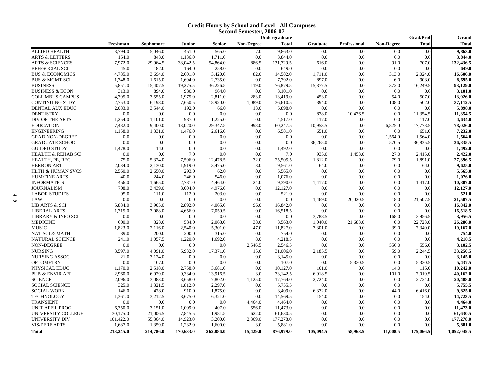#### **Credit Hours by School and Level - All Campuses Second Semester, 2006-07**

|           |                               |           |           |           |               |            | Undergraduate |           |              |            | Grad/Prof    | Grand        |
|-----------|-------------------------------|-----------|-----------|-----------|---------------|------------|---------------|-----------|--------------|------------|--------------|--------------|
|           |                               | Freshman  | Sophomore | Junior    | <b>Senior</b> | Non-Degree | <b>Total</b>  | Graduate  | Professional | Non-Degree | <b>Total</b> | <b>Total</b> |
|           | <b>ALLIED HEALTH</b>          | 3,794.0   | 5,046.0   | 451.0     | 565.0         | 7.0        | 9,863.0       | 0.0       | 0.0          | 0.0        | 0.0          | 9,863.0      |
|           | <b>ARTS &amp; LETTERS</b>     | 154.0     | 843.0     | 1,136.0   | 1,711.0       | 0.0        | 3,844.0       | 0.0       | 0.0          | 0.0        | 0.0          | 3,844.0      |
|           | <b>ARTS &amp; SCIENCES</b>    | 7,972.0   | 29,964.5  | 38,042.5  | 54,864.0      | 886.5      | 131,729.5     | 616.0     | 0.0          | 91.0       | 707.0        | 132,436.5    |
|           | <b>BEH/SOCIAL SCI</b>         | 45.0      | 182.0     | 164.0     | 258.0         | 0.0        | 649.0         | 0.0       | 0.0          | 0.0        | 0.0          | 649.0        |
|           | <b>BUS &amp; ECONOMICS</b>    | 4,785.0   | 3,694.0   | 2,601.0   | 3,420.0       | 82.0       | 14,582.0      | 1,711.0   | 0.0          | 313.0      | 2,024.0      | 16,606.0     |
|           | <b>BUS &amp; MGMT SCI</b>     | 1,748.0   | 1,615.0   | 1,694.0   | 2,735.0       | 0.0        | 7,792.0       | 897.0     | 0.0          | 6.0        | 903.0        | 8,695.0      |
|           | <b>BUSINESS</b>               | 5,851.0   | 15,407.5  | 19,275.5  | 36,226.5      | 119.0      | 76,879.5      | 15,877.5  | 0.0          | 372.0      | 16,249.5     | 93,129.0     |
|           | <b>BUSINESS &amp; ECON</b>    | 313.0     | 894.0     | 930.0     | 964.0         | 0.0        | 3,101.0       | 0.0       | 0.0          | 0.0        | 0.0          | 3,101.0      |
|           | <b>COLUMBUS CAMPUS</b>        | 4,795.0   | 3,555.0   | 1,975.0   | 2,811.0       | 283.0      | 13,419.0      | 453.0     | 0.0          | 54.0       | 507.0        | 13,926.0     |
|           | <b>CONTINUING STDY</b>        | 2,753.0   | 6,198.0   | 7,650.5   | 18,920.0      | 1,089.0    | 36,610.5      | 394.0     | 0.0          | 108.0      | 502.0        | 37,112.5     |
|           | DENTAL AUX EDUC               | 2,083.0   | 3,544.0   | 192.0     | 66.0          | 13.0       | 5,898.0       | 0.0       | 0.0          | 0.0        | 0.0          | 5,898.0      |
|           | <b>DENTISTRY</b>              | 0.0       | 0.0       | 0.0       | 0.0           | 0.0        | 0.0           | 878.0     | 10,476.5     | 0.0        | 11,354.5     | 11,354.5     |
|           | DIV OF THE ARTS               | 1,254.0   | 1,101.0   | 937.0     | 1,225.0       | 0.0        | 4,517.0       | 117.0     | 0.0          | 0.0        | 117.0        | 4,634.0      |
|           | <b>EDUCATION</b>              | 7,482.0   | 9,400.0   | 13,020.0  | 29,347.5      | 998.0      | 60,247.5      | 10,953.5  | 0.0          | 6,825.0    | 17,778.5     | 78,026.0     |
|           | <b>ENGINEERING</b>            | 1,158.0   | 1,331.0   | 1,476.0   | 2,616.0       | 0.0        | 6,581.0       | 651.0     | 0.0          | 0.0        | 651.0        | 7,232.0      |
|           | <b>GRAD NON-DEGREE</b>        | 0.0       | 0.0       | 0.0       | 0.0           | 0.0        | 0.0           | 0.0       | 0.0          | 1,564.0    | 1,564.0      | 1,564.0      |
|           | <b>GRADUATE SCHOOL</b>        | 0.0       | 0.0       | 0.0       | 0.0           | 0.0        | 0.0           | 36,265.0  | 0.0          | 570.5      | 36,835.5     | 36,835.5     |
|           | <b>GUIDED STUDY</b>           | 1,478.0   | 14.0      | 0.0       | 0.0           | 0.0        | 1,492.0       | 0.0       | 0.0          | 0.0        | 0.0          | 1,492.0      |
|           | <b>HEALTH &amp; REHAB SCI</b> | 0.0       | 0.0       | 7.0       | 0.0           | 0.0        | 7.0           | 935.0     | 1,453.0      | 27.0       | 2,415.0      | 2,422.0      |
|           | HEALTH, PE, REC               | 75.0      | 5,324.0   | 7,596.0   | 12,478.5      | 32.0       | 25,505.5      | 1,812.0   | 0.0          | 79.0       | 1,891.0      | 27,396.5     |
|           | <b>HERRON ART</b>             | 2,034.0   | 2,130.0   | 1,919.0   | 3,475.0       | 3.0        | 9,561.0       | 64.0      | 0.0          | 0.0        | 64.0         | 9,625.0      |
|           | <b>HLTH &amp; HUMAN SVCS</b>  | 2,560.0   | 2,650.0   | 293.0     | 62.0          | 0.0        | 5,565.0       | 0.0       | 0.0          | 0.0        | 0.0          | 5,565.0      |
|           | <b>HUM/FINE ARTS</b>          | 40.0      | 244.0     | 246.0     | 546.0         | 0.0        | 1,076.0       | 0.0       | 0.0          | 0.0        | 0.0          | 1,076.0      |
|           | <b>INFORMATICS</b>            | 456.0     | 1,665.0   | 2,781.0   | 4,464.0       | 24.0       | 9,390.0       | 1,417.0   | 0.0          | 0.0        | 1,417.0      | 10,807.0     |
|           | <b>JOURNALISM</b>             | 708.0     | 3,439.0   | 3,004.0   | 4,976.0       | 0.0        | 12,127.0      | 0.0       | 0.0          | 0.0        | 0.0          | 12,127.0     |
| 4         | <b>LABOR STUDIES</b>          | 95.0      | 111.0     | 112.0     | 203.0         | 0.0        | 521.0         | 0.0       | 0.0          | 0.0        | 0.0          | 521.0        |
| $\bullet$ | LAW                           | 0.0       | 0.0       | 0.0       | 0.0           | 0.0        | 0.0           | 1,469.0   | 20,020.5     | 18.0       | 21,507.5     | 21,507.5     |
|           | <b>LIB ARTS &amp; SCI</b>     | 5,884.0   | 3,905.0   | 2,892.0   | 4,065.0       | 96.0       | 16,842.0      | 0.0       | 0.0          | 0.0        | 0.0          | 16,842.0     |
|           | <b>LIBERAL ARTS</b>           | 1,715.0   | 3,088.0   | 4,656.0   | 7,059.5       | 0.0        | 16,518.5      | 0.0       | 0.0          | 0.0        | 0.0          | 16,518.5     |
|           | <b>LIBRARY &amp; INFO SCI</b> | 0.0       | 0.0       | 0.0       | 0.0           | 0.0        | 0.0           | 3,788.5   | 0.0          | 168.0      | 3,956.5      | 3,956.5      |
|           | <b>MEDICINE</b>               | 600.0     | 323.0     | 534.0     | 2,068.0       | 38.0       | 3,563.0       | 1,040.0   | 21,683.0     | 0.0        | 22,723.0     | 26,286.0     |
|           | <b>MUSIC</b>                  | 1,823.0   | 2,116.0   | 2,540.0   | 5,301.0       | 47.0       | 11,827.0      | 7,301.0   | 0.0          | 39.0       | 7,340.0      | 19,167.0     |
|           | <b>NAT SCI &amp; MATH</b>     | 39.0      | 200.0     | 200.0     | 315.0         | 0.0        | 754.0         | 0.0       | 0.0          | 0.0        | 0.0          | 754.0        |
|           | NATURAL SCIENCE               | 241.0     | 1,057.5   | 1,220.0   | 1,692.0       | 8.0        | 4,218.5       | 0.0       | 0.0          | 0.0        | 0.0          | 4,218.5      |
|           | NON-DEGREE                    | 0.0       | 0.0       | 0.0       | 0.0           | 2,546.5    | 2,546.5       | 0.0       | 0.0          | 556.0      | 556.0        | 3,102.5      |
|           | <b>NURSING</b>                | 3,597.0   | 4,091.0   | 5,932.0   | 17,371.0      | 15.0       | 31,006.0      | 2,185.5   | 0.0          | 59.0       | 2,244.5      | 33,250.5     |
|           | NURSING ASSOC                 | 21.0      | 3,124.0   | 0.0       | 0.0           | 0.0        | 3,145.0       | 0.0       | 0.0          | 0.0        | 0.0          | 3,145.0      |
|           | <b>OPTOMETRY</b>              | 0.0       | 107.0     | 0.0       | 0.0           | 0.0        | 107.0         | 0.0       | 5,330.5      | 0.0        | 5,330.5      | 5,437.5      |
|           | PHYSICAL EDUC                 | 1.170.0   | 2,518.0   | 2,758.0   | 3,681.0       | 0.0        | 10,127.0      | 101.0     | 0.0          | 14.0       | 115.0        | 10,242.0     |
|           | PUB & ENVIR AFF               | 2,960.0   | 6,929.0   | 9,334.0   | 13,916.5      | 3.0        | 33,142.5      | 6,918.5   | 0.0          | 101.0      | 7,019.5      | 40,162.0     |
|           | <b>SCIENCE</b>                | 2,096.0   | 3,083.0   | 3,658.0   | 7,802.0       | 1,125.0    | 17,764.0      | 2,724.0   | 0.0          | 0.0        | 2,724.0      | 20,488.0     |
|           | <b>SOCIAL SCIENCE</b>         | 325.0     | 1,321.5   | 1,812.0   | 2,297.0       | 0.0        | 5,755.5       | 0.0       | 0.0          | 0.0        | 0.0          | 5,755.5      |
|           | <b>SOCIAL WORK</b>            | 146.0     | 478.0     | 910.0     | 1,875.0       | 0.0        | 3,409.0       | 6,372.0   | 0.0          | 44.0       | 6,416.0      | 9,825.0      |
|           | <b>TECHNOLOGY</b>             | 1,361.0   | 3,212.5   | 3,675.0   | 6,321.0       | 0.0        | 14,569.5      | 154.0     | 0.0          | 0.0        | 154.0        | 14,723.5     |
|           | <b>TRANSIENT</b>              | 0.0       | 0.0       | 0.0       | 0.0           | 4,464.0    | 4,464.0       | 0.0       | 0.0          | 0.0        | 0.0          | 4,464.0      |
|           | <b>UNIT AFFIL PROG</b>        | 6,350.0   | 3,151.0   | 1,009.0   | 407.0         | 556.0      | 11,473.0      | 0.0       | 0.0          | 0.0        | 0.0          | 11,473.0     |
|           | UNIVERSITY COLLEGE            | 30,175.0  | 21,006.5  | 7,845.5   | 1,981.5       | 622.0      | 61,630.5      | 0.0       | 0.0          | 0.0        | 0.0          | 61,630.5     |
|           | UNIVERSITY DIV                | 101,422.0 | 55,364.0  | 14,923.0  | 3,200.0       | 2,369.0    | 177,278.0     | 0.0       | 0.0          | 0.0        | 0.0          | 177,278.0    |
|           | <b>VIS/PERF ARTS</b>          | 1,687.0   | 1,359.0   | 1,232.0   | 1,600.0       | 3.0        | 5,881.0       | 0.0       | 0.0          | 0.0        | 0.0          | 5,881.0      |
|           | <b>Total</b>                  | 213,245.0 | 214,786.0 | 170,633.0 | 262,886.0     | 15,429.0   | 876,979.0     | 105,094.5 | 58,963.5     | 11,008.5   | 175,066.5    | 1,052,045.5  |
|           |                               |           |           |           |               |            |               |           |              |            |              |              |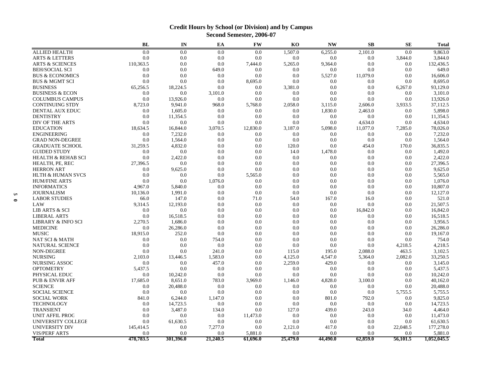# **Credit Hours by School (or Division) and by Campus Second Semester, 2006-07**

|                                   | <b>BL</b>        | IN               | EA              | <b>FW</b> | KO              | <b>NW</b>       | <b>SB</b>       | <b>SE</b> | <b>Total</b>           |
|-----------------------------------|------------------|------------------|-----------------|-----------|-----------------|-----------------|-----------------|-----------|------------------------|
| <b>ALLIED HEALTH</b>              | 0.0              | 0.0              | 0.0             | 0.0       | 1,507.0         | 6,255.0         | 2,101.0         | 0.0       | 9,863.0                |
| <b>ARTS &amp; LETTERS</b>         | 0.0              | 0.0              | 0.0             | 0.0       | 0.0             | 0.0             | 0.0             | 3,844.0   | 3,844.0                |
| <b>ARTS &amp; SCIENCES</b>        | 110,363.5        | 0.0              | 0.0             | 7,444.0   | 5,265.0         | 9,364.0         | 0.0             | 0.0       | 132,436.5              |
| <b>BEH/SOCIAL SCI</b>             | 0.0              | 0.0              | 649.0           | 0.0       | 0.0             | 0.0             | 0.0             | 0.0       | 649.0                  |
| <b>BUS &amp; ECONOMICS</b>        | 0.0              | 0.0              | 0.0             | 0.0       | 0.0             | 5,527.0         | 11,079.0        | 0.0       | 16,606.0               |
| <b>BUS &amp; MGMT SCI</b>         | 0.0              | 0.0              | 0.0             | 8,695.0   | 0.0             | 0.0             | 0.0             | 0.0       | 8,695.0                |
| <b>BUSINESS</b>                   | 65,256.5         | 18,224.5         | 0.0             | 0.0       | 3,381.0         | 0.0             | 0.0             | 6,267.0   | 93,129.0               |
| <b>BUSINESS &amp; ECON</b>        | 0.0              | 0.0              | 3,101.0         | 0.0       | 0.0             | 0.0             | 0.0             | 0.0       | 3,101.0                |
| <b>COLUMBUS CAMPUS</b>            | 0.0              | 13.926.0         | 0.0             | 0.0       | 0.0             | 0.0             | 0.0             | 0.0       | 13,926.0               |
| <b>CONTINUING STDY</b>            | 8,723.0          | 9,941.0          | 968.0           | 5,768.0   | 2,058.0         | 3,115.0         | 2,606.0         | 3,933.5   | 37,112.5               |
| <b>DENTAL AUX EDUC</b>            | 0.0              | 1,605.0          | 0.0             | 0.0       | 0.0             | 1,830.0         | 2,463.0         | 0.0       | 5,898.0                |
| <b>DENTISTRY</b>                  | 0.0              | 11,354.5         | 0.0             | 0.0       | 0.0             | 0.0             | 0.0             | 0.0       | 11,354.5               |
| <b>DIV OF THE ARTS</b>            | 0.0              | 0.0              | 0.0             | 0.0       | 0.0             | 0.0             | 4,634.0         | 0.0       | 4,634.0                |
| <b>EDUCATION</b>                  | 18,634.5         | 16,844.0         | 3,070.5         | 12,830.0  | 3,187.0         | 5,098.0         | 11,077.0        | 7,285.0   | 78,026.0               |
| <b>ENGINEERING</b>                | 0.0              | 7,232.0          | 0.0             | 0.0       | 0.0             | 0.0             | 0.0             | 0.0       | 7,232.0                |
| <b>GRAD NON-DEGREE</b>            | 0.0              | 1,564.0          | 0.0             | 0.0       | 0.0             | 0.0             | 0.0             | 0.0       | 1,564.0                |
| <b>GRADUATE SCHOOL</b>            | 31,259.5         | 4,832.0          | 0.0             | 0.0       | 120.0           | 0.0             | 454.0           | 170.0     | 36,835.5               |
| <b>GUIDED STUDY</b>               | 0.0              | 0.0              | 0.0             | 0.0       | 14.0            | 1,478.0         | 0.0             | 0.0       | 1,492.0                |
| <b>HEALTH &amp; REHAB SCI</b>     | 0.0              | 2,422.0          | 0.0             | 0.0       | 0.0             | 0.0             | 0.0             | 0.0       | 2,422.0                |
| HEALTH, PE, REC                   | 27,396.5         | 0.0              | 0.0             | 0.0       | 0.0             | 0.0             | 0.0             | 0.0       | 27.396.5               |
| <b>HERRON ART</b>                 | 0.0              | 9,625.0          | 0.0             | 0.0       | 0.0             | 0.0             | 0.0             | 0.0       | 9,625.0                |
| HLTH & HUMAN SVCS                 | 0.0              | 0.0              | 0.0             | 5,565.0   | 0.0             | 0.0             | 0.0             | 0.0       | 5,565.0                |
| <b>HUM/FINE ARTS</b>              | 0.0              | 0.0              | 1,076.0         | 0.0       | 0.0             | 0.0             | 0.0             | 0.0       | 1,076.0                |
| <b>INFORMATICS</b>                | 4,967.0          | 5,840.0          | 0.0             | 0.0       | 0.0             | 0.0             | 0.0             | 0.0       | 10,807.0               |
| <b>JOURNALISM</b><br><b>u</b>     | 10,136.0         | 1,991.0          | 0.0             | 0.0       | 0.0             | 0.0             | 0.0             | 0.0       | 12,127.0               |
| <b>LABOR STUDIES</b><br>$\bullet$ | 66.0             | 147.0            | 0.0             | 71.0      | 54.0            | 167.0           | 16.0            | 0.0       | 521.0                  |
| LAW                               | 9,314.5          | 12,193.0         | 0.0             | 0.0       | 0.0             | 0.0             | 0.0             | 0.0       | 21,507.5               |
| LIB ARTS & SCI                    | 0.0              | 0.0              | 0.0             | 0.0       | 0.0             | 0.0             | 16,842.0        | 0.0       | 16,842.0               |
| <b>LIBERAL ARTS</b>               | 0.0              | 16,518.5         | 0.0             | 0.0       | 0.0             | 0.0             | 0.0             | 0.0       | 16.518.5               |
| LIBRARY & INFO SCI                | 2,270.5          | 1,686.0          | 0.0             | 0.0       | 0.0             | 0.0             | 0.0             | 0.0       | 3,956.5                |
| <b>MEDICINE</b>                   | 0.0              | 26,286.0         | 0.0             | 0.0       | 0.0             | 0.0             | 0.0             | 0.0       | 26,286.0               |
| <b>MUSIC</b>                      | 18,915.0         | 252.0            | 0.0             | 0.0       | 0.0             | 0.0             | 0.0             | 0.0       | 19.167.0               |
| NAT SCI & MATH                    | 0.0              | 0.0              | 754.0           | 0.0       | 0.0             | 0.0             | 0.0             | 0.0       | 754.0                  |
| NATURAL SCIENCE                   | 0.0              | 0.0              | 0.0             | 0.0       | 0.0             | 0.0             | 0.0             | 4,218.5   | 4,218.5                |
| <b>NON-DEGREE</b>                 | 0.0              | 0.0              | 241.0           | 0.0       | 115.0           | 195.0           | 2,088.0         | 463.5     | 3,102.5                |
| <b>NURSING</b>                    | 2,103.0          | 13,446.5         | 1,583.0         | 0.0       | 4,125.0         | 4,547.0         | 5,364.0         | 2,082.0   | 33,250.5               |
| <b>NURSING ASSOC</b>              | 0.0              | 0.0              | 457.0           | 0.0       | 2,259.0         | 429.0           | 0.0             | 0.0       | 3,145.0                |
| <b>OPTOMETRY</b>                  | 5.437.5          | 0.0              | 0.0             | 0.0       | 0.0             | 0.0             | 0.0             | 0.0       | 5.437.5                |
| PHYSICAL EDUC                     | 0.0              | 10,242.0         | 0.0             | 0.0       | 0.0             | 0.0             | 0.0             | 0.0       | 10,242.0               |
| <b>PUB &amp; ENVIR AFF</b>        | 17,685.0         | 8,651.0          | 783.0           | 3,969.0   | 1,146.0         | 4,828.0         | 3,100.0         | 0.0       | 40,162.0               |
| <b>SCIENCE</b>                    | 0.0              | 20,488.0         | 0.0             | 0.0       | 0.0             | 0.0             | 0.0             | 0.0       | 20,488.0               |
| <b>SOCIAL SCIENCE</b>             | 0.0              | 0.0              | 0.0             | 0.0       | 0.0             | 0.0             | 0.0             | 5,755.5   | 5,755.5                |
| <b>SOCIAL WORK</b>                | 841.0            | 6,244.0          | 1,147.0         | 0.0       | 0.0             | 801.0           | 792.0           | 0.0       | 9,825.0                |
| <b>TECHNOLOGY</b>                 | 0.0              | 14,723.5         | 0.0             | 0.0       | 0.0             | 0.0             | 0.0             | 0.0       | 14,723.5               |
| <b>TRANSIENT</b>                  | 0.0              | 3,487.0          | 134.0           | 0.0       | 127.0           | 439.0           | 243.0           | 34.0      | 4,464.0                |
| <b>UNIT AFFIL PROG</b>            | 0.0              | 0.0              | 0.0             | 11,473.0  | 0.0             | 0.0             | 0.0             | 0.0       | 11,473.0               |
| UNIVERSITY COLLEGE                | 0.0              | 61,630.5         | 0.0             | 0.0       | 0.0             | 0.0             | 0.0             | 0.0       | 61,630.5               |
| UNIVERSITY DIV                    | 145,414.5        | 0.0              | 7,277.0         | 0.0       | 2,121.0         | 417.0           | 0.0             | 22,048.5  | 177,278.0              |
| <b>VIS/PERF ARTS</b><br>Total     | 0.0<br>478,783.5 | 0.0<br>301,396.0 | 0.0<br>21,240.5 | 5.881.0   | 0.0<br>25.479.0 | 0.0<br>44.490.0 | 0.0<br>62,859.0 | 0.0       | 5.881.0<br>1,052,045.5 |
|                                   |                  |                  |                 | 61,696.0  |                 |                 |                 | 56,101.5  |                        |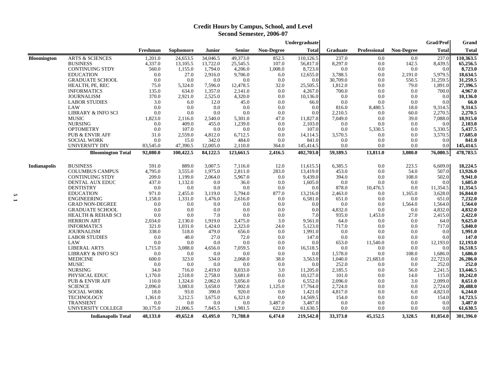### **Credit Hours by Campus, School, and Level Second Semester, 2006-07**

|                    |                               |          |                  |          |               |                   | Undergraduate |                 |                       |                   | <b>Grad/Prof</b> | Grand        |
|--------------------|-------------------------------|----------|------------------|----------|---------------|-------------------|---------------|-----------------|-----------------------|-------------------|------------------|--------------|
|                    |                               | Freshman | <b>Sophomore</b> | Junior   | <b>Senior</b> | <b>Non-Degree</b> | <b>Total</b>  | <b>Graduate</b> | <b>Professional</b>   | <b>Non-Degree</b> | <b>Total</b>     | <b>Total</b> |
| <b>Bloomington</b> | <b>ARTS &amp; SCIENCES</b>    | 1,201.0  | 24,653.5         | 34,046.5 | 49,373.0      | 852.5             | 110,126.5     | 237.0           | 0.0                   | 0.0               | 237.0            | 110,363.5    |
|                    | <b>BUSINESS</b>               | 4,337.0  | 13,105.5         | 13,722.0 | 25,545.5      | 107.0             | 56,817.0      | 8,297.0         | 0.0                   | 142.5             | 8,439.5          | 65,256.5     |
|                    | <b>CONTINUING STDY</b>        | 560.0    | 1,155.0          | 1,794.0  | 4,206.0       | 1,008.0           | 8,723.0       | 0.0             | 0.0                   | 0.0               | 0.0              | 8,723.0      |
|                    | <b>EDUCATION</b>              | 0.0      | 27.0             | 2,916.0  | 9,706.0       | 6.0               | 12,655.0      | 3,788.5         | 0.0                   | 2,191.0           | 5,979.5          | 18,634.5     |
|                    | <b>GRADUATE SCHOOL</b>        | 0.0      | 0.0              | 0.0      | 0.0           | 0.0               | 0.0           | 30,709.0        | 0.0                   | 550.5             | 31,259.5         | 31,259.5     |
|                    | HEALTH, PE, REC               | 75.0     | 5,324.0          | 7,596.0  | 12,478.5      | 32.0              | 25,505.5      | 1,812.0         | 0.0                   | 79.0              | 1,891.0          | 27,396.5     |
|                    | <b>INFORMATICS</b>            | 135.0    | 634.0            | 1,357.0  | 2,141.0       | 0.0               | 4,267.0       | 700.0           | 0.0                   | 0.0               | 700.0            | 4,967.0      |
|                    | <b>JOURNALISM</b>             | 370.0    | 2,921.0          | 2,525.0  | 4,320.0       | 0.0               | 10,136.0      | 0.0             | 0.0                   | 0.0               | 0.0              | 10,136.0     |
|                    | <b>LABOR STUDIES</b>          | 3.0      | 6.0              | 12.0     | 45.0          | 0.0               | 66.0          | 0.0             | 0.0                   | 0.0               | 0.0              | 66.0         |
|                    | LAW                           | 0.0      | 0.0              | 0.0      | 0.0           | 0.0               | 0.0           | 816.0           | 8,480.5               | 18.0              | 9,314.5          | 9,314.5      |
|                    | <b>LIBRARY &amp; INFO SCI</b> | 0.0      | 0.0              | 0.0      | 0.0           | 0.0               | 0.0           | 2,210.5         | 0.0                   | 60.0              | 2,270.5          | 2,270.5      |
|                    | <b>MUSIC</b>                  | 1,823.0  | 2,116.0          | 2,540.0  | 5,301.0       | 47.0              | 11,827.0      | 7,049.0         | 0.0                   | 39.0              | 7,088.0          | 18,915.0     |
|                    | <b>NURSING</b>                | 0.0      | 409.0            | 455.0    | 1,239.0       | 0.0               | 2,103.0       | 0.0             | 0.0                   | 0.0               | 0.0              | 2,103.0      |
|                    | <b>OPTOMETRY</b>              | 0.0      | 107.0            | 0.0      | 0.0           | 0.0               | 107.0         | 0.0             | 5,330.5               | 0.0               | 5,330.5          | 5,437.5      |
|                    | <b>PUB &amp; ENVIR AFF</b>    | 31.0     | 2,559.0          | 4,812.0  | 6,712.5       | 0.0               | 14,114.5      | 3,570.5         | 0.0                   | 0.0               | 3,570.5          | 17,685.0     |
|                    | <b>SOCIAL WORK</b>            | 0.0      | 15.0             | 342.0    | 484.0         | 0.0               | 841.0         | 0.0             | 0.0                   | 0.0               | 0.0              | 841.0        |
|                    | UNIVERSITY DIV                | 83,545.0 | 47,390.5         | 12,005.0 | 2,110.0       | 364.0             | 145,414.5     | 0.0             | 0.0                   | 0.0               | 0.0              | 145,414.5    |
|                    | <b>Bloomington Total</b>      | 92,080.0 | 100,422.5        | 84,122.5 | 123,661.5     | 2,416.5           | 402,703.0     | 59,189.5        | $\overline{13,811.0}$ | 3,080.0           | 76,080.5         | 478,783.5    |
| Indianapolis       | <b>BUSINESS</b>               | 591.0    | 889.0            | 3,007.5  | 7,116.0       | 12.0              | 11,615.5      | 6,385.5         | 0.0                   | 223.5             | 6,609.0          | 18,224.5     |
|                    | <b>COLUMBUS CAMPUS</b>        | 4,795.0  | 3,555.0          | 1,975.0  | 2,811.0       | 283.0             | 13,419.0      | 453.0           | 0.0                   | 54.0              | 507.0            | 13,926.0     |
|                    | <b>CONTINUING STDY</b>        | 209.0    | 1,199.0          | 2,064.0  | 5,967.0       | 0.0               | 9,439.0       | 394.0           | 0.0                   | 108.0             | 502.0            | 9,941.0      |
|                    | DENTAL AUX EDUC               | 437.0    | 1,132.0          | 0.0      | 36.0          | 0.0               | 1,605.0       | 0.0             | 0.0                   | 0.0               | 0.0              | 1,605.0      |
|                    | <b>DENTISTRY</b>              | 0.0      | 0.0              | 0.0      | 0.0           | 0.0               | 0.0           | 878.0           | 10,476.5              | 0.0               | 11,354.5         | 11,354.5     |
|                    | <b>EDUCATION</b>              | 971.0    | 2,455.0          | 3,119.0  | 5,794.0       | 877.0             | 13,216.0      | 2,463.0         | 0.0                   | 1,165.0           | 3,628.0          | 16,844.0     |
|                    | <b>ENGINEERING</b>            | 1,158.0  | 1,331.0          | 1,476.0  | 2,616.0       | 0.0               | 6,581.0       | 651.0           | 0.0                   | 0.0               | 651.0            | 7,232.0      |
|                    | <b>GRAD NON-DEGREE</b>        | 0.0      | 0.0              | 0.0      | 0.0           | 0.0               | 0.0           | 0.0             | 0.0                   | 1,564.0           | 1,564.0          | 1,564.0      |
|                    | <b>GRADUATE SCHOOL</b>        | 0.0      | 0.0              | 0.0      | 0.0           | 0.0               | 0.0           | 4,832.0         | 0.0                   | 0.0               | 4,832.0          | 4,832.0      |
|                    | <b>HEALTH &amp; REHAB SCI</b> | 0.0      | 0.0              | 7.0      | 0.0           | 0.0               | 7.0           | 935.0           | 1,453.0               | 27.0              | 2,415.0          | 2,422.0      |
|                    | <b>HERRON ART</b>             | 2,034.0  | 2,130.0          | 1,919.0  | 3,475.0       | 3.0               | 9,561.0       | 64.0            | 0.0                   | 0.0               | 64.0             | 9,625.0      |
|                    | <b>INFORMATICS</b>            | 321.0    | 1,031.0          | 1,424.0  | 2,323.0       | 24.0              | 5,123.0       | 717.0           | 0.0                   | 0.0               | 717.0            | 5,840.0      |
|                    | <b>JOURNALISM</b>             | 338.0    | 518.0            | 479.0    | 656.0         | 0.0               | 1,991.0       | 0.0             | 0.0                   | 0.0               | 0.0              | 1,991.0      |
|                    | <b>LABOR STUDIES</b>          | 0.0      | 48.0             | 27.0     | 72.0          | 0.0               | 147.0         | 0.0             | 0.0                   | 0.0               | 0.0              | 147.0        |
|                    | LAW                           | 0.0      | 0.0              | 0.0      | 0.0           | 0.0               | 0.0           | 653.0           | 11,540.0              | 0.0               | 12,193.0         | 12,193.0     |
|                    | <b>LIBERAL ARTS</b>           | 1,715.0  | 3,088.0          | 4,656.0  | 7,059.5       | 0.0               | 16,518.5      | 0.0             | 0.0                   | 0.0               | 0.0              | 16,518.5     |
|                    | <b>LIBRARY &amp; INFO SCI</b> | 0.0      | 0.0              | 0.0      | 0.0           | 0.0               | 0.0           | 1,578.0         | 0.0                   | 108.0             | 1,686.0          | 1,686.0      |
|                    | <b>MEDICINE</b>               | 600.0    | 323.0            | 534.0    | 2,068.0       | 38.0              | 3,563.0       | 1,040.0         | 21,683.0              | 0.0               | 22,723.0         | 26,286.0     |
|                    | MUSIC                         | 0.0      | 0.0              | 0.0      | 0.0           | $0.0\,$           | 0.0           | 252.0           | 0.0                   | 0.0               | 252.0            | 252.0        |
|                    | <b>NURSING</b>                | 34.0     | 716.0            | 2,419.0  | 8,033.0       | 3.0               | 11,205.0      | 2,185.5         | 0.0                   | 56.0              | 2,241.5          | 13,446.5     |
|                    | PHYSICAL EDUC                 | 1,170.0  | 2,518.0          | 2,758.0  | 3,681.0       | 0.0               | 10,127.0      | 101.0           | 0.0                   | 14.0              | 115.0            | 10,242.0     |
|                    | <b>PUB &amp; ENVIR AFF</b>    | 110.0    | 1,324.0          | 2,062.0  | 3,056.0       | 0.0               | 6,552.0       | 2.096.0         | 0.0                   | 3.0               | 2,099.0          | 8.651.0      |
|                    | <b>SCIENCE</b>                | 2,096.0  | 3,083.0          | 3,658.0  | 7,802.0       | 1,125.0           | 17,764.0      | 2,724.0         | 0.0                   | 0.0               | 2,724.0          | 20,488.0     |
|                    | <b>SOCIAL WORK</b>            | 18.0     | 93.0             | 390.0    | 920.0         | 0.0               | 1,421.0       | 4,817.0         | 0.0                   | 6.0               | 4,823.0          | 6,244.0      |
|                    | <b>TECHNOLOGY</b>             | 1,361.0  | 3,212.5          | 3,675.0  | 6,321.0       | 0.0               | 14,569.5      | 154.0           | 0.0                   | 0.0               | 154.0            | 14,723.5     |
|                    | <b>TRANSIENT</b>              | 0.0      | 0.0              | 0.0      | 0.0           | 3,487.0           | 3,487.0       | 0.0             | 0.0                   | 0.0               | 0.0              | 3,487.0      |
|                    | UNIVERSITY COLLEGE            | 30,175.0 | 21,006.5         | 7,845.5  | 1,981.5       | 622.0             | 61,630.5      | 0.0             | 0.0                   | 0.0               | 0.0              | 61,630.5     |
|                    | <b>Indianapolis Total</b>     | 48,133.0 | 49,652.0         | 43,495.0 | 71,788.0      | 6,474.0           | 219,542.0     | 33,373.0        | 45,152.5              | 3,328.5           | 81,854.0         | 301,396.0    |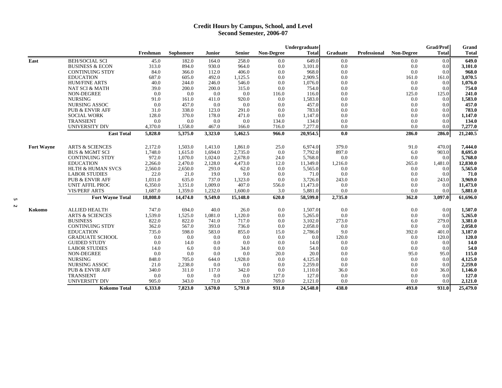### **Credit Hours by Campus, School, and Level Second Semester, 2006-07**

|                   |                              |          |           |         |          |            | Undergraduate |          |                     |            | <b>Grad/Prof</b> | Grand        |
|-------------------|------------------------------|----------|-----------|---------|----------|------------|---------------|----------|---------------------|------------|------------------|--------------|
|                   |                              | Freshman | Sophomore | Junior  | Senior   | Non-Degree | <b>Total</b>  | Graduate | <b>Professional</b> | Non-Degree | <b>Total</b>     | <b>Total</b> |
| East              | <b>BEH/SOCIAL SCI</b>        | 45.0     | 182.0     | 164.0   | 258.0    | $0.0\,$    | 649.0         | 0.0      |                     | 0.0        | 0.0              | 649.0        |
|                   | <b>BUSINESS &amp; ECON</b>   | 313.0    | 894.0     | 930.0   | 964.0    | $0.0\,$    | 3,101.0       | 0.0      |                     | 0.0        | 0.0              | 3,101.0      |
|                   | <b>CONTINUING STDY</b>       | 84.0     | 366.0     | 112.0   | 406.0    | 0.0        | 968.0         | 0.0      |                     | 0.0        | 0.0              | 968.0        |
|                   | <b>EDUCATION</b>             | 687.0    | 605.0     | 492.0   | 1,125.5  | 0.0        | 2,909.5       | 0.0      |                     | 161.0      | 161.0            | 3,070.5      |
|                   | <b>HUM/FINE ARTS</b>         | 40.0     | 244.0     | 246.0   | 546.0    | 0.0        | 1,076.0       | 0.0      |                     | 0.0        | 0.0              | 1,076.0      |
|                   | NAT SCI & MATH               | 39.0     | 200.0     | 200.0   | 315.0    | 0.0        | 754.0         | 0.0      |                     | 0.0        | 0.0              | 754.0        |
|                   | NON-DEGREE                   | 0.0      | 0.0       | 0.0     | 0.0      | 116.0      | 116.0         | 0.0      |                     | 125.0      | 125.0            | 241.0        |
|                   | <b>NURSING</b>               | 91.0     | 161.0     | 411.0   | 920.0    | 0.0        | 1,583.0       | 0.0      |                     | 0.0        | 0.0              | 1,583.0      |
|                   | NURSING ASSOC                | 0.0      | 457.0     | 0.0     | 0.0      | 0.0        | 457.0         | 0.0      |                     | 0.0        | 0.0              | 457.0        |
|                   | <b>PUB &amp; ENVIR AFF</b>   | 31.0     | 338.0     | 123.0   | 291.0    | 0.0        | 783.0         | 0.0      |                     | 0.0        | 0.0              | 783.0        |
|                   | <b>SOCIAL WORK</b>           | 128.0    | 370.0     | 178.0   | 471.0    | 0.0        | 1,147.0       | 0.0      |                     | 0.0        | 0.0              | 1,147.0      |
|                   | <b>TRANSIENT</b>             | 0.0      | 0.0       | 0.0     | 0.0      | 134.0      | 134.0         | 0.0      |                     | 0.0        | 0.0              | 134.0        |
|                   | UNIVERSITY DIV               | 4,370.0  | 1,558.0   | 467.0   | 166.0    | 716.0      | 7,277.0       | 0.0      |                     | 0.0        | 0.0              | 7,277.0      |
|                   | <b>East Total</b>            | 5,828.0  | 5,375.0   | 3,323.0 | 5,462.5  | 966.0      | 20,954.5      | 0.0      |                     | 286.0      | 286.0            | 21,240.5     |
| <b>Fort Wayne</b> | <b>ARTS &amp; SCIENCES</b>   | 2,172.0  | 1,503.0   | 1,413.0 | 1,861.0  | 25.0       | 6,974.0       | 379.0    |                     | 91.0       | 470.0            | 7,444.0      |
|                   | <b>BUS &amp; MGMT SCI</b>    | 1,748.0  | 1,615.0   | 1,694.0 | 2,735.0  | 0.0        | 7,792.0       | 897.0    |                     | 6.0        | 903.0            | 8,695.0      |
|                   | <b>CONTINUING STDY</b>       | 972.0    | 1,070.0   | 1,024.0 | 2,678.0  | 24.0       | 5,768.0       | 0.0      |                     | 0.0        | 0.0              | 5,768.0      |
|                   | <b>EDUCATION</b>             | 2,266.0  | 2,470.0   | 2,128.0 | 4,473.0  | 12.0       | 11,349.0      | 1,216.0  |                     | 265.0      | 1,481.0          | 12,830.0     |
|                   | <b>HLTH &amp; HUMAN SVCS</b> | 2,560.0  | 2,650.0   | 293.0   | 62.0     | 0.0        | 5,565.0       | 0.0      |                     | 0.0        | 0.0              | 5,565.0      |
|                   | <b>LABOR STUDIES</b>         | 22.0     | 21.0      | 19.0    | 9.0      | 0.0        | 71.0          | 0.0      |                     | 0.0        | 0.0              | 71.0         |
|                   | <b>PUB &amp; ENVIR AFF</b>   | 1.031.0  | 635.0     | 737.0   | 1,323.0  | 0.0        | 3,726.0       | 243.0    |                     | 0.0        | 243.0            | 3.969.0      |
|                   | <b>UNIT AFFIL PROG</b>       | 6,350.0  | 3,151.0   | 1,009.0 | 407.0    | 556.0      | 11,473.0      | 0.0      |                     | 0.0        | 0.0              | 11,473.0     |
|                   | <b>VIS/PERF ARTS</b>         | 1,687.0  | 1,359.0   | 1,232.0 | 1,600.0  | 3.0        | 5,881.0       | 0.0      |                     | 0.0        | 0.0              | 5,881.0      |
|                   | <b>Fort Wayne Total</b>      | 18,808.0 | 14,474.0  | 9,549.0 | 15,148.0 | 620.0      | 58,599.0      | 2,735.0  |                     | 362.0      | 3,097.0          | 61,696.0     |
| Kokomo            | <b>ALLIED HEALTH</b>         | 747.0    | 694.0     | 40.0    | 26.0     | $0.0\,$    | 1,507.0       | 0.0      |                     | 0.0        | 0.0 <sub>l</sub> | 1,507.0      |
|                   | <b>ARTS &amp; SCIENCES</b>   | 1,539.0  | 1,525.0   | 1,081.0 | 1,120.0  | 0.0        | 5,265.0       | 0.0      |                     | 0.0        | 0.0              | 5,265.0      |
|                   | <b>BUSINESS</b>              | 822.0    | 822.0     | 741.0   | 717.0    | 0.0        | 3,102.0       | 273.0    |                     | 6.0        | 279.0            | 3,381.0      |
|                   | <b>CONTINUING STDY</b>       | 362.0    | 567.0     | 393.0   | 736.0    | 0.0        | 2,058.0       | 0.0      |                     | 0.0        | 0.0              | 2,058.0      |
|                   | <b>EDUCATION</b>             | 735.0    | 598.0     | 583.0   | 855.0    | 15.0       | 2,786.0       | 9.0      |                     | 392.0      | 401.0            | 3,187.0      |
|                   | <b>GRADUATE SCHOOL</b>       | 0.0      | 0.0       | 0.0     | 0.0      | 0.0        | 0.0           | 120.0    |                     | 0.0        | 120.0            | 120.0        |
|                   | <b>GUIDED STUDY</b>          | 0.0      | 14.0      | 0.0     | 0.0      | 0.0        | 14.0          | 0.0      |                     | 0.0        | 0.0              | 14.0         |
|                   | <b>LABOR STUDIES</b>         | 14.0     | 6.0       | 0.0     | 34.0     | 0.0        | 54.0          | 0.0      |                     | 0.0        | 0.0              | 54.0         |
|                   | NON-DEGREE                   | 0.0      | 0.0       | 0.0     | 0.0      | 20.0       | 20.0          | 0.0      |                     | 95.0       | 95.0             | 115.0        |
|                   | <b>NURSING</b>               | 848.0    | 705.0     | 644.0   | 1,928.0  | 0.0        | 4,125.0       | 0.0      |                     | 0.0        | 0.0              | 4,125.0      |
|                   | NURSING ASSOC                | 21.0     | 2,238.0   | 0.0     | 0.0      | 0.0        | 2,259.0       | 0.0      |                     | 0.0        | 0.0              | 2,259.0      |
|                   | <b>PUB &amp; ENVIR AFF</b>   | 340.0    | 311.0     | 117.0   | 342.0    | 0.0        | 1,110.0       | 36.0     |                     | 0.0        | 36.0             | 1,146.0      |
|                   | <b>TRANSIENT</b>             | 0.0      | 0.0       | 0.0     | 0.0      | 127.0      | 127.0         | 0.0      |                     | 0.0        | 0.0              | 127.0        |
|                   | UNIVERSITY DIV               | 905.0    | 343.0     | 71.0    | 33.0     | 769.0      | 2,121.0       | 0.0      |                     | 0.0        | 0.0              | 2,121.0      |
|                   | <b>Kokomo Total</b>          | 6,333.0  | 7,823.0   | 3,670.0 | 5,791.0  | 931.0      | 24,548.0      | 438.0    |                     | 493.0      | 931.0            | 25,479.0     |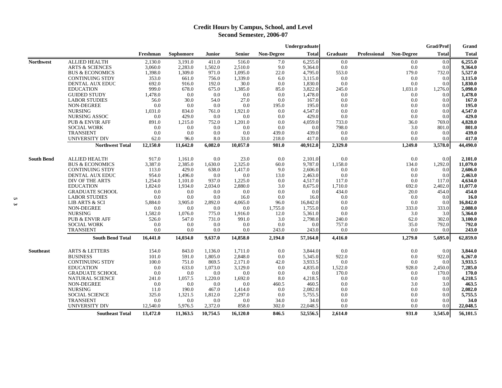### **Credit Hours by Campus, School, and Level Second Semester, 2006-07**

|                   |                            |          |           |          |               |                   | Undergraduate |          |                     |                   | Grad/Prof    | Grand        |
|-------------------|----------------------------|----------|-----------|----------|---------------|-------------------|---------------|----------|---------------------|-------------------|--------------|--------------|
|                   |                            | Freshman | Sophomore | Junior   | <b>Senior</b> | <b>Non-Degree</b> | <b>Total</b>  | Graduate | <b>Professional</b> | <b>Non-Degree</b> | <b>Total</b> | <b>Total</b> |
| <b>Northwest</b>  | ALLIED HEALTH              | 2,130.0  | 3,191.0   | 411.0    | 516.0         | 7.0               | 6,255.0       | 0.0      |                     | 0.0               | 0.0          | 6,255.0      |
|                   | <b>ARTS &amp; SCIENCES</b> | 3,060.0  | 2,283.0   | 1,502.0  | 2,510.0       | 9.0               | 9,364.0       | 0.0      |                     | 0.0               | 0.0          | 9,364.0      |
|                   | <b>BUS &amp; ECONOMICS</b> | 1,398.0  | 1,309.0   | 971.0    | 1,095.0       | 22.0              | 4,795.0       | 553.0    |                     | 179.0             | 732.0        | 5,527.0      |
|                   | <b>CONTINUING STDY</b>     | 353.0    | 661.0     | 756.0    | 1,339.0       | 6.0               | 3,115.0       | 0.0      |                     | 0.0               | 0.0          | 3,115.0      |
|                   | DENTAL AUX EDUC            | 692.0    | 916.0     | 192.0    | 30.0          | 0.0               | 1,830.0       | 0.0      |                     | 0.0               | 0.0          | 1,830.0      |
|                   | <b>EDUCATION</b>           | 999.0    | 678.0     | 675.0    | 1,385.0       | 85.0              | 3,822.0       | 245.0    |                     | 1,031.0           | 1,276.0      | 5,098.0      |
|                   | <b>GUIDED STUDY</b>        | 1,478.0  | 0.0       | 0.0      | 0.0           | 0.0               | 1,478.0       | 0.0      |                     | 0.0               | 0.0          | 1,478.0      |
|                   | <b>LABOR STUDIES</b>       | 56.0     | 30.0      | 54.0     | 27.0          | 0.0               | 167.0         | 0.0      |                     | 0.0               | 0.0          | 167.0        |
|                   | NON-DEGREE                 | 0.0      | 0.0       | 0.0      | 0.0           | 195.0             | 195.0         | 0.0      |                     | 0.0               | 0.0          | 195.0        |
|                   | <b>NURSING</b>             | 1.031.0  | 834.0     | 761.0    | 1,921.0       | 0.0               | 4.547.0       | 0.0      |                     | 0.0               | 0.0          | 4,547.0      |
|                   | <b>NURSING ASSOC</b>       | 0.0      | 429.0     | 0.0      | 0.0           | 0.0               | 429.0         | 0.0      |                     | 0.0               | 0.0          | 429.0        |
|                   | <b>PUB &amp; ENVIR AFF</b> | 891.0    | 1,215.0   | 752.0    | 1,201.0       | 0.0               | 4,059.0       | 733.0    |                     | 36.0              | 769.0        | 4,828.0      |
|                   | <b>SOCIAL WORK</b>         | 0.0      | 0.0       | 0.0      | 0.0           | 0.0               | 0.0           | 798.0    |                     | 3.0               | 801.0        | 801.0        |
|                   | <b>TRANSIENT</b>           | 0.0      | 0.0       | 0.0      | 0.0           | 439.0             | 439.0         | 0.0      |                     | 0.0               | 0.0          | 439.0        |
|                   | UNIVERSITY DIV             | 62.0     | 96.0      | 8.0      | 33.0          | 218.0             | 417.0         | 0.0      |                     | 0.0               | 0.0          | 417.0        |
|                   | <b>Northwest Total</b>     | 12,150.0 | 11,642.0  | 6,082.0  | 10,057.0      | 981.0             | 40,912.0      | 2,329.0  |                     | 1,249.0           | 3,578.0      | 44,490.0     |
| <b>South Bend</b> | <b>ALLIED HEALTH</b>       | 917.0    | 1.161.0   | 0.0      | 23.0          | 0.0               | 2,101.0       | 0.0      |                     | 0.0               | 0.0          | 2,101.0      |
|                   | <b>BUS &amp; ECONOMICS</b> | 3,387.0  | 2,385.0   | 1,630.0  | 2,325.0       | 60.0              | 9.787.0       | 1,158.0  |                     | 134.0             | 1,292.0      | 11,079.0     |
|                   | <b>CONTINUING STDY</b>     | 113.0    | 429.0     | 638.0    | 1,417.0       | 9.0               | 2,606.0       | 0.0      |                     | 0.0               | 0.0          | 2,606.0      |
|                   | DENTAL AUX EDUC            | 954.0    | 1,496.0   | 0.0      | 0.0           | 13.0              | 2,463.0       | 0.0      |                     | 0.0               | 0.0          | 2,463.0      |
|                   | DIV OF THE ARTS            | 1,254.0  | 1,101.0   | 937.0    | 1,225.0       | 0.0               | 4,517.0       | 117.0    |                     | 0.0               | 117.0        | 4,634.0      |
|                   | <b>EDUCATION</b>           | 1,824.0  | 1,934.0   | 2,034.0  | 2,880.0       | 3.0               | 8,675.0       | 1,710.0  |                     | 692.0             | 2,402.0      | 11,077.0     |
|                   | <b>GRADUATE SCHOOL</b>     | 0.0      | 0.0       | 0.0      | 0.0           | 0.0               | 0.0           | 434.0    |                     | 20.0              | 454.0        | 454.0        |
|                   | <b>LABOR STUDIES</b>       | 0.0      | 0.0       | 0.0      | 16.0          | 0.0               | 16.0          | 0.0      |                     | 0.0               | 0.0          | <b>16.0</b>  |
|                   | <b>LIB ARTS &amp; SCI</b>  | 5,884.0  | 3,905.0   | 2,892.0  | 4,065.0       | 96.0              | 16,842.0      | 0.0      |                     | 0.0               | 0.0          | 16,842.0     |
|                   | NON-DEGREE                 | 0.0      | 0.0       | 0.0      | 0.0           | 1,755.0           | 1,755.0       | 0.0      |                     | 333.0             | 333.0        | 2,088.0      |
|                   | <b>NURSING</b>             | 1,582.0  | 1,076.0   | 775.0    | 1,916.0       | 12.0              | 5,361.0       | 0.0      |                     | 3.0               | 3.0          | 5,364.0      |
|                   | <b>PUB &amp; ENVIR AFF</b> | 526.0    | 547.0     | 731.0    | 991.0         | 3.0               | 2,798.0       | 240.0    |                     | 62.0              | 302.0        | 3,100.0      |
|                   | <b>SOCIAL WORK</b>         | 0.0      | 0.0       | 0.0      | 0.0           | 0.0               | 0.0           | 757.0    |                     | 35.0              | 792.0        | 792.0        |
|                   | <b>TRANSIENT</b>           | 0.0      | 0.0       | 0.0      | 0.0           | 243.0             | 243.0         | 0.0      |                     | 0.0               | 0.0          | 243.0        |
|                   | <b>South Bend Total</b>    | 16,441.0 | 14,034.0  | 9,637.0  | 14,858.0      | 2,194.0           | 57,164.0      | 4,416.0  |                     | 1,279.0           | 5,695.0      | 62,859.0     |
| <b>Southeast</b>  | <b>ARTS &amp; LETTERS</b>  | 154.0    | 843.0     | 1,136.0  | 1,711.0       | 0.0               | 3,844.0       | 0.0      |                     | 0.0               | 0.0          | 3,844.0      |
|                   | <b>BUSINESS</b>            | 101.0    | 591.0     | 1,805.0  | 2,848.0       | 0.0               | 5.345.0       | 922.0    |                     | 0.0               | 922.0        | 6,267.0      |
|                   | <b>CONTINUING STDY</b>     | 100.0    | 751.0     | 869.5    | 2,171.0       | 42.0              | 3,933.5       | 0.0      |                     | 0.0               | 0.0          | 3,933.5      |
|                   | <b>EDUCATION</b>           | 0.0      | 633.0     | 1,073.0  | 3,129.0       | 0.0               | 4,835.0       | 1,522.0  |                     | 928.0             | 2,450.0      | 7,285.0      |
|                   | <b>GRADUATE SCHOOL</b>     | 0.0      | 0.0       | 0.0      | 0.0           | 0.0               | 0.0           | 170.0    |                     | 0.0               | 170.0        | 170.0        |
|                   | <b>NATURAL SCIENCE</b>     | 241.0    | 1,057.5   | 1,220.0  | 1,692.0       | 8.0               | 4,218.5       | 0.0      |                     | 0.0               | 0.0          | 4,218.5      |
|                   | NON-DEGREE                 | 0.0      | 0.0       | $0.0\,$  | 0.0           | 460.5             | 460.5         | 0.0      |                     | 3.0               | 3.0          | 463.5        |
|                   | <b>NURSING</b>             | 11.0     | 190.0     | 467.0    | 1,414.0       | 0.0               | 2,082.0       | 0.0      |                     | 0.0               | 0.0          | 2,082.0      |
|                   | <b>SOCIAL SCIENCE</b>      | 325.0    | 1,321.5   | 1,812.0  | 2,297.0       | 0.0               | 5,755.5       | 0.0      |                     | 0.0               | 0.0          | 5,755.5      |
|                   | <b>TRANSIENT</b>           | 0.0      | 0.0       | 0.0      | 0.0           | 34.0              | 34.0          | 0.0      |                     | 0.0               | 0.0          | 34.0         |
|                   | <b>UNIVERSITY DIV</b>      | 12,540.0 | 5,976.5   | 2,372.0  | 858.0         | 302.0             | 22,048.5      | 0.0      |                     | 0.0               | 0.0          | 22,048.5     |
|                   | <b>Southeast Total</b>     | 13,472.0 | 11,363.5  | 10,754.5 | 16,120.0      | 846.5             | 52,556.5      | 2,614.0  |                     | 931.0             | 3,545.0      | 56,101.5     |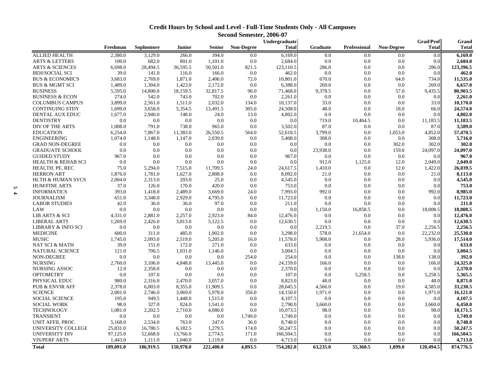### **Credit Hours by School and Level - Full-Time Students Only - All Campuses Second Semester, 2006-07**

|          |                               |           |           |           |           | эссона эсшсэгст хооо-о | Undergraduate |                 |              |                   | <b>Grad/Prof</b> | Grand        |
|----------|-------------------------------|-----------|-----------|-----------|-----------|------------------------|---------------|-----------------|--------------|-------------------|------------------|--------------|
|          |                               | Freshman  | Sophomore | Junior    | Senior    | <b>Non-Degree</b>      | <b>Total</b>  | <b>Graduate</b> | Professional | <b>Non-Degree</b> | <b>Total</b>     | <b>Total</b> |
|          | <b>ALLIED HEALTH</b>          | 2,380.0   | 3,129.0   | 266.0     | 394.0     | 0.0                    | 6,169.0       | 0.0             | 0.0          | 0.0               | 0.0              | 6,169.0      |
|          | <b>ARTS &amp; LETTERS</b>     | 100.0     | 682.0     | 801.0     | 1,101.0   | 0.0                    | 2,684.0       | 0.0             | 0.0          | 0.0               | 0.0              | 2,684.0      |
|          | <b>ARTS &amp; SCIENCES</b>    | 6,698.0   | 28,494.5  | 36,595.5  | 50,501.0  | 821.5                  | 123,110.5     | 286.0           | 0.0          | 0.0               | 286.0            | 123,396.5    |
|          | <b>BEH/SOCIAL SCI</b>         | 39.0      | 141.0     | 116.0     | 166.0     | 0.0                    | 462.0         | 0.0             | 0.0          | 0.0               | 0.0              | 462.0        |
|          | <b>BUS &amp; ECONOMICS</b>    | 3,683.0   | 2,769.0   | 1,871.0   | 2,406.0   | 72.0                   | 10,801.0      | 670.0           | 0.0          | 64.0              | 734.0            | 11,535.0     |
|          | <b>BUS &amp; MGMT SCI</b>     | 1,489.0   | 1,304.0   | 1,423.0   | 2,172.0   | 0.0                    | 6,388.0       | 269.0           | 0.0          | 0.0               | 269.0            | 6,657.0      |
|          | <b>BUSINESS</b>               | 5,595.0   | 14,800.0  | 18,159.5  | 32,817.5  | 96.0                   | 71,468.0      | 9,378.5         | 0.0          | 57.0              | 9,435.5          | 80,903.5     |
|          | <b>BUSINESS &amp; ECON</b>    | 274.0     | 542.0     | 743.0     | 702.0     | 0.0                    | 2,261.0       | 0.0             | 0.0          | 0.0               | 0.0              | 2,261.0      |
|          | <b>COLUMBUS CAMPUS</b>        | 3,899.0   | 2,561.0   | 1,511.0   | 2,032.0   | 134.0                  | 10,137.0      | 33.0            | 0.0          | 0.0               | 33.0             | 10,170.0     |
|          | <b>CONTINUING STDY</b>        | 1,699.0   | 3,658.0   | 5,354.5   | 13,491.5  | 305.0                  | 24,508.0      | 48.0            | 0.0          | 18.0              | 66.0             | 24,574.0     |
|          | DENTAL AUX EDUC               | 1,677.0   | 2,940.0   | 148.0     | 24.0      | 13.0                   | 4,802.0       | 0.0             | 0.0          | 0.0               | 0.0              | 4,802.0      |
|          | <b>DENTISTRY</b>              | 0.0       | 0.0       | 0.0       | 0.0       | 0.0                    | 0.0           | 719.0           | 10,464.5     | 0.0               | 11,183.5         | 11,183.5     |
|          | DIV OF THE ARTS               | 1,008.0   | 791.0     | 738.0     | 965.0     | 0.0                    | 3,502.0       | 87.0            | 0.0          | 0.0               | 87.0             | 3,589.0      |
|          | <b>EDUCATION</b>              | 6,254.0   | 7,867.0   | 11,383.0  | 26,550.5  | 564.0                  | 52,618.5      | 3,799.0         | 0.0          | 1,053.0           | 4,852.0          | 57,470.5     |
|          | <b>ENGINEERING</b>            | 1,074.0   | 1,148.0   | 1,147.0   | 2,039.0   | 0.0                    | 5,408.0       | 308.0           | 0.0          | 0.0               | 308.0            | 5,716.0      |
|          | <b>GRAD NON-DEGREE</b>        | 0.0       | 0.0       | 0.0       | 0.0       | 0.0                    | 0.0           | 0.0             | 0.0          | 302.0             | 302.0            | 302.0        |
|          | <b>GRADUATE SCHOOL</b>        | 0.0       | 0.0       | 0.0       | 0.0       | 0.0                    | 0.0           | 23,938.0        | 0.0          | 159.0             | 24,097.0         | 24,097.0     |
|          | <b>GUIDED STUDY</b>           | 967.0     | 0.0       | 0.0       | 0.0       | 0.0                    | 967.0         | 0.0             | 0.0          | 0.0               | 0.0              | 967.0        |
|          | <b>HEALTH &amp; REHAB SCI</b> | 0.0       | 0.0       | 0.0       | 0.0       | 0.0                    | 0.0           | 912.0           | 1,125.0      | 12.0              | 2,049.0          | 2,049.0      |
|          | HEALTH, PE, REC               | 75.0      | 5,294.0   | 7,515.0   | 11,709.5  | 24.0                   | 24,617.5      | 1,410.0         | 0.0          | 12.0              | 1,422.0          | 26,039.5     |
|          | <b>HERRON ART</b>             | 1,876.0   | 1,781.0   | 1,627.0   | 2,808.0   | 0.0                    | 8,092.0       | 21.0            | 0.0          | 0.0               | 21.0             | 8,113.0      |
|          | <b>HLTH &amp; HUMAN SVCS</b>  | 2,004.0   | 2,313.0   | 203.0     | 25.0      | 0.0                    | 4,545.0       | 0.0             | 0.0          | $0.0\,$           | 0.0              | 4,545.0      |
| <b>u</b> | <b>HUM/FINE ARTS</b>          | 37.0      | 126.0     | 170.0     | 420.0     | 0.0                    | 753.0         | 0.0             | 0.0          | 0.0               | 0.0              | 753.0        |
| 4        | <b>INFORMATICS</b>            | 393.0     | 1,418.0   | 2,489.0   | 3,669.0   | 24.0                   | 7,993.0       | 992.0           | 0.0          | 0.0               | 992.0            | 8,985.0      |
|          | <b>JOURNALISM</b>             | 651.0     | 3,348.0   | 2.929.0   | 4,795.0   | 0.0                    | 11,723.0      | 0.0             | 0.0          | 0.0               | 0.0              | 11,723.0     |
|          | <b>LABOR STUDIES</b>          | 42.0      | 36.0      | 36.0      | 97.0      | 0.0                    | 211.0         | 0.0             | 0.0          | 0.0               | 0.0              | 211.0        |
|          | LAW                           | 0.0       | 0.0       | 0.0       | 0.0       | 0.0                    | 0.0           | 1,150.0         | 16,858.5     | 0.0               | 18,008.5         | 18,008.5     |
|          | LIB ARTS & SCI                | 4,331.0   | 2,881.0   | 2,257.0   | 2,923.0   | 84.0                   | 12,476.0      | 0.0             | 0.0          | 0.0               | 0.0              | 12,476.0     |
|          | <b>LIBERAL ARTS</b>           | 1,269.0   | 2,426.0   | 3,813.0   | 5,122.5   | 0.0                    | 12,630.5      | 0.0             | 0.0          | 0.0               | 0.0              | 12,630.5     |
|          | LIBRARY & INFO SCI            | 0.0       | 0.0       | 0.0       | 0.0       | 0.0                    | 0.0           | 2,219.5         | 0.0          | 37.0              | 2,256.5          | 2,256.5      |
|          | <b>MEDICINE</b>               | 600.0     | 311.0     | 485.0     | 1,902.0   | 0.0                    | 3,298.0       | 578.0           | 21,654.0     | 0.0               | 22,232.0         | 25,530.0     |
|          | <b>MUSIC</b>                  | 1,745.0   | 2,093.0   | 2,519.0   | 5,205.0   | 16.0                   | 11,578.0      | 5,908.0         | 0.0          | 28.0              | 5,936.0          | 17,514.0     |
|          | NAT SCI & MATH                | 39.0      | 151.0     | 172.0     | 271.0     | 0.0                    | 633.0         | 0.0             | 0.0          | 0.0               | 0.0              | 633.0        |
|          | <b>NATURAL SCIENCE</b>        | 121.0     | 706.5     | 1,031.0   | 1,146.0   | 0.0                    | 3,004.5       | 0.0             | 0.0          | 0.0               | 0.0              | 3,004.5      |
|          | NON-DEGREE                    | 0.0       | 0.0       | 0.0       | 0.0       | 254.0                  | 254.0         | 0.0             | 0.0          | 138.0             | 138.0            | 392.0        |
|          | <b>NURSING</b>                | 2,760.0   | 3,106.0   | 4,848.0   | 13,445.0  | 0.0                    | 24,159.0      | 166.0           | 0.0          | 0.0               | 166.0            | 24,325.0     |
|          | NURSING ASSOC                 | 12.0      | 2,358.0   | 0.0       | 0.0       | 0.0                    | 2,370.0       | 0.0             | 0.0          | 0.0               | 0.0              | 2,370.0      |
|          | <b>OPTOMETRY</b>              | 0.0       | 107.0     | 0.0       | 0.0       | 0.0                    | 107.0         | 0.0             | 5,258.5      | 0.0               | 5,258.5          | 5,365.5      |
|          | PHYSICAL EDUC                 | 980.0     | 2,316.0   | 2.470.0   | 3,057.0   | 0.0                    | 8,823.0       | 48.0            | 0.0          | 0.0               | 48.0             | 8,871.0      |
|          | <b>PUB &amp; ENVIR AFF</b>    | 2,378.0   | 6,003.0   | 8,355.0   | 11,909.5  | 0.0                    | 28,645.5      | 4,566.0         | 0.0          | 19.0              | 4,585.0          | 33,230.5     |
|          | <b>SCIENCE</b>                | 2,001.0   | 2,746.0   | 3.069.0   | 5,978.0   | 356.0                  | 14,150.0      | 1,971.0         | 0.0          | 0.0               | 1,971.0          | 16,121.0     |
|          | <b>SOCIAL SCIENCE</b>         | 195.0     | 949.5     | 1,448.0   | 1,515.0   | 0.0                    | 4,107.5       | 0.0             | 0.0          | 0.0               | 0.0              | 4,107.5      |
|          | <b>SOCIAL WORK</b>            | 98.0      | 327.0     | 824.0     | 1,541.0   | 0.0                    | 2,790.0       | 3,660.0         | 0.0          | 0.0               | 3,660.0          | 6,450.0      |
|          | <b>TECHNOLOGY</b>             | 1,081.0   | 2,202.5   | 2.710.0   | 4,080.0   | 0.0                    | 10,073.5      | 98.0            | 0.0          | 0.0               | 98.0             | 10,171.5     |
|          | <b>TRANSIENT</b>              | 0.0       | 0.0       | 0.0       | 0.0       | 1,749.0                | 1,749.0       | 0.0             | 0.0          | 0.0               | 0.0              | 1,749.0      |
|          | <b>UNIT AFFIL PROC</b>        | 5,168.0   | 2,534.0   | 763.0     | 247.0     | 36.0                   | 8,748.0       | 0.0             | 0.0          | 0.0               | 0.0              | 8,748.0      |
|          | UNIVERSITY COLLEGE            | 25,831.0  | 16,780.5  | 6,182.5   | 1,279.5   | 174.0                  | 50,247.5      | 0.0             | 0.0          | 0.0               | 0.0              | 50,247.5     |
|          | UNIVERSITY DIV                | 97,125.0  | 52,668.0  | 13,766.0  | 2,774.5   | 171.0                  | 166,504.5     | 0.0             | 0.0          | 0.0               | 0.0              | 166,504.5    |
|          | <b>VIS/PERF ARTS</b>          | 1,443.0   | 1,111.0   | 1,040.0   | 1,119.0   | 0.0                    | 4,713.0       | 0.0             | 0.0          | 0.0               | 0.0              | 4,713.0      |
|          | <b>Total</b>                  | 189,091.0 | 186.919.5 | 150,978.0 | 222,400.0 | 4.893.5                | 754,282.0     | 63,235.0        | 55,360.5     | 1.899.0           | 120,494.5        | 874,776.5    |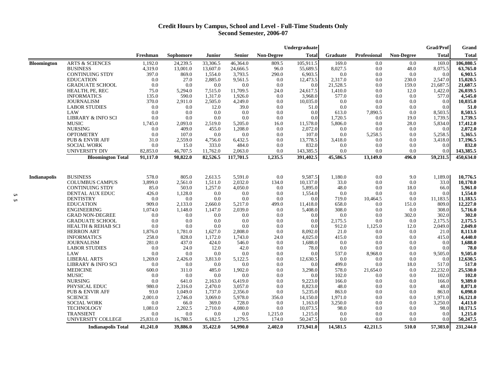#### **Credit Hours by Campus, School and Level - Full-Time Students Only Second Semester, 2006-07**

|                    |                                                 |                      |                      |                     |                     |                   | Undergraduate         |                 |                 |              | <b>Grad/Prof</b> | Grand                  |
|--------------------|-------------------------------------------------|----------------------|----------------------|---------------------|---------------------|-------------------|-----------------------|-----------------|-----------------|--------------|------------------|------------------------|
|                    |                                                 | Freshman             | Sophomore            | Junior              | Senior              | <b>Non-Degree</b> | <b>Total</b>          | Graduate        | Professional    | Non-Degree   | <b>Total</b>     | <b>Total</b>           |
| <b>Bloomington</b> | <b>ARTS &amp; SCIENCES</b>                      | 1,192.0              | 24,239.5             | 33,306.5            | 46,364.0            | 809.5             | 105,911.5             | 169.0           | 0.0             | 0.0          | 169.0            | $\overline{106,}080.5$ |
|                    | <b>BUSINESS</b>                                 | 4,319.0              | 13,001.0             | 13,607.0            | 24,666.5            | 96.0              | 55,689.5              | 8,027.5         | 0.0             | 48.0         | 8,075.5          | 63,765.0               |
|                    | <b>CONTINUING STDY</b>                          | 397.0                | 869.0                | 1,554.0             | 3,793.5             | 290.0             | 6,903.5               | 0.0             | 0.0             | 0.0          | 0.0              | 6,903.5                |
|                    | <b>EDUCATION</b>                                | 0.0                  | 27.0                 | 2,885.0             | 9,561.5             | $0.0\,$           | 12,473.5              | 2,317.0         | 0.0             | 230.0        | 2,547.0          | 15,020.5               |
|                    | <b>GRADUATE SCHOOL</b>                          | 0.0                  | 0.0                  | 0.0                 | 0.0                 | 0.0               | 0.0 <sub>l</sub>      | 21,528.5        | 0.0             | 159.0        | 21,687.5         | 21,687.5               |
|                    | HEALTH, PE, REC                                 | 75.0                 | 5,294.0              | 7,515.0             | 11,709.5            | 24.0              | 24,617.5              | 1,410.0         | 0.0             | 12.0         | 1,422.0          | 26,039.5               |
|                    | <b>INFORMATICS</b>                              | 135.0                | 590.0                | 1,317.0             | 1,926.0             | 0.0               | 3,968.0               | 577.0           | 0.0             | 0.0          | 577.0            | 4,545.0                |
|                    | <b>JOURNALISM</b>                               | 370.0                | 2,911.0              | 2,505.0             | 4,249.0             | 0.0               | 10,035.0              | 0.0             | 0.0             | 0.0          | 0.0              | 10,035.0               |
|                    | <b>LABOR STUDIES</b>                            | 0.0                  | 0.0                  | 12.0                | 39.0                | 0.0               | 51.0                  | 0.0             | 0.0             | 0.0          | 0.0              | 51.0                   |
|                    | LAW                                             | 0.0                  | 0.0                  | 0.0                 | 0.0                 | $0.0\,$           | 0.0 <sub>l</sub>      | 613.0           | 7,890.5         | 0.0          | 8,503.5          | 8,503.5                |
|                    | <b>LIBRARY &amp; INFO SCI</b>                   | 0.0                  | 0.0                  | 0.0                 | 0.0                 | $0.0\,$           | 0.0 <sub>l</sub>      | 1,720.5         | 0.0             | 19.0         | 1,739.5          | 1,739.5                |
|                    | <b>MUSIC</b>                                    | 1,745.0              | 2,093.0              | 2,519.0             | 5,205.0             | 16.0              | 11,578.0              | 5,806.0         | 0.0             | 28.0         | 5,834.0          | 17,412.0               |
|                    | <b>NURSING</b>                                  | 0.0                  | 409.0                | 455.0               | 1,208.0             | 0.0               | 2,072.0               | 0.0             | 0.0             | 0.0          | 0.0              | 2,072.0                |
|                    | <b>OPTOMETRY</b>                                | 0.0                  | 107.0                | 0.0                 | 0.0                 | 0.0               | 107.0                 | 0.0             | 5,258.5         | 0.0          | 5,258.5          | 5,365.5                |
|                    | <b>PUB &amp; ENVIR AFF</b>                      | 31.0                 | 2,559.0              | 4,756.0             | 6,432.5             | 0.0               | 13,778.5              | 3,418.0         | 0.0             | 0.0          | 3,418.0          | 17,196.5               |
|                    | <b>SOCIAL WORK</b>                              | 0.0                  | 15.0                 | 333.0               | 484.0               | 0.0               | 832.0                 | 0.0             | 0.0             | 0.0          | 0.0              | 832.0                  |
|                    | UNIVERSITY DIV                                  | 82,853.0             | 46,707.5             | 11,762.0            | 2,063.0             | 0.0               | 143,385.5             | 0.0             | 0.0             | 0.0          | 0.0              | 143,385.5              |
|                    | <b>Bloomington Total</b>                        | 91,117.0             | 98,822.0             | 82,526.5            | 117,701.5           | 1,235.5           | 391,402.5             | 45,586.5        | 13,149.0        | 496.0        | 59,231.5         | 450,634.0              |
|                    |                                                 |                      |                      |                     |                     |                   |                       |                 |                 |              |                  |                        |
| Indianapolis       | <b>BUSINESS</b>                                 | 578.0                | 805.0                | 2,613.5             | 5,591.0             | $0.0\,$           | 9,587.5               | 1,180.0         | 0.0             | 9.0          | 1,189.0          | 10,776.5               |
|                    | <b>COLUMBUS CAMPUS</b>                          | 3,899.0              | 2,561.0              | 1,511.0             | 2,032.0             | 134.0             | 10,137.0              | 33.0            | 0.0             | 0.0          | 33.0             | 10,170.0               |
|                    | <b>CONTINUING STDY</b>                          | 85.0                 | 503.0                | 1,257.0             | 4,050.0             | 0.0               | 5,895.0               | 48.0            | 0.0             | 18.0         | 66.0             | 5,961.0                |
|                    | DENTAL AUX EDUC                                 | 426.0                | 1,128.0              | 0.0                 | 0.0                 | 0.0               | 1,554.0               | 0.0             | 0.0             | 0.0          | 0.0              | 1,554.0                |
|                    | <b>DENTISTRY</b>                                | 0.0                  | 0.0                  | 0.0                 | 0.0                 | 0.0               | 0.0                   | 719.0           | 10,464.5        | 0.0          | 11,183.5         | 11,183.5               |
|                    | <b>EDUCATION</b>                                | 909.0                | 2,133.0              | 2,660.0             | 5,217.0             | 499.0             | 11,418.0              | 658.0           | 0.0             | 151.0        | 809.0            | 12,227.0               |
|                    | <b>ENGINEERING</b>                              | 1,074.0              | 1,148.0              | 1,147.0             | 2,039.0             | 0.0               | 5,408.0               | 308.0           | 0.0             | 0.0          | 308.0            | 5,716.0                |
|                    | <b>GRAD NON-DEGREE</b>                          | 0.0                  | 0.0                  | 0.0                 | 0.0                 | 0.0               | 0.0                   | 0.0             | 0.0             | 302.0        | 302.0            | 302.0                  |
|                    | <b>GRADUATE SCHOOL</b>                          | 0.0                  | 0.0                  | 0.0                 | 0.0                 | 0.0               | 0.0                   | 2,175.5         | 0.0             | 0.0          | 2,175.5          | 2,175.5                |
|                    | <b>HEALTH &amp; REHAB SCI</b>                   | 0.0                  | 0.0                  | 0.0                 | 0.0                 | 0.0               | 0.0                   | 912.0           | 1,125.0         | 12.0         | 2,049.0          | 2,049.0                |
|                    | <b>HERRON ART</b>                               | 1,876.0              | 1,781.0              | 1,627.0             | 2,808.0             | 0.0               | 8,092.0               | 21.0            | 0.0             | 0.0          | 21.0             | 8,113.0                |
|                    | <b>INFORMATICS</b>                              | 258.0                | 828.0                | 1,172.0             | 1,743.0             | 24.0              | 4,025.0               | 415.0           | 0.0             | 0.0          | 415.0            | 4,440.0                |
|                    | <b>JOURNALISM</b>                               | 281.0                | 437.0                | 424.0               | 546.0               | 0.0               | 1,688.0               | 0.0             | 0.0             | 0.0          | 0.0              | 1,688.0                |
|                    | <b>LABOR STUDIES</b>                            | 0.0                  | 24.0                 | 12.0                | 42.0                | 0.0               | 78.0                  | 0.0             | 0.0             | 0.0          | 0.0              | 78.0                   |
|                    | LAW                                             | 0.0                  | 0.0                  | 0.0                 | 0.0                 | 0.0               | 0.0                   | 537.0           | 8,968.0         | 0.0          | 9,505.0          | 9,505.0                |
|                    | <b>LIBERAL ARTS</b>                             | 1,269.0              | 2,426.0              | 3,813.0             | 5,122.5             | 0.0               | 12,630.5              | 0.0             | 0.0             | 0.0          | 0.0              | 12,630.5               |
|                    | <b>LIBRARY &amp; INFO SCI</b>                   | 0.0                  | 0.0                  | 0.0                 | 0.0                 | 0.0               | 0.0                   | 499.0           | 0.0             | 18.0         | 517.0            | 517.0                  |
|                    | <b>MEDICINE</b>                                 | 600.0                | 311.0                | 485.0               | 1,902.0             | 0.0               | 3,298.0               | 578.0           | 21,654.0        | 0.0          | 22,232.0         | 25,530.0               |
|                    | <b>MUSIC</b>                                    | 0.0                  | 0.0                  | 0.0                 | 0.0                 | 0.0               | 0.0                   | 102.0           | 0.0             | 0.0          | 102.0            | 102.0                  |
|                    | <b>NURSING</b>                                  | 0.0                  | 641.0                |                     |                     | 0.0               | 9.223.0               | 166.0           |                 | 0.0          |                  | 9,389.0                |
|                    |                                                 |                      |                      | 2,163.0             | 6,419.0             |                   |                       |                 | 0.0             |              | 166.0            |                        |
|                    | PHYSICAL EDUC                                   | 980.0                | 2,316.0              | 2,470.0             | 3,057.0             | 0.0               | 8,823.0               | 48.0            | 0.0             | 0.0          | 48.0             | 8,871.0                |
|                    | <b>PUB &amp; ENVIR AFF</b>                      | 93.0                 | 1,049.0              | 1,737.0             | 2,356.0             | 0.0               | 5,235.0               | 863.0           | 0.0             | 0.0          | 863.0            | 6,098.0                |
|                    | <b>SCIENCE</b>                                  | 2,001.0              | 2,746.0              | 3,069.0             | 5,978.0             | 356.0             | 14,150.0              | 1,971.0         | 0.0             | 0.0          | 1,971.0          | 16,121.0               |
|                    | <b>SOCIAL WORK</b>                              | 0.0                  | 66.0                 | 369.0               | 728.0               | $0.0\,$           | 1,163.0               | 3,250.0         | 0.0             | 0.0          | 3,250.0          | 4,413.0                |
|                    | <b>TECHNOLOGY</b>                               | 1,081.0              | 2,202.5              | 2,710.0             | 4,080.0             | 0.0               | 10,073.5              | 98.0            | 0.0             | 0.0          | 98.0             | 10,171.5               |
|                    | <b>TRANSIENT</b>                                | 0.0                  | 0.0                  | 0.0                 | 0.0                 | 1,215.0           | 1,215.0               | 0.0             | 0.0             | 0.0          | 0.0              | 1,215.0                |
|                    | UNIVERSITY COLLEGE<br><b>Indianapolis Total</b> | 25,831.0<br>41,241.0 | 16,780.5<br>39,886.0 | 6,182.5<br>35,422.0 | 1,279.5<br>54,990.0 | 174.0<br>2,402.0  | 50,247.5<br>173,941.0 | 0.0<br>14,581.5 | 0.0<br>42,211.5 | 0.0<br>510.0 | 0.0<br>57,303.0  | 50,247.5<br>231,244.0  |
|                    |                                                 |                      |                      |                     |                     |                   |                       |                 |                 |              |                  |                        |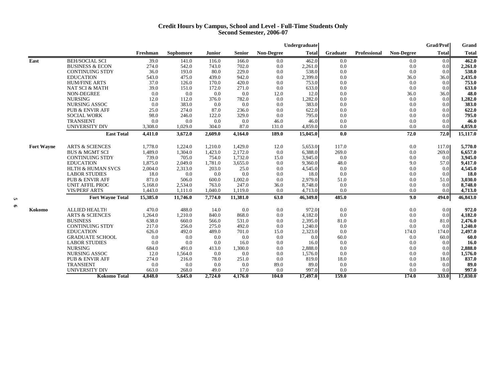#### **Credit Hours by Campus, School and Level - Full-Time Students Only Second Semester, 2006-0 7**

|                   |                                                         |          |           |               |               |                   | Undergraduate |          |                     |                   | <b>Grad/Prof</b> | Grand        |
|-------------------|---------------------------------------------------------|----------|-----------|---------------|---------------|-------------------|---------------|----------|---------------------|-------------------|------------------|--------------|
|                   |                                                         | Freshman | Sophomore | <b>Junior</b> | <b>Senior</b> | <b>Non-Degree</b> | <b>Total</b>  | Graduate | <b>Professional</b> | <b>Non-Degree</b> | <b>Total</b>     | <b>Total</b> |
| East              | <b>BEH/SOCIAL SCI</b>                                   | 39.0     | 141.0     | 116.0         | 166.0         | 0.0               | 462.0         | 0.0      |                     | 0.0               | 0.0              | 462.0        |
|                   | <b>BUSINESS &amp; ECON</b>                              | 274.0    | 542.0     | 743.0         | 702.0         | 0.0               | 2,261.0       | 0.0      |                     | 0.0               | 0.0              | 2,261.0      |
|                   | <b>CONTINUING STDY</b>                                  | 36.0     | 193.0     | 80.0          | 229.0         | 0.0               | 538.0         | 0.0      |                     | 0.0               | 0.0              | 538.0        |
|                   | <b>EDUCATION</b>                                        | 543.0    | 475.0     | 439.0         | 942.0         | 0.0               | 2,399.0       | 0.0      |                     | 36.0              | 36.0             | 2,435.0      |
|                   | <b>HUM/FINE ARTS</b>                                    | 37.0     | 126.0     | 170.0         | 420.0         | 0.0               | 753.0         | 0.0      |                     | 0.0               | 0.0              | 753.0        |
|                   | <b>NAT SCI &amp; MATH</b>                               | 39.0     | 151.0     | 172.0         | 271.0         | 0.0               | 633.0         | 0.0      |                     | 0.0               | 0.0              | 633.0        |
|                   | NON-DEGREE                                              | 0.0      | 0.0       | 0.0           | 0.0           | 12.0              | 12.0          | 0.0      |                     | 36.0              | 36.0             | 48.0         |
|                   | <b>NURSING</b>                                          | 12.0     | 112.0     | 376.0         | 782.0         | 0.0               | 1,282.0       | 0.0      |                     | 0.0               | 0.0              | 1,282.0      |
|                   | <b>NURSING ASSOC</b>                                    | 0.0      | 383.0     | 0.0           | 0.0           | 0.0               | 383.0         | 0.0      |                     | 0.0               | 0.0              | 383.0        |
|                   | <b>PUB &amp; ENVIR AFF</b>                              | 25.0     | 274.0     | 87.0          | 236.0         | 0.0               | 622.0         | 0.0      |                     | 0.0               | 0.0              | 622.0        |
|                   | <b>SOCIAL WORK</b>                                      | 98.0     | 246.0     | 122.0         | 329.0         | 0.0               | 795.0         | 0.0      |                     | 0.0               | 0.0              | 795.0        |
|                   | <b>TRANSIENT</b>                                        | 0.0      | 0.0       | 0.0           | 0.0           | 46.0              | 46.0          | 0.0      |                     | 0.0               | 0.0              | 46.0         |
|                   | <b>UNIVERSITY DIV</b>                                   | 3,308.0  | 1.029.0   | 304.0         | 87.0          | 131.0             | 4,859.0       | 0.0      |                     | 0.0               | 0.0              | 4,859.0      |
|                   | <b>East Total</b>                                       | 4,411.0  | 3.672.0   | 2,609.0       | 4,164.0       | 189.0             | 15,045.0      | 0.0      |                     | 72.0              | 72.0             | 15,117.0     |
|                   |                                                         |          |           |               |               |                   |               |          |                     |                   |                  |              |
| <b>Fort Wayne</b> | <b>ARTS &amp; SCIENCES</b><br><b>BUS &amp; MGMT SCI</b> | 1,778.0  | 1,224.0   | 1,210.0       | 1,429.0       | 12.0              | 5,653.0       | 117.0    |                     | 0.0               | 117.0            | 5,770.0      |
|                   |                                                         | 1,489.0  | 1.304.0   | 1,423.0       | 2.172.0       | 0.0               | 6.388.0       | 269.0    |                     | 0.0               | 269.0            | 6.657.0      |
|                   | <b>CONTINUING STDY</b>                                  | 739.0    | 705.0     | 754.0         | 1,732.0       | 15.0              | 3,945.0       | 0.0      |                     | 0.0               | 0.0              | 3,945.0      |
|                   | <b>EDUCATION</b>                                        | 1,875.0  | 2,049.0   | 1,781.0       | 3,655.0       | 0.0               | 9.360.0       | 48.0     |                     | 9.0               | 57.0             | 9,417.0      |
|                   | <b>HLTH &amp; HUMAN SVCS</b>                            | 2,004.0  | 2,313.0   | 203.0         | 25.0          | 0.0               | 4,545.0       | 0.0      |                     | 0.0               | 0.0              | 4,545.0      |
|                   | <b>LABOR STUDIES</b>                                    | 18.0     | 0.0       | 0.0           | 0.0           | 0.0               | 18.0          | 0.0      |                     | 0.0               | 0.0              | 18.0         |
|                   | <b>PUB &amp; ENVIR AFF</b>                              | 871.0    | 506.0     | 600.0         | 1,002.0       | 0.0               | 2,979.0       | 51.0     |                     | 0.0               | 51.0             | 3,030.0      |
|                   | <b>UNIT AFFIL PROG</b>                                  | 5,168.0  | 2,534.0   | 763.0         | 247.0         | 36.0              | 8,748.0       | 0.0      |                     | 0.0               | 0.0              | 8,748.0      |
|                   | <b>VIS/PERF ARTS</b>                                    | 1,443.0  | 1,111.0   | 1,040.0       | 1,119.0       | 0.0               | 4,713.0       | 0.0      |                     | 0.0               | 0.0              | 4,713.0      |
|                   | <b>Fort Wayne Total</b>                                 | 15,385.0 | 11,746.0  | 7,774.0       | 11,381.0      | 63.0              | 46,349.0      | 485.0    |                     | 9.0               | 494.0            | 46,843.0     |
| Kokomo            | <b>ALLIED HEALTH</b>                                    | 470.0    | 488.0     | 14.0          | 0.0           | 0.0               | 972.0         | 0.0      |                     | 0.0               | 0.0 <sub>l</sub> | 972.0        |
|                   | <b>ARTS &amp; SCIENCES</b>                              | 1,264.0  | 1,210.0   | 840.0         | 868.0         | 0.0               | 4.182.0       | 0.0      |                     | 0.0               | 0.0              | 4,182.0      |
|                   | <b>BUSINESS</b>                                         | 638.0    | 660.0     | 566.0         | 531.0         | 0.0               | 2,395.0       | 81.0     |                     | 0.0               | 81.0             | 2,476.0      |
|                   | <b>CONTINUING STDY</b>                                  | 217.0    | 256.0     | 275.0         | 492.0         | 0.0               | 1.240.0       | 0.0      |                     | 0.0               | 0.0              | 1,240.0      |
|                   | <b>EDUCATION</b>                                        | 626.0    | 492.0     | 489.0         | 701.0         | 15.0              | 2,323.0       | 0.0      |                     | 174.0             | 174.0            | 2,497.0      |
|                   | <b>GRADUATE SCHOOL</b>                                  | 0.0      | 0.0       | 0.0           | 0.0           | 0.0               | 0.0           | 60.0     |                     | 0.0               | 60.0             | 60.0         |
|                   | <b>LABOR STUDIES</b>                                    | 0.0      | 0.0       | 0.0           | 16.0          | $0.0\,$           | 16.0          | 0.0      |                     | 0.0               | 0.0              | 16.0         |
|                   | <b>NURSING</b>                                          | 684.0    | 491.0     | 413.0         | 1,300.0       | 0.0               | 2,888.0       | 0.0      |                     | 0.0               | 0.0              | 2,888.0      |
|                   | <b>NURSING ASSOC</b>                                    | 12.0     | 1,564.0   | 0.0           | 0.0           | 0.0               | 1,576.0       | 0.0      |                     | 0.0               | 0.0              | 1,576.0      |
|                   | <b>PUB &amp; ENVIR AFF</b>                              | 274.0    | 216.0     | 78.0          | 251.0         | 0.0               | 819.0         | 18.0     |                     | 0.0               | 18.0             | 837.0        |
|                   | <b>TRANSIENT</b>                                        | 0.0      | 0.0       | 0.0           | 0.0           | 89.0              | 89.0          | 0.0      |                     | 0.0               | 0.0              | 89.0         |
|                   | UNIVERSITY DIV                                          | 663.0    | 268.0     | 49.0          | 17.0          | 0.0               | 997.0         | 0.0      |                     | 0.0               | 0.0              | 997.0        |
|                   | <b>Kokomo Total</b>                                     | 4,848.0  | 5,645.0   | 2,724.0       | 4,176.0       | 104.0             | 17,497.0      | 159.0    |                     | 174.0             | 333.0            | 17,830.0     |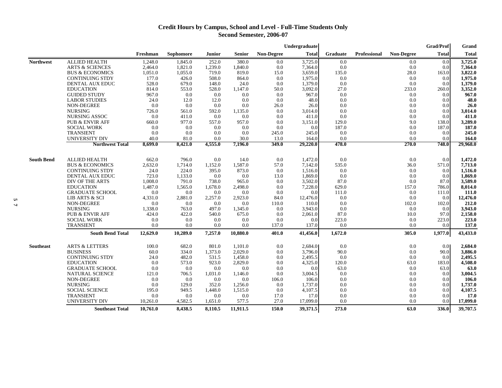### **Credit Hours by Campus, School and Level - Full-Time Students Only Second Semester, 2006-07**

|                   |                            |          |           |         |               |                   | Undergraduate |          |                     |                   | <b>Grad/Prof</b> | Grand        |
|-------------------|----------------------------|----------|-----------|---------|---------------|-------------------|---------------|----------|---------------------|-------------------|------------------|--------------|
|                   |                            | Freshman | Sophomore | Junior  | <b>Senior</b> | <b>Non-Degree</b> | <b>Total</b>  | Graduate | <b>Professional</b> | <b>Non-Degree</b> | <b>Total</b>     | <b>Total</b> |
| <b>Northwest</b>  | <b>ALLIED HEALTH</b>       | 1,248.0  | 1,845.0   | 252.0   | 380.0         | 0.0               | 3,725.0       | 0.0      |                     | 0.0               | 0.0              | 3,725.0      |
|                   | <b>ARTS &amp; SCIENCES</b> | 2,464.0  | 1,821.0   | 1,239.0 | 1,840.0       | 0.0               | 7,364.0       | 0.0      |                     | 0.0               | 0.0              | 7,364.0      |
|                   | <b>BUS &amp; ECONOMICS</b> | 1,051.0  | 1,055.0   | 719.0   | 819.0         | 15.0              | 3,659.0       | 135.0    |                     | 28.0              | 163.0            | 3,822.0      |
|                   | <b>CONTINUING STDY</b>     | 177.0    | 426.0     | 508.0   | 864.0         | 0.0               | 1,975.0       | 0.0      |                     | 0.0               | 0.0              | 1,975.0      |
|                   | DENTAL AUX EDUC            | 528.0    | 679.0     | 148.0   | 24.0          | 0.0               | 1,379.0       | 0.0      |                     | 0.0               | 0.0              | 1,379.0      |
|                   | <b>EDUCATION</b>           | 814.0    | 553.0     | 528.0   | 1,147.0       | 50.0              | 3,092.0       | 27.0     |                     | 233.0             | 260.0            | 3,352.0      |
|                   | <b>GUIDED STUDY</b>        | 967.0    | 0.0       | 0.0     | 0.0           | 0.0               | 967.0         | 0.0      |                     | 0.0               | 0.0              | 967.0        |
|                   | <b>LABOR STUDIES</b>       | 24.0     | 12.0      | 12.0    | 0.0           | 0.0               | 48.0          | 0.0      |                     | 0.0               | 0.0              | 48.0         |
|                   | NON-DEGREE                 | 0.0      | 0.0       | 0.0     | 0.0           | 26.0              | 26.0          | 0.0      |                     | 0.0               | 0.0              | 26.0         |
|                   | <b>NURSING</b>             | 726.0    | 561.0     | 592.0   | 1,135.0       | 0.0               | 3,014.0       | 0.0      |                     | 0.0               | 0.0              | 3,014.0      |
|                   | NURSING ASSOC              | 0.0      | 411.0     | 0.0     | 0.0           | 0.0               | 411.0         | 0.0      |                     | 0.0               | 0.0              | 411.0        |
|                   | <b>PUB &amp; ENVIR AFF</b> | 660.0    | 977.0     | 557.0   | 957.0         | 0.0               | 3,151.0       | 129.0    |                     | 9.0               | 138.0            | 3,289.0      |
|                   | <b>SOCIAL WORK</b>         | 0.0      | 0.0       | 0.0     | 0.0           | 0.0               | 0.0           | 187.0    |                     | 0.0               | 187.0            | 187.0        |
|                   | <b>TRANSIENT</b>           | 0.0      | 0.0       | 0.0     | 0.0           | 245.0             | 245.0         | 0.0      |                     | 0.0               | 0.0              | 245.0        |
|                   | <b>UNIVERSITY DIV</b>      | 40.0     | 81.0      | 0.0     | 30.0          | 13.0              | 164.0         | 0.0      |                     | 0.0               | (0.0)            | 164.0        |
|                   | Northwest Total            | 8,699.0  | 8,421.0   | 4,555.0 | 7,196.0       | 349.0             | 29,220.0      | 478.0    |                     | 270.0             | 748.0            | 29,968.0     |
| <b>South Bend</b> | <b>ALLIED HEALTH</b>       | 662.0    | 796.0     | 0.0     | 14.0          | 0.0               | 1,472.0       | 0.0      |                     | 0.0               | 0.0              | 1,472.0      |
|                   | <b>BUS &amp; ECONOMICS</b> | 2,632.0  | 1,714.0   | 1,152.0 | 1,587.0       | 57.0              | 7,142.0       | 535.0    |                     | 36.0              | 571.0            | 7,713.0      |
|                   | <b>CONTINUING STDY</b>     | 24.0     | 224.0     | 395.0   | 873.0         | 0.0               | 1,516.0       | 0.0      |                     | 0.0               | 0.0              | 1,516.0      |
|                   | DENTAL AUX EDUC            | 723.0    | 1,133.0   | 0.0     | 0.0           | 13.0              | 1,869.0       | 0.0      |                     | 0.0               | 0.0              | 1,869.0      |
|                   | DIV OF THE ARTS            | 1,008.0  | 791.0     | 738.0   | 965.0         | 0.0               | 3,502.0       | 87.0     |                     | 0.0               | 87.0             | 3,589.0      |
|                   | <b>EDUCATION</b>           | 1,487.0  | 1,565.0   |         |               | 0.0               | 7,228.0       | 629.0    |                     | 157.0             | 786.0            | 8,014.0      |
|                   |                            |          | 0.0       | 1,678.0 | 2,498.0       |                   |               |          |                     |                   |                  |              |
|                   | <b>GRADUATE SCHOOL</b>     | 0.0      |           | 0.0     | 0.0           | 0.0               | 0.0           | 111.0    |                     | 0.0               | 111.0            | 111.0        |
|                   | <b>LIB ARTS &amp; SCI</b>  | 4,331.0  | 2,881.0   | 2,257.0 | 2,923.0       | 84.0              | 12,476.0      | 0.0      |                     | 0.0               | 0.0              | 12,476.0     |
|                   | NON-DEGREE                 | 0.0      | 0.0       | 0.0     | 0.0           | 110.0             | 110.0         | 0.0      |                     | 102.0             | 102.0            | 212.0        |
|                   | <b>NURSING</b>             | 1,338.0  | 763.0     | 497.0   | 1,345.0       | 0.0               | 3,943.0       | 0.0      |                     | 0.0               | 0.0              | 3,943.0      |
|                   | <b>PUB &amp; ENVIR AFF</b> | 424.0    | 422.0     | 540.0   | 675.0         | 0.0               | 2,061.0       | 87.0     |                     | 10.0              | 97.0             | 2,158.0      |
|                   | <b>SOCIAL WORK</b>         | 0.0      | 0.0       | 0.0     | 0.0           | 0.0               | 0.0           | 223.0    |                     | 0.0               | 223.0            | 223.0        |
|                   | <b>TRANSIENT</b>           | 0.0      | 0.0       | 0.0     | 0.0           | 137.0             | 137.0         | $0.0\,$  |                     | 0.0               | 0.0              | 137.0        |
|                   | <b>South Bend Total</b>    | 12,629.0 | 10,289.0  | 7,257.0 | 10,880.0      | 401.0             | 41,456.0      | 1,672.0  |                     | 305.0             | 1,977.0          | 43,433.0     |
| <b>Southeast</b>  | <b>ARTS &amp; LETTERS</b>  | 100.0    | 682.0     | 801.0   | 1,101.0       | 0.0               | 2,684.0       | 0.0      |                     | 0.0               | 0.0              | 2,684.0      |
|                   | <b>BUSINESS</b>            | 60.0     | 334.0     | 1,373.0 | 2,029.0       | 0.0               | 3,796.0       | 90.0     |                     | 0.0               | 90.0             | 3,886.0      |
|                   | <b>CONTINUING STDY</b>     | 24.0     | 482.0     | 531.5   | 1,458.0       | 0.0               | 2,495.5       | 0.0      |                     | 0.0               | 0.0              | 2,495.5      |
|                   | <b>EDUCATION</b>           | 0.0      | 573.0     | 923.0   | 2,829.0       | 0.0               | 4,325.0       | 120.0    |                     | 63.0              | 183.0            | 4,508.0      |
|                   | <b>GRADUATE SCHOOL</b>     | 0.0      | $0.0\,$   | 0.0     | 0.0           | 0.0               | 0.0           | 63.0     |                     | 0.0               | 63.0             | 63.0         |
|                   | <b>NATURAL SCIENCE</b>     | 121.0    | 706.5     | 1,031.0 | 1,146.0       | 0.0               | 3,004.5       | $0.0\,$  |                     | 0.0               | 0.0              | 3,004.5      |
|                   | NON-DEGREE                 | 0.0      | $0.0\,$   | 0.0     | 0.0           | 106.0             | 106.0         | $0.0\,$  |                     | 0.0               | 0.0              | 106.0        |
|                   | <b>NURSING</b>             | 0.0      | 129.0     | 352.0   | 1,256.0       | 0.0               | 1,737.0       | 0.0      |                     | 0.0               | 0.0              | 1,737.0      |
|                   | <b>SOCIAL SCIENCE</b>      | 195.0    | 949.5     | 1,448.0 | 1,515.0       | 0.0               | 4,107.5       | 0.0      |                     | 0.0               | 0.0              | 4,107.5      |
|                   | <b>TRANSIENT</b>           | 0.0      | 0.0       | 0.0     | 0.0           | 17.0              | 17.0          | 0.0      |                     | 0.0               | 0.0              | 17.0         |
|                   | <b>UNIVERSITY DIV</b>      | 10,261.0 | 4,582.5   | 1,651.0 | 577.5         | 27.0              | 17,099.0      | 0.0      |                     | 0.0               | 0.0              | 17,099.0     |
|                   | <b>Southeast Total</b>     | 10,761.0 | 8,438.5   | 8,110.5 | 11,911.5      | 150.0             | 39,371.5      | 273.0    |                     | 63.0              | 336.0            | 39,707.5     |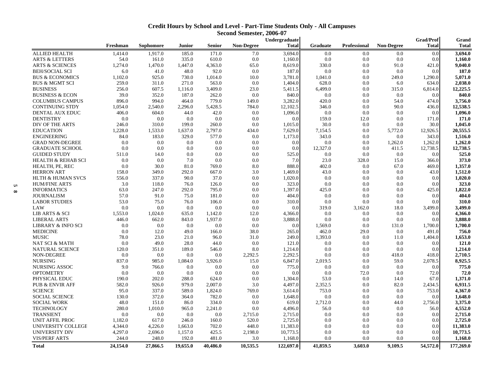| <b>Credit Hours by School and Level - Part-Time Students Only - All Campuses</b> |
|----------------------------------------------------------------------------------|
| Second Semester, 2006-07                                                         |

|          |                               |          |           |               |               |                   | Undergraduate |          |              |            | <b>Grad/Prof</b> | Grand        |
|----------|-------------------------------|----------|-----------|---------------|---------------|-------------------|---------------|----------|--------------|------------|------------------|--------------|
|          |                               | Freshman | Sophomore | <b>Junior</b> | <b>Senior</b> | <b>Non-Degree</b> | <b>Total</b>  | Graduate | Professional | Non-Degree | <b>Total</b>     | <b>Total</b> |
|          | <b>ALLIED HEALTH</b>          | 1.414.0  | 1,917.0   | 185.0         | 171.0         | 7.0               | 3,694.0       | 0.0      | 0.0          | 0.0        | 0.0              | 3.694.0      |
|          | <b>ARTS &amp; LETTERS</b>     | 54.0     | 161.0     | 335.0         | 610.0         | 0.0               | 1,160.0       | 0.0      | 0.0          | 0.0        | 0.0              | 1,160.0      |
|          | <b>ARTS &amp; SCIENCES</b>    | 1,274.0  | 1,470.0   | 1,447.0       | 4,363.0       | 65.0              | 8,619.0       | 330.0    | 0.0          | 91.0       | 421.0            | 9,040.0      |
|          | <b>BEH/SOCIAL SCI</b>         | 6.0      | 41.0      | 48.0          | 92.0          | 0.0               | 187.0         | 0.0      | 0.0          | 0.0        | 0.0              | 187.0        |
|          | <b>BUS &amp; ECONOMICS</b>    | 1,102.0  | 925.0     | 730.0         | 1,014.0       | 10.0              | 3,781.0       | 1,041.0  | 0.0          | 249.0      | 1,290.0          | 5,071.0      |
|          | <b>BUS &amp; MGMT SCI</b>     | 259.0    | 311.0     | 271.0         | 563.0         | 0.0               | 1,404.0       | 628.0    | 0.0          | 6.0        | 634.0            | 2.038.0      |
|          | <b>BUSINESS</b>               | 256.0    | 607.5     | 1,116.0       | 3,409.0       | 23.0              | 5,411.5       | 6,499.0  | 0.0          | 315.0      | 6,814.0          | 12,225.5     |
|          | <b>BUSINESS &amp; ECON</b>    | 39.0     | 352.0     | 187.0         | 262.0         | 0.0               | 840.0         | 0.0      | 0.0          | 0.0        | 0.0              | 840.0        |
|          | <b>COLUMBUS CAMPUS</b>        | 896.0    | 994.0     | 464.0         | 779.0         | 149.0             | 3,282.0       | 420.0    | 0.0          | 54.0       | 474.0            | 3,756.0      |
|          | <b>CONTINUING STDY</b>        | 1,054.0  | 2,540.0   | 2,296.0       | 5,428.5       | 784.0             | 12,102.5      | 346.0    | 0.0          | 90.0       | 436.0            | 12,538.5     |
|          | DENTAL AUX EDUC               | 406.0    | 604.0     | 44.0          | 42.0          | 0.0               | 1,096.0       | 0.0      | 0.0          | 0.0        | 0.0              | 1,096.0      |
|          | <b>DENTISTRY</b>              | 0.0      | 0.0       | 0.0           | 0.0           | 0.0               | 0.0           | 159.0    | 12.0         | 0.0        | 171.0            | 171.0        |
|          | <b>DIV OF THE ARTS</b>        | 246.0    | 310.0     | 199.0         | 260.0         | 0.0               | 1,015.0       | 30.0     | 0.0          | 0.0        | 30.0             | 1,045.0      |
|          | <b>EDUCATION</b>              | 1,228.0  | 1,533.0   | 1,637.0       | 2,797.0       | 434.0             | 7,629.0       | 7,154.5  | 0.0          | 5,772.0    | 12,926.5         | 20,555.5     |
|          | <b>ENGINEERING</b>            | 84.0     | 183.0     | 329.0         | 577.0         | 0.0               | 1,173.0       | 343.0    | 0.0          | 0.0        | 343.0            | 1,516.0      |
|          | <b>GRAD NON-DEGREE</b>        | 0.0      | 0.0       | 0.0           | 0.0           | 0.0               | 0.0           | 0.0      | 0.0          | 1,262.0    | 1,262.0          | 1,262.0      |
|          | <b>GRADUATE SCHOOL</b>        | 0.0      | 0.0       | 0.0           | 0.0           | 0.0               | 0.0           | 12,327.0 | 0.0          | 411.5      | 12,738.5         | 12,738.5     |
|          | <b>GUIDED STUDY</b>           | 511.0    | 14.0      | 0.0           | 0.0           | 0.0               | 525.0         | 0.0      | 0.0          | 0.0        | 0.0              | 525.0        |
|          | <b>HEALTH &amp; REHAB SCI</b> | 0.0      | 0.0       | 7.0           | 0.0           | 0.0               | 7.0           | 23.0     | 328.0        | 15.0       | 366.0            | 373.0        |
|          | HEALTH, PE, REC               | 0.0      | 30.0      | 81.0          | 769.0         | 8.0               | 888.0         | 402.0    | 0.0          | 67.0       | 469.0            | 1,357.0      |
|          | <b>HERRON ART</b>             | 158.0    | 349.0     | 292.0         | 667.0         | 3.0               | 1,469.0       | 43.0     | 0.0          | 0.0        | 43.0             | 1,512.0      |
|          | <b>HLTH &amp; HUMAN SVCS</b>  | 556.0    | 337.0     | 90.0          | 37.0          | 0.0               | 1,020.0       | 0.0      | 0.0          | 0.0        | 0.0              | 1,020.0      |
|          | <b>HUM/FINE ARTS</b>          | 3.0      | 118.0     | 76.0          | 126.0         | 0.0               | 323.0         | 0.0      | 0.0          | 0.0        | 0.0              | 323.0        |
| <b>u</b> | <b>INFORMATICS</b>            | 63.0     | 247.0     | 292.0         | 795.0         | 0.0               | 1,397.0       | 425.0    | 0.0          | 0.0        | 425.0            | 1,822.0      |
| $\infty$ | <b>JOURNALISM</b>             | 57.0     | 91.0      | 75.0          | 181.0         | 0.0               | 404.0         | 0.0      | 0.0          | 0.0        | 0.0              | 404.0        |
|          | <b>LABOR STUDIES</b>          | 53.0     | 75.0      | 76.0          | 106.0         | 0.0               | 310.0         | 0.0      | 0.0          | 0.0        | 0.0              | 310.0        |
|          | LAW                           | 0.0      | 0.0       | 0.0           | 0.0           | 0.0               | 0.0           | 319.0    | 3,162.0      | 18.0       | 3,499.0          | 3,499.0      |
|          | <b>LIB ARTS &amp; SCI</b>     | 1,553.0  | 1,024.0   | 635.0         | 1,142.0       | 12.0              | 4,366.0       | 0.0      | 0.0          | 0.0        | 0.0              | 4,366.0      |
|          | <b>LIBERAL ARTS</b>           | 446.0    | 662.0     | 843.0         | 1,937.0       | 0.0               | 3,888.0       | 0.0      | 0.0          | 0.0        | 0.0              | 3,888.0      |
|          | LIBRARY & INFO SCI            | 0.0      | 0.0       | 0.0           | 0.0           | 0.0               | 0.0           | 1,569.0  | 0.0          | 131.0      | 1,700.0          | 1,700.0      |
|          | <b>MEDICINE</b>               | 0.0      | 12.0      | 49.0          | 166.0         | 38.0              | 265.0         | 462.0    | 29.0         | 0.0        | 491.0            | 756.0        |
|          | <b>MUSIC</b>                  | 78.0     | 23.0      | 21.0          | 96.0          | 31.0              | 249.0         | 1,393.0  | 0.0          | 11.0       | 1,404.0          | 1,653.0      |
|          | <b>NAT SCI &amp; MATH</b>     | 0.0      | 49.0      | 28.0          | 44.0          | 0.0               | 121.0         | 0.0      | 0.0          | 0.0        | 0.0              | 121.0        |
|          | NATURAL SCIENCE               | 120.0    | 351.0     | 189.0         | 546.0         | 8.0               | 1,214.0       | 0.0      | 0.0          | 0.0        | 0.0              | 1,214.0      |
|          | NON-DEGREE                    | 0.0      | 0.0       | 0.0           | 0.0           | 2,292.5           | 2,292.5       | 0.0      | 0.0          | 418.0      | 418.0            | 2,710.5      |
|          | <b>NURSING</b>                | 837.0    | 985.0     | 1,084.0       | 3,926.0       | 15.0              | 6,847.0       | 2,019.5  | 0.0          | 59.0       | 2,078.5          | 8,925.5      |
|          | NURSING ASSOC                 | 9.0      | 766.0     | 0.0           | 0.0           | 0.0               | 775.0         | 0.0      | 0.0          | 0.0        | 0.0              | 775.0        |
|          | <b>OPTOMETRY</b>              | 0.0      | 0.0       | 0.0           | 0.0           | 0.0               | 0.0           | 0.0      | 72.0         | 0.0        | 72.0             | 72.0         |
|          | PHYSICAL EDUC                 | 190.0    | 202.0     | 288.0         | 624.0         | 0.0               | 1,304.0       | 53.0     | 0.0          | 14.0       | 67.0             | 1,371.0      |
|          | <b>PUB &amp; ENVIR AFF</b>    | 582.0    | 926.0     | 979.0         | 2,007.0       | 3.0               | 4,497.0       | 2,352.5  | 0.0          | 82.0       | 2,434.5          | 6,931.5      |
|          | <b>SCIENCE</b>                | 95.0     | 337.0     | 589.0         | 1,824.0       | 769.0             | 3,614.0       | 753.0    | 0.0          | 0.0        | 753.0            | 4,367.0      |
|          | <b>SOCIAL SCIENCE</b>         | 130.0    | 372.0     | 364.0         | 782.0         | 0.0               | 1,648.0       | 0.0      | 0.0          | 0.0        | 0.0              | 1,648.0      |
|          | <b>SOCIAL WORK</b>            | 48.0     | 151.0     | 86.0          | 334.0         | 0.0               | 619.0         | 2,712.0  | 0.0          | 44.0       | 2,756.0          | 3,375.0      |
|          | <b>TECHNOLOGY</b>             | 280.0    | 1,010.0   | 965.0         | 2,241.0       | 0.0               | 4,496.0       | 56.0     | 0.0          | 0.0        | 56.0             | 4,552.0      |
|          | <b>TRANSIENT</b>              | 0.0      | 0.0       | 0.0           | 0.0           | 2,715.0           | 2,715.0       | 0.0      | 0.0          | 0.0        | 0.0              | 2,715.0      |
|          | <b>UNIT AFFIL PROG</b>        | 1,182.0  | 617.0     | 246.0         | 160.0         | 520.0             | 2,725.0       | 0.0      | 0.0          | 0.0        | 0.0              | 2,725.0      |
|          | UNIVERSITY COLLEGE            | 4,344.0  | 4,226.0   | 1,663.0       | 702.0         | 448.0             | 11,383.0      | 0.0      | 0.0          | 0.0        | 0.0              | 11,383.0     |
|          | UNIVERSITY DIV                | 4,297.0  | 2,696.0   | 1,157.0       | 425.5         | 2,198.0           | 10,773.5      | 0.0      | 0.0          | 0.0        | 0.0              | 10,773.5     |
|          | <b>VIS/PERF ARTS</b>          | 244.0    | 248.0     | 192.0         | 481.0         | 3.0               | 1.168.0       | 0.0      | 0.0          | 0.0        | 0.0              | 1.168.0      |
|          | <b>Total</b>                  | 24,154.0 | 27,866.5  | 19,655.0      | 40.486.0      | 10.535.5          | 122,697.0     | 41,859.5 | 3,603.0      | 9,109.5    | 54,572.0         | 177,269.0    |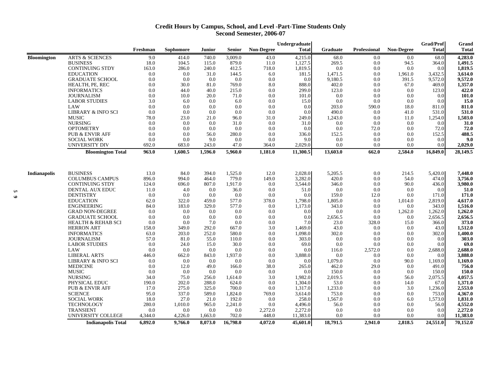### **Credit Hours by Campus, School, and Level -Part-Time Students Only Second Semester, 2006-07**

|                     |                                                         |            |                  |            |               |            | Undergraduate |                 |              |                   | <b>Grad/Prof</b> | Grand              |
|---------------------|---------------------------------------------------------|------------|------------------|------------|---------------|------------|---------------|-----------------|--------------|-------------------|------------------|--------------------|
|                     |                                                         | Freshman   | <b>Sophomore</b> | Junior     | <b>Senior</b> | Non-Degree | <b>Total</b>  | Graduate        | Professional | <b>Non-Degree</b> | <b>Total</b>     | <b>Total</b>       |
| <b>Bloomington</b>  | <b>ARTS &amp; SCIENCES</b>                              | 9.0        | 414.0            | 740.0      | 3,009.0       | 43.0       | 4,215.0       | 68.0            | 0.0          | 0.0               | 68.0             | 4,283.0            |
|                     | <b>BUSINESS</b>                                         | 18.0       | 104.5            | 115.0      | 879.0         | 11.0       | 1,127.5       | 269.5           | 0.0          | 94.5              | 364.0            | 1,491.5            |
|                     | <b>CONTINUING STDY</b>                                  | 163.0      | 286.0            | 240.0      | 412.5         | 718.0      | 1,819.5       | 0.0             | 0.0          | 0.0               | 0.0              | 1,819.5            |
|                     | <b>EDUCATION</b>                                        | 0.0        | 0.0              | 31.0       | 144.5         | 6.0        | 181.5         | 1,471.5         | 0.0          | 1,961.0           | 3,432.5          | 3,614.0            |
|                     | <b>GRADUATE SCHOOL</b>                                  | 0.0        | 0.0              | 0.0        | 0.0           | 0.0        | 0.0           | 9,180.5         | 0.0          | 391.5             | 9,572.0          | 9,572.0            |
|                     | HEALTH, PE, REC                                         | 0.0        | 30.0             | 81.0       | 769.0         | 8.0        | 888.0         | 402.0           | 0.0          | 67.0              | 469.0            | 1,357.0            |
|                     | <b>INFORMATICS</b>                                      | 0.0        | 44.0             | 40.0       | 215.0         | 0.0        | 299.0         | 123.0           | 0.0          | 0.0               | 123.0            | 422.0              |
|                     | <b>JOURNALISM</b>                                       | 0.0        | 10.0             | 20.0       | 71.0          | 0.0        | 101.0         | 0.0             | 0.0          | 0.0               | 0.0              | 101.0              |
|                     | <b>LABOR STUDIES</b>                                    | 3.0        | 6.0              | 0.0        | 6.0           | 0.0        | 15.0          | 0.0             | 0.0          | 0.0               | 0.0              | 15.0               |
|                     | LAW                                                     | 0.0        | 0.0              | 0.0        | 0.0           | 0.0        | 0.0           | 203.0           | 590.0        | 18.0              | 811.0            | 811.0              |
|                     | LIBRARY & INFO SCI                                      | 0.0        | 0.0              | 0.0        | 0.0           | 0.0        | 0.0           | 490.0           | 0.0          | 41.0              | 531.0            | 531.0              |
|                     | <b>MUSIC</b>                                            | 78.0       | 23.0             | 21.0       | 96.0          | 31.0       | 249.0         | 1,243.0         | 0.0          | 11.0              | 1,254.0          | 1,503.0            |
|                     | <b>NURSING</b>                                          | 0.0        | 0.0              | 0.0        | 31.0          | 0.0        | 31.0          | 0.0             | 0.0          | 0.0               | 0.0              | 31.0               |
|                     | <b>OPTOMETRY</b>                                        | 0.0        | 0.0              | 0.0        | 0.0           | 0.0        | 0.0           | 0.0             | 72.0         | 0.0               | 72.0             | 72.0               |
|                     | <b>PUB &amp; ENVIR AFF</b>                              | 0.0        | 0.0              | 56.0       | 280.0         | 0.0        | 336.0         | 152.5           | 0.0          | 0.0               | 152.5            | 488.5              |
|                     | <b>SOCIAL WORK</b>                                      | 0.0        | 0.0              | 9.0        | 0.0           | 0.0        | 9.0           | 0.0             | 0.0          | 0.0               | 0.0              | 9.0                |
|                     | UNIVERSITY DIV                                          | 692.0      | 683.0            | 243.0      | 47.0          | 364.0      | 2,029.0       | 0.0             | 0.0          | 0.0               | 0.0              | 2,029.0            |
|                     | <b>Bloomington Total</b>                                | 963.0      | 1,600.5          | 1,596.0    | 5,960.0       | 1,181.0    | 11,300.5      | 13,603.0        | 662.0        | 2,584.0           | 16,849.0         | 28,149.5           |
|                     |                                                         |            |                  |            |               |            |               |                 |              |                   |                  |                    |
| <b>Indianapolis</b> | <b>BUSINESS</b>                                         | 13.0       | 84.0             | 394.0      | 1,525.0       | 12.0       | 2,028.0       | 5,205.5         | 0.0          | 214.5             | 5,420.0          | 7,448.0            |
|                     | <b>COLUMBUS CAMPUS</b>                                  | 896.0      | 994.0            | 464.0      | 779.0         | 149.0      | 3,282.0       | 420.0           | 0.0          | 54.0              | 474.0            | 3,756.0            |
|                     | <b>CONTINUING STDY</b>                                  | 124.0      | 696.0            | 807.0      | 1,917.0       | 0.0        | 3,544.0       | 346.0           | 0.0          | 90.0              | 436.0            | 3,980.0            |
|                     | DENTAL AUX EDUC                                         | 11.0       | 4.0              | 0.0        | 36.0          | 0.0        | 51.0          | 0.0             | 0.0          | 0.0               | 0.0              | 51.0               |
|                     | <b>DENTISTRY</b>                                        | 0.0        | 0.0              | 0.0        | 0.0           | 0.0        | 0.0           | 159.0           | 12.0         | 0.0               | 171.0            | 171.0              |
|                     | <b>EDUCATION</b>                                        | 62.0       | 322.0            | 459.0      | 577.0         | 378.0      | 1,798.0       | 1,805.0         | 0.0          | 1,014.0           | 2,819.0          | 4,617.0            |
|                     | <b>ENGINEERING</b>                                      | 84.0       | 183.0            | 329.0      | 577.0         | 0.0        | 1,173.0       | 343.0           | 0.0          | 0.0               | 343.0            | 1,516.0            |
|                     | <b>GRAD NON-DEGREE</b>                                  | 0.0<br>0.0 | 0.0<br>0.0       | 0.0<br>0.0 | 0.0<br>0.0    | 0.0<br>0.0 | 0.0<br>0.0    | 0.0             | 0.0<br>0.0   | 1,262.0<br>0.0    | 1,262.0          | 1,262.0<br>2,656.5 |
|                     | <b>GRADUATE SCHOOL</b><br><b>HEALTH &amp; REHAB SCI</b> | 0.0        | 0.0              | 7.0        | 0.0           | 0.0        | 7.0           | 2,656.5<br>23.0 | 328.0        | 15.0              | 2,656.5<br>366.0 | 373.0              |
|                     | <b>HERRON ART</b>                                       | 158.0      | 349.0            | 292.0      | 667.0         | 3.0        | 1,469.0       | 43.0            | 0.0          | 0.0               | 43.0             | 1,512.0            |
|                     | <b>INFORMATICS</b>                                      | 63.0       | 203.0            | 252.0      | 580.0         | 0.0        | 1,098.0       | 302.0           | 0.0          | 0.0               | 302.0            | 1,400.0            |
|                     | <b>JOURNALISM</b>                                       | 57.0       | 81.0             | 55.0       | 110.0         | 0.0        | 303.0         | 0.0             | 0.0          | 0.0               | 0.0              | 303.0              |
|                     | <b>LABOR STUDIES</b>                                    | 0.0        | 24.0             | 15.0       | 30.0          | 0.0        | 69.0          | 0.0             | 0.0          | 0.0               | 0.0              | 69.0               |
|                     | LAW                                                     | 0.0        | 0.0              | 0.0        | 0.0           | 0.0        | 0.0           | 116.0           | 2,572.0      | 0.0               | 2,688.0          | 2,688.0            |
|                     | <b>LIBERAL ARTS</b>                                     | 446.0      | 662.0            | 843.0      | 1,937.0       | 0.0        | 3,888.0       | 0.0             | 0.0          | 0.0               | 0.0              | 3,888.0            |
|                     | LIBRARY & INFO SCI                                      | 0.0        | 0.0              | 0.0        | 0.0           | 0.0        | 0.0           | 1,079.0         | 0.0          | 90.0              | 1,169.0          | 1,169.0            |
|                     | <b>MEDICINE</b>                                         | 0.0        | 12.0             | 49.0       | 166.0         | 38.0       | 265.0         | 462.0           | 29.0         | 0.0               | 491.0            | 756.0              |
|                     | <b>MUSIC</b>                                            | 0.0        | 0.0              | 0.0        | 0.0           | 0.0        | 0.0           | 150.0           | 0.0          | 0.0               | 150.0            | 150.0              |
|                     | <b>NURSING</b>                                          | 34.0       | 75.0             | 256.0      | 1,614.0       | 3.0        | 1,982.0       | 2,019.5         | 0.0          | 56.0              | 2,075.5          | 4,057.5            |
|                     | PHYSICAL EDUC                                           | 190.0      | 202.0            | 288.0      | 624.0         | 0.0        | 1,304.0       | 53.0            | 0.0          | 14.0              | 67.0             | 1,371.0            |
|                     | <b>PUB &amp; ENVIR AFF</b>                              | 17.0       | 275.0            | 325.0      | 700.0         | 0.0        | 1,317.0       | 1,233.0         | 0.0          | 3.0               | 1,236.0          | 2,553.0            |
|                     | <b>SCIENCE</b>                                          | 95.0       | 337.0            | 589.0      | 1,824.0       | 769.0      | 3,614.0       | 753.0           | 0.0          | 0.0               | 753.0            | 4,367.0            |
|                     | <b>SOCIAL WORK</b>                                      | 18.0       | 27.0             | 21.0       | 192.0         | 0.0        | 258.0         | 1,567.0         | 0.0          | 6.0               | 1,573.0          | 1,831.0            |
|                     | <b>TECHNOLOGY</b>                                       | 280.0      | 1,010.0          | 965.0      | 2,241.0       | 0.0        | 4,496.0       | 56.0            | 0.0          | 0.0               | 56.0             | 4,552.0            |
|                     | <b>TRANSIENT</b>                                        | 0.0        | 0.0              | 0.0        | 0.0           | 2,272.0    | 2,272.0       | 0.0             | 0.0          | 0.0               | 0.0              | 2,272.0            |
|                     | UNIVERSITY COLLEGE                                      | 4,344.0    | 4,226.0          | 1,663.0    | 702.0         | 448.0      | 11,383.0      | 0.0             | 0.0          | 0.0               | 0.0              | 11,383.0           |
|                     | <b>Indianapolis Total</b>                               | 6,892.0    | 9,766.0          | 8.073.0    | 16,798.0      | 4.072.0    | 45,601.0      | 18,791.5        | 2,941.0      | 2,818.5           | 24,551.0         | 70,152.0           |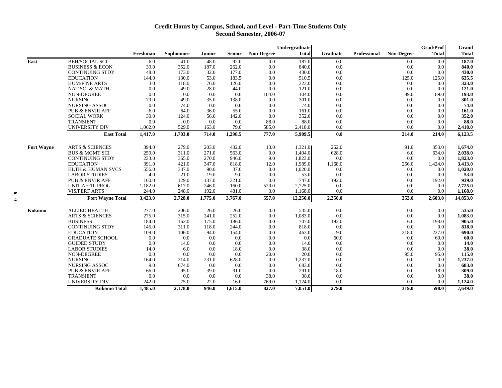### **Credit Hours by Campus, School, and Level - Part-Time Students Only Second Semester, 2006-07**

|                   |                              |          |           |         |         |            | Undergraduate |          |              |                   | <b>Grad/Prof</b> | Grand        |
|-------------------|------------------------------|----------|-----------|---------|---------|------------|---------------|----------|--------------|-------------------|------------------|--------------|
|                   |                              | Freshman | Sophomore | Junior  | Senior  | Non-Degree | <b>Total</b>  | Graduate | Professional | <b>Non-Degree</b> | <b>Total</b>     | <b>Total</b> |
| East              | <b>BEH/SOCIAL SCI</b>        | 6.0      | 41.0      | 48.0    | 92.0    | $0.0\,$    | 187.0         | $0.0\,$  |              | $0.0\,$           | 0.0              | 187.0        |
|                   | <b>BUSINESS &amp; ECON</b>   | 39.0     | 352.0     | 187.0   | 262.0   | 0.0        | 840.0         | 0.0      |              | 0.0               | 0.0              | 840.0        |
|                   | <b>CONTINUING STDY</b>       | 48.0     | 173.0     | 32.0    | 177.0   | 0.0        | 430.0         | 0.0      |              | 0.0               | 0.0              | 430.0        |
|                   | <b>EDUCATION</b>             | 144.0    | 130.0     | 53.0    | 183.5   | 0.0        | 510.5         | 0.0      |              | 125.0             | 125.0            | 635.5        |
|                   | <b>HUM/FINE ARTS</b>         | 3.0      | 118.0     | 76.0    | 126.0   | 0.0        | 323.0         | 0.0      |              | 0.0               | 0.0              | 323.0        |
|                   | <b>NAT SCI &amp; MATH</b>    | 0.0      | 49.0      | 28.0    | 44.0    | 0.0        | 121.0         | 0.0      |              | 0.0               | 0.0              | 121.0        |
|                   | NON-DEGREE                   | 0.0      | 0.0       | 0.0     | 0.0     | 104.0      | 104.0         | 0.0      |              | 89.0              | 89.0             | 193.0        |
|                   | <b>NURSING</b>               | 79.0     | 49.0      | 35.0    | 138.0   | 0.0        | 301.0         | 0.0      |              | 0.0               | 0.0              | 301.0        |
|                   | NURSING ASSOC                | 0.0      | 74.0      | 0.0     | 0.0     | 0.0        | 74.0          | 0.0      |              | 0.0               | 0.0              | 74.0         |
|                   | PUB & ENVIR AFF              | 6.0      | 64.0      | 36.0    | 55.0    | 0.0        | 161.0         | 0.0      |              | 0.0               | 0.0              | 161.0        |
|                   | <b>SOCIAL WORK</b>           | 30.0     | 124.0     | 56.0    | 142.0   | 0.0        | 352.0         | 0.0      |              | 0.0               | 0.0              | 352.0        |
|                   | <b>TRANSIENT</b>             | 0.0      | 0.0       | 0.0     | 0.0     | 88.0       | 88.0          | 0.0      |              | 0.0               | 0.0              | 88.0         |
|                   | UNIVERSITY DIV               | 1,062.0  | 529.0     | 163.0   | 79.0    | 585.0      | 2,418.0       | 0.0      |              | 0.0               | 0.0              | 2,418.0      |
|                   | <b>East Total</b>            | 1,417.0  | 1,703.0   | 714.0   | 1,298.5 | 777.0      | 5,909.5       | 0.0      |              | 214.0             | 214.0            | 6,123.5      |
| <b>Fort Wayne</b> | <b>ARTS &amp; SCIENCES</b>   | 394.0    | 279.0     | 203.0   | 432.0   | 13.0       | 1,321.0       | 262.0    |              | 91.0              | 353.0            | 1,674.0      |
|                   | <b>BUS &amp; MGMT SCI</b>    | 259.0    | 311.0     | 271.0   | 563.0   | 0.0        | 1,404.0       | 628.0    |              | 6.0               | 634.0            | 2,038.0      |
|                   | <b>CONTINUING STDY</b>       | 233.0    | 365.0     | 270.0   | 946.0   | 9.0        | 1,823.0       | 0.0      |              | 0.0               | 0.0              | 1,823.0      |
|                   | <b>EDUCATION</b>             | 391.0    | 421.0     | 347.0   | 818.0   | 12.0       | 1,989.0       | 1,168.0  |              | 256.0             | 1,424.0          | 3,413.0      |
|                   | <b>HLTH &amp; HUMAN SVCS</b> | 556.0    | 337.0     | 90.0    | 37.0    | 0.0        | 1,020.0       | 0.0      |              | 0.0               | 0.0              | 1,020.0      |
|                   | <b>LABOR STUDIES</b>         | 4.0      | 21.0      | 19.0    | 9.0     | 0.0        | 53.0          | 0.0      |              | 0.0               | 0.0              | 53.0         |
|                   | <b>PUB &amp; ENVIR AFF</b>   | 160.0    | 129.0     | 137.0   | 321.0   | 0.0        | 747.0         | 192.0    |              | 0.0               | 192.0            | 939.0        |
|                   | <b>UNIT AFFIL PROG</b>       | 1,182.0  | 617.0     | 246.0   | 160.0   | 520.0      | 2,725.0       | 0.0      |              | 0.0               | 0.0              | 2,725.0      |
|                   | <b>VIS/PERF ARTS</b>         | 244.0    | 248.0     | 192.0   | 481.0   | 3.0        | 1,168.0       | 0.0      |              | 0.0               | 0.0              | 1,168.0      |
|                   | <b>Fort Wayne Total</b>      | 3,423.0  | 2,728.0   | 1,775.0 | 3,767.0 | 557.0      | 12,250.0      | 2,250.0  |              | 353.0             | 2,603.0          | 14,853.0     |
| Kokomo            | <b>ALLIED HEALTH</b>         | 277.0    | 206.0     | 26.0    | 26.0    | 0.0        | 535.0         | 0.0      |              | 0.0               | 0.0              | 535.0        |
|                   | <b>ARTS &amp; SCIENCES</b>   | 275.0    | 315.0     | 241.0   | 252.0   | 0.0        | 1,083.0       | 0.0      |              | 0.0               | 0.0              | 1,083.0      |
|                   | <b>BUSINESS</b>              | 184.0    | 162.0     | 175.0   | 186.0   | 0.0        | 707.0         | 192.0    |              | 6.0               | 198.0            | 905.0        |
|                   | <b>CONTINUING STDY</b>       | 145.0    | 311.0     | 118.0   | 244.0   | 0.0        | 818.0         | 0.0      |              | 0.0               | 0.0              | 818.0        |
|                   | <b>EDUCATION</b>             | 109.0    | 106.0     | 94.0    | 154.0   | 0.0        | 463.0         | 9.0      |              | 218.0             | 227.0            | 690.0        |
|                   | <b>GRADUATE SCHOOL</b>       | 0.0      | 0.0       | 0.0     | 0.0     | 0.0        | 0.0           | 60.0     |              | 0.0               | 60.0             | 60.0         |
|                   | <b>GUIDED STUDY</b>          | 0.0      | 14.0      | 0.0     | 0.0     | 0.0        | 14.0          | 0.0      |              | 0.0               | 0.0              | 14.0         |
|                   | <b>LABOR STUDIES</b>         | 14.0     | 6.0       | 0.0     | 18.0    | 0.0        | 38.0          | 0.0      |              | 0.0               | 0.0              | 38.0         |
|                   | <b>NON-DEGREE</b>            | 0.0      | 0.0       | 0.0     | 0.0     | 20.0       | 20.0          | 0.0      |              | 95.0              | 95.0             | 115.0        |
|                   | <b>NURSING</b>               | 164.0    | 214.0     | 231.0   | 628.0   | 0.0        | 1,237.0       | 0.0      |              | 0.0               | 0.0              | 1,237.0      |
|                   | <b>NURSING ASSOC</b>         | 9.0      | 674.0     | 0.0     | 0.0     | 0.0        | 683.0         | 0.0      |              | 0.0               | 0.0              | 683.0        |
|                   | <b>PUB &amp; ENVIR AFF</b>   | 66.0     | 95.0      | 39.0    | 91.0    | 0.0        | 291.0         | 18.0     |              | 0.0               | 18.0             | 309.0        |
|                   | <b>TRANSIENT</b>             | 0.0      | 0.0       | 0.0     | 0.0     | 38.0       | 38.0          | 0.0      |              | 0.0               | 0.0              | 38.0         |
|                   | UNIVERSITY DIV               | 242.0    | 75.0      | 22.0    | 16.0    | 769.0      | 1,124.0       | 0.0      |              | 0.0               | 0.0              | 1,124.0      |
|                   | <b>Kokomo Total</b>          | 1.485.0  | 2,178.0   | 946.0   | 1,615.0 | 827.0      | 7.051.0       | 279.0    |              | 319.0             | 598.0            | 7,649.0      |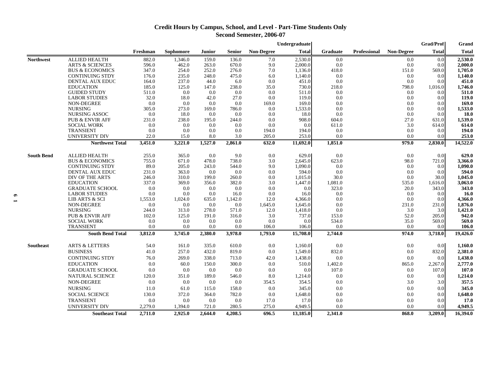### **Credit Hours by Campus, School, and Level - Part-Time Students Only Second Semester, 2006-07**

|                   |                            |          |           |         |               |            | Undergraduate |          |                     |                   | Grad/Prof    | Grand        |
|-------------------|----------------------------|----------|-----------|---------|---------------|------------|---------------|----------|---------------------|-------------------|--------------|--------------|
|                   |                            | Freshman | Sophomore | Junior  | <b>Senior</b> | Non-Degree | <b>Total</b>  | Graduate | <b>Professional</b> | <b>Non-Degree</b> | <b>Total</b> | <b>Total</b> |
| <b>Northwest</b>  | <b>ALLIED HEALTH</b>       | 882.0    | 1,346.0   | 159.0   | 136.0         | 7.0        | 2,530.0       | 0.0      |                     | 0.0               | 0.0          | 2,530.0      |
|                   | <b>ARTS &amp; SCIENCES</b> | 596.0    | 462.0     | 263.0   | 670.0         | 9.0        | 2,000.0       | 0.0      |                     | 0.0               | 0.0          | 2,000.0      |
|                   | <b>BUS &amp; ECONOMICS</b> | 347.0    | 254.0     | 252.0   | 276.0         | 7.0        | 1,136.0       | 418.0    |                     | 151.0             | 569.0        | 1,705.0      |
|                   | <b>CONTINUING STDY</b>     | 176.0    | 235.0     | 248.0   | 475.0         | 6.0        | 1,140.0       | 0.0      |                     | 0.0               | 0.0          | 1,140.0      |
|                   | DENTAL AUX EDUC            | 164.0    | 237.0     | 44.0    | 6.0           | 0.0        | 451.0         | 0.0      |                     | 0.0               | 0.0          | 451.0        |
|                   | <b>EDUCATION</b>           | 185.0    | 125.0     | 147.0   | 238.0         | 35.0       | 730.0         | 218.0    |                     | 798.0             | 1,016.0      | 1,746.0      |
|                   | <b>GUIDED STUDY</b>        | 511.0    | 0.0       | 0.0     | 0.0           | 0.0        | 511.0         | 0.0      |                     | 0.0               | 0.0          | 511.0        |
|                   | <b>LABOR STUDIES</b>       | 32.0     | 18.0      | 42.0    | 27.0          | 0.0        | 119.0         | 0.0      |                     | 0.0               | 0.0          | 119.0        |
|                   | NON-DEGREE                 | 0.0      | 0.0       | 0.0     | 0.0           | 169.0      | 169.0         | 0.0      |                     | 0.0               | 0.0          | 169.0        |
|                   | <b>NURSING</b>             | 305.0    | 273.0     | 169.0   | 786.0         | 0.0        | 1,533.0       | 0.0      |                     | 0.0               | 0.0          | 1,533.0      |
|                   | NURSING ASSOC              | 0.0      | 18.0      | 0.0     | 0.0           | 0.0        | 18.0          | 0.0      |                     | 0.0               | 0.0          | 18.0         |
|                   | PUB & ENVIR AFF            | 231.0    | 238.0     | 195.0   | 244.0         | 0.0        | 908.0         | 604.0    |                     | 27.0              | 631.0        | 1,539.0      |
|                   | <b>SOCIAL WORK</b>         | 0.0      | 0.0       | 0.0     | 0.0           | 0.0        | 0.0           | 611.0    |                     | 3.0               | 614.0        | 614.0        |
|                   | <b>TRANSIENT</b>           | 0.0      | 0.0       | 0.0     | 0.0           | 194.0      | 194.0         | 0.0      |                     | 0.0               | 0.0          | 194.0        |
|                   | UNIVERSITY DIV             | 22.0     | 15.0      | 8.0     | 3.0           | 205.0      | 253.0         | 0.0      |                     | 0.0               | 0.0          | 253.0        |
|                   | <b>Northwest Total</b>     | 3,451.0  | 3,221.0   | 1,527.0 | 2,861.0       | 632.0      | 11,692.0      | 1,851.0  |                     | 979.0             | 2,830.0      | 14,522.0     |
| <b>South Bend</b> | <b>ALLIED HEALTH</b>       | 255.0    | 365.0     | 0.0     | 9.0           | 0.0        | 629.0         | 0.0      |                     | 0.0               | 0.0          | 629.0        |
|                   | <b>BUS &amp; ECONOMICS</b> | 755.0    | 671.0     | 478.0   | 738.0         | 3.0        | 2.645.0       | 623.0    |                     | 98.0              | 721.0        | 3,366.0      |
|                   | <b>CONTINUING STDY</b>     | 89.0     | 205.0     | 243.0   | 544.0         | 9.0        | 1,090.0       | 0.0      |                     | 0.0               | 0.0          | 1,090.0      |
|                   | DENTAL AUX EDUC            | 231.0    | 363.0     | 0.0     | 0.0           | 0.0        | 594.0         | 0.0      |                     | 0.0               | 0.0          | 594.0        |
|                   | DIV OF THE ARTS            | 246.0    | 310.0     | 199.0   | 260.0         | 0.0        | 1,015.0       | 30.0     |                     | 0.0               | 30.0         | 1,045.0      |
|                   | <b>EDUCATION</b>           | 337.0    | 369.0     | 356.0   | 382.0         | 3.0        | 1,447.0       | 1,081.0  |                     | 535.0             | 1,616.0      | 3,063.0      |
|                   | <b>GRADUATE SCHOOL</b>     | 0.0      | 0.0       | 0.0     | 0.0           | 0.0        | 0.0           | 323.0    |                     | 20.0              | 343.0        | 343.0        |
|                   | <b>LABOR STUDIES</b>       | 0.0      | 0.0       | 0.0     | 16.0          | 0.0        | 16.0          | 0.0      |                     | 0.0               | 0.0          | <b>16.0</b>  |
|                   | LIB ARTS & SCI             | 1,553.0  | 1,024.0   | 635.0   | 1,142.0       | 12.0       | 4,366.0       | 0.0      |                     | 0.0               | 0.0          | 4,366.0      |
|                   | NON-DEGREE                 | 0.0      | 0.0       | 0.0     | 0.0           | 1,645.0    | 1,645.0       | 0.0      |                     | 231.0             | 231.0        | 1,876.0      |
|                   | <b>NURSING</b>             | 244.0    | 313.0     | 278.0   | 571.0         | 12.0       | 1,418.0       | 0.0      |                     | 3.0               | 3.0          | 1,421.0      |
|                   | <b>PUB &amp; ENVIR AFF</b> | 102.0    | 125.0     | 191.0   | 316.0         | 3.0        | 737.0         | 153.0    |                     | 52.0              | 205.0        | 942.0        |
|                   | <b>SOCIAL WORK</b>         | 0.0      | 0.0       | 0.0     | 0.0           | 0.0        | 0.0           | 534.0    |                     | 35.0              | 569.0        | 569.0        |
|                   | <b>TRANSIENT</b>           | 0.0      | 0.0       | 0.0     | 0.0           | 106.0      | 106.0         | 0.0      |                     | 0.0               | 0.0          | 106.0        |
|                   | <b>South Bend Total</b>    | 3,812.0  | 3,745.0   | 2,380.0 | 3,978.0       | 1,793.0    | 15,708.0      | 2,744.0  |                     | 974.0             | 3,718.0      | 19,426.0     |
| <b>Southeast</b>  | <b>ARTS &amp; LETTERS</b>  | 54.0     | 161.0     | 335.0   | 610.0         | 0.0        | 1,160.0       | 0.0      |                     | 0.0               | 0.0          | 1,160.0      |
|                   | <b>BUSINESS</b>            | 41.0     | 257.0     | 432.0   | 819.0         | 0.0        | 1,549.0       | 832.0    |                     | 0.0               | 832.0        | 2,381.0      |
|                   | <b>CONTINUING STDY</b>     | 76.0     | 269.0     | 338.0   | 713.0         | 42.0       | 1,438.0       | 0.0      |                     | 0.0               | 0.0          | 1,438.0      |
|                   | <b>EDUCATION</b>           | 0.0      | 60.0      | 150.0   | 300.0         | 0.0        | 510.0         | 1,402.0  |                     | 865.0             | 2,267.0      | 2,777.0      |
|                   | <b>GRADUATE SCHOOL</b>     | 0.0      | 0.0       | 0.0     | 0.0           | 0.0        | 0.0           | 107.0    |                     | 0.0               | 107.0        | 107.0        |
|                   | <b>NATURAL SCIENCE</b>     | 120.0    | 351.0     | 189.0   | 546.0         | 8.0        | 1,214.0       | 0.0      |                     | 0.0               | 0.0          | 1,214.0      |
|                   | NON-DEGREE                 | 0.0      | 0.0       | 0.0     | 0.0           | 354.5      | 354.5         | 0.0      |                     | 3.0               | 3.0          | 357.5        |
|                   | <b>NURSING</b>             | 11.0     | 61.0      | 115.0   | 158.0         | 0.0        | 345.0         | $0.0\,$  |                     | 0.0               | 0.0          | 345.0        |
|                   |                            |          | 372.0     |         |               |            |               |          |                     | 0.0               | 0.0          |              |
|                   | <b>SOCIAL SCIENCE</b>      | 130.0    |           | 364.0   | 782.0         | 0.0        | 1,648.0       | 0.0      |                     |                   |              | 1,648.0      |
|                   | <b>TRANSIENT</b>           | 0.0      | 0.0       | 0.0     | 0.0           | 17.0       | 17.0          | 0.0      |                     | 0.0               | 0.0          | 17.0         |
|                   | <b>UNIVERSITY DIV</b>      | 2,279.0  | 1,394.0   | 721.0   | 280.5         | 275.0      | 4,949.5       | 0.0      |                     | 0.0               | 0.0          | 4,949.5      |
|                   | <b>Southeast Total</b>     | 2,711.0  | 2,925.0   | 2,644.0 | 4,208.5       | 696.5      | 13,185.0      | 2,341.0  |                     | 868.0             | 3,209.0      | 16,394.0     |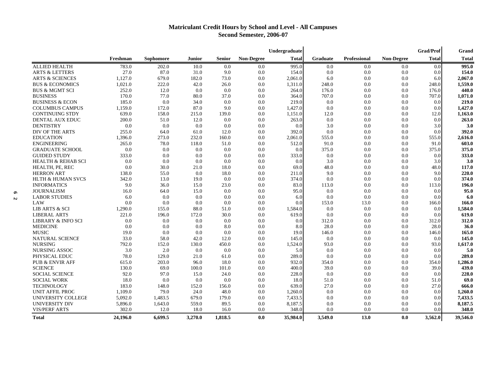# **Matriculant Credit Hours by School and Level - All Campuses Second Semester, 2006-07**

|                               |          |           |         |               |            | Undergraduate |                 |              |                   | <b>Grad/Prof</b> | Grand        |
|-------------------------------|----------|-----------|---------|---------------|------------|---------------|-----------------|--------------|-------------------|------------------|--------------|
|                               | Freshman | Sophomore | Junior  | <b>Senior</b> | Non-Degree | <b>Total</b>  | <b>Graduate</b> | Professional | <b>Non-Degree</b> | <b>Total</b>     | <b>Total</b> |
| <b>ALLIED HEALTH</b>          | 783.0    | 202.0     | 10.0    | 0.0           | 0.0        | 995.0         | 0.0             | 0.0          | 0.0               | 0.0              | 995.0        |
| <b>ARTS &amp; LETTERS</b>     | 27.0     | 87.0      | 31.0    | 9.0           | 0.0        | 154.0         | 0.0             | 0.0          | 0.0               | 0.0              | 154.0        |
| <b>ARTS &amp; SCIENCES</b>    | 1,127.0  | 679.0     | 182.0   | 73.0          | 0.0        | 2.061.0       | 6.0             | 0.0          | 0.0               | 6.0              | 2,067.0      |
| <b>BUS &amp; ECONOMICS</b>    | 1.021.0  | 222.0     | 42.0    | 26.0          | 0.0        | 1.311.0       | 248.0           | 0.0          | 0.0               | 248.0            | 1,559.0      |
| <b>BUS &amp; MGMT SCI</b>     | 252.0    | 12.0      | 0.0     | 0.0           | 0.0        | 264.0         | 176.0           | 0.0          | 0.0               | 176.0            | 440.0        |
| <b>BUSINESS</b>               | 170.0    | 77.0      | 80.0    | 37.0          | 0.0        | 364.0         | 707.0           | 0.0          | 0.0               | 707.0            | 1,071.0      |
| <b>BUSINESS &amp; ECON</b>    | 185.0    | 0.0       | 34.0    | 0.0           | 0.0        | 219.0         | 0.0             | 0.0          | 0.0               | 0.0              | 219.0        |
| <b>COLUMBUS CAMPUS</b>        | 1,159.0  | 172.0     | 87.0    | 9.0           | 0.0        | 1,427.0       | 0.0             | 0.0          | 0.0               | 0.0              | 1,427.0      |
| <b>CONTINUING STDY</b>        | 639.0    | 158.0     | 215.0   | 139.0         | 0.0        | 1,151.0       | 12.0            | 0.0          | 0.0               | 12.0             | 1,163.0      |
| DENTAL AUX EDUC               | 200.0    | 51.0      | 12.0    | 0.0           | 0.0        | 263.0         | 0.0             | 0.0          | 0.0               | 0.0              | 263.0        |
| <b>DENTISTRY</b>              | 0.0      | 0.0       | 0.0     | 0.0           | 0.0        | 0.0           | 3.0             | 0.0          | 0.0               | 3.0              | 3.0          |
| DIV OF THE ARTS               | 255.0    | 64.0      | 61.0    | 12.0          | 0.0        | 392.0         | 0.0             | 0.0          | 0.0               | 0.0              | 392.0        |
| <b>EDUCATION</b>              | 1,396.0  | 273.0     | 232.0   | 160.0         | 0.0        | 2,061.0       | 555.0           | 0.0          | 0.0               | 555.0            | 2,616.0      |
| <b>ENGINEERING</b>            | 265.0    | 78.0      | 118.0   | 51.0          | 0.0        | 512.0         | 91.0            | 0.0          | 0.0               | 91.0             | 603.0        |
| <b>GRADUATE SCHOOL</b>        | 0.0      | 0.0       | 0.0     | 0.0           | 0.0        | 0.0           | 375.0           | 0.0          | 0.0               | 375.0            | 375.0        |
| <b>GUIDED STUDY</b>           | 333.0    | 0.0       | 0.0     | 0.0           | 0.0        | 333.0         | 0.0             | 0.0          | 0.0               | 0.0              | 333.0        |
| <b>HEALTH &amp; REHAB SCI</b> | 0.0      | 0.0       | 0.0     | 0.0           | 0.0        | 0.0           | 3.0             | 0.0          | 0.0               | 3.0              | 3.0          |
| HEALTH, PE, REC               | 0.0      | 30.0      | 21.0    | 18.0          | 0.0        | 69.0          | 48.0            | 0.0          | 0.0               | 48.0             | 117.0        |
| <b>HERRON ART</b>             | 138.0    | 55.0      | 0.0     | 18.0          | 0.0        | 211.0         | 9.0             | 0.0          | 0.0               | 9.0              | 220.0        |
| <b>HLTH &amp; HUMAN SVCS</b>  | 342.0    | 13.0      | 19.0    | 0.0           | 0.0        | 374.0         | 0.0             | 0.0          | 0.0               | 0.0              | 374.0        |
| <b>INFORMATICS</b>            | 9.0      | 36.0      | 15.0    | 23.0          | 0.0        | 83.0          | 113.0           | 0.0          | 0.0               | 113.0            | 196.0        |
| <b>JOURNALISM</b>             | 16.0     | 64.0      | 15.0    | 0.0           | 0.0        | 95.0          | 0.0             | 0.0          | 0.0               | 0.0              | 95.0         |
| <b>LABOR STUDIES</b>          | 6.0      | 0.0       | 0.0     | 0.0           | 0.0        | 6.0           | 0.0             | 0.0          | 0.0               | 0.0              | 6.0          |
| LAW                           | 0.0      | 0.0       | 0.0     | 0.0           | 0.0        | 0.0           | 153.0           | 13.0         | 0.0               | 166.0            | 166.0        |
| LIB ARTS & SCI                | 1,290.0  | 155.0     | 88.0    | 51.0          | 0.0        | 1,584.0       | 0.0             | 0.0          | 0.0               | 0.0              | 1,584.0      |
| <b>LIBERAL ARTS</b>           | 221.0    | 196.0     | 172.0   | 30.0          | 0.0        | 619.0         | 0.0             | 0.0          | 0.0               | 0.0              | 619.0        |
| LIBRARY & INFO SCI            | 0.0      | 0.0       | 0.0     | 0.0           | 0.0        | 0.0           | 312.0           | 0.0          | 0.0               | 312.0            | 312.0        |
| <b>MEDICINE</b>               | 0.0      | 0.0       | 0.0     | 8.0           | 0.0        | 8.0           | 28.0            | 0.0          | 0.0               | 28.0             | 36.0         |
| <b>MUSIC</b>                  | 19.0     | 0.0       | 0.0     | 0.0           | 0.0        | 19.0          | 146.0           | 0.0          | 0.0               | 146.0            | 165.0        |
| <b>NATURAL SCIENCE</b>        | 33.0     | 58.0      | 42.0    | 12.0          | 0.0        | 145.0         | 0.0             | 0.0          | 0.0               | 0.0              | 145.0        |
| <b>NURSING</b>                | 792.0    | 152.0     | 130.0   | 450.0         | 0.0        | 1,524.0       | 93.0            | 0.0          | 0.0               | 93.0             | 1,617.0      |
| NURSING ASSOC                 | 3.0      | 2.0       | 0.0     | 0.0           | 0.0        | 5.0           | 0.0             | 0.0          | 0.0               | 0.0              | 5.0          |
| PHYSICAL EDUC                 | 78.0     | 129.0     | 21.0    | 61.0          | 0.0        | 289.0         | 0.0             | 0.0          | 0.0               | 0.0              | 289.0        |
| <b>PUB &amp; ENVIR AFF</b>    | 615.0    | 203.0     | 96.0    | 18.0          | 0.0        | 932.0         | 354.0           | 0.0          | 0.0               | 354.0            | 1,286.0      |
| <b>SCIENCE</b>                | 130.0    | 69.0      | 100.0   | 101.0         | 0.0        | 400.0         | 39.0            | 0.0          | 0.0               | 39.0             | 439.0        |
| <b>SOCIAL SCIENCE</b>         | 92.0     | 97.0      | 15.0    | 24.0          | 0.0        | 228.0         | 0.0             | 0.0          | 0.0               | 0.0              | 228.0        |
| <b>SOCIAL WORK</b>            | 18.0     | 0.0       | 0.0     | 0.0           | 0.0        | 18.0          | 51.0            | 0.0          | 0.0               | 51.0             | 69.0         |
| <b>TECHNOLOGY</b>             | 183.0    | 148.0     | 152.0   | 156.0         | 0.0        | 639.0         | 27.0            | 0.0          | 0.0               | 27.0             | 666.0        |
| <b>UNIT AFFIL PROC</b>        | 1,109.0  | 79.0      | 24.0    | 48.0          | 0.0        | 1,260.0       | 0.0             | 0.0          | 0.0               | 0.0              | 1,260.0      |
| UNIVERSITY COLLEGE            | 5,092.0  | 1,483.5   | 679.0   | 179.0         | 0.0        | 7,433.5       | 0.0             | 0.0          | 0.0               | 0.0              | 7,433.5      |
| UNIVERSITY DIV                | 5,896.0  | 1,643.0   | 559.0   | 89.5          | 0.0        | 8,187.5       | 0.0             | 0.0          | 0.0               | 0.0              | 8,187.5      |
| <b>VIS/PERF ARTS</b>          | 302.0    | 12.0      | 18.0    | 16.0          | 0.0        | 348.0         | 0.0             | 0.0          | 0.0               | 0.0              | 348.0        |
| <b>Total</b>                  | 24,196.0 | 6,699.5   | 3,270.0 | 1,818.5       | 0.0        | 35,984.0      | 3.549.0         | 13.0         | 0.0               | 3,562.0          | 39,546.0     |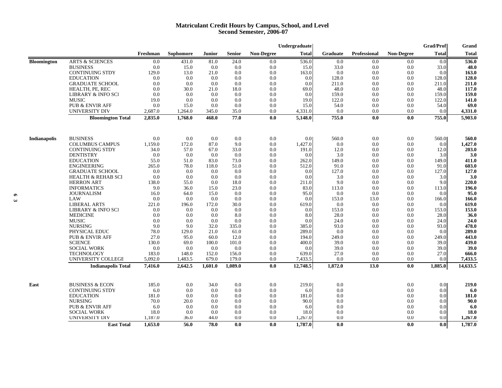#### **Matriculant Credit Hours by Campus, School, and Level Second Semester, 2006-07**

|                     |                                                 |                    |                    |                  |                  |                   | Undergraduate               |                |              |                   | Grad/Prof      | Grand               |
|---------------------|-------------------------------------------------|--------------------|--------------------|------------------|------------------|-------------------|-----------------------------|----------------|--------------|-------------------|----------------|---------------------|
|                     |                                                 | Freshman           | Sophomore          | Junior           | <b>Senior</b>    | <b>Non-Degree</b> | <b>Total</b>                | Graduate       | Professional | <b>Non-Degree</b> | <b>Total</b>   | <b>Total</b>        |
| <b>Bloomington</b>  | <b>ARTS &amp; SCIENCES</b>                      | 0.0                | 431.0              | 81.0             | 24.0             | 0.0               | 536.0                       | 0.0            | 0.0          | 0.0               | 0.0            | 536.0               |
|                     | <b>BUSINESS</b>                                 | 0.0                | 15.0               | 0.0              | 0.0              | 0.0               | 15.0                        | 33.0           | 0.0          | 0.0               | 33.0           | 48.0                |
|                     | <b>CONTINUING STDY</b>                          | 129.0              | 13.0               | 21.0             | 0.0              | 0.0               | 163.0                       | 0.0            | 0.0          | 0.0               | 0.0            | 163.0               |
|                     | <b>EDUCATION</b>                                | 0.0                | 0.0                | 0.0              | 0.0              | 0.0               | 0.0                         | 128.0          | 0.0          | 0.0               | 128.0          | 128.0               |
|                     | <b>GRADUATE SCHOOL</b>                          | 0.0                | 0.0                | 0.0              | 0.0              | 0.0               | 0.0                         | 211.0          | 0.0          | 0.0               | 211.0          | 211.0               |
|                     | HEALTH, PE, REC                                 | 0.0                | 30.0               | 21.0             | 18.0             | 0.0               | 69.0                        | 48.0           | 0.0          | 0.0               | 48.0           | 117.0               |
|                     | LIBRARY & INFO SCI                              | 0.0                | 0.0                | 0.0              | 0.0              | 0.0               | 0.0                         | 159.0          | 0.0          | 0.0               | 159.0          | 159.0               |
|                     | <b>MUSIC</b>                                    | 19.0               | 0.0                | 0.0              | 0.0              | 0.0               | 19.0                        | 122.0          | 0.0          | 0.0               | 122.0          | 141.0               |
|                     | PUB & ENVIR AFF                                 | 0.0                | 15.0               | 0.0              | 0.0              | 0.0               | 15.0                        | 54.0           | 0.0          | 0.0               | 54.0           | 69.0                |
|                     | UNIVERSITY DIV                                  | 2,687.0            | 1,264.0            | 345.0            | 35.0             | 0.0               | 4,331.0                     | 0.0            | 0.0          | 0.0               | 0.0            | 4,331.0             |
|                     | <b>Bloomington Total</b>                        | 2,835.0            | 1,768.0            | 468.0            | 77.0             | 0.0               | 5,148.0                     | 755.0          | 0.0          | 0.0               | 755.0          | 5,903.0             |
|                     | <b>BUSINESS</b>                                 | 0.0                | 0.0                | 0.0              | 0.0              | 0.0               |                             | 560.0          | 0.0          | 0.0               | 560.0          | 560.0               |
| <b>Indianapolis</b> | <b>COLUMBUS CAMPUS</b>                          | 1,159.0            | 172.0              | 87.0             | 9.0              | 0.0               | 0.0 <sub>l</sub><br>1,427.0 | 0.0            | 0.0          | 0.0               | 0.0            | 1,427.0             |
|                     | <b>CONTINUING STDY</b>                          | 34.0               | 57.0               | 67.0             | 33.0             | 0.0               | 191.0                       | 12.0           | 0.0          | 0.0               | 12.0           | 203.0               |
|                     | <b>DENTISTRY</b>                                | 0.0                | 0.0                | 0.0              | 0.0              | 0.0               | 0.0                         | 3.0            | 0.0          | 0.0               | 3.0            |                     |
|                     |                                                 |                    |                    |                  |                  |                   |                             |                |              |                   |                | 3.0<br>411.0        |
|                     | <b>EDUCATION</b>                                | 55.0               | 51.0               | 83.0             | 73.0<br>51.0     | 0.0<br>0.0        | 262.0                       | 149.0          | 0.0          | 0.0<br>0.0        | 149.0          | 603.0               |
|                     | <b>ENGINEERING</b>                              | 265.0              | 78.0               | 118.0            |                  |                   | 512.0                       | 91.0           | 0.0          |                   | 91.0           |                     |
|                     | <b>GRADUATE SCHOOL</b>                          | 0.0                | 0.0                | 0.0              | 0.0<br>0.0       | 0.0               | 0.0                         | 127.0          | 0.0          | 0.0               | 127.0          | 127.0               |
|                     | <b>HEALTH &amp; REHAB SCI</b>                   | 0.0                | 0.0                | 0.0              |                  | 0.0               | 0.0<br>211.0                | 3.0            | 0.0          | 0.0               | 3.0<br>9.0     | 3.0                 |
|                     | <b>HERRON ART</b>                               | 138.0              | 55.0               | 0.0              | 18.0             | 0.0               |                             | 9.0            | 0.0          | 0.0               |                | 220.0               |
|                     | <b>INFORMATICS</b>                              | 9.0                | 36.0               | 15.0             | 23.0             | 0.0               | 83.0                        | 113.0          | 0.0          | 0.0               | 113.0          | 196.0               |
|                     | <b>JOURNALISM</b>                               | 16.0               | 64.0               | 15.0             | 0.0              | 0.0               | 95.0                        | 0.0            | 0.0          | 0.0               | 0.0            | 95.0                |
|                     | LAW                                             | 0.0                | 0.0                | 0.0              | 0.0              | 0.0               | 0.0                         | 153.0          | 13.0         | 0.0               | 166.0          | 166.0               |
|                     | <b>LIBERAL ARTS</b>                             | 221.0              | 196.0              | 172.0            | 30.0             | 0.0               | 619.0                       | 0.0            | 0.0          | 0.0               | 0.0            | 619.0               |
|                     | <b>LIBRARY &amp; INFO SCI</b>                   | 0.0                | 0.0                | 0.0              | 0.0              | 0.0               | 0.0                         | 153.0          | 0.0          | 0.0               | 153.0          | 153.0               |
|                     | <b>MEDICINE</b>                                 | 0.0                | 0.0                | 0.0              | 8.0              | 0.0               | 8.0                         | 28.0           | 0.0          | $0.0\,$           | 28.0           | 36.0                |
|                     | <b>MUSIC</b>                                    | 0.0                | 0.0                | 0.0              | 0.0              | 0.0               | 0.0                         | 24.0           | 0.0          | 0.0               | 24.0           | 24.0                |
|                     | <b>NURSING</b>                                  | 9.0                | 9.0                | 32.0             | 335.0            | 0.0               | 385.0                       | 93.0           | 0.0          | 0.0               | 93.0           | 478.0               |
|                     | PHYSICAL EDUC                                   | 78.0               | 129.0              | 21.0             | 61.0             | 0.0               | 289.0                       | 0.0            | 0.0          | 0.0               | 0.0            | 289.0               |
|                     | <b>PUB &amp; ENVIR AFF</b>                      | 27.0               | 95.0               | 60.0             | 12.0             | 0.0               | 194.0                       | 249.0          | 0.0          | 0.0               | 249.0          | 443.0               |
|                     | <b>SCIENCE</b>                                  | 130.0              | 69.0               | 100.0            | 101.0            | 0.0               | 400.0                       | 39.0           | 0.0          | 0.0               | 39.0           | 439.0               |
|                     | <b>SOCIAL WORK</b>                              | 0.0                | 0.0                | 0.0              | 0.0              | 0.0               | 0.0                         | 39.0           | 0.0          | 0.0               | 39.0           | 39.0                |
|                     | <b>TECHNOLOGY</b>                               | 183.0              | 148.0              | 152.0            | 156.0            | 0.0               | 639.0                       | 27.0           | 0.0          | 0.0               | 27.0           | 666.0               |
|                     | UNIVERSITY COLLEGE<br><b>Indianapolis Total</b> | 5,092.0<br>7,416.0 | 1,483.5<br>2,642.5 | 679.0<br>1,601.0 | 179.0<br>1,089.0 | 0.0<br>0.0        | 7,433.5<br>12,748.5         | 0.0<br>1,872.0 | 0.0<br>13.0  | 0.0<br>0.0        | 0.0<br>1,885.0 | 7,433.5<br>14,633.5 |
|                     |                                                 |                    |                    |                  |                  |                   |                             |                |              |                   |                |                     |
| East                | <b>BUSINESS &amp; ECON</b>                      | 185.0              | 0.0                | 34.0             | 0.0              | 0.0               | 219.0                       | 0.0            |              | 0.0               | 0.01           | 219.0               |
|                     | <b>CONTINUING STDY</b>                          | 6.0                | 0.0                | 0.0              | 0.0              | 0.0               | 6.0                         | 0.0            |              | 0.0               | 0.0            | 6.0                 |
|                     | <b>EDUCATION</b>                                | 181.0              | 0.0                | 0.0              | 0.0              | 0.0               | 181.0                       | 0.0            |              | 0.0               | 0.0            | 181.0               |
|                     | <b>NURSING</b>                                  | 70.0               | 20.0               | 0.0              | 0.0              | 0.0               | 90.0                        | 0.0            |              | 0.0               | 0.0            | 90.0                |
|                     | <b>PUB &amp; ENVIR AFF</b>                      | 6.0                | 0.0                | 0.0              | 0.0              | 0.0               | 6.0                         | 0.0            |              | 0.0               | 0.0            | 6.0                 |
|                     | <b>SOCIAL WORK</b>                              | 18.0               | 0.0                | 0.0              | 0.0              | 0.0               | 18.0                        | 0.0            |              | 0.0               | 0.0            | 18.0                |
|                     | UNIVERSITY DIV                                  | 1,187.0            | 36.0               | 44.0             | 0.0              | 0.0               | 1,267.0                     | 0.0            |              | 0.0               | 0.0            | 1,267.0             |
|                     | <b>East Total</b>                               | 1,653.0            | 56.0               | 78.0             | 0.0              | 0.0               | 1,787.0                     | 0.0            |              | 0.0               | 0.0            | 1,787.0             |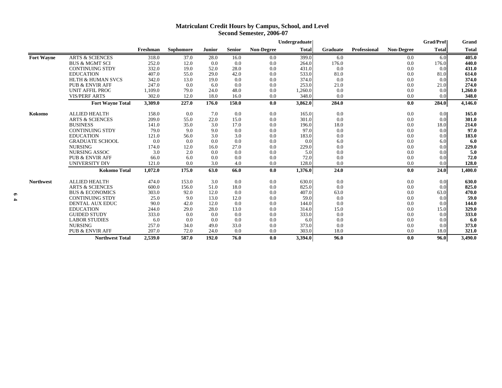### **Matriculant Credit Hours by Campus, School, and Level Second Semester, 2006-07**

|                   |                              |          |           |        |               |                   | Undergraduate |                 |              |                   | <b>Grad/Prof</b> | Grand        |
|-------------------|------------------------------|----------|-----------|--------|---------------|-------------------|---------------|-----------------|--------------|-------------------|------------------|--------------|
|                   |                              | Freshman | Sophomore | Junior | <b>Senior</b> | <b>Non-Degree</b> | <b>Total</b>  | <b>Graduate</b> | Professional | <b>Non-Degree</b> | <b>Total</b>     | <b>Total</b> |
| <b>Fort Wayne</b> | <b>ARTS &amp; SCIENCES</b>   | 318.0    | 37.0      | 28.0   | 16.0          | 0.0               | 399.0         | 6.0             |              | 0.0               | 6.0              | 405.0        |
|                   | <b>BUS &amp; MGMT SCI</b>    | 252.0    | 12.0      | 0.0    | 0.0           | 0.0               | 264.0         | 176.0           |              | 0.0               | 176.0            | 440.0        |
|                   | <b>CONTINUING STDY</b>       | 332.0    | 19.0      | 52.0   | 28.0          | 0.0               | 431.0         | 0.0             |              | 0.0               | 0.0              | 431.0        |
|                   | <b>EDUCATION</b>             | 407.0    | 55.0      | 29.0   | 42.0          | 0.0               | 533.0         | 81.0            |              | 0.0               | 81.0             | 614.0        |
|                   | <b>HLTH &amp; HUMAN SVCS</b> | 342.0    | 13.0      | 19.0   | 0.0           | 0.0               | 374.0         | 0.0             |              | 0.0               | 0.0              | 374.0        |
|                   | <b>PUB &amp; ENVIR AFF</b>   | 247.0    | 0.0       | 6.0    | 0.0           | 0.0               | 253.0         | 21.0            |              | 0.0               | 21.0             | 274.0        |
|                   | <b>UNIT AFFIL PROG</b>       | 1,109.0  | 79.0      | 24.0   | 48.0          | 0.0               | 1,260.0       | 0.0             |              | 0.0               | 0.0              | 1,260.0      |
|                   | <b>VIS/PERF ARTS</b>         | 302.0    | 12.0      | 18.0   | 16.0          | 0.0               | 348.0         | 0.0             |              | 0.0               | 0.0              | 348.0        |
|                   | <b>Fort Wayne Total</b>      | 3,309.0  | 227.0     | 176.0  | 150.0         | 0.0               | 3,862.0       | 284.0           |              | 0.0               | 284.0            | 4,146.0      |
| Kokomo            | <b>ALLIED HEALTH</b>         | 158.0    | 0.0       | 7.0    | 0.0           | 0.0               | 165.0         | 0.0             |              | 0.0               | 0.0              | 165.0        |
|                   | <b>ARTS &amp; SCIENCES</b>   | 209.0    | 55.0      | 22.0   | 15.0          | 0.0               | 301.0         | 0.0             |              | 0.0               | 0.0              | 301.0        |
|                   | <b>BUSINESS</b>              | 141.0    | 35.0      | 3.0    | 17.0          | 0.0               | 196.0         | 18.0            |              | 0.0               | 18.0             | 214.0        |
|                   | <b>CONTINUING STDY</b>       | 79.0     | 9.0       | 9.0    | 0.0           | 0.0               | 97.0          | 0.0             |              | 0.0               | 0.0              | 97.0         |
|                   | <b>EDUCATION</b>             | 121.0    | 56.0      | 3.0    | 3.0           | 0.0               | 183.0         | 0.0             |              | 0.0               | 0.0              | 183.0        |
|                   | <b>GRADUATE SCHOOL</b>       | 0.0      | 0.0       | 0.0    | 0.0           | 0.0               | 0.0           | 6.0             |              | 0.0               | 6.0              | 6.0          |
|                   | <b>NURSING</b>               | 174.0    | 12.0      | 16.0   | 27.0          | 0.0               | 229.0         | 0.0             |              | 0.0               | 0.0              | 229.0        |
|                   | <b>NURSING ASSOC</b>         | 3.0      | 2.0       | 0.0    | 0.0           | 0.0               | 5.0           | 0.0             |              | 0.0               | 0.0              | 5.0          |
|                   | <b>PUB &amp; ENVIR AFF</b>   | 66.0     | 6.0       | 0.0    | 0.0           | 0.0               | 72.0          | 0.0             |              | 0.0               | 0.0              | 72.0         |
|                   | UNIVERSITY DIV               | 121.0    | 0.0       | 3.0    | 4.0           | 0.0               | 128.0         | 0.0             |              | 0.0               | 0.0              | 128.0        |
|                   | <b>Kokomo Total</b>          | 1,072.0  | 175.0     | 63.0   | 66.0          | 0.0               | 1,376.0       | 24.0            |              | 0.0               | 24.0             | 1,400.0      |
| <b>Northwest</b>  | <b>ALLIED HEALTH</b>         | 474.0    | 153.0     | 3.0    | 0.0           | 0.0               | 630.0         | 0.0             |              | 0.0               | 0.0 <sub>l</sub> | 630.0        |
|                   | <b>ARTS &amp; SCIENCES</b>   | 600.0    | 156.0     | 51.0   | 18.0          | 0.0               | 825.0         | 0.0             |              | 0.0               | 0.0              | 825.0        |
|                   | <b>BUS &amp; ECONOMICS</b>   | 303.0    | 92.0      | 12.0   | 0.0           | 0.0               | 407.0         | 63.0            |              | 0.0               | 63.0             | 470.0        |
|                   | <b>CONTINUING STDY</b>       | 25.0     | 9.0       | 13.0   | 12.0          | 0.0               | 59.0          | 0.0             |              | 0.0               | 0.0              | 59.0         |
|                   | <b>DENTAL AUX EDUC</b>       | 90.0     | 42.0      | 12.0   | 0.0           | 0.0               | 144.0         | 0.0             |              | 0.0               | 0.0              | 144.0        |
|                   | <b>EDUCATION</b>             | 244.0    | 29.0      | 28.0   | 13.0          | 0.0               | 314.0         | 15.0            |              | 0.0               | 15.0             | 329.0        |
|                   | <b>GUIDED STUDY</b>          | 333.0    | 0.0       | 0.0    | 0.0           | 0.0               | 333.0         | 0.0             |              | 0.0               | 0.0              | 333.0        |
|                   | <b>LABOR STUDIES</b>         | 6.0      | 0.0       | 0.0    | 0.0           | 0.0               | 6.0           | 0.0             |              | 0.0               | 0.0              | 6.0          |
|                   | <b>NURSING</b>               | 257.0    | 34.0      | 49.0   | 33.0          | 0.0               | 373.0         | 0.0             |              | 0.0               | 0.0              | 373.0        |
|                   | <b>PUB &amp; ENVIR AFF</b>   | 207.0    | 72.0      | 24.0   | 0.0           | 0.0               | 303.0         | 18.0            |              | 0.0               | 18.0             | 321.0        |
|                   | <b>Northwest Total</b>       | 2,539.0  | 587.0     | 192.0  | 76.0          | 0.0               | 3.394.0       | 96.0            |              | 0.0               | 96.0             | 3.490.0      |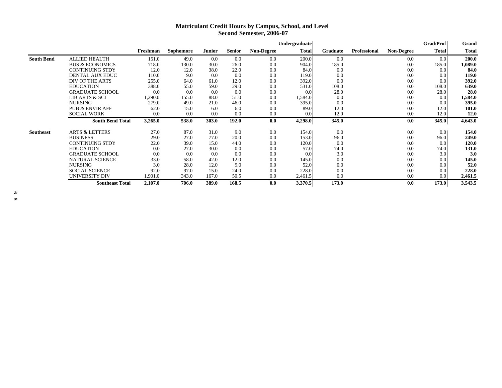### **Matriculant Credit Hours by Campus, School, and Level Second Semester, 2006-07**

|                   |                                          |              |              |        |               |                   | <b>Undergraduate</b> |                 |                     |                   | <b>Grad/Prof</b> | Grand         |
|-------------------|------------------------------------------|--------------|--------------|--------|---------------|-------------------|----------------------|-----------------|---------------------|-------------------|------------------|---------------|
|                   |                                          | Freshman     | Sophomore    | Junior | <b>Senior</b> | <b>Non-Degree</b> | <b>Total</b>         | <b>Graduate</b> | <b>Professional</b> | <b>Non-Degree</b> | <b>Total</b>     | <b>Total</b>  |
| <b>South Bend</b> | <b>ALLIED HEALTH</b>                     | 151.0        | 49.0         | 0.0    | 0.0           | 0.0               | 200.0                | 0.0             |                     | 0.0               | 0.0              | 200.0         |
|                   | <b>BUS &amp; ECONOMICS</b>               | 718.0        | 130.0        | 30.0   | 26.0          | 0.0               | 904.0                | 185.0           |                     | 0.0               | 185.0            | 1,089.0       |
|                   | <b>CONTINUING STDY</b>                   | 12.0         | 12.0         | 38.0   | 22.0          | 0.0               | 84.0                 | 0.0             |                     | 0.0               | 0.0              | 84.0          |
|                   | <b>DENTAL AUX EDUC</b>                   | 110.0        | 9.0          | 0.0    | 0.0           | 0.0               | 119.0                | 0.0             |                     | 0.0               | 0.0              | 119.0         |
|                   | DIV OF THE ARTS                          | 255.0        | 64.0         | 61.0   | 12.0          | 0.0               | 392.0                | 0.0             |                     | 0.0               | 0.0              | 392.0         |
|                   | <b>EDUCATION</b>                         | 388.0        | 55.0         | 59.0   | 29.0          | 0.0               | 531.0                | 108.0           |                     | 0.0               | 108.0            | 639.0         |
|                   | <b>GRADUATE SCHOOL</b>                   | 0.0          | 0.0          | 0.0    | 0.0           | 0.0               | 0.0                  | 28.0            |                     | 0.0               | 28.0             | 28.0          |
|                   | <b>LIB ARTS &amp; SCI</b>                | 1,290.0      | 155.0        | 88.0   | 51.0          | 0.0               | 1,584.0              | 0.0             |                     | 0.0               | 0.0              | 1,584.0       |
|                   | <b>NURSING</b>                           | 279.0        | 49.0         | 21.0   | 46.0          | 0.0               | 395.0                | 0.0             |                     | 0.0               | 0.0              | 395.0         |
|                   | <b>PUB &amp; ENVIR AFF</b>               | 62.0         | 15.0         | 6.0    | 6.0           | 0.0               | 89.0                 | 12.0            |                     | 0.0               | 12.0             | 101.0         |
|                   | <b>SOCIAL WORK</b>                       | 0.0          | 0.0          | 0.0    | 0.0           | 0.0               | 0.0                  | 12.0            |                     | 0.0               | 12.0             | 12.0          |
|                   | <b>South Bend Total</b>                  | 3,265.0      | 538.0        | 303.0  | 192.0         | 0.0               | 4,298.0              | 345.0           |                     | 0.0               | 345.0            | 4,643.0       |
|                   | <b>ARTS &amp; LETTERS</b>                |              |              | 31.0   | 9.0           | 0.0               |                      | 0.0             |                     |                   | 0.0 <sub>l</sub> | 154.0         |
| <b>Southeast</b>  | <b>BUSINESS</b>                          | 27.0<br>29.0 | 87.0<br>27.0 | 77.0   | 20.0          | 0.0               | 154.0<br>153.0       | 96.0            |                     | 0.0<br>0.0        | 96.0             | 249.0         |
|                   | <b>CONTINUING STDY</b>                   | 22.0         | 39.0         | 15.0   |               | 0.0               | 120.0                | 0.0             |                     | 0.0               | 0.0              | 120.0         |
|                   | <b>EDUCATION</b>                         | 0.0          | 27.0         | 30.0   | 44.0<br>0.0   | 0.0               | 57.0                 | 74.0            |                     | 0.0               | 74.0             | 131.0         |
|                   | <b>GRADUATE SCHOOL</b>                   | 0.0          | 0.0          | 0.0    | 0.0           | 0.0               | 0.0                  | 3.0             |                     | 0.0               | 3.0              | 3.0           |
|                   |                                          |              | 58.0         |        |               | 0.0               |                      |                 |                     |                   | 0.0              |               |
|                   | <b>NATURAL SCIENCE</b><br><b>NURSING</b> | 33.0<br>3.0  |              | 42.0   | 12.0<br>9.0   |                   | 145.0                | 0.0             |                     | 0.0               |                  | 145.0<br>52.0 |
|                   |                                          |              | 28.0         | 12.0   |               | 0.0               | 52.0                 | 0.0             |                     | 0.0               | 0.0              |               |
|                   | <b>SOCIAL SCIENCE</b>                    | 92.0         | 97.0         | 15.0   | 24.0          | 0.0               | 228.0                | 0.0             |                     | 0.0               | 0.0              | 228.0         |
|                   | UNIVERSITY DIV                           | 1,901.0      | 343.0        | 167.0  | 50.5          | 0.0               | 2,461.5              | 0.0             |                     | 0.0               | 0.0              | 2,461.5       |
|                   | <b>Southeast Total</b>                   | 2,107.0      | 706.0        | 389.0  | 168.5         | 0.0               | 3,370.5              | 173.0           |                     | 0.0               | 173.0            | 3,543.5       |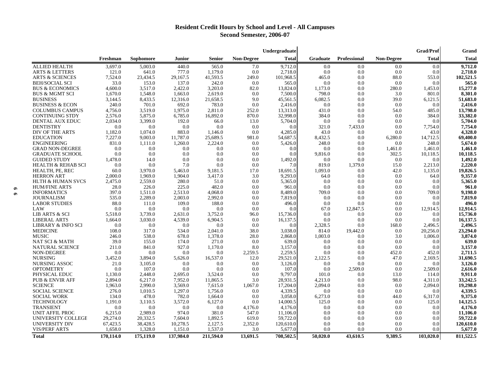# **Resident Credit Hours by School and Level - All Campuses Second Semester, 2006-07**

|                               |           |           |               |               |                   | Undergraduate |          |              |                   | <b>Grad/Prof</b> | Grand        |
|-------------------------------|-----------|-----------|---------------|---------------|-------------------|---------------|----------|--------------|-------------------|------------------|--------------|
|                               | Freshman  | Sophomore | <b>Junior</b> | <b>Senior</b> | <b>Non-Degree</b> | <b>Total</b>  | Graduate | Professional | <b>Non-Degree</b> | <b>Total</b>     | <b>Total</b> |
| <b>ALLIED HEALTH</b>          | 3,697.0   | 5,003.0   | 440.0         | 565.0         | 7.0               | 9,712.0       | 0.0      | 0.0          | $0.0\,$           | 0.0              | 9,712.0      |
| <b>ARTS &amp; LETTERS</b>     | 121.0     | 641.0     | 777.0         | 1,179.0       | 0.0               | 2,718.0       | 0.0      | 0.0          | 0.0               | 0.0              | 2,718.0      |
| <b>ARTS &amp; SCIENCES</b>    | 7,524.0   | 23,434.5  | 29,167.5      | 41,593.5      | 249.0             | 101,968.5     | 465.0    | 0.0          | 88.0              | 553.0            | 102,521.5    |
| <b>BEH/SOCIAL SCI</b>         | 33.0      | 153.0     | 137.0         | 242.0         | 0.0               | 565.0         | 0.0      | 0.0          | 0.0               | 0.0              | 565.0        |
| <b>BUS &amp; ECONOMICS</b>    | 4,600.0   | 3,517.0   | 2,422.0       | 3,203.0       | 82.0              | 13,824.0      | 1,173.0  | 0.0          | 280.0             | 1,453.0          | 15,277.0     |
| <b>BUS &amp; MGMT SCI</b>     | 1,670.0   | 1,548.0   | 1,663.0       | 2,619.0       | 0.0               | 7,500.0       | 798.0    | 0.0          | 3.0               | 801.0            | 8,301.0      |
| <b>BUSINESS</b>               | 3,144.5   | 8,433.5   | 12,316.0      | 21,658.5      | 9.0               | 45,561.5      | 6,082.5  | 0.0          | 39.0              | 6,121.5          | 51,683.0     |
| <b>BUSINESS &amp; ECON</b>    | 240.0     | 701.0     | 692.0         | 783.0         | 0.0               | 2,416.0       | 0.0      | 0.0          | 0.0               | 0.0              | 2,416.0      |
| <b>COLUMBUS CAMPUS</b>        | 4.756.0   | 3.519.0   | 1,975.0       | 2.811.0       | 252.0             | 13,313.0      | 431.0    | 0.0          | 54.0              | 485.0            | 13,798.0     |
| <b>CONTINUING STDY</b>        | 2,576.0   | 5,875.0   | 6,785.0       | 16,892.0      | 870.0             | 32,998.0      | 384.0    | 0.0          | 0.0               | 384.0            | 33,382.0     |
| DENTAL AUX EDUC               | 2,034.0   | 3,399.0   | 192.0         | 66.0          | 13.0              | 5,704.0       | 0.0      | 0.0          | 0.0               | 0.0              | 5,704.0      |
| <b>DENTISTRY</b>              | 0.0       | 0.0       | 0.0           | 0.0           | 0.0               | 0.0           | 321.0    | 7,433.0      | 0.0               | 7,754.0          | 7,754.0      |
| DIV OF THE ARTS               | 1.182.0   | 1.074.0   | 883.0         | 1.146.0       | 0.0               | 4,285.0       | 43.0     | 0.0          | 0.0               | 43.0             | 4,328.0      |
| <b>EDUCATION</b>              | 7,227.0   | 9,003.0   | 11,787.0      | 25,689.5      | 981.0             | 54,687.5      | 8,432.5  | 0.0          | 6,280.0           | 14,712.5         | 69,400.0     |
| <b>ENGINEERING</b>            | 831.0     | 1,111.0   | 1,260.0       | 2,224.0       | 0.0               | 5,426.0       | 248.0    | 0.0          | 0.0               | 248.0            | 5,674.0      |
| <b>GRAD NON-DEGREE</b>        | 0.0       | 0.0       | 0.0           | 0.0           | 0.0               | 0.0           | 0.0      | 0.0          | 1,461.0           | 1,461.0          | 1,461.0      |
| <b>GRADUATE SCHOOL</b>        | 0.0       | 0.0       | 0.0           | 0.0           | 0.0               | 0.0           | 9,816.0  | 0.0          | 302.5             | 10,118.5         | 10,118.5     |
| <b>GUIDED STUDY</b>           | 1.478.0   | 14.0      | 0.0           | 0.0           | 0.0               | 1,492.0       | 0.0      | 0.0          | 0.0               | 0.0              | 1,492.0      |
| <b>HEALTH &amp; REHAB SCI</b> | 0.0       | 0.0       | 7.0           | 0.0           | 0.0               | 7.0           | 819.0    | 1,379.0      | 15.0              | 2,213.0          | 2,220.0      |
| HEALTH, PE, REC               | 60.0      | 3,970.0   | 5,463.0       | 9,181.5       | 17.0              | 18,691.5      | 1,093.0  | 0.0          | 42.0              | 1,135.0          | 19,826.5     |
| <b>HERRON ART</b>             | 2,000.0   | 1,969.0   | 1,904.0       | 3,417.0       | 3.0               | 9,293.0       | 64.0     | 0.0          | 0.0               | 64.0             | 9,357.0      |
| <b>HLTH &amp; HUMAN SVCS</b>  | 2,475.0   | 2,559.0   | 280.0         | 51.0          | 0.0               | 5,365.0       | 0.0      | 0.0          | 0.0               | 0.0              | 5,365.0      |
| <b>HUM/FINE ARTS</b>          | 28.0      | 226.0     | 225.0         | 482.0         | 0.0               | 961.0         | 0.0      | 0.0          | 0.0               | 0.0              | 961.0        |
| <b>INFORMATICS</b>            | 397.0     | 1,511.0   | 2,513.0       | 4.068.0       | 0.0               | 8,489.0       | 709.0    | 0.0          | 0.0               | 709.0            | 9,198.0      |
| <b>JOURNALISM</b>             | 535.0     | 2,289.0   | 2,003.0       | 2,992.0       | 0.0               | 7,819.0       | 0.0      | 0.0          | 0.0               | 0.0              | 7,819.0      |
| <b>LABOR STUDIES</b>          | 88.0      | 111.0     | 109.0         | 188.0         | 0.0               | 496.0         | 0.0      | 0.0          | 0.0               | 0.0              | 496.0        |
| LAW                           | 0.0       | 0.0       | 0.0           | 0.0           | 0.0               | 0.0           | 67.0     | 12,847.5     | 0.0               | 12,914.5         | 12,914.5     |
| LIB ARTS & SCI                | 5,518.0   | 3,739.0   | 2,631.0       | 3,752.0       | 96.0              | 15,736.0      | 0.0      | 0.0          | 0.0               | 0.0              | 15,736.0     |
| <b>LIBERAL ARTS</b>           | 1,664.0   | 3,030.0   | 4,539.0       | 6,904.5       | 0.0               | 16,137.5      | 0.0      | 0.0          | 0.0               | 0.0              | 16,137.5     |
| <b>LIBRARY &amp; INFO SCI</b> | 0.0       | 0.0       | 0.0           | 0.0           | 0.0               | 0.0           | 2,328.5  | 0.0          | 168.0             | 2,496.5          | 2,496.5      |
| <b>MEDICINE</b>               | 108.0     | 317.0     | 534.0         | 2,041.0       | 38.0              | 3,038.0       | 814.0    | 19,442.0     | 0.0               | 20,256.0         | 23,294.0     |
| <b>MUSIC</b>                  | 246.0     | 538.0     | 678.0         | 1,378.0       | 28.0              | 2,868.0       | 1,003.0  | 0.0          | 3.0               | 1,006.0          | 3,874.0      |
| NAT SCI & MATH                | 39.0      | 155.0     | 174.0         | 271.0         | 0.0               | 639.0         | 0.0      | 0.0          | 0.0               | 0.0              | 639.0        |
| NATURAL SCIENCE               | 211.0     | 841.0     | 927.0         | 1,170.0       | 8.0               | 3,157.0       | 0.0      | 0.0          | 0.0               | 0.0              | 3,157.0      |
| <b>NON-DEGREE</b>             | 0.0       | 0.0       | 0.0           | 0.0           | 2,259.5           | 2,259.5       | 0.0      | 0.0          | 452.0             | 452.0            | 2,711.5      |
| <b>NURSING</b>                | 3,452.0   | 3,894.0   | 5,626.0       | 16,537.0      | 12.0              | 29,521.0      | 2,122.5  | 0.0          | 47.0              | 2,169.5          | 31,690.5     |
| NURSING ASSOC                 | 21.0      | 3,105.0   | 0.0           | 0.0           | 0.0               | 3,126.0       | 0.0      | 0.0          | 0.0               | 0.0              | 3,126.0      |
| <b>OPTOMETRY</b>              | 0.0       | 107.0     | 0.0           | 0.0           | 0.0               | 107.0         | 0.0      | 2,509.0      | 0.0               | 2,509.0          | 2,616.0      |
| PHYSICAL EDUC                 | 1,130.0   | 2,448.0   | 2,695.0       | 3,524.0       | 0.0               | 9,797.0       | 101.0    | 0.0          | 13.0              | 114.0            | 9,911.0      |
| <b>PUB &amp; ENVIR AFF</b>    | 2,894.0   | 6,217.0   | 7,952.0       | 11,865.5      | 3.0               | 28,931.5      | 4,213.0  | 0.0          | 98.0              | 4,311.0          | 33,242.5     |
| <b>SCIENCE</b>                | 1,963.0   | 2,990.0   | 3,569.0       | 7,615.0       | 1,067.0           | 17,204.0      | 2,094.0  | 0.0          | 0.0               | 2,094.0          | 19,298.0     |
| <b>SOCIAL SCIENCE</b>         | 276.0     | 1,010.5   | 1,297.0       | 1,756.0       | 0.0               | 4,339.5       | 0.0      | 0.0          | 0.0               | 0.0              | 4,339.5      |
| <b>SOCIAL WORK</b>            | 134.0     | 478.0     | 782.0         | 1.664.0       | 0.0               | 3.058.0       | 6,273.0  | 0.0          | 44.0              | 6,317.0          | 9,375.0      |
| <b>TECHNOLOGY</b>             | 1,191.0   | 3,110.5   | 3,572.0       | 6,127.0       | 0.0               | 14,000.5      | 125.0    | 0.0          | 0.0               | 125.0            | 14,125.5     |
| <b>TRANSIENT</b>              | 0.0       | 0.0       | 0.0           | 0.0           | 4,176.0           | 4,176.0       | 0.0      | 0.0          | 0.0               | 0.0              | 4,176.0      |
| <b>UNIT AFFIL PROC</b>        | 6,215.0   | 2,989.0   | 974.0         | 381.0         | 547.0             | 11,106.0      | 0.0      | 0.0          | 0.0               | 0.0              | 11,106.0     |
| UNIVERSITY COLLEGE            | 29,274.0  | 20,332.5  | 7,604.0       | 1.892.5       | 619.0             | 59,722.0      | 0.0      | 0.0          | 0.0               | 0.0              | 59,722.0     |
| UNIVERSITY DIV                | 67,423.5  | 38,428.5  | 10,278.5      | 2,127.5       | 2,352.0           | 120,610.0     | 0.0      | 0.0          | 0.0               | 0.0              | 120,610.0    |
| <b>VIS/PERF ARTS</b>          | 1,658.0   | 1,328.0   | 1,151.0       | 1,537.0       | 3.0               | 5,677.0       | 0.0      | 0.0          | 0.0               | 0.0              | 5,677.0      |
| <b>Total</b>                  | 170,114.0 | 175,119.0 | 137,984.0     | 211,594.0     | 13,691.5          | 708,502.5     | 50,020.0 | 43,610.5     | 9,389.5           | 103,020.0        | 811,522.5    |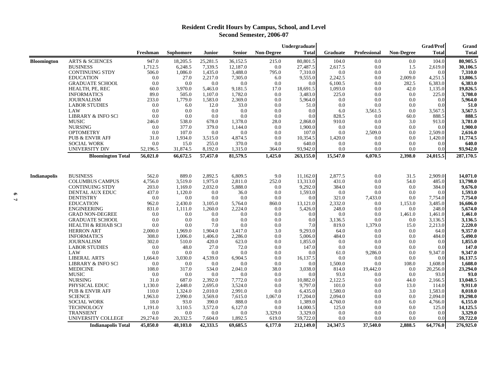### **Resident Credit Hours by Campus, School, and Level Second Semester, 2006-07**

|                    |                               |            |             |               |               |                   | Undergraduate |                 |                     |                   | <b>Grad/Prof</b> | Grand              |
|--------------------|-------------------------------|------------|-------------|---------------|---------------|-------------------|---------------|-----------------|---------------------|-------------------|------------------|--------------------|
|                    |                               | Freshman   | Sophomore   | <b>Junior</b> | <b>Senior</b> | <b>Non-Degree</b> | <b>Total</b>  | <b>Graduate</b> | <b>Professional</b> | <b>Non-Degree</b> | <b>Total</b>     | <b>Total</b>       |
| <b>Bloomington</b> | <b>ARTS &amp; SCIENCES</b>    | 947.0      | 18,205.5    | 25,281.5      | 36,152.5      | 215.0             | 80,801.5      | 104.0           | 0.0                 | 0.0               | 104.0            | 80,905.5           |
|                    | <b>BUSINESS</b>               | 1,712.5    | 6,248.5     | 7,339.5       | 12,187.0      | 0.0               | 27,487.5      | 2,617.5         | 0.0                 | 1.5               | 2,619.0          | 30,106.5           |
|                    | <b>CONTINUING STDY</b>        | 506.0      | 1,086.0     | 1,435.0       | 3,488.0       | 795.0             | 7,310.0       | 0.0             | 0.0                 | 0.0               | 0.0              | 7,310.0            |
|                    | <b>EDUCATION</b>              | 0.0        | 27.0        | 2,217.0       | 7,305.0       | 6.0               | 9,555.0       | 2,242.5         | 0.0                 | 2,009.0           | 4,251.5          | 13,806.5           |
|                    | <b>GRADUATE SCHOOL</b>        | 0.0        | 0.0         | 0.0           | 0.0           | 0.0               | 0.0           | 6,100.5         | 0.0                 | 282.5             | 6,383.0          | 6,383.0            |
|                    | HEALTH, PE, REC               | 60.0       | 3,970.0     | 5,463.0       | 9,181.5       | 17.0              | 18,691.5      | 1,093.0         | 0.0                 | 42.0              | 1,135.0          | 19,826.5           |
|                    | <b>INFORMATICS</b>            | 89.0       | 505.0       | 1,107.0       | 1,782.0       | 0.0               | 3,483.0       | 225.0           | 0.0                 | 0.0               | 225.0            | 3,708.0            |
|                    | <b>JOURNALISM</b>             | 233.0      | 1,779.0     | 1,583.0       | 2,369.0       | 0.0               | 5,964.0       | 0.0             | 0.0                 | 0.0               | 0.0              | 5,964.0            |
|                    | <b>LABOR STUDIES</b>          | 0.0        | 6.0         | 12.0          | 33.0          | 0.0               | 51.0          | 0.0             | 0.0                 | 0.0               | 0.0              | 51.0               |
|                    | LAW                           | 0.0        | 0.0         | 0.0           | 0.0           | 0.0               | 0.0           | 6.0             | 3,561.5             | 0.0               | 3,567.5          | 3,567.5            |
|                    | <b>LIBRARY &amp; INFO SCI</b> | 0.0        | 0.0         | 0.0           | 0.0           | 0.0               | 0.0           | 828.5           | 0.0                 | 60.0              | 888.5            | 888.5              |
|                    | <b>MUSIC</b>                  | 246.0      | 538.0       | 678.0         | 1,378.0       | 28.0              | 2,868.0       | 910.0           | 0.0                 | 3.0               | 913.0            | 3,781.0            |
|                    | <b>NURSING</b>                | 0.0        | 377.0       | 379.0         | 1,144.0       | 0.0               | 1,900.0       | 0.0             | 0.0                 | 0.0               | 0.0              | 1,900.0            |
|                    | <b>OPTOMETRY</b>              | 0.0        | 107.0       | 0.0           | 0.0           | 0.0               | 107.0         | 0.0             | 2,509.0             | 0.0               | 2,509.0          | 2,616.0            |
|                    | <b>PUB &amp; ENVIR AFF</b>    | 31.0       | 1,934.0     | 3,515.0       | 4,874.5       | 0.0               | 10,354.5      | 1,420.0         | 0.0                 | 0.0               | 1,420.0          | 11,774.5           |
|                    | <b>SOCIAL WORK</b>            | 0.0        | 15.0        | 255.0         | 370.0         | 0.0               | 640.0         | 0.0             | 0.0                 | 0.0               | 0.0              | 640.0              |
|                    | UNIVERSITY DIV                | 52,196.5   | 31,874.5    | 8,192.0       | 1,315.0       | 364.0             | 93,942.0      | 0.0             | 0.0                 | 0.0               | 0.0              | 93,942.0           |
|                    | <b>Bloomington Total</b>      | 56,021.0   | 66,672.5    | 57,457.0      | 81,579.5      | 1,425.0           | 263,155.0     | 15,547.0        | 6,070.5             | 2,398.0           | 24,015.5         | 287,170.5          |
|                    |                               |            |             |               |               |                   |               |                 |                     |                   |                  |                    |
| Indianapolis       | <b>BUSINESS</b>               | 562.0      | 889.0       | 2,892.5       | 6,809.5       | 9.0               | 11,162.0      | 2,877.5         | 0.0                 | 31.5              | 2,909.0          | 14,071.0           |
|                    | <b>COLUMBUS CAMPUS</b>        | 4,756.0    | 3,519.0     | 1,975.0       | 2,811.0       | 252.0             | 13,313.0      | 431.0           | 0.0                 | 54.0              | 485.0            | 13,798.0           |
|                    | <b>CONTINUING STDY</b>        | 203.0      | 1,169.0     | 2,032.0       | 5,888.0       | 0.0               | 9,292.0       | 384.0           | 0.0                 | 0.0               | 384.0            | 9,676.0            |
|                    | DENTAL AUX EDUC               | 437.0      | 1,120.0     | 0.0           | 36.0          | 0.0               | 1,593.0       | 0.0             | 0.0                 | 0.0               | 0.0              | 1,593.0            |
|                    | <b>DENTISTRY</b>              | 0.0        | 0.0         | 0.0           | 0.0           | 0.0               | 0.0           | 321.0           | 7,433.0             | 0.0               | 7,754.0          | 7,754.0            |
|                    | <b>EDUCATION</b>              | 962.0      | 2,430.0     | 3,105.0       | 5,764.0       | 860.0             | 13,121.0      | 2,332.0         | 0.0                 | 1,153.0           | 3,485.0          | 16,606.0           |
|                    | <b>ENGINEERING</b>            | 831.0      | 1,111.0     | 1,260.0       | 2,224.0       | 0.0               | 5,426.0       | 248.0           | 0.0                 | 0.0               | 248.0            | 5,674.0            |
|                    | <b>GRAD NON-DEGREE</b>        | 0.0        | 0.0         | 0.0           | 0.0           | 0.0               | 0.0           | 0.0             | 0.0                 | 1,461.0           | 1,461.0          | 1,461.0            |
|                    | <b>GRADUATE SCHOOL</b>        | 0.0        | 0.0         | 0.0           | 0.0           | 0.0               | 0.0           | 3,136.5         | 0.0                 | 0.0               | 3,136.5          | 3,136.5            |
|                    | HEALTH & REHAB SCI            | 0.0        | 0.0         | 7.0           | 0.0           | 0.0               | 7.0           | 819.0           | 1,379.0             | 15.0              | 2,213.0          | 2,220.0            |
|                    | <b>HERRON ART</b>             | 2,000.0    | 1,969.0     | 1,904.0       | 3,417.0       | 3.0               | 9,293.0       | 64.0            | 0.0                 | 0.0               | 64.0             | 9,357.0            |
|                    | <b>INFORMATICS</b>            | 308.0      | 1,006.0     | 1,406.0       | 2,286.0       | 0.0               | 5,006.0       | 484.0           | 0.0                 | 0.0               | 484.0            | 5,490.0<br>1,855.0 |
|                    | <b>JOURNALISM</b>             | 302.0      | 510.0       | 420.0         | 623.0         | 0.0               | 1,855.0       | 0.0             | 0.0                 | 0.0               | 0.0              |                    |
|                    | <b>LABOR STUDIES</b><br>LAW   | 0.0<br>0.0 | 48.0<br>0.0 | 27.0<br>0.0   | 72.0<br>0.0   | 0.0<br>0.0        | 147.0<br>0.0  | 0.0<br>61.0     | 0.0<br>9,286.0      | 0.0<br>0.0        | 0.0<br>9,347.0   | 147.0<br>9,347.0   |
|                    | <b>LIBERAL ARTS</b>           | 1,664.0    | 3,030.0     | 4,539.0       | 6,904.5       | 0.0               | 16,137.5      | 0.0             | 0.0                 | 0.0               | 0.0              | 16,137.5           |
|                    | <b>LIBRARY &amp; INFO SCI</b> | 0.0        | 0.0         | $0.0\,$       | 0.0           | 0.0               | 0.0           | 1,500.0         | 0.0                 | 108.0             | 1,608.0          | 1,608.0            |
|                    | <b>MEDICINE</b>               | 108.0      | 317.0       | 534.0         | 2,041.0       | 38.0              | 3,038.0       | 814.0           | 19,442.0            | 0.0               | 20,256.0         | 23,294.0           |
|                    | <b>MUSIC</b>                  | 0.0        | 0.0         | $0.0\,$       | 0.0           | 0.0               | 0.0           | 93.0            | 0.0                 | 0.0               | 93.0             | 93.0               |
|                    | <b>NURSING</b>                | 31.0       | 687.0       | 2,392.0       | 7,772.0       | 0.0               | 10,882.0      | 2,122.5         | 0.0                 | 44.0              | 2,166.5          | 13,048.5           |
|                    | PHYSICAL EDUC                 | 1,130.0    | 2,448.0     | 2,695.0       | 3,524.0       | 0.0               | 9,797.0       | 101.0           | 0.0                 | 13.0              | 114.0            | 9,911.0            |
|                    | <b>PUB &amp; ENVIR AFF</b>    | 110.0      | 1,324.0     | 2,010.0       | 2,991.0       | 0.0               | 6,435.0       | 1,580.0         | 0.0                 | 3.0               | 1,583.0          | 8.018.0            |
|                    | <b>SCIENCE</b>                | 1,963.0    | 2,990.0     | 3,569.0       | 7,615.0       | 1,067.0           | 17,204.0      | 2,094.0         | 0.0                 | 0.0               | 2,094.0          | 19,298.0           |
|                    | <b>SOCIAL WORK</b>            | 18.0       | 93.0        | 390.0         | 888.0         | 0.0               | 1,389.0       | 4,760.0         | 0.0                 | 6.0               | 4,766.0          | 6,155.0            |
|                    | <b>TECHNOLOGY</b>             | 1,191.0    | 3,110.5     | 3,572.0       | 6,127.0       | 0.0               | 14,000.5      | 125.0           | 0.0                 | 0.0               | 125.0            | 14,125.5           |
|                    | <b>TRANSIENT</b>              | 0.0        | 0.0         | 0.0           | 0.0           | 3,329.0           | 3,329.0       | 0.0             | 0.0                 | 0.0               | 0.0              | 3,329.0            |
|                    | UNIVERSITY COLLEGE            | 29,274.0   | 20,332.5    | 7,604.0       | 1,892.5       | 619.0             | 59,722.0      | 0.0             | 0.0                 | 0.0               | 0.0              | 59,722.0           |
|                    | <b>Indianapolis Total</b>     | 45,850.0   | 48,103.0    | 42,333.5      | 69,685.5      | 6,177.0           | 212,149.0     | 24,347.5        | 37,540.0            | 2,888.5           | 64,776.0         | 276,925.0          |
|                    |                               |            |             |               |               |                   |               |                 |                     |                   |                  |                    |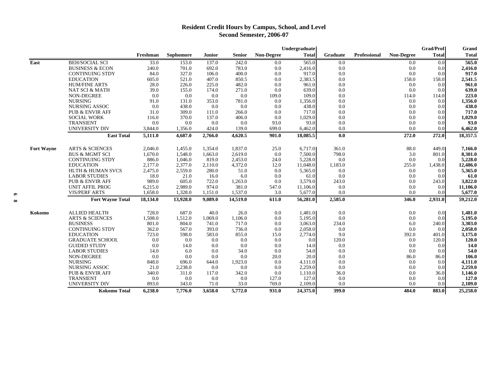### **Resident Credit Hours by Campus, School, and Level Second Semester, 2006-07**

|                   |                              |          |           |         |          |                   | Undergraduate |          |              |            | <b>Grad/Prof</b> | Grand        |
|-------------------|------------------------------|----------|-----------|---------|----------|-------------------|---------------|----------|--------------|------------|------------------|--------------|
|                   |                              | Freshman | Sophomore | Junior  | Senior   | <b>Non-Degree</b> | <b>Total</b>  | Graduate | Professional | Non-Degree | <b>Total</b>     | <b>Total</b> |
| East              | <b>BEH/SOCIAL SCI</b>        | 33.0     | 153.0     | 137.0   | 242.0    | 0.0               | 565.0         | 0.0      |              | 0.0        | 0.0              | 565.0        |
|                   | <b>BUSINESS &amp; ECON</b>   | 240.0    | 701.0     | 692.0   | 783.0    | 0.0               | 2,416.0       | 0.0      |              | 0.0        | 0.0              | 2,416.0      |
|                   | <b>CONTINUING STDY</b>       | 84.0     | 327.0     | 106.0   | 400.0    | 0.0               | 917.0         | 0.0      |              | 0.0        | 0.0              | 917.0        |
|                   | <b>EDUCATION</b>             | 605.0    | 521.0     | 407.0   | 850.5    | 0.0               | 2,383.5       | 0.0      |              | 158.0      | 158.0            | 2,541.5      |
|                   | <b>HUM/FINE ARTS</b>         | 28.0     | 226.0     | 225.0   | 482.0    | 0.0               | 961.0         | 0.0      |              | 0.0        | 0.0              | 961.0        |
|                   | <b>NAT SCI &amp; MATH</b>    | 39.0     | 155.0     | 174.0   | 271.0    | 0.0               | 639.0         | 0.0      |              | 0.0        | 0.0              | 639.0        |
|                   | NON-DEGREE                   | 0.0      | 0.0       | 0.0     | 0.0      | 109.0             | 109.0         | 0.0      |              | 114.0      | 114.0            | 223.0        |
|                   | <b>NURSING</b>               | 91.0     | 131.0     | 353.0   | 781.0    | 0.0               | 1,356.0       | 0.0      |              | 0.0        | 0.0              | 1,356.0      |
|                   | NURSING ASSOC                | 0.0      | 438.0     | 0.0     | 0.0      | 0.0               | 438.0         | 0.0      |              | 0.0        | 0.0              | 438.0        |
|                   | <b>PUB &amp; ENVIR AFF</b>   | 31.0     | 309.0     | 111.0   | 266.0    | 0.0               | 717.0         | 0.0      |              | 0.0        | 0.0              | 717.0        |
|                   | <b>SOCIAL WORK</b>           | 116.0    | 370.0     | 137.0   | 406.0    | 0.0               | 1,029.0       | 0.0      |              | 0.0        | 0.0              | 1,029.0      |
|                   | TRANSIENT                    | 0.0      | 0.0       | 0.0     | 0.0      | 93.0              | 93.0          | 0.0      |              | 0.0        | 0.0              | 93.0         |
|                   | UNIVERSITY DIV               | 3,844.0  | 1,356.0   | 424.0   | 139.0    | 699.0             | 6,462.0       | 0.0      |              | 0.0        | 0.0              | 6,462.0      |
|                   | <b>East Total</b>            | 5,111.0  | 4,687.0   | 2,766.0 | 4,620.5  | 901.0             | 18,085.5      | 0.0      |              | 272.0      | 272.0            | 18,357.5     |
| <b>Fort Wayne</b> | <b>ARTS &amp; SCIENCES</b>   | 2,046.0  | 1.455.0   | 1.354.0 | 1.837.0  | 25.0              | 6,717.0       | 361.0    |              | 88.0       | 449.0            | 7,166.0      |
|                   | <b>BUS &amp; MGMT SCI</b>    | 1,670.0  | 1,548.0   | 1,663.0 | 2,619.0  | 0.0               | 7,500.0       | 798.0    |              | 3.0        | 801.0            | 8,301.0      |
|                   | <b>CONTINUING STDY</b>       | 886.0    | 1,046.0   | 819.0   | 2,453.0  | 24.0              | 5,228.0       | 0.0      |              | 0.0        | 0.0              | 5,228.0      |
|                   | <b>EDUCATION</b>             | 2,177.0  | 2,377.0   | 2,110.0 | 4,372.0  | 12.0              | 11,048.0      | 1,183.0  |              | 255.0      | 1,438.0          | 12,486.0     |
|                   | <b>HLTH &amp; HUMAN SVCS</b> | 2,475.0  | 2,559.0   | 280.0   | 51.0     | 0.0               | 5,365.0       | 0.0      |              | 0.0        | 0.0              | 5,365.0      |
|                   | <b>LABOR STUDIES</b>         | 18.0     | 21.0      | 16.0    | 6.0      | 0.0               | 61.0          | 0.0      |              | 0.0        | 0.0              | 61.0         |
|                   | <b>PUB &amp; ENVIR AFF</b>   | 989.0    | 605.0     | 722.0   | 1,263.0  | 0.0               | 3,579.0       | 243.0    |              | 0.0        | 243.0            | 3,822.0      |
|                   | <b>UNIT AFFIL PROG</b>       | 6,215.0  | 2,989.0   | 974.0   | 381.0    | 547.0             | 11,106.0      | 0.0      |              | 0.0        | 0.0              | 11,106.0     |
|                   | <b>VIS/PERF ARTS</b>         | 1,658.0  | 1,328.0   | 1,151.0 | 1,537.0  | 3.0               | 5,677.0       | 0.0      |              | 0.0        | 0.0              | 5,677.0      |
|                   | <b>Fort Wayne Total</b>      | 18,134.0 | 13,928.0  | 9,089.0 | 14,519.0 | 611.0             | 56,281.0      | 2,585.0  |              | 346.0      | 2,931.0          | 59,212.0     |
| Kokomo            | <b>ALLIED HEALTH</b>         | 728.0    | 687.0     | 40.0    | 26.0     | 0.0               | 1,481.0       | 0.0      |              | 0.0        | 0.0              | 1,481.0      |
|                   | <b>ARTS &amp; SCIENCES</b>   | 1,508.0  | 1,512.0   | 1.069.0 | 1,106.0  | 0.0               | 5,195.0       | 0.0      |              | 0.0        | 0.0              | 5,195.0      |
|                   | <b>BUSINESS</b>              | 801.0    | 804.0     | 741.0   | 717.0    | 0.0               | 3,063.0       | 234.0    |              | 6.0        | 240.0            | 3,303.0      |
|                   | <b>CONTINUING STDY</b>       | 362.0    | 567.0     | 393.0   | 736.0    | 0.0               | 2,058.0       | 0.0      |              | 0.0        | 0.0              | 2,058.0      |
|                   | <b>EDUCATION</b>             | 723.0    | 598.0     | 583.0   | 855.0    | 15.0              | 2,774.0       | 9.0      |              | 392.0      | 401.0            | 3,175.0      |
|                   | <b>GRADUATE SCHOOL</b>       | 0.0      | 0.0       | 0.0     | 0.0      | 0.0               | 0.0           | 120.0    |              | 0.0        | 120.0            | 120.0        |
|                   | <b>GUIDED STUDY</b>          | 0.0      | 14.0      | 0.0     | 0.0      | 0.0               | 14.0          | 0.0      |              | 0.0        | 0.0              | 14.0         |
|                   | <b>LABOR STUDIES</b>         | 14.0     | 6.0       | 0.0     | 34.0     | 0.0               | 54.0          | 0.0      |              | 0.0        | 0.0              | 54.0         |
|                   | <b>NON-DEGREE</b>            | 0.0      | 0.0       | 0.0     | 0.0      | 20.0              | 20.0          | 0.0      |              | 86.0       | 86.0             | 106.0        |
|                   | <b>NURSING</b>               | 848.0    | 696.0     | 644.0   | 1,923.0  | 0.0               | 4,111.0       | 0.0      |              | 0.0        | 0.0              | 4,111.0      |
|                   | <b>NURSING ASSOC</b>         | 21.0     | 2,238.0   | 0.0     | 0.0      | 0.0               | 2,259.0       | 0.0      |              | 0.0        | 0.0              | 2,259.0      |
|                   | <b>PUB &amp; ENVIR AFF</b>   | 340.0    | 311.0     | 117.0   | 342.0    | 0.0               | 1,110.0       | 36.0     |              | 0.0        | 36.0             | 1,146.0      |
|                   | <b>TRANSIENT</b>             | 0.0      | 0.0       | 0.0     | 0.0      | 127.0             | 127.0         | 0.0      |              | 0.0        | 0.0              | 127.0        |
|                   | <b>UNIVERSITY DIV</b>        | 893.0    | 343.0     | 71.0    | 33.0     | 769.0             | 2,109.0       | 0.0      |              | 0.0        | 0.0              | 2,109.0      |
|                   | <b>Kokomo Total</b>          | 6,238.0  | 7,776.0   | 3,658.0 | 5,772.0  | 931.0             | 24,375.0      | 399.0    |              | 484.0      | 883.0            | 25,258.0     |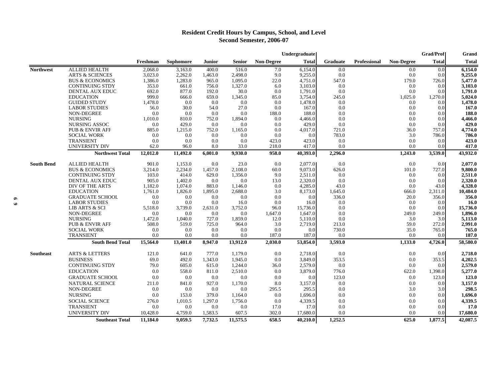### **Resident Credit Hours by Campus, School, and Level Second Semester, 2006-07**

|                   |                            | <b>Grad/Prof</b><br>Undergraduate |           |               |          |                   |              |                 |                     |                   |                  | Grand        |
|-------------------|----------------------------|-----------------------------------|-----------|---------------|----------|-------------------|--------------|-----------------|---------------------|-------------------|------------------|--------------|
|                   |                            | Freshman                          | Sophomore | <b>Junior</b> | Senior   | <b>Non-Degree</b> | <b>Total</b> | <b>Graduate</b> | <b>Professional</b> | <b>Non-Degree</b> | <b>Total</b>     | <b>Total</b> |
| <b>Northwest</b>  | <b>ALLIED HEALTH</b>       | 2,068.0                           | 3,163.0   | 400.0         | 516.0    | 7.0               | 6,154.0      | 0.0             |                     | 0.0               | 0.0              | 6,154.0      |
|                   | <b>ARTS &amp; SCIENCES</b> | 3,023.0                           | 2,262.0   | 1,463.0       | 2,498.0  | 9.0               | 9,255.0      | 0.0             |                     | 0.0               | 0.0              | 9,255.0      |
|                   | <b>BUS &amp; ECONOMICS</b> | 1,386.0                           | 1,283.0   | 965.0         | 1,095.0  | 22.0              | 4,751.0      | 547.0           |                     | 179.0             | 726.0            | 5,477.0      |
|                   | <b>CONTINUING STDY</b>     | 353.0                             | 661.0     | 756.0         | 1,327.0  | 6.0               | 3,103.0      | 0.0             |                     | 0.0               | 0.0              | 3,103.0      |
|                   | DENTAL AUX EDUC            | 692.0                             | 877.0     | 192.0         | 30.0     | 0.0               | 1,791.0      | 0.0             |                     | 0.0               | 0.0              | 1.791.0      |
|                   | <b>EDUCATION</b>           | 999.0                             | 666.0     | 659.0         | 1,345.0  | 85.0              | 3,754.0      | 245.0           |                     | 1,025.0           | 1,270.0          | 5,024.0      |
|                   | <b>GUIDED STUDY</b>        | 1,478.0                           | 0.0       | 0.0           | 0.0      | 0.0               | 1,478.0      | 0.0             |                     | 0.0               | 0.0              | 1,478.0      |
|                   | <b>LABOR STUDIES</b>       | 56.0                              | 30.0      | 54.0          | 27.0     | 0.0               | 167.0        | 0.0             |                     | 0.0               | 0.0              | 167.0        |
|                   | NON-DEGREE                 | 0.0                               | 0.0       | 0.0           | 0.0      | 188.0             | 188.0        | 0.0             |                     | 0.0               | 0.0              | 188.0        |
|                   | <b>NURSING</b>             | 1,010.0                           | 810.0     | 752.0         | 1,894.0  | 0.0               | 4,466.0      | 0.0             |                     | 0.0               | 0.0              | 4,466.0      |
|                   | NURSING ASSOC              | 0.0                               | 429.0     | 0.0           | 0.0      | 0.0               | 429.0        | 0.0             |                     | 0.0               | 0.0              | 429.0        |
|                   | <b>PUB &amp; ENVIR AFF</b> | 885.0                             | 1,215.0   | 752.0         | 1,165.0  | 0.0               | 4,017.0      | 721.0           |                     | 36.0              | 757.0            | 4,774.0      |
|                   | <b>SOCIAL WORK</b>         | 0.0                               | 0.0       | 0.0           | 0.0      | 0.0               | 0.0          | 783.0           |                     | 3.0               | 786.0            | 786.0        |
|                   | TRANSIENT                  | 0.0                               | 0.0       | 0.0           | 0.0      | 423.0             | 423.0        | 0.0             |                     | 0.0               | 0.0              | 423.0        |
|                   | UNIVERSITY DIV             | 62.0                              | 96.0      | 8.0           | 33.0     | 218.0             | 417.0        | 0.0             |                     | 0.0               | 0.0              | 417.0        |
|                   | <b>Northwest Total</b>     | 12,012.0                          | 11,492.0  | 6,001.0       | 9,930.0  | 958.0             | 40,393.0     | 2,296.0         |                     | 1,243.0           | 3,539.0          | 43,932.0     |
| <b>South Bend</b> | <b>ALLIED HEALTH</b>       | 901.0                             | 1,153.0   | 0.0           | 23.0     | 0.0               | 2,077.0      | 0.0             |                     | 0.0               | 0.0              | 2,077.0      |
|                   | <b>BUS &amp; ECONOMICS</b> | 3,214.0                           | 2,234.0   | 1,457.0       | 2,108.0  | 60.0              | 9,073.0      | 626.0           |                     | 101.0             | 727.0            | 9,800.0      |
|                   | <b>CONTINUING STDY</b>     | 103.0                             | 414.0     | 629.0         | 1,356.0  | 9.0               | 2,511.0      | 0.0             |                     | 0.0               | 0.0              | 2,511.0      |
|                   | DENTAL AUX EDUC            | 905.0                             | 1,402.0   | 0.0           | 0.0      | 13.0              | 2,320.0      | 0.0             |                     | 0.0               | 0.0              | 2,320.0      |
|                   | DIV OF THE ARTS            | 1,182.0                           | 1,074.0   | 883.0         | 1,146.0  | 0.0               | 4,285.0      | 43.0            |                     | 0.0               | 43.0             | 4,328.0      |
|                   | <b>EDUCATION</b>           | 1,761.0                           | 1,826.0   | 1,895.0       | 2,688.0  | 3.0               | 8,173.0      | 1,645.0         |                     | 666.0             | 2,311.0          | 10,484.0     |
|                   | <b>GRADUATE SCHOOL</b>     | 0.0                               | 0.0       | 0.0           | 0.0      | 0.0               | 0.0          | 336.0           |                     | 20.0              | 356.0            | 356.0        |
|                   | <b>LABOR STUDIES</b>       | 0.0                               | 0.0       | 0.0           | 16.0     | 0.0               | 16.0         | 0.0             |                     | 0.0               | 0.0              | 16.0         |
|                   | LIB ARTS & SCI             | 5,518.0                           | 3,739.0   | 2,631.0       | 3,752.0  | 96.0              | 15,736.0     | 0.0             |                     | 0.0               | 0.0              | 15,736.0     |
|                   | NON-DEGREE                 | 0.0                               | 0.0       | 0.0           | 0.0      | 1,647.0           | 1,647.0      | 0.0             |                     | 249.0             | 249.0            | 1,896.0      |
|                   | <b>NURSING</b>             | 1,472.0                           | 1,040.0   | 727.0         | 1,859.0  | 12.0              | 5,110.0      | 0.0             |                     | 3.0               | 3.0              | 5,113.0      |
|                   | <b>PUB &amp; ENVIR AFF</b> | 508.0                             | 519.0     | 725.0         | 964.0    | 3.0               | 2,719.0      | 213.0           |                     | 59.0              | 272.0            | 2,991.0      |
|                   | <b>SOCIAL WORK</b>         | 0.0                               | 0.0       | 0.0           | 0.0      | 0.0               | 0.0          | 730.0           |                     | 35.0              | 765.0            | 765.0        |
|                   | <b>TRANSIENT</b>           | 0.0                               | 0.0       | 0.0           | 0.0      | 187.0             | 187.0        | 0.0             |                     | 0.0               | 0.0              | 187.0        |
|                   | <b>South Bend Total</b>    | 15,564.0                          | 13,401.0  | 8,947.0       | 13,912.0 | 2,030.0           | 53,854.0     | 3,593.0         |                     | 1,133.0           | 4,726.0          | 58,580.0     |
| <b>Southeast</b>  | <b>ARTS &amp; LETTERS</b>  | 121.0                             | 641.0     | 777.0         | 1,179.0  | 0.0               | 2,718.0      | 0.0             |                     | 0.0               | 0.0 <sub>l</sub> | 2,718.0      |
|                   | <b>BUSINESS</b>            | 69.0                              | 492.0     | 1,343.0       | 1,945.0  | 0.0               | 3,849.0      | 353.5           |                     | 0.0               | 353.5            | 4,202.5      |
|                   | <b>CONTINUING STDY</b>     | 79.0                              | 605.0     | 615.0         | 1,244.0  | 36.0              | 2,579.0      | 0.0             |                     | 0.0               | 0.0              | 2,579.0      |
|                   | <b>EDUCATION</b>           | 0.0                               | 558.0     | 811.0         | 2,510.0  | 0.0               | 3,879.0      | 776.0           |                     | 622.0             | 1,398.0          | 5,277.0      |
|                   | <b>GRADUATE SCHOOL</b>     | 0.0                               | 0.0       | 0.0           | 0.0      | 0.0               | 0.0          | 123.0           |                     | 0.0               | 123.0            | 123.0        |
|                   | NATURAL SCIENCE            | 211.0                             | 841.0     | 927.0         | 1,170.0  | 8.0               | 3,157.0      | 0.0             |                     | 0.0               | 0.0              | 3,157.0      |
|                   | NON-DEGREE                 | 0.0                               | 0.0       | 0.0           | 0.0      | 295.5             | 295.5        | 0.0             |                     | 3.0               | 3.0              | 298.5        |
|                   |                            |                                   |           |               |          |                   |              |                 |                     |                   |                  |              |
|                   | <b>NURSING</b>             | 0.0                               | 153.0     | 379.0         | 1,164.0  | 0.0               | 1,696.0      | 0.0             |                     | 0.0               | 0.0              | 1,696.0      |
|                   | <b>SOCIAL SCIENCE</b>      | 276.0                             | 1,010.5   | 1,297.0       | 1,756.0  | 0.0               | 4,339.5      | 0.0             |                     | 0.0               | 0.0              | 4,339.5      |
|                   | <b>TRANSIENT</b>           | 0.0                               | 0.0       | 0.0           | 0.0      | 17.0              | 17.0         | 0.0             |                     | 0.0               | 0.0              | 17.0         |
|                   | <b>UNIVERSITY DIV</b>      | 10,428.0                          | 4,759.0   | 1,583.5       | 607.5    | 302.0             | 17,680.0     | 0.0             |                     | 0.0               | 0.0              | 17,680.0     |
|                   | <b>Southeast Total</b>     | 11,184.0                          | 9.059.5   | 7,732.5       | 11,575.5 | 658.5             | 40,210.0     | 1,252.5         |                     | 625.0             | 1,877.5          | 42,087.5     |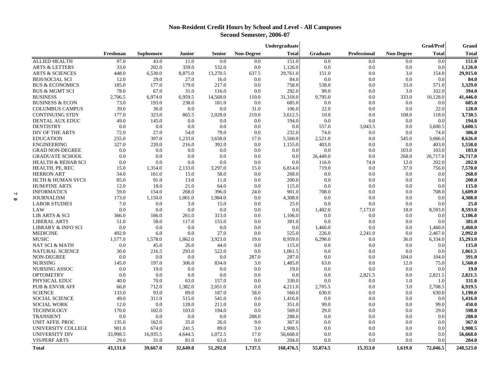## **Non-Resident Credit Hours by School and Level - All Campuses Second Semester, 2006-07**

|           |                               |              |              |               |               |                   | Undergraduate   |                 | <b>Grad/Prof</b>    | Grand             |              |                  |
|-----------|-------------------------------|--------------|--------------|---------------|---------------|-------------------|-----------------|-----------------|---------------------|-------------------|--------------|------------------|
|           |                               | Freshman     | Sophomore    | <b>Junior</b> | <b>Senior</b> | <b>Non-Degree</b> | <b>Total</b>    | <b>Graduate</b> | <b>Professional</b> | <b>Non-Degree</b> | <b>Total</b> | <b>Total</b>     |
|           | <b>ALLIED HEALTH</b>          | 97.0         | 43.0         | 11.0          | 0.0           | 0.0               | 151.0           | 0.0             | 0.0                 | 0.0               | 0.0          | 151.0            |
|           | <b>ARTS &amp; LETTERS</b>     | 33.0         | 202.0        | 359.0         | 532.0         | 0.0               | 1,126.0         | 0.0             | 0.0                 | 0.0               | 0.0          | 1,126.0          |
|           | <b>ARTS &amp; SCIENCES</b>    | 448.0        | 6,530.0      | 8,875.0       | 13,270.5      | 637.5             | 29,761.0        | 151.0           | 0.0                 | 3.0               | 154.0        | 29,915.0         |
|           | <b>BEH/SOCIAL SCI</b>         | 12.0         | 29.0         | 27.0          | 16.0          | 0.0               | 84.0            | 0.0             | 0.0                 | 0.0               | 0.0          | 84.0             |
|           | <b>BUS &amp; ECONOMICS</b>    | 185.0        | 177.0        | 179.0         | 217.0         | 0.0               | 758.0           | 538.0           | 0.0                 | 33.0              | 571.0        | 1,329.0          |
|           | <b>BUS &amp; MGMT SCI</b>     | 78.0         | 67.0         | 31.0          | 116.0         | 0.0               | 292.0           | 99.0            | 0.0                 | 3.0               | 102.0        | 394.0            |
|           | <b>BUSINESS</b>               | 2,706.5      | 6,974.0      | 6,959.5       | 14,568.0      | 110.0             | 31,318.0        | 9,795.0         | 0.0                 | 333.0             | 10,128.0     | 41,446.0         |
|           | <b>BUSINESS &amp; ECON</b>    | 73.0         | 193.0        | 238.0         | 181.0         | 0.0               | 685.0           | 0.0             | 0.0                 | 0.0               | 0.0          | 685.0            |
|           | <b>COLUMBUS CAMPUS</b>        | 39.0         | 36.0         | 0.0           | 0.0           | 31.0              | 106.0           | 22.0            | 0.0                 | 0.0               | 22.0         | 128.0            |
|           | <b>CONTINUING STDY</b>        | 177.0        | 323.0        | 865.5         | 2,028.0       | 219.0             | 3,612.5         | 10.0            | 0.0                 | 108.0             | 118.0        | 3,730.5          |
|           | DENTAL AUX EDUC               | 49.0         | 145.0        | 0.0           | 0.0           | 0.0               | 194.0           | 0.0             | 0.0                 | 0.0               | 0.0          | 194.0            |
|           | <b>DENTISTRY</b>              | 0.0          | 0.0          | 0.0           | 0.0           | 0.0               | 0.0             | 557.0           | 3,043.5             | 0.0               | 3,600.5      | 3,600.5          |
|           | DIV OF THE ARTS               | 72.0         | 27.0         | 54.0          | 79.0          | 0.0               | 232.0           | 74.0            | 0.0                 | 0.0               | 74.0         | 306.0            |
|           | <b>EDUCATION</b>              | 255.0        | 397.0        | 1,233.0       | 3,658.0       | 17.0              | 5,560.0         | 2,521.0         | 0.0                 | 545.0             | 3,066.0      | 8,626.0          |
|           | <b>ENGINEERING</b>            | 327.0        | 220.0        | 216.0         | 392.0         | 0.0               | 1,155.0         | 403.0           | 0.0                 | 0.0               | 403.0        | 1,558.0          |
|           | <b>GRAD NON-DEGREE</b>        | 0.0          | 0.0          | 0.0           | 0.0           | 0.0               | 0.0             | 0.0             | 0.0                 | 103.0             | 103.0        | 103.0            |
|           | <b>GRADUATE SCHOOL</b>        | 0.0          | 0.0          | 0.0           | 0.0           | 0.0               | 0.0             | 26,449.0        | 0.0                 | 268.0             | 26,717.0     | 26,717.0         |
|           | <b>HEALTH &amp; REHAB SCI</b> | 0.0          | 0.0          | 0.0           | 0.0           | 0.0               | 0.0             | 116.0           | 74.0                | 12.0              | 202.0        | 202.0            |
|           | HEALTH, PE, REC               | 15.0         | 1,354.0      | 2,133.0       | 3.297.0       | 15.0              | 6,814.0         | 719.0           | 0.0                 | 37.0              | 756.0        | 7,570.0          |
|           | <b>HERRON ART</b>             | 34.0         | 161.0        | 15.0          | 58.0          | 0.0               | 268.0           | 0.0             | 0.0                 | 0.0               | 0.0          | 268.0            |
|           | <b>HLTH &amp; HUMAN SVCS</b>  | 85.0         | 91.0         | 13.0          | 11.0          | 0.0               | 200.0           | 0.0             | 0.0                 | 0.0               | 0.0          | 200.0            |
|           | <b>HUM/FINE ARTS</b>          | 12.0         | 18.0         | 21.0          | 64.0          | 0.0               | 115.0           | 0.0             | 0.0                 | 0.0               | 0.0          | 115.0            |
| 7         | <b>INFORMATICS</b>            | 59.0         | 154.0        | 268.0         | 396.0         | 24.0              | 901.0           | 708.0           | 0.0                 | 0.0               | 708.0        | 1,609.0          |
| $\bullet$ | <b>JOURNALISM</b>             | 173.0        | 1,150.0      | 1,001.0       | 1,984.0       | 0.0               | 4,308.0         | 0.0             | 0.0                 | 0.0               | 0.0          | 4,308.0          |
|           | <b>LABOR STUDIES</b>          | 7.0          | 0.0          | 3.0           | 15.0          | 0.0               | 25.0            | 0.0             | 0.0                 | 0.0               | 0.0          | 25.0             |
|           | LAW                           | 0.0          | 0.0          | 0.0           | 0.0           | 0.0               | 0.0             | 1,402.0         | 7,173.0             | 18.0              | 8,593.0      | 8,593.0          |
|           | LIB ARTS & SCI                | 366.0        | 166.0        | 261.0         | 313.0         | 0.0               | 1,106.0         | 0.0             | 0.0                 | 0.0               | 0.0          | 1,106.0          |
|           | <b>LIBERAL ARTS</b>           | 51.0         | 58.0         | 117.0         | 155.0         | 0.0               | 381.0           | 0.0             | 0.0                 | 0.0               | 0.0          | 381.0            |
|           | <b>LIBRARY &amp; INFO SCI</b> | 0.0          | 0.0          | 0.0           | 0.0           | 0.0               | 0.0             | 1,460.0         | 0.0                 | 0.0               | 1,460.0      | 1,460.0          |
|           | <b>MEDICINE</b>               | 492.0        | 6.0          | 0.0           | 27.0          | 0.0               | 525.0           | 226.0           | 2,241.0             | 0.0               | 2,467.0      | 2,992.0          |
|           | <b>MUSIC</b>                  | 1,577.0      | 1,578.0      | 1,862.0       | 3,923.0       | 19.0              | 8,959.0         | 6,298.0         | 0.0                 | 36.0              | 6,334.0      | 15,293.0         |
|           | <b>NAT SCI &amp; MATH</b>     | 0.0          | 45.0         | 26.0          | 44.0          | 0.0               | 115.0           | 0.0             | 0.0                 | 0.0               | 0.0          | 115.0            |
|           | <b>NATURAL SCIENCE</b>        | 30.0         | 216.5        | 293.0         | 522.0         | 0.0               | 1,061.5         | 0.0             | 0.0                 | 0.0               | 0.0          | 1,061.5<br>391.0 |
|           | NON-DEGREE<br><b>NURSING</b>  | 0.0          | 0.0<br>197.0 | 0.0           | 0.0           | 287.0             | 287.0           | 0.0             | 0.0                 | 104.0             | 104.0        |                  |
|           | <b>NURSING ASSOC</b>          | 145.0<br>0.0 | 19.0         | 306.0<br>0.0  | 834.0<br>0.0  | 3.0<br>0.0        | 1,485.0<br>19.0 | 63.0<br>0.0     | 0.0<br>0.0          | 12.0<br>0.0       | 75.0<br>0.0  | 1,560.0<br>19.0  |
|           | <b>OPTOMETRY</b>              | 0.0          | 0.0          | 0.0           | 0.0           | 0.0               | 0.0             | 0.0             | 2,821.5             | 0.0               | 2,821.5      | 2,821.5          |
|           | PHYSICAL EDUC                 | 40.0         | 70.0         | 63.0          | 157.0         | 0.0               | 330.0           | 0.0             | 0.0                 | 1.0               | 1.0          | 331.0            |
|           | <b>PUB &amp; ENVIR AFF</b>    | 66.0         | 712.0        | 1,382.0       | 2,051.0       | 0.0               | 4,211.0         | 2,705.5         | 0.0                 | 3.0               | 2,708.5      | 6,919.5          |
|           | <b>SCIENCE</b>                | 133.0        | 93.0         | 89.0          | 187.0         | 58.0              | 560.0           | 630.0           | 0.0                 | 0.0               | 630.0        | 1,190.0          |
|           | <b>SOCIAL SCIENCE</b>         | 49.0         | 311.0        | 515.0         | 541.0         | 0.0               | 1,416.0         | 0.0             | 0.0                 | 0.0               | 0.0          | 1,416.0          |
|           | <b>SOCIAL WORK</b>            | 12.0         | 0.0          | 128.0         | 211.0         | 0.0               | 351.0           | 99.0            | 0.0                 | 0.0               | 99.0         | 450.0            |
|           | <b>TECHNOLOGY</b>             | 170.0        | 102.0        | 103.0         | 194.0         | 0.0               | 569.0           | 29.0            | 0.0                 | 0.0               | 29.0         | 598.0            |
|           | <b>TRANSIENT</b>              | 0.0          | 0.0          | 0.0           | 0.0           | 288.0             | 288.0           | 0.0             | 0.0                 | 0.0               | 0.0          | 288.0            |
|           | UNIT AFFIL PROC               | 135.0        | 162.0        | 35.0          | 26.0          | 9.0               | 367.0           | 0.0             | 0.0                 | 0.0               | 0.0          | 367.0            |
|           | UNIVERSITY COLLEGE            | 901.0        | 674.0        | 241.5         | 89.0          | 3.0               | 1,908.5         | 0.0             | 0.0                 | 0.0               | 0.0          | 1,908.5          |
|           | UNIVERSITY DIV                | 33,998.5     | 16,935.5     | 4,644.5       | 1,072.5       | 17.0              | 56,668.0        | 0.0             | 0.0                 | 0.0               | 0.0          | 56,668.0         |
|           | <b>VIS/PERF ARTS</b>          | 29.0         | 31.0         | 81.0          | 63.0          | 0.0               | 204.0           | 0.0             | 0.0                 | 0.0               | 0.0          | 204.0            |
|           | <b>Total</b>                  | 43,131.0     | 39,667.0     | 32,649.0      | 51,292.0      | 1,737.5           | 168,476.5       | 55,074.5        | 15,353.0            | 1.619.0           | 72,046.5     | 240,523.0        |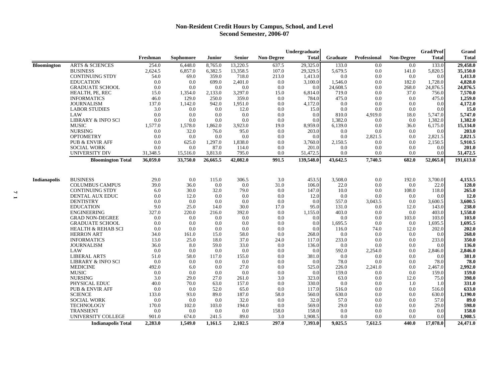## **Non-Resident Credit Hours by Campus, School, and Level Second Semester, 2006-07**

| Freshman<br>Sophomore<br><b>ARTS &amp; SCIENCES</b><br>254.0<br><b>Bloomington</b><br>6.448.0<br><b>BUSINESS</b><br>2,624.5<br>6,857.0<br><b>CONTINUING STDY</b><br>54.0<br>69.0<br><b>EDUCATION</b><br>0.0<br>0.0<br><b>GRADUATE SCHOOL</b><br>0.0<br>0.0<br>HEALTH, PE, REC<br>15.0<br>1,354.0<br><b>INFORMATICS</b><br>46.0<br>129.0<br><b>JOURNALISM</b><br>137.0<br>1,142.0<br><b>LABOR STUDIES</b><br>3.0<br>0.0<br>LAW<br>0.0<br>0.0<br>LIBRARY & INFO SCI<br>0.0<br>0.0<br><b>MUSIC</b><br>1,577.0<br>1,578.0<br><b>NURSING</b><br>0.0<br>32.0<br><b>OPTOMETRY</b><br>0.0<br>0.0<br>0.0<br><b>PUB &amp; ENVIR AFF</b><br>625.0<br><b>SOCIAL WORK</b><br>0.0<br>0.0<br>UNIVERSITY DIV<br>31,348.5<br>15,516.0<br>36,059.0<br>33,750.0<br><b>Bloomington Total</b><br>29.0<br><b>BUSINESS</b><br>0.0<br>Indianapolis<br><b>COLUMBUS CAMPUS</b><br>39.0<br>36.0<br><b>CONTINUING STDY</b><br>6.0<br>30.0<br>0.0<br>12.0<br>DENTAL AUX EDUC<br><b>DENTISTRY</b><br>0.0<br>0.0<br><b>EDUCATION</b><br>9.0<br>25.0<br><b>ENGINEERING</b><br>327.0<br>220.0<br><b>GRAD NON-DEGREE</b><br>0.0<br>0.0<br><b>GRADUATE SCHOOL</b><br>0.0<br>0.0<br><b>HEALTH &amp; REHAB SCI</b><br>0.0<br>0.0<br><b>HERRON ART</b><br>34.0<br>161.0<br>13.0<br><b>INFORMATICS</b><br>25.0<br><b>JOURNALISM</b><br>36.0<br>8.0<br>LAW<br>0.0<br>0.0<br><b>LIBERAL ARTS</b><br>51.0<br>58.0<br><b>LIBRARY &amp; INFO SCI</b><br>0.0<br>0.0<br><b>MEDICINE</b><br>492.0<br>6.0<br><b>MUSIC</b><br>0.0<br>0.0<br><b>NURSING</b><br>3.0<br>29.0<br>PHYSICAL EDUC<br>40.0<br>70.0<br>0.0<br><b>PUB &amp; ENVIR AFF</b><br>0.0<br><b>SCIENCE</b><br>133.0<br>93.0<br><b>SOCIAL WORK</b><br>0.0<br>0.0 | Undergraduate |               |                   |                  | <b>Grad/Prof</b> |              |                   |              | Grand            |
|------------------------------------------------------------------------------------------------------------------------------------------------------------------------------------------------------------------------------------------------------------------------------------------------------------------------------------------------------------------------------------------------------------------------------------------------------------------------------------------------------------------------------------------------------------------------------------------------------------------------------------------------------------------------------------------------------------------------------------------------------------------------------------------------------------------------------------------------------------------------------------------------------------------------------------------------------------------------------------------------------------------------------------------------------------------------------------------------------------------------------------------------------------------------------------------------------------------------------------------------------------------------------------------------------------------------------------------------------------------------------------------------------------------------------------------------------------------------------------------------------------------------------------------------------------------------------------------------------------------------------------------------------------------------------|---------------|---------------|-------------------|------------------|------------------|--------------|-------------------|--------------|------------------|
|                                                                                                                                                                                                                                                                                                                                                                                                                                                                                                                                                                                                                                                                                                                                                                                                                                                                                                                                                                                                                                                                                                                                                                                                                                                                                                                                                                                                                                                                                                                                                                                                                                                                              | Junior        | <b>Senior</b> | <b>Non-Degree</b> | <b>Total</b>     | Graduate         | Professional | <b>Non-Degree</b> | <b>Total</b> | <b>Total</b>     |
|                                                                                                                                                                                                                                                                                                                                                                                                                                                                                                                                                                                                                                                                                                                                                                                                                                                                                                                                                                                                                                                                                                                                                                                                                                                                                                                                                                                                                                                                                                                                                                                                                                                                              | 8.765.0       | 13.220.5      | 637.5             | 29,325.0         | 133.0            | 0.0          | 0.0               | 133.0        | 29,458.0         |
|                                                                                                                                                                                                                                                                                                                                                                                                                                                                                                                                                                                                                                                                                                                                                                                                                                                                                                                                                                                                                                                                                                                                                                                                                                                                                                                                                                                                                                                                                                                                                                                                                                                                              | 6,382.5       | 13,358.5      | 107.0             | 29,329.5         | 5,679.5          | 0.0          | 141.0             | 5,820.5      | 35,150.0         |
|                                                                                                                                                                                                                                                                                                                                                                                                                                                                                                                                                                                                                                                                                                                                                                                                                                                                                                                                                                                                                                                                                                                                                                                                                                                                                                                                                                                                                                                                                                                                                                                                                                                                              | 359.0         | 718.0         | 213.0             | 1,413.0          | 0.0              | 0.0          | 0.0               | 0.0          | 1,413.0          |
|                                                                                                                                                                                                                                                                                                                                                                                                                                                                                                                                                                                                                                                                                                                                                                                                                                                                                                                                                                                                                                                                                                                                                                                                                                                                                                                                                                                                                                                                                                                                                                                                                                                                              | 699.0         | 2,401.0       | 0.0               | 3,100.0          | 1,546.0          | 0.0          | 182.0             | 1,728.0      | 4.828.0          |
|                                                                                                                                                                                                                                                                                                                                                                                                                                                                                                                                                                                                                                                                                                                                                                                                                                                                                                                                                                                                                                                                                                                                                                                                                                                                                                                                                                                                                                                                                                                                                                                                                                                                              | 0.0           | 0.0           | 0.0               | 0.0              | 24,608.5         | 0.0          | 268.0             | 24,876.5     | 24,876.5         |
|                                                                                                                                                                                                                                                                                                                                                                                                                                                                                                                                                                                                                                                                                                                                                                                                                                                                                                                                                                                                                                                                                                                                                                                                                                                                                                                                                                                                                                                                                                                                                                                                                                                                              | 2,133.0       | 3,297.0       | 15.0              | 6,814.0          | 719.0            | 0.0          | 37.0              | 756.0        | 7,570.0          |
|                                                                                                                                                                                                                                                                                                                                                                                                                                                                                                                                                                                                                                                                                                                                                                                                                                                                                                                                                                                                                                                                                                                                                                                                                                                                                                                                                                                                                                                                                                                                                                                                                                                                              | 250.0         | 359.0         | 0.0               | 784.0            | 475.0            | 0.0          | 0.0               | 475.0        | 1,259.0          |
|                                                                                                                                                                                                                                                                                                                                                                                                                                                                                                                                                                                                                                                                                                                                                                                                                                                                                                                                                                                                                                                                                                                                                                                                                                                                                                                                                                                                                                                                                                                                                                                                                                                                              | 942.0         | 1,951.0       | 0.0               | 4,172.0          | 0.0              | 0.0          | 0.0               | 0.0          | 4,172.0          |
|                                                                                                                                                                                                                                                                                                                                                                                                                                                                                                                                                                                                                                                                                                                                                                                                                                                                                                                                                                                                                                                                                                                                                                                                                                                                                                                                                                                                                                                                                                                                                                                                                                                                              | 0.0           | 12.0          | 0.0               | 15.0             | 0.0              | 0.0          | 0.0               | 0.0          | 15.0             |
|                                                                                                                                                                                                                                                                                                                                                                                                                                                                                                                                                                                                                                                                                                                                                                                                                                                                                                                                                                                                                                                                                                                                                                                                                                                                                                                                                                                                                                                                                                                                                                                                                                                                              | 0.0           | 0.0           | 0.0               | 0.0              | 810.0            | 4,919.0      | 18.0              | 5,747.0      | 5,747.0          |
|                                                                                                                                                                                                                                                                                                                                                                                                                                                                                                                                                                                                                                                                                                                                                                                                                                                                                                                                                                                                                                                                                                                                                                                                                                                                                                                                                                                                                                                                                                                                                                                                                                                                              | 0.0           | 0.0           | 0.0               | 0.0              | 1,382.0          | 0.0          | 0.0               | 1,382.0      | 1,382.0          |
|                                                                                                                                                                                                                                                                                                                                                                                                                                                                                                                                                                                                                                                                                                                                                                                                                                                                                                                                                                                                                                                                                                                                                                                                                                                                                                                                                                                                                                                                                                                                                                                                                                                                              | 1,862.0       | 3,923.0       | 19.0              | 8,959.0          | 6,139.0          | 0.0          | 36.0              | 6,175.0      | 15,134.0         |
|                                                                                                                                                                                                                                                                                                                                                                                                                                                                                                                                                                                                                                                                                                                                                                                                                                                                                                                                                                                                                                                                                                                                                                                                                                                                                                                                                                                                                                                                                                                                                                                                                                                                              | 76.0          | 95.0          | 0.0               | 203.0            | 0.0              | 0.0          | 0.0               | 0.0          | 203.0            |
|                                                                                                                                                                                                                                                                                                                                                                                                                                                                                                                                                                                                                                                                                                                                                                                                                                                                                                                                                                                                                                                                                                                                                                                                                                                                                                                                                                                                                                                                                                                                                                                                                                                                              | 0.0           | 0.0           | 0.0               | 0.0              | 0.0              | 2,821.5      | 0.0               | 2,821.5      | 2,821.5          |
|                                                                                                                                                                                                                                                                                                                                                                                                                                                                                                                                                                                                                                                                                                                                                                                                                                                                                                                                                                                                                                                                                                                                                                                                                                                                                                                                                                                                                                                                                                                                                                                                                                                                              | 1,297.0       | 1,838.0       | 0.0               | 3,760.0          | 2,150.5          | 0.0          | 0.0               | 2,150.5      | 5,910.5          |
|                                                                                                                                                                                                                                                                                                                                                                                                                                                                                                                                                                                                                                                                                                                                                                                                                                                                                                                                                                                                                                                                                                                                                                                                                                                                                                                                                                                                                                                                                                                                                                                                                                                                              | 87.0          | 114.0         | 0.0               | 201.0            | 0.0              | 0.0          | 0.0               | 0.0          | 201.0            |
|                                                                                                                                                                                                                                                                                                                                                                                                                                                                                                                                                                                                                                                                                                                                                                                                                                                                                                                                                                                                                                                                                                                                                                                                                                                                                                                                                                                                                                                                                                                                                                                                                                                                              | 3,813.0       | 795.0         | 0.0               | 51,472.5         | 0.0              | 0.0          | 0.0               | 0.0          | 51,472.5         |
|                                                                                                                                                                                                                                                                                                                                                                                                                                                                                                                                                                                                                                                                                                                                                                                                                                                                                                                                                                                                                                                                                                                                                                                                                                                                                                                                                                                                                                                                                                                                                                                                                                                                              | 26,665.5      | 42,082.0      | 991.5             | 139,548.0        | 43,642.5         | 7,740.5      | 682.0             | 52,065.0     | 191,613.0        |
|                                                                                                                                                                                                                                                                                                                                                                                                                                                                                                                                                                                                                                                                                                                                                                                                                                                                                                                                                                                                                                                                                                                                                                                                                                                                                                                                                                                                                                                                                                                                                                                                                                                                              |               |               |                   |                  |                  |              |                   |              |                  |
|                                                                                                                                                                                                                                                                                                                                                                                                                                                                                                                                                                                                                                                                                                                                                                                                                                                                                                                                                                                                                                                                                                                                                                                                                                                                                                                                                                                                                                                                                                                                                                                                                                                                              | 115.0         | 306.5         | 3.0               | 453.5            | 3,508.0          | 0.0          | 192.0             | 3,700.0      | 4,153.5          |
|                                                                                                                                                                                                                                                                                                                                                                                                                                                                                                                                                                                                                                                                                                                                                                                                                                                                                                                                                                                                                                                                                                                                                                                                                                                                                                                                                                                                                                                                                                                                                                                                                                                                              | 0.0           | 0.0           | 31.0              | 106.0            | 22.0             | 0.0          | 0.0               | 22.0         | 128.0            |
|                                                                                                                                                                                                                                                                                                                                                                                                                                                                                                                                                                                                                                                                                                                                                                                                                                                                                                                                                                                                                                                                                                                                                                                                                                                                                                                                                                                                                                                                                                                                                                                                                                                                              | 32.0          | 79.0          | 0.0               | 147.0            | 10.0             | 0.0          | 108.0             | 118.0        | 265.0            |
|                                                                                                                                                                                                                                                                                                                                                                                                                                                                                                                                                                                                                                                                                                                                                                                                                                                                                                                                                                                                                                                                                                                                                                                                                                                                                                                                                                                                                                                                                                                                                                                                                                                                              | 0.0           | 0.0           | 0.0               | 12.0             | 0.0              | 0.0          | 0.0               | 0.0          | 12.0             |
|                                                                                                                                                                                                                                                                                                                                                                                                                                                                                                                                                                                                                                                                                                                                                                                                                                                                                                                                                                                                                                                                                                                                                                                                                                                                                                                                                                                                                                                                                                                                                                                                                                                                              | 0.0           | 0.0           | 0.0               | 0.0              | 557.0            | 3,043.5      | 0.0               | 3,600.5      | 3,600.5          |
|                                                                                                                                                                                                                                                                                                                                                                                                                                                                                                                                                                                                                                                                                                                                                                                                                                                                                                                                                                                                                                                                                                                                                                                                                                                                                                                                                                                                                                                                                                                                                                                                                                                                              | 14.0          | 30.0          | 17.0              | 95.0             | 131.0            | 0.0          | 12.0              | 143.0        | 238.0            |
|                                                                                                                                                                                                                                                                                                                                                                                                                                                                                                                                                                                                                                                                                                                                                                                                                                                                                                                                                                                                                                                                                                                                                                                                                                                                                                                                                                                                                                                                                                                                                                                                                                                                              | 216.0         | 392.0         | 0.0               | 1,155.0          | 403.0            | 0.0          | 0.0               | 403.0        | 1,558.0          |
|                                                                                                                                                                                                                                                                                                                                                                                                                                                                                                                                                                                                                                                                                                                                                                                                                                                                                                                                                                                                                                                                                                                                                                                                                                                                                                                                                                                                                                                                                                                                                                                                                                                                              | 0.0           | 0.0           | 0.0               | 0.0              | 0.0              | 0.0          | 103.0             | 103.0        | 103.0            |
|                                                                                                                                                                                                                                                                                                                                                                                                                                                                                                                                                                                                                                                                                                                                                                                                                                                                                                                                                                                                                                                                                                                                                                                                                                                                                                                                                                                                                                                                                                                                                                                                                                                                              | 0.0           | 0.0           | 0.0               | 0.0              | 1,695.5          | 0.0          | 0.0               | 1,695.5      | 1.695.5          |
|                                                                                                                                                                                                                                                                                                                                                                                                                                                                                                                                                                                                                                                                                                                                                                                                                                                                                                                                                                                                                                                                                                                                                                                                                                                                                                                                                                                                                                                                                                                                                                                                                                                                              | 0.0           | 0.0           | 0.0               | 0.0              | 116.0            | 74.0         | 12.0              | 202.0        | 202.0            |
|                                                                                                                                                                                                                                                                                                                                                                                                                                                                                                                                                                                                                                                                                                                                                                                                                                                                                                                                                                                                                                                                                                                                                                                                                                                                                                                                                                                                                                                                                                                                                                                                                                                                              | 15.0          | 58.0          | 0.0               | 268.0            | 0.0              | 0.0          | 0.0               | 0.0          | 268.0            |
|                                                                                                                                                                                                                                                                                                                                                                                                                                                                                                                                                                                                                                                                                                                                                                                                                                                                                                                                                                                                                                                                                                                                                                                                                                                                                                                                                                                                                                                                                                                                                                                                                                                                              | 18.0          | 37.0          | 24.0              | 117.0            | 233.0            | 0.0          | 0.0               | 233.0        | 350.0            |
|                                                                                                                                                                                                                                                                                                                                                                                                                                                                                                                                                                                                                                                                                                                                                                                                                                                                                                                                                                                                                                                                                                                                                                                                                                                                                                                                                                                                                                                                                                                                                                                                                                                                              | 59.0          | 33.0          | 0.0               | 136.0            | 0.0              | 0.0          | 0.0               | 0.0          | 136.0            |
|                                                                                                                                                                                                                                                                                                                                                                                                                                                                                                                                                                                                                                                                                                                                                                                                                                                                                                                                                                                                                                                                                                                                                                                                                                                                                                                                                                                                                                                                                                                                                                                                                                                                              | 0.0           | 0.0           | 0.0               | 0.0              | 592.0            | 2,254.0      | 0.0               | 2,846.0      | 2,846.0          |
|                                                                                                                                                                                                                                                                                                                                                                                                                                                                                                                                                                                                                                                                                                                                                                                                                                                                                                                                                                                                                                                                                                                                                                                                                                                                                                                                                                                                                                                                                                                                                                                                                                                                              | 117.0         | 155.0         | 0.0               | 381.0            | 0.0              | 0.0          | 0.0               | 0.0          | 381.0            |
|                                                                                                                                                                                                                                                                                                                                                                                                                                                                                                                                                                                                                                                                                                                                                                                                                                                                                                                                                                                                                                                                                                                                                                                                                                                                                                                                                                                                                                                                                                                                                                                                                                                                              | 0.0           | 0.0           | 0.0               | 0.0              | 78.0             | 0.0          | 0.0               | 78.0         | 78.0             |
|                                                                                                                                                                                                                                                                                                                                                                                                                                                                                                                                                                                                                                                                                                                                                                                                                                                                                                                                                                                                                                                                                                                                                                                                                                                                                                                                                                                                                                                                                                                                                                                                                                                                              | 0.0           | 27.0          | 0.0               | 525.0            | 226.0            | 2,241.0      | 0.0               | 2,467.0      | 2,992.0          |
|                                                                                                                                                                                                                                                                                                                                                                                                                                                                                                                                                                                                                                                                                                                                                                                                                                                                                                                                                                                                                                                                                                                                                                                                                                                                                                                                                                                                                                                                                                                                                                                                                                                                              | 0.0           | 0.0           | 0.0               | 0.0              | 159.0            | 0.0          | 0.0               | 159.0        | 159.0            |
|                                                                                                                                                                                                                                                                                                                                                                                                                                                                                                                                                                                                                                                                                                                                                                                                                                                                                                                                                                                                                                                                                                                                                                                                                                                                                                                                                                                                                                                                                                                                                                                                                                                                              | 27.0          | 261.0         | 3.0               | 323.0            | 63.0             | 0.0          | 12.0              | 75.0         | 398.0            |
|                                                                                                                                                                                                                                                                                                                                                                                                                                                                                                                                                                                                                                                                                                                                                                                                                                                                                                                                                                                                                                                                                                                                                                                                                                                                                                                                                                                                                                                                                                                                                                                                                                                                              | 63.0          | 157.0         | 0.0               | 330.0            | 0.0              | 0.0          | 1.0               | 1.0          | 331.0            |
|                                                                                                                                                                                                                                                                                                                                                                                                                                                                                                                                                                                                                                                                                                                                                                                                                                                                                                                                                                                                                                                                                                                                                                                                                                                                                                                                                                                                                                                                                                                                                                                                                                                                              | 52.0          | 65.0          | 0.0               | 117.0            | 516.0            | 0.0          | 0.0               | 516.0        | 633.0            |
|                                                                                                                                                                                                                                                                                                                                                                                                                                                                                                                                                                                                                                                                                                                                                                                                                                                                                                                                                                                                                                                                                                                                                                                                                                                                                                                                                                                                                                                                                                                                                                                                                                                                              | 89.0          | 187.0         | 58.0              | 560.0            | 630.0            | 0.0          | 0.0               | 630.0        | 1,190.0          |
|                                                                                                                                                                                                                                                                                                                                                                                                                                                                                                                                                                                                                                                                                                                                                                                                                                                                                                                                                                                                                                                                                                                                                                                                                                                                                                                                                                                                                                                                                                                                                                                                                                                                              | 0.0           | 32.0          | 0.0               | 32.0             | 57.0             | 0.0          | 0.0               | 57.0         | 89.0             |
| <b>TECHNOLOGY</b><br>170.0<br>102.0                                                                                                                                                                                                                                                                                                                                                                                                                                                                                                                                                                                                                                                                                                                                                                                                                                                                                                                                                                                                                                                                                                                                                                                                                                                                                                                                                                                                                                                                                                                                                                                                                                          | 103.0         | 194.0         | 0.0               | 569.0            | 29.0             | 0.0          | 0.0               | 29.0         | 598.0            |
| <b>TRANSIENT</b><br>0.0<br>0.0<br>UNIVERSITY COLLEGE<br>901.0<br>674.0                                                                                                                                                                                                                                                                                                                                                                                                                                                                                                                                                                                                                                                                                                                                                                                                                                                                                                                                                                                                                                                                                                                                                                                                                                                                                                                                                                                                                                                                                                                                                                                                       | 0.0<br>241.5  | 0.0<br>89.0   | 158.0<br>3.0      | 158.0<br>1,908.5 | 0.0<br>0.0       | 0.0<br>0.0   | 0.0<br>0.0        | 0.0<br>0.0   | 158.0<br>1,908.5 |
| <b>Indianapolis Total</b><br>2,283.0<br>1,549.0                                                                                                                                                                                                                                                                                                                                                                                                                                                                                                                                                                                                                                                                                                                                                                                                                                                                                                                                                                                                                                                                                                                                                                                                                                                                                                                                                                                                                                                                                                                                                                                                                              | 1,161.5       | 2,102.5       | 297.0             | 7,393.0          | 9,025.5          | 7,612.5      | 440.0             | 17,078.0     | 24,471.0         |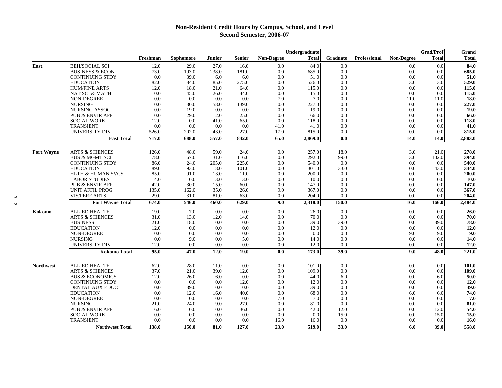## **Non-Resident Credit Hours by Campus, School, and Level Second Semester, 2006-07**

|                   |                              |          |           | Undergraduate |        |            |              | <b>Grad/Prof</b> | Grand        |                   |              |              |
|-------------------|------------------------------|----------|-----------|---------------|--------|------------|--------------|------------------|--------------|-------------------|--------------|--------------|
|                   |                              | Freshman | Sophomore | <b>Junior</b> | Senior | Non-Degree | <b>Total</b> | <b>Graduate</b>  | Professional | <b>Non-Degree</b> | <b>Total</b> | <b>Total</b> |
| East              | <b>BEH/SOCIAL SCI</b>        | 12.0     | 29.0      | 27.0          | 16.0   | 0.0        | 84.0         | 0.0              |              | 0.0               | 0.0          | 84.0         |
|                   | <b>BUSINESS &amp; ECON</b>   | 73.0     | 193.0     | 238.0         | 181.0  | 0.0        | 685.0        | 0.0              |              | 0.0               | 0.0          | 685.0        |
|                   | <b>CONTINUING STDY</b>       | 0.0      | 39.0      | 6.0           | 6.0    | 0.0        | 51.0         | 0.0              |              | 0.0               | 0.0          | 51.0         |
|                   | <b>EDUCATION</b>             | 82.0     | 84.0      | 85.0          | 275.0  | 0.0        | 526.0        | 0.0              |              | 3.0               | 3.0          | 529.0        |
|                   | <b>HUM/FINE ARTS</b>         | 12.0     | 18.0      | 21.0          | 64.0   | 0.0        | 115.0        | 0.0              |              | 0.0               | 0.0          | 115.0        |
|                   | <b>NAT SCI &amp; MATH</b>    | 0.0      | 45.0      | 26.0          | 44.0   | 0.0        | 115.0        | 0.0              |              | 0.0               | 0.0          | 115.0        |
|                   | <b>NON-DEGREE</b>            | 0.0      | 0.0       | 0.0           | 0.0    | 7.0        | 7.0          | 0.0              |              | 11.0              | 11.0         | 18.0         |
|                   | <b>NURSING</b>               | 0.0      | 30.0      | 58.0          | 139.0  | 0.0        | 227.0        | 0.0              |              | 0.0               | 0.0          | 227.0        |
|                   | NURSING ASSOC                | 0.0      | 19.0      | 0.0           | 0.0    | 0.0        | 19.0         | 0.0              |              | 0.0               | 0.0          | 19.0         |
|                   | PUB & ENVIR AFF              | 0.0      | 29.0      | 12.0          | 25.0   | 0.0        | 66.0         | 0.0              |              | 0.0               | 0.0          | 66.0         |
|                   | <b>SOCIAL WORK</b>           | 12.0     | 0.0       | 41.0          | 65.0   | 0.0        | 118.0        | 0.0              |              | 0.0               | 0.0          | 118.0        |
|                   | <b>TRANSIENT</b>             | 0.0      | 0.0       | 0.0           | 0.0    | 41.0       | 41.0         | 0.0              |              | 0.0               | 0.0          | 41.0         |
|                   | UNIVERSITY DIV               | 526.0    | 202.0     | 43.0          | 27.0   | 17.0       | 815.0        | 0.0              |              | 0.0               | 0.0          | 815.0        |
|                   | <b>East Total</b>            | 717.0    | 688.0     | 557.0         | 842.0  | 65.0       | 2,869.0      | 0.0              |              | 14.0              | 14.0         | 2,883.0      |
| <b>Fort Wayne</b> | <b>ARTS &amp; SCIENCES</b>   | 126.0    | 48.0      | 59.0          | 24.0   | 0.0        | 257.0        | 18.0             |              | 3.0               | 21.0         | 278.0        |
|                   | <b>BUS &amp; MGMT SCI</b>    | 78.0     | 67.0      | 31.0          | 116.0  | 0.0        | 292.0        | 99.0             |              | 3.0               | 102.0        | 394.0        |
|                   | <b>CONTINUING STDY</b>       | 86.0     | 24.0      | 205.0         | 225.0  | 0.0        | 540.0        | 0.0              |              | 0.0               | 0.0          | 540.0        |
|                   | <b>EDUCATION</b>             | 89.0     | 93.0      | 18.0          | 101.0  | 0.0        | 301.0        | 33.0             |              | 10.0              | 43.0         | 344.0        |
|                   | <b>HLTH &amp; HUMAN SVCS</b> | 85.0     | 91.0      | 13.0          | 11.0   | 0.0        | 200.0        | 0.0              |              | 0.0               | 0.0          | 200.0        |
|                   | <b>LABOR STUDIES</b>         | 4.0      | 0.0       | 3.0           | 3.0    | 0.0        | 10.0         | 0.0              |              | 0.0               | 0.0          | <b>10.0</b>  |
|                   | PUB & ENVIR AFF              | 42.0     | 30.0      | 15.0          | 60.0   | 0.0        | 147.0        | 0.0              |              | 0.0               | 0.0          | 147.0        |
|                   | <b>UNIT AFFIL PROG</b>       | 135.0    | 162.0     | 35.0          | 26.0   | 9.0        | 367.0        | 0.0              |              | 0.0               | 0.0          | 367.0        |
|                   | <b>VIS/PERF ARTS</b>         | 29.0     | 31.0      | 81.0          | 63.0   | 0.0        | 204.0        | 0.0              |              | 0.0               | 0.0          | 204.0        |
|                   | <b>Fort Wayne Total</b>      | 674.0    | 546.0     | 460.0         | 629.0  | 9.0        | 2,318.0      | 150.0            |              | 16.0              | 166.0        | 2,484.0      |
| Kokomo            | <b>ALLIED HEALTH</b>         | 19.0     | 7.0       | 0.0           | 0.0    | 0.0        | 26.0         | 0.0              |              | 0.0               | 0.0          | 26.0         |
|                   | <b>ARTS &amp; SCIENCES</b>   | 31.0     | 13.0      | 12.0          | 14.0   | 0.0        | 70.0         | 0.0              |              | 0.0               | 0.0          | 70.0         |
|                   | <b>BUSINESS</b>              | 21.0     | 18.0      | 0.0           | 0.0    | 0.0        | 39.0         | 39.0             |              | 0.0               | 39.0         | 78.0         |
|                   | <b>EDUCATION</b>             | 12.0     | 0.0       | 0.0           | 0.0    | 0.0        | 12.0         | 0.0              |              | 0.0               | 0.0          | 12.0         |
|                   | NON-DEGREE                   | 0.0      | 0.0       | 0.0           | 0.0    | 0.0        | 0.0          | 0.0              |              | 9.0               | 9.0          | 9.0          |
|                   | <b>NURSING</b>               | 0.0      | 9.0       | 0.0           | 5.0    | 0.0        | 14.0         | 0.0              |              | 0.0               | 0.0          | 14.0         |
|                   | UNIVERSITY DIV               | 12.0     | 0.0       | 0.0           | 0.0    | 0.0        | 12.0         | 0.0              |              | 0.0               | 0.0          | 12.0         |
|                   | <b>Kokomo Total</b>          | 95.0     | 47.0      | 12.0          | 19.0   | 0.0        | 173.0        | 39.0             |              | 9.0               | 48.0         | 221.0        |
| <b>Northwest</b>  | <b>ALLIED HEALTH</b>         | 62.0     | 28.0      | 11.0          | 0.0    | 0.0        | 101.0        | 0.0              |              | 0.0               | 0.01         | 101.0        |
|                   | <b>ARTS &amp; SCIENCES</b>   | 37.0     | 21.0      | 39.0          | 12.0   | 0.0        | 109.0        | 0.0              |              | 0.0               | 0.0          | 109.0        |
|                   | <b>BUS &amp; ECONOMICS</b>   | 12.0     | 26.0      | 6.0           | 0.0    | 0.0        | 44.0         | 6.0              |              | 0.0               | 6.0          | 50.0         |
|                   | <b>CONTINUING STDY</b>       | 0.0      | 0.0       | 0.0           | 12.0   | 0.0        | 12.0         | 0.0              |              | 0.0               | 0.0          | 12.0         |
|                   | DENTAL AUX EDUC              | 0.0      | 39.0      | 0.0           | 0.0    | 0.0        | 39.0         | 0.0              |              | 0.0               | 0.0          | 39.0         |
|                   | <b>EDUCATION</b>             | 0.0      | 12.0      | 16.0          | 40.0   | 0.0        | 68.0         | 0.0              |              | 6.0               | 6.0          | 74.0         |
|                   | <b>NON-DEGREE</b>            | 0.0      | 0.0       | 0.0           | 0.0    | 7.0        | 7.0          | 0.0              |              | 0.0               | 0.0          | 7.0          |
|                   | <b>NURSING</b>               | 21.0     | 24.0      | 9.0           | 27.0   | 0.0        | 81.0         | 0.0              |              | 0.0               | 0.0          | 81.0         |
|                   | <b>PUB &amp; ENVIR AFF</b>   | 6.0      | 0.0       | 0.0           | 36.0   | 0.0        | 42.0         | 12.0             |              | 0.0               | 12.0         | 54.0         |
|                   | <b>SOCIAL WORK</b>           | 0.0      | 0.0       | 0.0           | 0.0    | 0.0        | 0.0          | 15.0             |              | 0.0               | 15.0         | 15.0         |
|                   | <b>TRANSIENT</b>             | 0.0      | 0.0       | 0.0           | 0.0    | 16.0       | 16.0         | 0.0              |              | 0.0               | 0.0          | <b>16.0</b>  |
|                   | <b>Northwest Total</b>       | 138.0    | 150.0     | 81.0          | 127.0  | 23.0       | 519.0        | 33.0             |              | 6.0               | 39.0         | 558.0        |